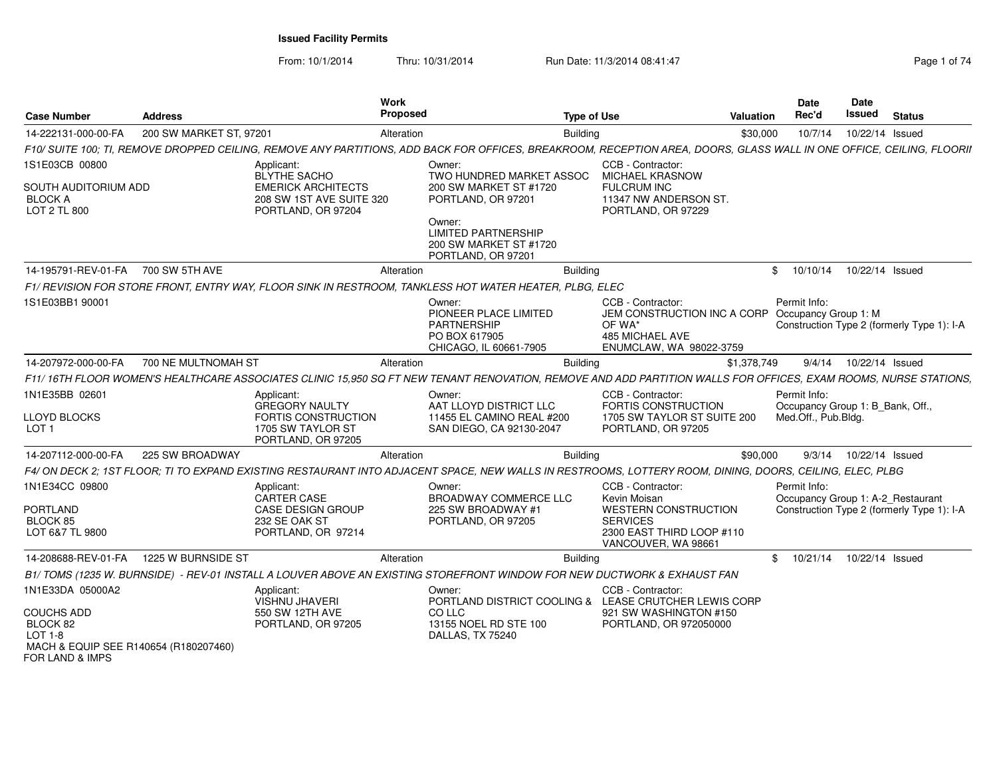From: 10/1/2014Thru: 10/31/2014 Run Date: 11/3/2014 08:41:47 Rege 1 of 74

| Case Number                                                  | Address                 | <b>Work</b><br><b>Proposed</b>                                                                                                                                        |                                                                                                  | <b>Type of Use</b>                                                                                                                   | Valuation      | <b>Date</b><br>Rec'd                                    | Date<br>Issued  | <b>Status</b>                              |
|--------------------------------------------------------------|-------------------------|-----------------------------------------------------------------------------------------------------------------------------------------------------------------------|--------------------------------------------------------------------------------------------------|--------------------------------------------------------------------------------------------------------------------------------------|----------------|---------------------------------------------------------|-----------------|--------------------------------------------|
| 14-222131-000-00-FA                                          | 200 SW MARKET ST, 97201 | Alteration                                                                                                                                                            | <b>Building</b>                                                                                  |                                                                                                                                      | \$30,000       | 10/7/14                                                 | 10/22/14 Issued |                                            |
|                                                              |                         | F10/ SUITE 100; TI, REMOVE DROPPED CEILING, REMOVE ANY PARTITIONS, ADD BACK FOR OFFICES, BREAKROOM, RECEPTION AREA, DOORS, GLASS WALL IN ONE OFFICE, CEILING, FLOORII |                                                                                                  |                                                                                                                                      |                |                                                         |                 |                                            |
| 1S1E03CB 00800                                               |                         | Applicant:                                                                                                                                                            | Owner:                                                                                           | CCB - Contractor:                                                                                                                    |                |                                                         |                 |                                            |
| SOUTH AUDITORIUM ADD<br><b>BLOCK A</b><br>LOT 2 TL 800       |                         | BLYTHE SACHO<br><b>EMERICK ARCHITECTS</b><br>208 SW 1ST AVE SUITE 320<br>PORTLAND, OR 97204                                                                           | TWO HUNDRED MARKET ASSOC<br>200 SW MARKET ST #1720<br>PORTLAND, OR 97201                         | <b>MICHAEL KRASNOW</b><br><b>FULCRUM INC</b><br>11347 NW ANDERSON ST.<br>PORTLAND, OR 97229                                          |                |                                                         |                 |                                            |
|                                                              |                         |                                                                                                                                                                       | Owner:<br><b>LIMITED PARTNERSHIP</b><br>200 SW MARKET ST #1720<br>PORTLAND, OR 97201             |                                                                                                                                      |                |                                                         |                 |                                            |
| 14-195791-REV-01-FA                                          | 700 SW 5TH AVE          | Alteration                                                                                                                                                            | Building                                                                                         |                                                                                                                                      | $^{\circ}$     | 10/10/14                                                | 10/22/14 Issued |                                            |
|                                                              |                         | F1/ REVISION FOR STORE FRONT, ENTRY WAY, FLOOR SINK IN RESTROOM, TANKLESS HOT WATER HEATER, PLBG, ELEC                                                                |                                                                                                  |                                                                                                                                      |                |                                                         |                 |                                            |
| 1S1E03BB1 90001                                              |                         |                                                                                                                                                                       | Owner:<br>PIONEER PLACE LIMITED<br><b>PARTNERSHIP</b><br>PO BOX 617905<br>CHICAGO, IL 60661-7905 | CCB - Contractor:<br>JEM CONSTRUCTION INC A CORP Occupancy Group 1: M<br>OF WA*<br><b>485 MICHAEL AVE</b><br>ENUMCLAW, WA 98022-3759 |                | Permit Info:                                            |                 | Construction Type 2 (formerly Type 1): I-A |
| 14-207972-000-00-FA                                          | 700 NE MULTNOMAH ST     | Alteration                                                                                                                                                            | <b>Building</b>                                                                                  |                                                                                                                                      | \$1,378,749    | 9/4/14                                                  | 10/22/14 Issued |                                            |
|                                                              |                         | F11/16TH FLOOR WOMEN'S HEALTHCARE ASSOCIATES CLINIC 15,950 SQ FT NEW TENANT RENOVATION, REMOVE AND ADD PARTITION WALLS FOR OFFICES, EXAM ROOMS, NURSE STATIONS,       |                                                                                                  |                                                                                                                                      |                |                                                         |                 |                                            |
| 1N1E35BB 02601                                               |                         | Applicant:                                                                                                                                                            | Owner:                                                                                           | CCB - Contractor:                                                                                                                    |                | Permit Info:                                            |                 |                                            |
| LLOYD BLOCKS<br>LOT <sub>1</sub>                             |                         | GREGORY NAULTY<br>FORTIS CONSTRUCTION<br>1705 SW TAYLOR ST<br>PORTLAND, OR 97205                                                                                      | AAT LLOYD DISTRICT LLC<br>11455 EL CAMINO REAL #200<br>SAN DIEGO, CA 92130-2047                  | <b>FORTIS CONSTRUCTION</b><br>1705 SW TAYLOR ST SUITE 200<br>PORTLAND, OR 97205                                                      |                | Occupancy Group 1: B_Bank, Off.,<br>Med.Off., Pub.Bldg. |                 |                                            |
| 14-207112-000-00-FA                                          | 225 SW BROADWAY         | Alteration                                                                                                                                                            | <b>Building</b>                                                                                  |                                                                                                                                      | \$90,000       | 9/3/14                                                  | 10/22/14 Issued |                                            |
|                                                              |                         | F4/ ON DECK 2; 1ST FLOOR; TI TO EXPAND EXISTING RESTAURANT INTO ADJACENT SPACE, NEW WALLS IN RESTROOMS, LOTTERY ROOM, DINING, DOORS, CEILING, ELEC, PLBG              |                                                                                                  |                                                                                                                                      |                |                                                         |                 |                                            |
| 1N1E34CC 09800<br><b>PORTLAND</b><br>BLOCK 85                |                         | Applicant:<br>CARTER CASE<br><b>CASE DESIGN GROUP</b><br>232 SE OAK ST                                                                                                | Owner:<br><b>BROADWAY COMMERCE LLC</b><br>225 SW BROADWAY #1<br>PORTLAND, OR 97205               | CCB - Contractor:<br>Kevin Moisan<br><b>WESTERN CONSTRUCTION</b><br><b>SERVICES</b>                                                  |                | Permit Info:<br>Occupancy Group 1: A-2_Restaurant       |                 | Construction Type 2 (formerly Type 1): I-A |
| LOT 6&7 TL 9800                                              |                         | PORTLAND, OR 97214                                                                                                                                                    |                                                                                                  | 2300 EAST THIRD LOOP #110<br>VANCOUVER, WA 98661                                                                                     |                |                                                         |                 |                                            |
| 14-208688-REV-01-FA                                          | 1225 W BURNSIDE ST      | Alteration                                                                                                                                                            | <b>Building</b>                                                                                  |                                                                                                                                      | $\mathfrak{S}$ | 10/21/14                                                | 10/22/14 Issued |                                            |
|                                                              |                         | B1/TOMS (1235 W. BURNSIDE) - REV-01 INSTALL A LOUVER ABOVE AN EXISTING STOREFRONT WINDOW FOR NEW DUCTWORK & EXHAUST FAN                                               |                                                                                                  |                                                                                                                                      |                |                                                         |                 |                                            |
| 1N1E33DA 05000A2                                             |                         | Applicant:                                                                                                                                                            | Owner:                                                                                           | CCB - Contractor:                                                                                                                    |                |                                                         |                 |                                            |
| <b>COUCHS ADD</b>                                            |                         | <b>VISHNU JHAVERI</b><br>550 SW 12TH AVE                                                                                                                              | PORTLAND DISTRICT COOLING & LEASE CRUTCHER LEWIS CORP<br>CO LLC                                  | 921 SW WASHINGTON #150                                                                                                               |                |                                                         |                 |                                            |
| BLOCK 82<br>LOT 1-8<br>MACH & EQUIP SEE R140654 (R180207460) |                         | PORTLAND, OR 97205                                                                                                                                                    | 13155 NOEL RD STE 100<br>DALLAS, TX 75240                                                        | PORTLAND, OR 972050000                                                                                                               |                |                                                         |                 |                                            |
| FOR LAND & IMPS                                              |                         |                                                                                                                                                                       |                                                                                                  |                                                                                                                                      |                |                                                         |                 |                                            |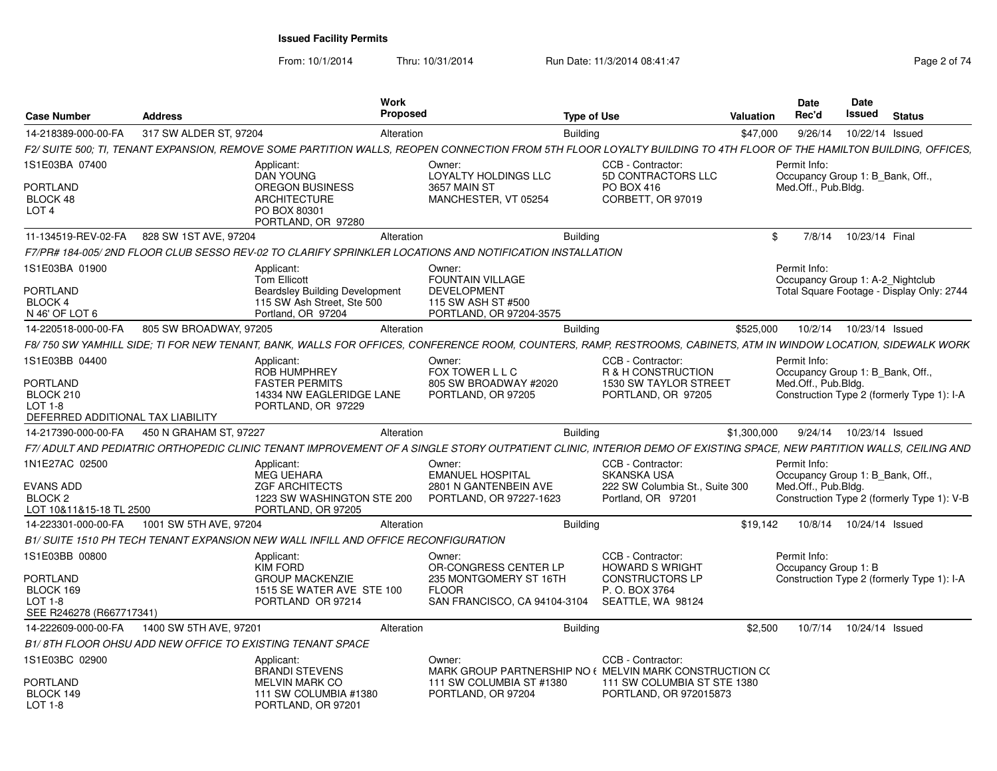From: 10/1/2014Thru: 10/31/2014 Run Date: 11/3/2014 08:41:47 Rege 2 of 74

| <b>Case Number</b>                                  | <b>Address</b>         | Work                                                                                      | Proposed                                                                                                                                                            | <b>Type of Use</b> |                                                                              | Valuation    | <b>Date</b><br>Rec'd                             | <b>Date</b><br>Issued     | <b>Status</b>                              |
|-----------------------------------------------------|------------------------|-------------------------------------------------------------------------------------------|---------------------------------------------------------------------------------------------------------------------------------------------------------------------|--------------------|------------------------------------------------------------------------------|--------------|--------------------------------------------------|---------------------------|--------------------------------------------|
| 14-218389-000-00-FA                                 | 317 SW ALDER ST, 97204 |                                                                                           | Alteration                                                                                                                                                          | <b>Building</b>    |                                                                              | \$47,000     | 9/26/14                                          |                           | 10/22/14 Issued                            |
|                                                     |                        |                                                                                           | F2/ SUITE 500; TI, TENANT EXPANSION, REMOVE SOME PARTITION WALLS, REOPEN CONNECTION FROM 5TH FLOOR LOYALTY BUILDING TO 4TH FLOOR OF THE HAMILTON BUILDING, OFFICES, |                    |                                                                              |              |                                                  |                           |                                            |
| 1S1E03BA 07400                                      |                        | Applicant:<br><b>DAN YOUNG</b>                                                            | Owner:<br>LOYALTY HOLDINGS LLC                                                                                                                                      |                    | CCB - Contractor:<br>5D CONTRACTORS LLC                                      |              | Permit Info:<br>Occupancy Group 1: B Bank, Off., |                           |                                            |
| <b>PORTLAND</b><br>BLOCK 48<br>LOT <sub>4</sub>     |                        | <b>OREGON BUSINESS</b><br><b>ARCHITECTURE</b><br>PO BOX 80301<br>PORTLAND, OR 97280       | 3657 MAIN ST<br>MANCHESTER, VT 05254                                                                                                                                |                    | PO BOX 416<br>CORBETT, OR 97019                                              |              | Med.Off., Pub.Bldg.                              |                           |                                            |
| 11-134519-REV-02-FA                                 | 828 SW 1ST AVE, 97204  |                                                                                           | Alteration                                                                                                                                                          | <b>Building</b>    |                                                                              | $\mathbb{S}$ |                                                  | 7/8/14 10/23/14 Final     |                                            |
|                                                     |                        |                                                                                           | F7/PR# 184-005/ 2ND FLOOR CLUB SESSO REV-02 TO CLARIFY SPRINKLER LOCATIONS AND NOTIFICATION INSTALLATION                                                            |                    |                                                                              |              |                                                  |                           |                                            |
| 1S1E03BA 01900                                      |                        | Applicant:<br><b>Tom Ellicott</b>                                                         | Owner:<br>FOUNTAIN VILLAGE                                                                                                                                          |                    |                                                                              |              | Permit Info:                                     |                           | Occupancy Group 1: A-2 Nightclub           |
| <b>PORTLAND</b><br><b>BLOCK4</b><br>N 46' OF LOT 6  |                        | <b>Beardsley Building Development</b><br>115 SW Ash Street, Ste 500<br>Portland, OR 97204 | <b>DEVELOPMENT</b><br>115 SW ASH ST #500<br>PORTLAND, OR 97204-3575                                                                                                 |                    |                                                                              |              |                                                  |                           | Total Square Footage - Display Only: 2744  |
| 14-220518-000-00-FA                                 | 805 SW BROADWAY, 97205 |                                                                                           | Alteration                                                                                                                                                          | <b>Building</b>    |                                                                              | \$525,000    |                                                  | 10/2/14  10/23/14  Issued |                                            |
|                                                     |                        |                                                                                           | F8/ 750 SW YAMHILL SIDE: TI FOR NEW TENANT, BANK, WALLS FOR OFFICES, CONFERENCE ROOM, COUNTERS, RAMP, RESTROOMS, CABINETS, ATM IN WINDOW LOCATION, SIDEWALK WORK    |                    |                                                                              |              |                                                  |                           |                                            |
| 1S1E03BB 04400                                      |                        | Applicant:<br>ROB HUMPHREY                                                                | Owner:<br>FOX TOWER L L C                                                                                                                                           |                    | CCB - Contractor:<br>R & H CONSTRUCTION                                      |              | Permit Info:<br>Occupancy Group 1: B Bank, Off   |                           |                                            |
| <b>PORTLAND</b><br>BLOCK 210                        |                        | <b>FASTER PERMITS</b><br>14334 NW EAGLERIDGE LANE                                         | 805 SW BROADWAY #2020<br>PORTLAND, OR 97205                                                                                                                         |                    | 1530 SW TAYLOR STREET<br>PORTLAND, OR 97205                                  |              | Med.Off., Pub.Bldg.                              |                           | Construction Type 2 (formerly Type 1): I-A |
| <b>LOT 1-8</b><br>DEFERRED ADDITIONAL TAX LIABILITY |                        | PORTLAND, OR 97229                                                                        |                                                                                                                                                                     |                    |                                                                              |              |                                                  |                           |                                            |
| 14-217390-000-00-FA                                 | 450 N GRAHAM ST, 97227 |                                                                                           | Alteration                                                                                                                                                          | <b>Building</b>    |                                                                              | \$1,300,000  |                                                  | 9/24/14  10/23/14  Issued |                                            |
|                                                     |                        |                                                                                           | F7/ADULT AND PEDIATRIC ORTHOPEDIC CLINIC TENANT IMPROVEMENT OF A SINGLE STORY OUTPATIENT CLINIC, INTERIOR DEMO OF EXISTING SPACE, NEW PARTITION WALLS, CEILING AND  |                    |                                                                              |              |                                                  |                           |                                            |
| 1N1E27AC 02500                                      |                        | Applicant:<br><b>MEG UEHARA</b>                                                           | Owner:<br><b>EMANUEL HOSPITAL</b>                                                                                                                                   |                    | CCB - Contractor:<br><b>SKANSKA USA</b>                                      |              | Permit Info:<br>Occupancy Group 1: B Bank, Off   |                           |                                            |
| EVANS ADD                                           |                        | <b>ZGF ARCHITECTS</b>                                                                     | 2801 N GANTENBEIN AVE                                                                                                                                               |                    | 222 SW Columbia St., Suite 300                                               |              | Med.Off., Pub.Bldg.                              |                           |                                            |
| BLOCK <sub>2</sub><br>LOT 10&11&15-18 TL 2500       |                        | 1223 SW WASHINGTON STE 200<br>PORTLAND, OR 97205                                          | PORTLAND, OR 97227-1623                                                                                                                                             |                    | Portland, OR 97201                                                           |              |                                                  |                           | Construction Type 2 (formerly Type 1): V-B |
| 14-223301-000-00-FA                                 | 1001 SW 5TH AVE, 97204 |                                                                                           | Alteration                                                                                                                                                          | <b>Building</b>    |                                                                              | \$19.142     | 10/8/14                                          | 10/24/14 Issued           |                                            |
|                                                     |                        | B1/ SUITE 1510 PH TECH TENANT EXPANSION NEW WALL INFILL AND OFFICE RECONFIGURATION        |                                                                                                                                                                     |                    |                                                                              |              |                                                  |                           |                                            |
| 1S1E03BB 00800                                      |                        | Applicant:<br><b>KIM FORD</b>                                                             | Owner:<br>OR-CONGRESS CENTER LP                                                                                                                                     |                    | CCB - Contractor:<br><b>HOWARD S WRIGHT</b>                                  |              | Permit Info:<br>Occupancy Group 1: B             |                           |                                            |
| PORTLAND                                            |                        | <b>GROUP MACKENZIE</b>                                                                    | 235 MONTGOMERY ST 16TH                                                                                                                                              |                    | <b>CONSTRUCTORS LP</b>                                                       |              |                                                  |                           | Construction Type 2 (formerly Type 1): I-A |
| BLOCK 169<br>LOT 1-8                                |                        | 1515 SE WATER AVE STE 100<br>PORTLAND OR 97214                                            | <b>FLOOR</b><br>SAN FRANCISCO, CA 94104-3104                                                                                                                        |                    | P. O. BOX 3764<br>SEATTLE, WA 98124                                          |              |                                                  |                           |                                            |
| SEE R246278 (R667717341)                            |                        |                                                                                           |                                                                                                                                                                     |                    |                                                                              |              |                                                  |                           |                                            |
| 14-222609-000-00-FA                                 | 1400 SW 5TH AVE, 97201 |                                                                                           | Alteration                                                                                                                                                          | <b>Building</b>    |                                                                              | \$2,500      | 10/7/14                                          | 10/24/14 Issued           |                                            |
|                                                     |                        | B1/8TH FLOOR OHSU ADD NEW OFFICE TO EXISTING TENANT SPACE                                 |                                                                                                                                                                     |                    |                                                                              |              |                                                  |                           |                                            |
| 1S1E03BC 02900                                      |                        | Applicant:<br><b>BRANDI STEVENS</b>                                                       | Owner:                                                                                                                                                              |                    | CCB - Contractor:<br>MARK GROUP PARTNERSHIP NO ( MELVIN MARK CONSTRUCTION CO |              |                                                  |                           |                                            |
| <b>PORTLAND</b>                                     |                        | <b>MELVIN MARK CO</b>                                                                     | 111 SW COLUMBIA ST #1380                                                                                                                                            |                    | 111 SW COLUMBIA ST STE 1380                                                  |              |                                                  |                           |                                            |
| BLOCK 149<br>LOT 1-8                                |                        | 111 SW COLUMBIA #1380<br>PORTLAND, OR 97201                                               | PORTLAND, OR 97204                                                                                                                                                  |                    | PORTLAND, OR 972015873                                                       |              |                                                  |                           |                                            |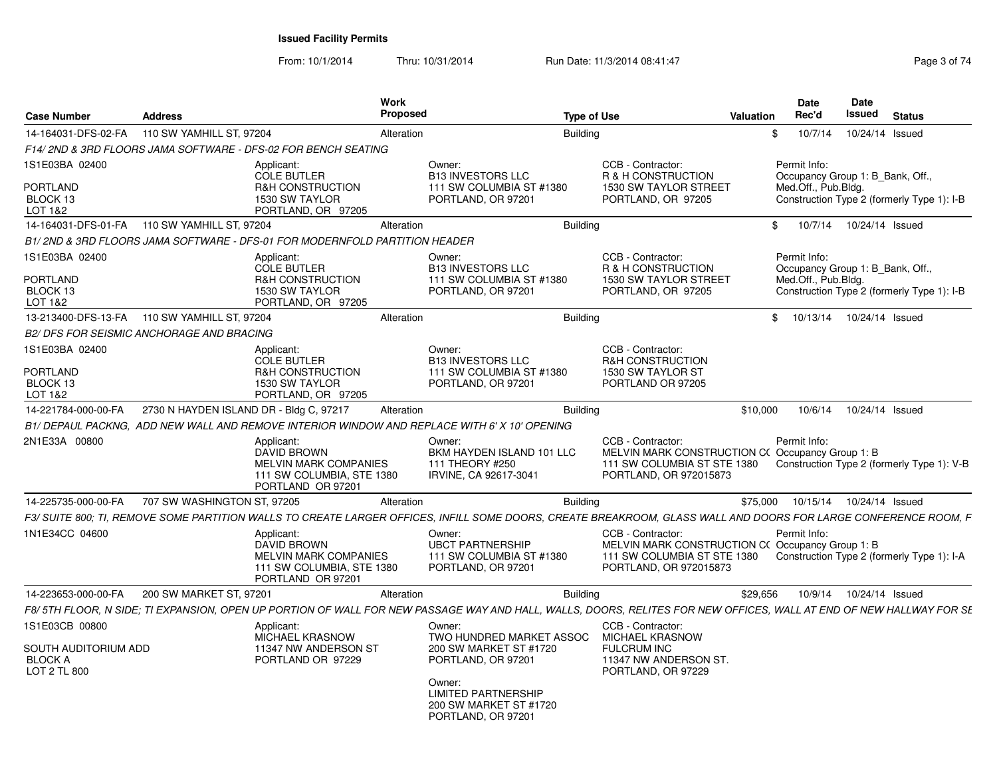From: 10/1/2014Thru: 10/31/2014 Run Date: 11/3/2014 08:41:47 Rege 3 of 74

| 110 SW YAMHILL ST, 97204<br>10/7/14<br>10/24/14 Issued<br>Alteration<br><b>Building</b><br>\$<br>F14/2ND & 3RD FLOORS JAMA SOFTWARE - DFS-02 FOR BENCH SEATING<br>CCB - Contractor:<br>Applicant:<br>Owner:<br>Permit Info:<br><b>B13 INVESTORS LLC</b><br>R & H CONSTRUCTION<br>Occupancy Group 1: B Bank, Off.,<br><b>COLE BUTLER</b><br><b>R&amp;H CONSTRUCTION</b><br>111 SW COLUMBIA ST #1380<br>1530 SW TAYLOR STREET<br>Med.Off., Pub.Bldg.<br>1530 SW TAYLOR<br>PORTLAND, OR 97205<br>PORTLAND, OR 97201<br>PORTLAND, OR 97205<br>LOT 1&2<br>110 SW YAMHILL ST, 97204<br>\$<br>Alteration<br><b>Building</b><br>10/7/14<br>10/24/14 Issued<br>B1/ 2ND & 3RD FLOORS JAMA SOFTWARE - DFS-01 FOR MODERNFOLD PARTITION HEADER<br>CCB - Contractor:<br>Permit Info:<br>Applicant:<br>Owner:<br>R & H CONSTRUCTION<br><b>COLE BUTLER</b><br><b>B13 INVESTORS LLC</b><br>Occupancy Group 1: B Bank, Off.,<br><b>R&amp;H CONSTRUCTION</b><br>111 SW COLUMBIA ST #1380<br><b>1530 SW TAYLOR STREET</b><br>Med.Off., Pub.Bldg.<br>1530 SW TAYLOR<br>PORTLAND, OR 97201<br>PORTLAND, OR 97205<br>PORTLAND, OR 97205<br>110 SW YAMHILL ST, 97204<br><b>Building</b><br>10/13/14<br>10/24/14 Issued<br>Alteration<br>\$<br><b>B2/ DFS FOR SEISMIC ANCHORAGE AND BRACING</b><br>CCB - Contractor:<br>Applicant:<br>Owner:<br><b>COLE BUTLER</b><br><b>B13 INVESTORS LLC</b><br><b>R&amp;H CONSTRUCTION</b><br><b>R&amp;H CONSTRUCTION</b><br>111 SW COLUMBIA ST #1380<br>1530 SW TAYLOR ST<br>1530 SW TAYLOR<br>PORTLAND, OR 97201<br>PORTLAND OR 97205<br>PORTLAND, OR 97205<br>2730 N HAYDEN ISLAND DR - Bldg C, 97217<br>10/6/14<br>10/24/14 Issued<br><b>Building</b><br>\$10,000<br>Alteration<br>B1/ DEPAUL PACKNG, ADD NEW WALL AND REMOVE INTERIOR WINDOW AND REPLACE WITH 6' X 10' OPENING<br>Owner:<br>CCB - Contractor:<br>Permit Info:<br>Applicant:<br>DAVID BROWN<br>BKM HAYDEN ISLAND 101 LLC<br>MELVIN MARK CONSTRUCTION C(Occupancy Group 1: B<br>MELVIN MARK COMPANIES<br>111 THEORY #250<br>111 SW COLUMBIA ST STE 1380<br>111 SW COLUMBIA, STE 1380<br>IRVINE, CA 92617-3041<br>PORTLAND, OR 972015873<br>PORTLAND OR 97201<br>707 SW WASHINGTON ST, 97205<br>\$75,000<br>10/15/14<br>10/24/14 Issued<br><b>Building</b><br>Alteration<br>Applicant:<br>Owner:<br>CCB - Contractor:<br>Permit Info:<br><b>DAVID BROWN</b><br><b>UBCT PARTNERSHIP</b><br>MELVIN MARK CONSTRUCTION C(Occupancy Group 1: B<br><b>MELVIN MARK COMPANIES</b><br>111 SW COLUMBIA ST #1380<br>111 SW COLUMBIA ST STE 1380<br>111 SW COLUMBIA, STE 1380<br>PORTLAND, OR 97201<br>PORTLAND, OR 972015873<br>PORTLAND OR 97201<br>200 SW MARKET ST, 97201<br>\$29,656<br>10/9/14<br>10/24/14 Issued<br>Alteration<br><b>Building</b><br>CCB - Contractor:<br>Applicant:<br>Owner:<br>MICHAEL KRASNOW<br><b>MICHAEL KRASNOW</b><br>TWO HUNDRED MARKET ASSOC<br>11347 NW ANDERSON ST<br><b>FULCRUM INC</b><br>SOUTH AUDITORIUM ADD<br>200 SW MARKET ST #1720<br>11347 NW ANDERSON ST.<br>PORTLAND OR 97229<br>PORTLAND, OR 97201<br>PORTLAND, OR 97229<br>Owner:<br><b>LIMITED PARTNERSHIP</b><br>200 SW MARKET ST #1720<br>PORTLAND, OR 97201 | <b>Case Number</b>              | <b>Address</b> | Work<br>Proposed | <b>Type of Use</b> | <b>Valuation</b> | <b>Date</b><br>Rec'd | Date<br><b>Issued</b> | <b>Status</b> |
|----------------------------------------------------------------------------------------------------------------------------------------------------------------------------------------------------------------------------------------------------------------------------------------------------------------------------------------------------------------------------------------------------------------------------------------------------------------------------------------------------------------------------------------------------------------------------------------------------------------------------------------------------------------------------------------------------------------------------------------------------------------------------------------------------------------------------------------------------------------------------------------------------------------------------------------------------------------------------------------------------------------------------------------------------------------------------------------------------------------------------------------------------------------------------------------------------------------------------------------------------------------------------------------------------------------------------------------------------------------------------------------------------------------------------------------------------------------------------------------------------------------------------------------------------------------------------------------------------------------------------------------------------------------------------------------------------------------------------------------------------------------------------------------------------------------------------------------------------------------------------------------------------------------------------------------------------------------------------------------------------------------------------------------------------------------------------------------------------------------------------------------------------------------------------------------------------------------------------------------------------------------------------------------------------------------------------------------------------------------------------------------------------------------------------------------------------------------------------------------------------------------------------------------------------------------------------------------------------------------------------------------------------------------------------------------------------------------------------------------------------------------------------------------------------------------------------------------------------------------------------------------------------------------------------------------------------------------------------------------------------------------------------------------------------------------------------------------------------------------------------------|---------------------------------|----------------|------------------|--------------------|------------------|----------------------|-----------------------|---------------|
| Construction Type 2 (formerly Type 1): I-B<br>Construction Type 2 (formerly Type 1): I-B<br>Construction Type 2 (formerly Type 1): I-A                                                                                                                                                                                                                                                                                                                                                                                                                                                                                                                                                                                                                                                                                                                                                                                                                                                                                                                                                                                                                                                                                                                                                                                                                                                                                                                                                                                                                                                                                                                                                                                                                                                                                                                                                                                                                                                                                                                                                                                                                                                                                                                                                                                                                                                                                                                                                                                                                                                                                                                                                                                                                                                                                                                                                                                                                                                                                                                                                                                           | 14-164031-DFS-02-FA             |                |                  |                    |                  |                      |                       |               |
| Construction Type 2 (formerly Type 1): V-B                                                                                                                                                                                                                                                                                                                                                                                                                                                                                                                                                                                                                                                                                                                                                                                                                                                                                                                                                                                                                                                                                                                                                                                                                                                                                                                                                                                                                                                                                                                                                                                                                                                                                                                                                                                                                                                                                                                                                                                                                                                                                                                                                                                                                                                                                                                                                                                                                                                                                                                                                                                                                                                                                                                                                                                                                                                                                                                                                                                                                                                                                       |                                 |                |                  |                    |                  |                      |                       |               |
| F3/ SUITE 800; TI, REMOVE SOME PARTITION WALLS TO CREATE LARGER OFFICES, INFILL SOME DOORS. CREATE BREAKROOM, GLASS WALL AND DOORS FOR LARGE CONFERENCE ROOM, F<br>F8/ 5TH FLOOR, N SIDE; TI EXPANSION, OPEN UP PORTION OF WALL FOR NEW PASSAGE WAY AND HALL, WALLS, DOORS, RELITES FOR NEW OFFICES, WALL AT END OF NEW HALLWAY FOR SE                                                                                                                                                                                                                                                                                                                                                                                                                                                                                                                                                                                                                                                                                                                                                                                                                                                                                                                                                                                                                                                                                                                                                                                                                                                                                                                                                                                                                                                                                                                                                                                                                                                                                                                                                                                                                                                                                                                                                                                                                                                                                                                                                                                                                                                                                                                                                                                                                                                                                                                                                                                                                                                                                                                                                                                           | 1S1E03BA 02400                  |                |                  |                    |                  |                      |                       |               |
|                                                                                                                                                                                                                                                                                                                                                                                                                                                                                                                                                                                                                                                                                                                                                                                                                                                                                                                                                                                                                                                                                                                                                                                                                                                                                                                                                                                                                                                                                                                                                                                                                                                                                                                                                                                                                                                                                                                                                                                                                                                                                                                                                                                                                                                                                                                                                                                                                                                                                                                                                                                                                                                                                                                                                                                                                                                                                                                                                                                                                                                                                                                                  | <b>PORTLAND</b><br>BLOCK 13     |                |                  |                    |                  |                      |                       |               |
|                                                                                                                                                                                                                                                                                                                                                                                                                                                                                                                                                                                                                                                                                                                                                                                                                                                                                                                                                                                                                                                                                                                                                                                                                                                                                                                                                                                                                                                                                                                                                                                                                                                                                                                                                                                                                                                                                                                                                                                                                                                                                                                                                                                                                                                                                                                                                                                                                                                                                                                                                                                                                                                                                                                                                                                                                                                                                                                                                                                                                                                                                                                                  | 14-164031-DFS-01-FA             |                |                  |                    |                  |                      |                       |               |
|                                                                                                                                                                                                                                                                                                                                                                                                                                                                                                                                                                                                                                                                                                                                                                                                                                                                                                                                                                                                                                                                                                                                                                                                                                                                                                                                                                                                                                                                                                                                                                                                                                                                                                                                                                                                                                                                                                                                                                                                                                                                                                                                                                                                                                                                                                                                                                                                                                                                                                                                                                                                                                                                                                                                                                                                                                                                                                                                                                                                                                                                                                                                  |                                 |                |                  |                    |                  |                      |                       |               |
|                                                                                                                                                                                                                                                                                                                                                                                                                                                                                                                                                                                                                                                                                                                                                                                                                                                                                                                                                                                                                                                                                                                                                                                                                                                                                                                                                                                                                                                                                                                                                                                                                                                                                                                                                                                                                                                                                                                                                                                                                                                                                                                                                                                                                                                                                                                                                                                                                                                                                                                                                                                                                                                                                                                                                                                                                                                                                                                                                                                                                                                                                                                                  | 1S1E03BA 02400                  |                |                  |                    |                  |                      |                       |               |
|                                                                                                                                                                                                                                                                                                                                                                                                                                                                                                                                                                                                                                                                                                                                                                                                                                                                                                                                                                                                                                                                                                                                                                                                                                                                                                                                                                                                                                                                                                                                                                                                                                                                                                                                                                                                                                                                                                                                                                                                                                                                                                                                                                                                                                                                                                                                                                                                                                                                                                                                                                                                                                                                                                                                                                                                                                                                                                                                                                                                                                                                                                                                  | PORTLAND<br>BLOCK 13<br>LOT 1&2 |                |                  |                    |                  |                      |                       |               |
|                                                                                                                                                                                                                                                                                                                                                                                                                                                                                                                                                                                                                                                                                                                                                                                                                                                                                                                                                                                                                                                                                                                                                                                                                                                                                                                                                                                                                                                                                                                                                                                                                                                                                                                                                                                                                                                                                                                                                                                                                                                                                                                                                                                                                                                                                                                                                                                                                                                                                                                                                                                                                                                                                                                                                                                                                                                                                                                                                                                                                                                                                                                                  | 13-213400-DFS-13-FA             |                |                  |                    |                  |                      |                       |               |
|                                                                                                                                                                                                                                                                                                                                                                                                                                                                                                                                                                                                                                                                                                                                                                                                                                                                                                                                                                                                                                                                                                                                                                                                                                                                                                                                                                                                                                                                                                                                                                                                                                                                                                                                                                                                                                                                                                                                                                                                                                                                                                                                                                                                                                                                                                                                                                                                                                                                                                                                                                                                                                                                                                                                                                                                                                                                                                                                                                                                                                                                                                                                  |                                 |                |                  |                    |                  |                      |                       |               |
|                                                                                                                                                                                                                                                                                                                                                                                                                                                                                                                                                                                                                                                                                                                                                                                                                                                                                                                                                                                                                                                                                                                                                                                                                                                                                                                                                                                                                                                                                                                                                                                                                                                                                                                                                                                                                                                                                                                                                                                                                                                                                                                                                                                                                                                                                                                                                                                                                                                                                                                                                                                                                                                                                                                                                                                                                                                                                                                                                                                                                                                                                                                                  | 1S1E03BA 02400                  |                |                  |                    |                  |                      |                       |               |
|                                                                                                                                                                                                                                                                                                                                                                                                                                                                                                                                                                                                                                                                                                                                                                                                                                                                                                                                                                                                                                                                                                                                                                                                                                                                                                                                                                                                                                                                                                                                                                                                                                                                                                                                                                                                                                                                                                                                                                                                                                                                                                                                                                                                                                                                                                                                                                                                                                                                                                                                                                                                                                                                                                                                                                                                                                                                                                                                                                                                                                                                                                                                  | PORTLAND<br>BLOCK 13<br>LOT 1&2 |                |                  |                    |                  |                      |                       |               |
|                                                                                                                                                                                                                                                                                                                                                                                                                                                                                                                                                                                                                                                                                                                                                                                                                                                                                                                                                                                                                                                                                                                                                                                                                                                                                                                                                                                                                                                                                                                                                                                                                                                                                                                                                                                                                                                                                                                                                                                                                                                                                                                                                                                                                                                                                                                                                                                                                                                                                                                                                                                                                                                                                                                                                                                                                                                                                                                                                                                                                                                                                                                                  | 14-221784-000-00-FA             |                |                  |                    |                  |                      |                       |               |
|                                                                                                                                                                                                                                                                                                                                                                                                                                                                                                                                                                                                                                                                                                                                                                                                                                                                                                                                                                                                                                                                                                                                                                                                                                                                                                                                                                                                                                                                                                                                                                                                                                                                                                                                                                                                                                                                                                                                                                                                                                                                                                                                                                                                                                                                                                                                                                                                                                                                                                                                                                                                                                                                                                                                                                                                                                                                                                                                                                                                                                                                                                                                  |                                 |                |                  |                    |                  |                      |                       |               |
|                                                                                                                                                                                                                                                                                                                                                                                                                                                                                                                                                                                                                                                                                                                                                                                                                                                                                                                                                                                                                                                                                                                                                                                                                                                                                                                                                                                                                                                                                                                                                                                                                                                                                                                                                                                                                                                                                                                                                                                                                                                                                                                                                                                                                                                                                                                                                                                                                                                                                                                                                                                                                                                                                                                                                                                                                                                                                                                                                                                                                                                                                                                                  | 2N1E33A 00800                   |                |                  |                    |                  |                      |                       |               |
|                                                                                                                                                                                                                                                                                                                                                                                                                                                                                                                                                                                                                                                                                                                                                                                                                                                                                                                                                                                                                                                                                                                                                                                                                                                                                                                                                                                                                                                                                                                                                                                                                                                                                                                                                                                                                                                                                                                                                                                                                                                                                                                                                                                                                                                                                                                                                                                                                                                                                                                                                                                                                                                                                                                                                                                                                                                                                                                                                                                                                                                                                                                                  | 14-225735-000-00-FA             |                |                  |                    |                  |                      |                       |               |
|                                                                                                                                                                                                                                                                                                                                                                                                                                                                                                                                                                                                                                                                                                                                                                                                                                                                                                                                                                                                                                                                                                                                                                                                                                                                                                                                                                                                                                                                                                                                                                                                                                                                                                                                                                                                                                                                                                                                                                                                                                                                                                                                                                                                                                                                                                                                                                                                                                                                                                                                                                                                                                                                                                                                                                                                                                                                                                                                                                                                                                                                                                                                  |                                 |                |                  |                    |                  |                      |                       |               |
|                                                                                                                                                                                                                                                                                                                                                                                                                                                                                                                                                                                                                                                                                                                                                                                                                                                                                                                                                                                                                                                                                                                                                                                                                                                                                                                                                                                                                                                                                                                                                                                                                                                                                                                                                                                                                                                                                                                                                                                                                                                                                                                                                                                                                                                                                                                                                                                                                                                                                                                                                                                                                                                                                                                                                                                                                                                                                                                                                                                                                                                                                                                                  | 1N1E34CC 04600                  |                |                  |                    |                  |                      |                       |               |
|                                                                                                                                                                                                                                                                                                                                                                                                                                                                                                                                                                                                                                                                                                                                                                                                                                                                                                                                                                                                                                                                                                                                                                                                                                                                                                                                                                                                                                                                                                                                                                                                                                                                                                                                                                                                                                                                                                                                                                                                                                                                                                                                                                                                                                                                                                                                                                                                                                                                                                                                                                                                                                                                                                                                                                                                                                                                                                                                                                                                                                                                                                                                  | 14-223653-000-00-FA             |                |                  |                    |                  |                      |                       |               |
|                                                                                                                                                                                                                                                                                                                                                                                                                                                                                                                                                                                                                                                                                                                                                                                                                                                                                                                                                                                                                                                                                                                                                                                                                                                                                                                                                                                                                                                                                                                                                                                                                                                                                                                                                                                                                                                                                                                                                                                                                                                                                                                                                                                                                                                                                                                                                                                                                                                                                                                                                                                                                                                                                                                                                                                                                                                                                                                                                                                                                                                                                                                                  |                                 |                |                  |                    |                  |                      |                       |               |
|                                                                                                                                                                                                                                                                                                                                                                                                                                                                                                                                                                                                                                                                                                                                                                                                                                                                                                                                                                                                                                                                                                                                                                                                                                                                                                                                                                                                                                                                                                                                                                                                                                                                                                                                                                                                                                                                                                                                                                                                                                                                                                                                                                                                                                                                                                                                                                                                                                                                                                                                                                                                                                                                                                                                                                                                                                                                                                                                                                                                                                                                                                                                  | 1S1E03CB 00800                  |                |                  |                    |                  |                      |                       |               |
|                                                                                                                                                                                                                                                                                                                                                                                                                                                                                                                                                                                                                                                                                                                                                                                                                                                                                                                                                                                                                                                                                                                                                                                                                                                                                                                                                                                                                                                                                                                                                                                                                                                                                                                                                                                                                                                                                                                                                                                                                                                                                                                                                                                                                                                                                                                                                                                                                                                                                                                                                                                                                                                                                                                                                                                                                                                                                                                                                                                                                                                                                                                                  | <b>BLOCK A</b><br>LOT 2 TL 800  |                |                  |                    |                  |                      |                       |               |
|                                                                                                                                                                                                                                                                                                                                                                                                                                                                                                                                                                                                                                                                                                                                                                                                                                                                                                                                                                                                                                                                                                                                                                                                                                                                                                                                                                                                                                                                                                                                                                                                                                                                                                                                                                                                                                                                                                                                                                                                                                                                                                                                                                                                                                                                                                                                                                                                                                                                                                                                                                                                                                                                                                                                                                                                                                                                                                                                                                                                                                                                                                                                  |                                 |                |                  |                    |                  |                      |                       |               |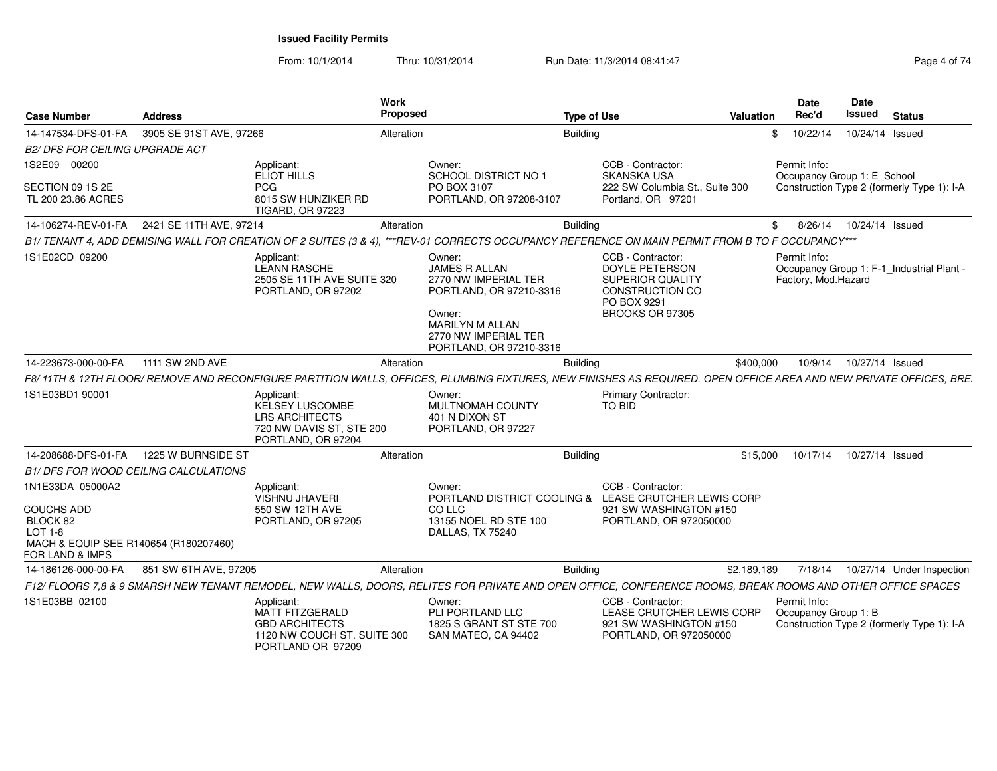From: 10/1/2014Thru: 10/31/2014 Run Date: 11/3/2014 08:41:47 Rege 4 of 74

| <b>Case Number</b>                                                                                                | <b>Address</b>        |                                                                                                            | Work<br><b>Proposed</b>                                                                                                                                                  | <b>Type of Use</b> |                                                                                                                     | Valuation   | <b>Date</b><br>Rec'd                 | <b>Date</b><br>Issued      | <b>Status</b>                              |
|-------------------------------------------------------------------------------------------------------------------|-----------------------|------------------------------------------------------------------------------------------------------------|--------------------------------------------------------------------------------------------------------------------------------------------------------------------------|--------------------|---------------------------------------------------------------------------------------------------------------------|-------------|--------------------------------------|----------------------------|--------------------------------------------|
| 14-147534-DFS-01-FA 3905 SE 91ST AVE, 97266                                                                       |                       |                                                                                                            | Alteration                                                                                                                                                               | <b>Building</b>    |                                                                                                                     |             | \$10/22/14                           | 10/24/14 Issued            |                                            |
| <b>B2/ DFS FOR CEILING UPGRADE ACT</b>                                                                            |                       |                                                                                                            |                                                                                                                                                                          |                    |                                                                                                                     |             |                                      |                            |                                            |
| 1S2E09 00200                                                                                                      |                       | Applicant:                                                                                                 | Owner:                                                                                                                                                                   |                    | CCB - Contractor:                                                                                                   |             | Permit Info:                         |                            |                                            |
| SECTION 09 1S 2E<br>TL 200 23.86 ACRES                                                                            |                       | ELIOT HILLS<br><b>PCG</b><br>8015 SW HUNZIKER RD<br><b>TIGARD, OR 97223</b>                                | <b>SCHOOL DISTRICT NO 1</b><br>PO BOX 3107<br>PORTLAND, OR 97208-3107                                                                                                    |                    | <b>SKANSKA USA</b><br>222 SW Columbia St., Suite 300<br>Portland, OR 97201                                          |             | Occupancy Group 1: E_School          |                            | Construction Type 2 (formerly Type 1): I-A |
| 14-106274-REV-01-FA 2421 SE 11TH AVE, 97214                                                                       |                       |                                                                                                            | Alteration                                                                                                                                                               | <b>Building</b>    |                                                                                                                     |             |                                      | 8/26/14  10/24/14  Issued  |                                            |
|                                                                                                                   |                       |                                                                                                            | B1/TENANT 4, ADD DEMISING WALL FOR CREATION OF 2 SUITES (3 & 4), ***REV-01 CORRECTS OCCUPANCY REFERENCE ON MAIN PERMIT FROM B TO F OCCUPANCY***                          |                    |                                                                                                                     |             |                                      |                            |                                            |
| 1S1E02CD 09200                                                                                                    |                       | Applicant:<br><b>LEANN RASCHE</b><br>2505 SE 11TH AVE SUITE 320<br>PORTLAND, OR 97202                      | Owner:<br><b>JAMES R ALLAN</b><br>2770 NW IMPERIAL TER<br>PORTLAND, OR 97210-3316<br>Owner:<br><b>MARILYN M ALLAN</b><br>2770 NW IMPERIAL TER<br>PORTLAND, OR 97210-3316 |                    | CCB - Contractor:<br>DOYLE PETERSON<br><b>SUPERIOR QUALITY</b><br>CONSTRUCTION CO<br>PO BOX 9291<br>BROOKS OR 97305 |             | Permit Info:<br>Factory, Mod.Hazard  |                            | Occupancy Group 1: F-1_Industrial Plant -  |
| 14-223673-000-00-FA                                                                                               | 1111 SW 2ND AVE       |                                                                                                            | Alteration                                                                                                                                                               | <b>Building</b>    |                                                                                                                     | \$400,000   | 10/9/14                              | 10/27/14 Issued            |                                            |
|                                                                                                                   |                       |                                                                                                            | F8/11TH & 12TH FLOOR/REMOVE AND RECONFIGURE PARTITION WALLS, OFFICES, PLUMBING FIXTURES, NEW FINISHES AS REQUIRED. OPEN OFFICE AREA AND NEW PRIVATE OFFICES, BRE.        |                    |                                                                                                                     |             |                                      |                            |                                            |
| 1S1E03BD1 90001                                                                                                   |                       | Applicant:<br>KELSEY LUSCOMBE<br><b>LRS ARCHITECTS</b><br>720 NW DAVIS ST, STE 200<br>PORTLAND, OR 97204   | Owner:<br>MULTNOMAH COUNTY<br>401 N DIXON ST<br>PORTLAND, OR 97227                                                                                                       | TO BID             | Primary Contractor:                                                                                                 |             |                                      |                            |                                            |
| 14-208688-DFS-01-FA  1225 W BURNSIDE ST                                                                           |                       |                                                                                                            | Alteration                                                                                                                                                               | <b>Building</b>    |                                                                                                                     | \$15,000    |                                      | 10/17/14  10/27/14  Issued |                                            |
| B1/ DFS FOR WOOD CEILING CALCULATIONS                                                                             |                       |                                                                                                            |                                                                                                                                                                          |                    |                                                                                                                     |             |                                      |                            |                                            |
| 1N1E33DA 05000A2                                                                                                  |                       | Applicant:<br><b>VISHNU JHAVERI</b>                                                                        | Owner:<br>PORTLAND DISTRICT COOLING &                                                                                                                                    |                    | CCB - Contractor:<br>LEASE CRUTCHER LEWIS CORP                                                                      |             |                                      |                            |                                            |
| <b>COUCHS ADD</b><br>BLOCK 82<br>$LOT 1-8$<br>MACH & EQUIP SEE R140654 (R180207460)<br><b>FOR LAND &amp; IMPS</b> |                       | 550 SW 12TH AVE<br>PORTLAND, OR 97205                                                                      | CO LLC<br>13155 NOEL RD STE 100<br>DALLAS, TX 75240                                                                                                                      |                    | 921 SW WASHINGTON #150<br>PORTLAND, OR 972050000                                                                    |             |                                      |                            |                                            |
| 14-186126-000-00-FA                                                                                               | 851 SW 6TH AVE, 97205 |                                                                                                            | Alteration                                                                                                                                                               | <b>Building</b>    |                                                                                                                     | \$2,189,189 |                                      |                            | 7/18/14  10/27/14  Under Inspection        |
|                                                                                                                   |                       |                                                                                                            | F12/ FLOORS 7.8 & 9 SMARSH NEW TENANT REMODEL, NEW WALLS, DOORS, RELITES FOR PRIVATE AND OPEN OFFICE, CONFERENCE ROOMS, BREAK ROOMS AND OTHER OFFICE SPACES              |                    |                                                                                                                     |             |                                      |                            |                                            |
| 1S1E03BB 02100                                                                                                    |                       | Applicant:<br>MATT FITZGERALD<br><b>GBD ARCHITECTS</b><br>1120 NW COUCH ST. SUITE 300<br>PORTLAND OR 97209 | Owner:<br>PLI PORTLAND LLC<br>1825 S GRANT ST STE 700<br>SAN MATEO, CA 94402                                                                                             |                    | CCB - Contractor:<br>LEASE CRUTCHER LEWIS CORP<br>921 SW WASHINGTON #150<br>PORTLAND, OR 972050000                  |             | Permit Info:<br>Occupancy Group 1: B |                            | Construction Type 2 (formerly Type 1): I-A |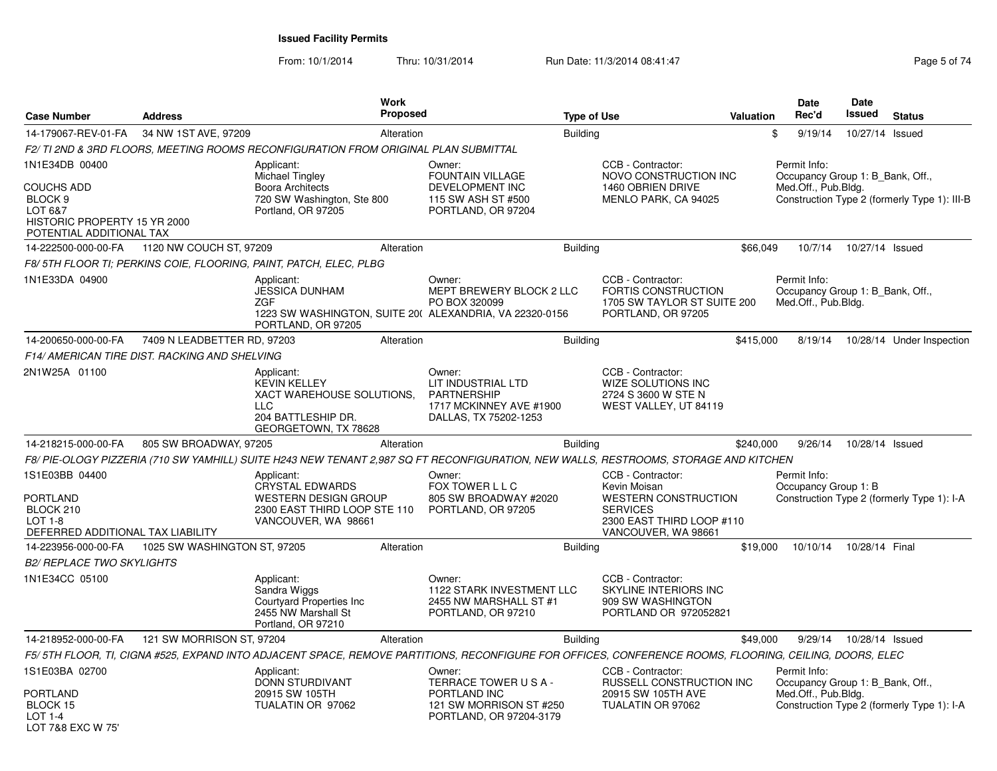From: 10/1/2014Thru: 10/31/2014 Run Date: 11/3/2014 08:41:47 Rege 5 of 74

| <b>Case Number</b>                                                                                             | <b>Address</b>                                | Work<br><b>Proposed</b>                                                                                                                                 |                                                                                                        | <b>Type of Use</b> |                                                                                                                                         | <b>Valuation</b> | Date<br>Rec'd                       | Date<br>Issued                   | <b>Status</b>                                |
|----------------------------------------------------------------------------------------------------------------|-----------------------------------------------|---------------------------------------------------------------------------------------------------------------------------------------------------------|--------------------------------------------------------------------------------------------------------|--------------------|-----------------------------------------------------------------------------------------------------------------------------------------|------------------|-------------------------------------|----------------------------------|----------------------------------------------|
| 14-179067-REV-01-FA                                                                                            | 34 NW 1ST AVE, 97209                          | Alteration                                                                                                                                              |                                                                                                        | <b>Building</b>    |                                                                                                                                         |                  | \$<br>9/19/14                       | 10/27/14                         | Issued                                       |
|                                                                                                                |                                               | F2/ TI 2ND & 3RD FLOORS. MEETING ROOMS RECONFIGURATION FROM ORIGINAL PLAN SUBMITTAL                                                                     |                                                                                                        |                    |                                                                                                                                         |                  |                                     |                                  |                                              |
| 1N1E34DB 00400<br>COUCHS ADD<br>BLOCK 9<br>LOT 6&7<br>HISTORIC PROPERTY 15 YR 2000<br>POTENTIAL ADDITIONAL TAX |                                               | Applicant:<br>Michael Tingley<br><b>Boora Architects</b><br>720 SW Washington, Ste 800<br>Portland, OR 97205                                            | Owner:<br><b>FOUNTAIN VILLAGE</b><br>DEVELOPMENT INC<br>115 SW ASH ST #500<br>PORTLAND, OR 97204       |                    | CCB - Contractor:<br>NOVO CONSTRUCTION INC<br>1460 OBRIEN DRIVE<br>MENLO PARK, CA 94025                                                 |                  | Permit Info:<br>Med.Off., Pub.Bldg. | Occupancy Group 1: B Bank, Off., | Construction Type 2 (formerly Type 1): III-B |
| 14-222500-000-00-FA                                                                                            | 1120 NW COUCH ST, 97209                       | Alteration                                                                                                                                              |                                                                                                        | <b>Building</b>    |                                                                                                                                         | \$66,049         | 10/7/14                             | 10/27/14 Issued                  |                                              |
|                                                                                                                |                                               | F8/ 5TH FLOOR TI; PERKINS COIE, FLOORING, PAINT, PATCH, ELEC, PLBG                                                                                      |                                                                                                        |                    |                                                                                                                                         |                  |                                     |                                  |                                              |
| 1N1E33DA 04900                                                                                                 |                                               | Applicant:<br><b>JESSICA DUNHAM</b><br>ZGF<br>1223 SW WASHINGTON, SUITE 20( ALEXANDRIA, VA 22320-0156<br>PORTLAND, OR 97205                             | Owner:<br>MEPT BREWERY BLOCK 2 LLC<br>PO BOX 320099                                                    |                    | CCB - Contractor:<br><b>FORTIS CONSTRUCTION</b><br>1705 SW TAYLOR ST SUITE 200<br>PORTLAND, OR 97205                                    |                  | Permit Info:<br>Med.Off., Pub.Bldg. | Occupancy Group 1: B Bank, Off., |                                              |
| 14-200650-000-00-FA                                                                                            | 7409 N LEADBETTER RD, 97203                   | Alteration                                                                                                                                              |                                                                                                        | <b>Building</b>    |                                                                                                                                         | \$415,000        | 8/19/14                             |                                  | 10/28/14 Under Inspection                    |
|                                                                                                                | F14/ AMERICAN TIRE DIST. RACKING AND SHELVING |                                                                                                                                                         |                                                                                                        |                    |                                                                                                                                         |                  |                                     |                                  |                                              |
| 2N1W25A 01100                                                                                                  |                                               | Applicant:<br><b>KEVIN KELLEY</b><br>XACT WAREHOUSE SOLUTIONS,<br><b>LLC</b><br>204 BATTLESHIP DR.<br>GEORGETOWN, TX 78628                              | Owner:<br>LIT INDUSTRIAL LTD<br><b>PARTNERSHIP</b><br>1717 MCKINNEY AVE #1900<br>DALLAS, TX 75202-1253 |                    | CCB - Contractor:<br>WIZE SOLUTIONS INC<br>2724 S 3600 W STE N<br>WEST VALLEY, UT 84119                                                 |                  |                                     |                                  |                                              |
| 14-218215-000-00-FA                                                                                            | 805 SW BROADWAY, 97205                        | Alteration                                                                                                                                              |                                                                                                        | <b>Building</b>    |                                                                                                                                         | \$240,000        | 9/26/14                             | 10/28/14 Issued                  |                                              |
|                                                                                                                |                                               | F8/ PIE-OLOGY PIZZERIA (710 SW YAMHILL) SUITE H243 NEW TENANT 2,987 SQ FT RECONFIGURATION, NEW WALLS, RESTROOMS, STORAGE AND KITCHEN                    |                                                                                                        |                    |                                                                                                                                         |                  |                                     |                                  |                                              |
| 1S1E03BB 04400<br><b>PORTLAND</b><br>BLOCK 210<br>$LOT 1-8$<br>DEFERRED ADDITIONAL TAX LIABILITY               |                                               | Applicant:<br><b>CRYSTAL EDWARDS</b><br><b>WESTERN DESIGN GROUP</b><br>2300 EAST THIRD LOOP STE 110<br>VANCOUVER, WA 98661                              | Owner:<br>FOX TOWER L L C<br>805 SW BROADWAY #2020<br>PORTLAND, OR 97205                               |                    | CCB - Contractor:<br>Kevin Moisan<br><b>WESTERN CONSTRUCTION</b><br><b>SERVICES</b><br>2300 EAST THIRD LOOP #110<br>VANCOUVER, WA 98661 |                  | Permit Info:                        | Occupancy Group 1: B             | Construction Type 2 (formerly Type 1): I-A   |
| 14-223956-000-00-FA                                                                                            | 1025 SW WASHINGTON ST, 97205                  | Alteration                                                                                                                                              |                                                                                                        | <b>Building</b>    |                                                                                                                                         | \$19,000         | 10/10/14                            | 10/28/14 Final                   |                                              |
| <b>B2/ REPLACE TWO SKYLIGHTS</b>                                                                               |                                               |                                                                                                                                                         |                                                                                                        |                    |                                                                                                                                         |                  |                                     |                                  |                                              |
| 1N1E34CC 05100                                                                                                 |                                               | Applicant:<br>Sandra Wiggs<br>Courtyard Properties Inc<br>2455 NW Marshall St<br>Portland, OR 97210                                                     | Owner:<br>1122 STARK INVESTMENT LLC<br>2455 NW MARSHALL ST #1<br>PORTLAND, OR 97210                    |                    | CCB - Contractor:<br>SKYLINE INTERIORS INC<br>909 SW WASHINGTON<br>PORTLAND OR 972052821                                                |                  |                                     |                                  |                                              |
| 14-218952-000-00-FA                                                                                            | 121 SW MORRISON ST, 97204                     | Alteration                                                                                                                                              |                                                                                                        | <b>Building</b>    |                                                                                                                                         | \$49,000         | 9/29/14                             | 10/28/14 Issued                  |                                              |
|                                                                                                                |                                               | F5/ 5TH FLOOR, TI, CIGNA #525, EXPAND INTO ADJACENT SPACE, REMOVE PARTITIONS, RECONFIGURE FOR OFFICES, CONFERENCE ROOMS, FLOORING, CEILING, DOORS, ELEC |                                                                                                        |                    |                                                                                                                                         |                  |                                     |                                  |                                              |
| 1S1E03BA 02700<br>PORTLAND<br>BLOCK 15<br><b>LOT 1-4</b><br>LOT 7&8 EXC W 75'                                  |                                               | Applicant:<br>DONN STURDIVANT<br>20915 SW 105TH<br>TUALATIN OR 97062                                                                                    | Owner:<br>TERRACE TOWER USA-<br>PORTLAND INC<br>121 SW MORRISON ST #250<br>PORTLAND, OR 97204-3179     |                    | CCB - Contractor:<br>RUSSELL CONSTRUCTION INC<br>20915 SW 105TH AVE<br>TUALATIN OR 97062                                                |                  | Permit Info:<br>Med.Off., Pub.Bldg. | Occupancy Group 1: B Bank, Off., | Construction Type 2 (formerly Type 1): I-A   |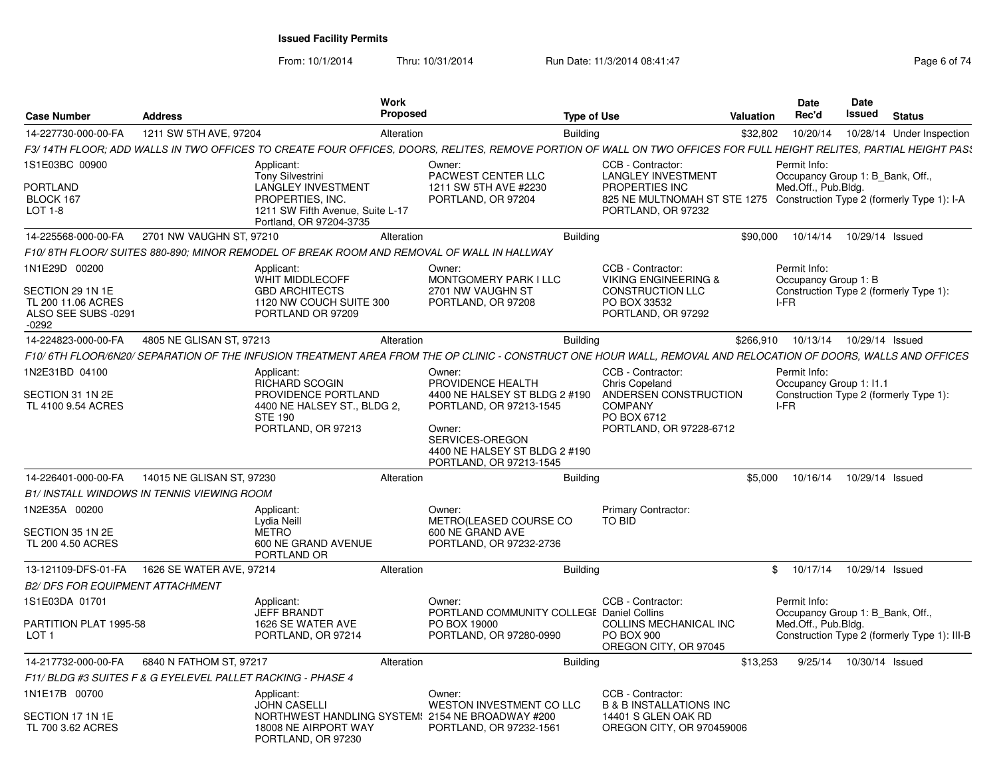From: 10/1/2014Thru: 10/31/2014 Run Date: 11/3/2014 08:41:47 Rege 6 of 74

| <b>Case Number</b>                                                                        | <b>Address</b>            |                                                                                                                                                | <b>Work</b><br><b>Proposed</b> |                                                                                                                                                                                  | <b>Type of Use</b> |                                                                                                                                                                   | Valuation | Date<br>Rec'd                                                           | <b>Date</b><br>Issued | <b>Status</b>                                |
|-------------------------------------------------------------------------------------------|---------------------------|------------------------------------------------------------------------------------------------------------------------------------------------|--------------------------------|----------------------------------------------------------------------------------------------------------------------------------------------------------------------------------|--------------------|-------------------------------------------------------------------------------------------------------------------------------------------------------------------|-----------|-------------------------------------------------------------------------|-----------------------|----------------------------------------------|
| 14-227730-000-00-FA                                                                       | 1211 SW 5TH AVE, 97204    |                                                                                                                                                | Alteration                     |                                                                                                                                                                                  | <b>Building</b>    |                                                                                                                                                                   | \$32,802  | 10/20/14                                                                |                       | 10/28/14 Under Inspection                    |
|                                                                                           |                           |                                                                                                                                                |                                | F3/14TH FLOOR; ADD WALLS IN TWO OFFICES TO CREATE FOUR OFFICES, DOORS, RELITES, REMOVE PORTION OF WALL ON TWO OFFICES FOR FULL HEIGHT RELITES, PARTIAL HEIGHT PAS.               |                    |                                                                                                                                                                   |           |                                                                         |                       |                                              |
| 1S1E03BC 00900<br>PORTLAND<br>BLOCK 167<br>LOT 1-8                                        |                           | Applicant:<br><b>Tony Silvestrini</b><br>LANGLEY INVESTMENT<br>PROPERTIES, INC.<br>1211 SW Fifth Avenue, Suite L-17<br>Portland, OR 97204-3735 |                                | Owner:<br><b>PACWEST CENTER LLC</b><br>1211 SW 5TH AVE #2230<br>PORTLAND, OR 97204                                                                                               |                    | CCB - Contractor:<br><b>LANGLEY INVESTMENT</b><br>PROPERTIES INC<br>825 NE MULTNOMAH ST STE 1275 Construction Type 2 (formerly Type 1): I-A<br>PORTLAND, OR 97232 |           | Permit Info:<br>Occupancy Group 1: B Bank, Off.,<br>Med.Off., Pub.Bldg. |                       |                                              |
| 14-225568-000-00-FA                                                                       | 2701 NW VAUGHN ST, 97210  |                                                                                                                                                | Alteration                     |                                                                                                                                                                                  | Building           |                                                                                                                                                                   | \$90,000  | 10/14/14                                                                | 10/29/14 Issued       |                                              |
|                                                                                           |                           | F10/8TH FLOOR/SUITES 880-890; MINOR REMODEL OF BREAK ROOM AND REMOVAL OF WALL IN HALLWAY                                                       |                                |                                                                                                                                                                                  |                    |                                                                                                                                                                   |           |                                                                         |                       |                                              |
| 1N1E29D 00200<br>SECTION 29 1N 1E<br>TL 200 11.06 ACRES<br>ALSO SEE SUBS -0291<br>$-0292$ |                           | Applicant:<br><b>WHIT MIDDLECOFF</b><br><b>GBD ARCHITECTS</b><br>1120 NW COUCH SUITE 300<br>PORTLAND OR 97209                                  |                                | Owner:<br>MONTGOMERY PARK I LLC<br>2701 NW VAUGHN ST<br>PORTLAND, OR 97208                                                                                                       |                    | CCB - Contractor:<br><b>VIKING ENGINEERING &amp;</b><br><b>CONSTRUCTION LLC</b><br>PO BOX 33532<br>PORTLAND, OR 97292                                             |           | Permit Info:<br>Occupancy Group 1: B<br>I-FR                            |                       | Construction Type 2 (formerly Type 1):       |
| 14-224823-000-00-FA                                                                       | 4805 NE GLISAN ST, 97213  |                                                                                                                                                | Alteration                     |                                                                                                                                                                                  | Building           |                                                                                                                                                                   | \$266,910 | 10/13/14                                                                | 10/29/14 Issued       |                                              |
|                                                                                           |                           |                                                                                                                                                |                                | F10/6TH FLOOR/6N20/SEPARATION OF THE INFUSION TREATMENT AREA FROM THE OP CLINIC - CONSTRUCT ONE HOUR WALL, REMOVAL AND RELOCATION OF DOORS, WALLS AND OFFICES                    |                    |                                                                                                                                                                   |           |                                                                         |                       |                                              |
| 1N2E31BD 04100<br>SECTION 31 1N 2E<br>TL 4100 9.54 ACRES                                  |                           | Applicant:<br>RICHARD SCOGIN<br>PROVIDENCE PORTLAND<br>4400 NE HALSEY ST., BLDG 2,<br><b>STE 190</b><br>PORTLAND, OR 97213                     |                                | Owner:<br>PROVIDENCE HEALTH<br>4400 NE HALSEY ST BLDG 2 #190<br>PORTLAND, OR 97213-1545<br>Owner:<br>SERVICES-OREGON<br>4400 NE HALSEY ST BLDG 2 #190<br>PORTLAND, OR 97213-1545 |                    | CCB - Contractor:<br><b>Chris Copeland</b><br>ANDERSEN CONSTRUCTION<br><b>COMPANY</b><br>PO BOX 6712<br>PORTLAND, OR 97228-6712                                   |           | Permit Info:<br>Occupancy Group 1: 11.1<br>I-FR                         |                       | Construction Type 2 (formerly Type 1):       |
| 14-226401-000-00-FA                                                                       | 14015 NE GLISAN ST, 97230 |                                                                                                                                                | Alteration                     |                                                                                                                                                                                  | <b>Building</b>    |                                                                                                                                                                   | \$5,000   | 10/16/14                                                                | 10/29/14 Issued       |                                              |
| <b>B1/INSTALL WINDOWS IN TENNIS VIEWING ROOM</b>                                          |                           |                                                                                                                                                |                                |                                                                                                                                                                                  |                    |                                                                                                                                                                   |           |                                                                         |                       |                                              |
| 1N2E35A 00200<br>SECTION 35 1N 2E<br>TL 200 4.50 ACRES                                    |                           | Applicant:<br>Lydia Neill<br><b>METRO</b><br>600 NE GRAND AVENUE<br>PORTLAND OR                                                                |                                | Owner:<br>METRO(LEASED COURSE CO<br>600 NE GRAND AVE<br>PORTLAND, OR 97232-2736                                                                                                  |                    | Primary Contractor:<br>TO BID                                                                                                                                     |           |                                                                         |                       |                                              |
| 13-121109-DFS-01-FA                                                                       | 1626 SE WATER AVE, 97214  |                                                                                                                                                | Alteration                     |                                                                                                                                                                                  | <b>Building</b>    |                                                                                                                                                                   | \$        | 10/17/14                                                                | 10/29/14 Issued       |                                              |
| <b>B2/ DFS FOR EQUIPMENT ATTACHMENT</b>                                                   |                           |                                                                                                                                                |                                |                                                                                                                                                                                  |                    |                                                                                                                                                                   |           |                                                                         |                       |                                              |
| 1S1E03DA 01701<br>PARTITION PLAT 1995-58<br>LOT <sub>1</sub>                              |                           | Applicant:<br><b>JEFF BRANDT</b><br>1626 SE WATER AVE<br>PORTLAND, OR 97214                                                                    |                                | Owner:<br>PORTLAND COMMUNITY COLLEGE Daniel Collins<br>PO BOX 19000<br>PORTLAND, OR 97280-0990                                                                                   |                    | CCB - Contractor:<br>COLLINS MECHANICAL INC<br><b>PO BOX 900</b><br>OREGON CITY, OR 97045                                                                         |           | Permit Info:<br>Occupancy Group 1: B Bank, Off.,<br>Med.Off., Pub.Bldg. |                       | Construction Type 2 (formerly Type 1): III-B |
| 14-217732-000-00-FA                                                                       | 6840 N FATHOM ST, 97217   |                                                                                                                                                | Alteration                     |                                                                                                                                                                                  | <b>Building</b>    |                                                                                                                                                                   | \$13,253  | 9/25/14                                                                 | 10/30/14 Issued       |                                              |
| F11/ BLDG #3 SUITES F & G EYELEVEL PALLET RACKING - PHASE 4                               |                           |                                                                                                                                                |                                |                                                                                                                                                                                  |                    |                                                                                                                                                                   |           |                                                                         |                       |                                              |
| 1N1E17B 00700<br>SECTION 17 1N 1E<br>TL 700 3.62 ACRES                                    |                           | Applicant:<br><b>JOHN CASELLI</b><br>18008 NE AIRPORT WAY                                                                                      |                                | Owner:<br>WESTON INVESTMENT CO LLC<br>NORTHWEST HANDLING SYSTEM! 2154 NE BROADWAY #200<br>PORTLAND, OR 97232-1561                                                                |                    | CCB - Contractor:<br><b>B &amp; B INSTALLATIONS INC</b><br>14401 S GLEN OAK RD<br>OREGON CITY, OR 970459006                                                       |           |                                                                         |                       |                                              |
|                                                                                           |                           | PORTLAND, OR 97230                                                                                                                             |                                |                                                                                                                                                                                  |                    |                                                                                                                                                                   |           |                                                                         |                       |                                              |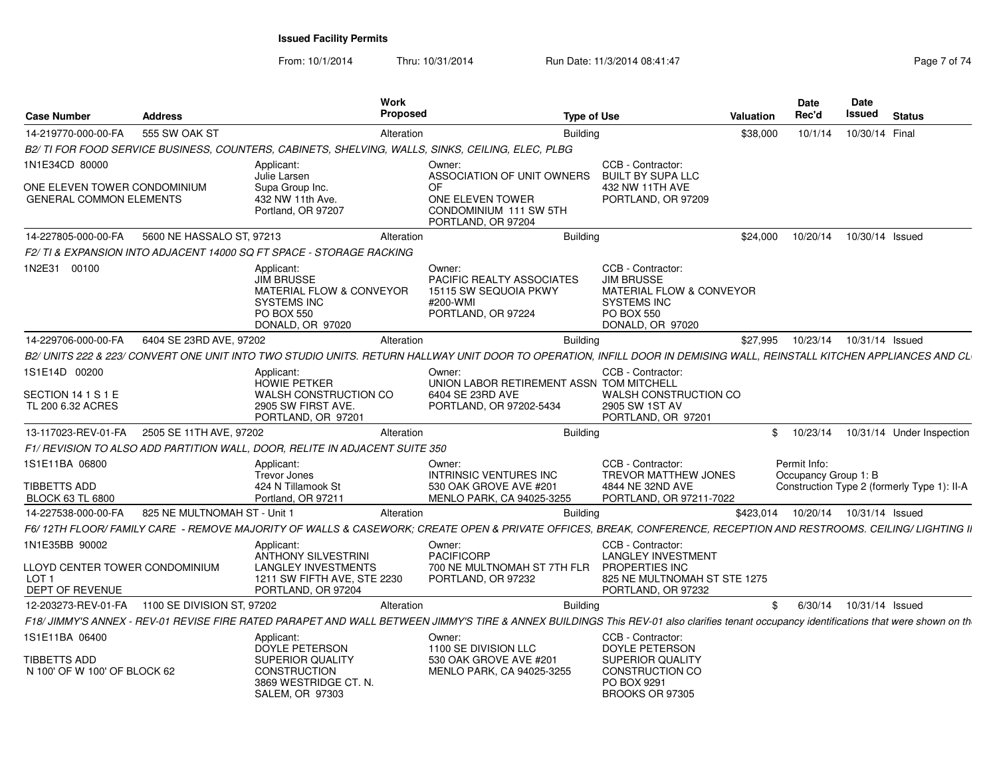From: 10/1/2014Thru: 10/31/2014 Run Date: 11/3/2014 08:41:47 Rag 7 of 7 of 7 ag

| <b>Case Number</b>                                                    | <b>Address</b>               |                                                                                                                            | Work<br><b>Proposed</b> | <b>Type of Use</b>                                                                                                                                                                      |                                                                                                                            | Valuation | <b>Date</b><br>Rec'd                 | <b>Date</b><br><b>Issued</b> | <b>Status</b>                               |
|-----------------------------------------------------------------------|------------------------------|----------------------------------------------------------------------------------------------------------------------------|-------------------------|-----------------------------------------------------------------------------------------------------------------------------------------------------------------------------------------|----------------------------------------------------------------------------------------------------------------------------|-----------|--------------------------------------|------------------------------|---------------------------------------------|
| 14-219770-000-00-FA                                                   | 555 SW OAK ST                |                                                                                                                            | Alteration              | Building                                                                                                                                                                                |                                                                                                                            | \$38,000  | 10/1/14                              | 10/30/14 Final               |                                             |
|                                                                       |                              |                                                                                                                            |                         | B2/ TI FOR FOOD SERVICE BUSINESS, COUNTERS, CABINETS, SHELVING, WALLS, SINKS, CEILING, ELEC, PLBG                                                                                       |                                                                                                                            |           |                                      |                              |                                             |
| 1N1E34CD 80000                                                        |                              | Applicant:<br>Julie Larsen                                                                                                 |                         | Owner:<br>ASSOCIATION OF UNIT OWNERS                                                                                                                                                    | CCB - Contractor:<br><b>BUILT BY SUPA LLC</b>                                                                              |           |                                      |                              |                                             |
| ONE ELEVEN TOWER CONDOMINIUM<br><b>GENERAL COMMON ELEMENTS</b>        |                              | Supa Group Inc.<br>432 NW 11th Ave.<br>Portland, OR 97207                                                                  |                         | OF<br>ONE ELEVEN TOWER<br>CONDOMINIUM 111 SW 5TH<br>PORTLAND, OR 97204                                                                                                                  | 432 NW 11TH AVE<br>PORTLAND, OR 97209                                                                                      |           |                                      |                              |                                             |
| 14-227805-000-00-FA                                                   | 5600 NE HASSALO ST, 97213    |                                                                                                                            | Alteration              | <b>Building</b>                                                                                                                                                                         |                                                                                                                            | \$24,000  | 10/20/14                             | 10/30/14 Issued              |                                             |
|                                                                       |                              | F2/TI & EXPANSION INTO ADJACENT 14000 SQ FT SPACE - STORAGE RACKING                                                        |                         |                                                                                                                                                                                         |                                                                                                                            |           |                                      |                              |                                             |
| 1N2E31 00100                                                          |                              | Applicant:<br><b>JIM BRUSSE</b><br>MATERIAL FLOW & CONVEYOR<br><b>SYSTEMS INC</b><br><b>PO BOX 550</b><br>DONALD, OR 97020 |                         | Owner:<br><b>PACIFIC REALTY ASSOCIATES</b><br>15115 SW SEQUOIA PKWY<br>#200-WMI<br>PORTLAND, OR 97224                                                                                   | CCB - Contractor:<br><b>JIM BRUSSE</b><br>MATERIAL FLOW & CONVEYOR<br><b>SYSTEMS INC</b><br>PO BOX 550<br>DONALD, OR 97020 |           |                                      |                              |                                             |
| 14-229706-000-00-FA                                                   | 6404 SE 23RD AVE, 97202      |                                                                                                                            | Alteration              | <b>Building</b>                                                                                                                                                                         |                                                                                                                            | \$27,995  | 10/23/14                             | 10/31/14 Issued              |                                             |
|                                                                       |                              |                                                                                                                            |                         | B2/ UNITS 222 & 223/ CONVERT ONE UNIT INTO TWO STUDIO UNITS. RETURN HALLWAY UNIT DOOR TO OPERATION. INFILL DOOR IN DEMISING WALL. REINSTALL KITCHEN APPLIANCES AND CL                   |                                                                                                                            |           |                                      |                              |                                             |
| 1S1E14D 00200                                                         |                              | Applicant:<br><b>HOWIE PETKER</b>                                                                                          |                         | Owner:<br>UNION LABOR RETIREMENT ASSN TOM MITCHELL                                                                                                                                      | CCB - Contractor:                                                                                                          |           |                                      |                              |                                             |
| SECTION 14 1 S 1 E<br>TL 200 6.32 ACRES                               |                              | <b>WALSH CONSTRUCTION CO</b><br>2905 SW FIRST AVE.<br>PORTLAND, OR 97201                                                   |                         | 6404 SE 23RD AVE<br>PORTLAND, OR 97202-5434                                                                                                                                             | WALSH CONSTRUCTION CO<br>2905 SW 1ST AV<br>PORTLAND, OR 97201                                                              |           |                                      |                              |                                             |
| 13-117023-REV-01-FA                                                   | 2505 SE 11TH AVE, 97202      |                                                                                                                            | Alteration              | <b>Building</b>                                                                                                                                                                         |                                                                                                                            |           | \$10/23/14                           |                              | 10/31/14 Under Inspection                   |
|                                                                       |                              | F1/ REVISION TO ALSO ADD PARTITION WALL, DOOR, RELITE IN ADJACENT SUITE 350                                                |                         |                                                                                                                                                                                         |                                                                                                                            |           |                                      |                              |                                             |
| 1S1E11BA 06800<br>TIBBETTS ADD<br><b>BLOCK 63 TL 6800</b>             |                              | Applicant:<br>Trevor Jones<br>424 N Tillamook St<br>Portland, OR 97211                                                     |                         | Owner:<br><b>INTRINSIC VENTURES INC</b><br>530 OAK GROVE AVE #201<br>MENLO PARK, CA 94025-3255                                                                                          | CCB - Contractor:<br><b>TREVOR MATTHEW JONES</b><br>4844 NE 32ND AVE<br>PORTLAND, OR 97211-7022                            |           | Permit Info:<br>Occupancy Group 1: B |                              | Construction Type 2 (formerly Type 1): II-A |
| 14-227538-000-00-FA                                                   | 825 NE MULTNOMAH ST - Unit 1 |                                                                                                                            | Alteration              | Building                                                                                                                                                                                |                                                                                                                            | \$423.014 | 10/20/14                             | 10/31/14 Issued              |                                             |
|                                                                       |                              |                                                                                                                            |                         | F6/ 12TH FLOOR/ FAMILY CARE -REMOVE MAJORITY OF WALLS & CASEWORK: CREATE OPEN & PRIVATE OFFICES. BREAK. CONFERENCE. RECEPTION AND RESTROOMS. CEILING/ LIGHTING II                       |                                                                                                                            |           |                                      |                              |                                             |
| 1N1E35BB 90002                                                        |                              | Applicant:                                                                                                                 |                         | Owner:                                                                                                                                                                                  | CCB - Contractor:                                                                                                          |           |                                      |                              |                                             |
| LLOYD CENTER TOWER CONDOMINIUM<br>LOT <sub>1</sub><br>DEPT OF REVENUE |                              | <b>ANTHONY SILVESTRINI</b><br><b>LANGLEY INVESTMENTS</b><br>1211 SW FIFTH AVE, STE 2230<br>PORTLAND, OR 97204              |                         | <b>PACIFICORP</b><br>700 NE MULTNOMAH ST 7TH FLR<br>PORTLAND, OR 97232                                                                                                                  | <b>LANGLEY INVESTMENT</b><br><b>PROPERTIES INC</b><br>825 NE MULTNOMAH ST STE 1275<br>PORTLAND, OR 97232                   |           |                                      |                              |                                             |
| 12-203273-REV-01-FA                                                   | 1100 SE DIVISION ST, 97202   |                                                                                                                            | Alteration              | <b>Building</b>                                                                                                                                                                         |                                                                                                                            | \$        | 6/30/14                              | 10/31/14 Issued              |                                             |
|                                                                       |                              |                                                                                                                            |                         | F18/ JIMMY'S ANNEX - REV-01 REVISE FIRE RATED PARAPET AND WALL BETWEEN JIMMY'S TIRE & ANNEX BUILDINGS This REV-01 also clarifies tenant occupancy identifications that were shown on th |                                                                                                                            |           |                                      |                              |                                             |
| 1S1E11BA 06400                                                        |                              | Applicant:<br>DOYLE PETERSON                                                                                               |                         | Owner:<br>1100 SE DIVISION LLC                                                                                                                                                          | CCB - Contractor:<br>DOYLE PETERSON                                                                                        |           |                                      |                              |                                             |
| TIBBETTS ADD<br>N 100' OF W 100' OF BLOCK 62                          |                              | <b>SUPERIOR QUALITY</b><br><b>CONSTRUCTION</b><br>3869 WESTRIDGE CT. N.<br><b>SALEM, OR 97303</b>                          |                         | 530 OAK GROVE AVE #201<br>MENLO PARK, CA 94025-3255                                                                                                                                     | <b>SUPERIOR QUALITY</b><br>CONSTRUCTION CO<br>PO BOX 9291<br>BROOKS OR 97305                                               |           |                                      |                              |                                             |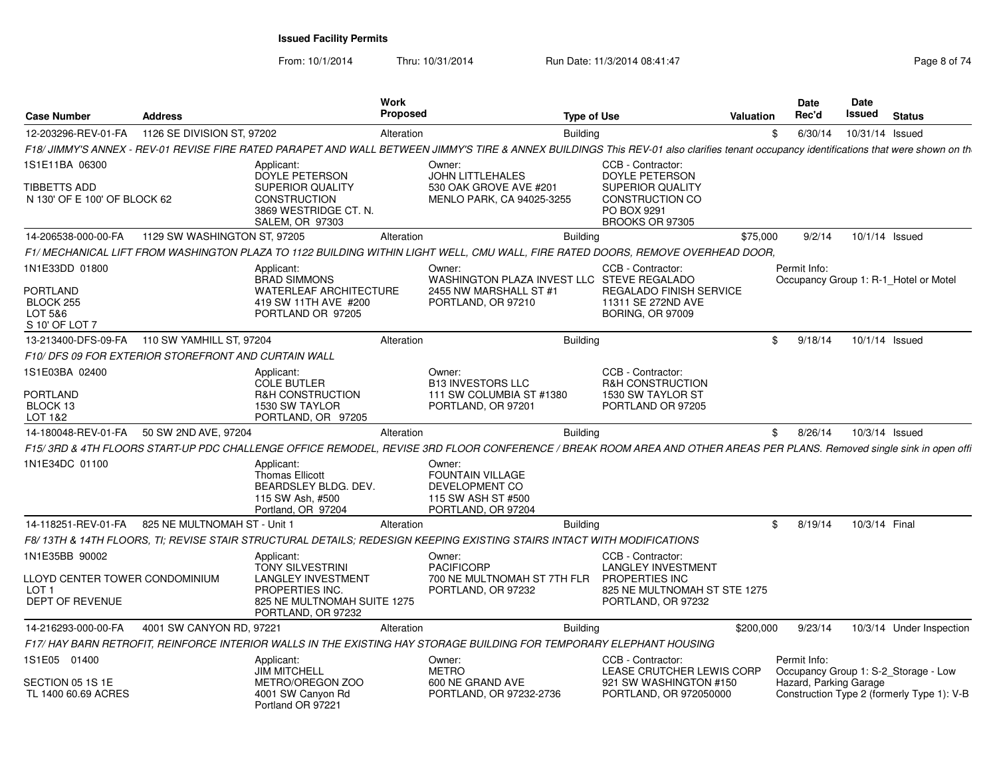From: 10/1/2014

Thru: 10/31/2014 Run Date: 11/3/2014 08:41:47 Rege 8 of 74

| <b>Case Number</b>                                                   | <b>Address</b>                                      |                                                                                                        | Work<br>Proposed |                                                                                                                                                                                         | <b>Type of Use</b> |                                                                                     | <b>Valuation</b> | <b>Date</b><br>Rec'd | <b>Date</b><br><b>Issued</b> | <b>Status</b>                              |
|----------------------------------------------------------------------|-----------------------------------------------------|--------------------------------------------------------------------------------------------------------|------------------|-----------------------------------------------------------------------------------------------------------------------------------------------------------------------------------------|--------------------|-------------------------------------------------------------------------------------|------------------|----------------------|------------------------------|--------------------------------------------|
| 12-203296-REV-01-FA                                                  | 1126 SE DIVISION ST, 97202                          |                                                                                                        | Alteration       |                                                                                                                                                                                         | <b>Building</b>    |                                                                                     | \$               | 6/30/14              |                              | 10/31/14 Issued                            |
|                                                                      |                                                     |                                                                                                        |                  | F18/ JIMMY'S ANNEX - REV-01 REVISE FIRE RATED PARAPET AND WALL BETWEEN JIMMY'S TIRE & ANNEX BUILDINGS This REV-01 also clarifies tenant occupancy identifications that were shown on th |                    |                                                                                     |                  |                      |                              |                                            |
| 1S1E11BA 06300                                                       |                                                     | Applicant:<br><b>DOYLE PETERSON</b>                                                                    |                  | Owner:<br><b>JOHN LITTLEHALES</b>                                                                                                                                                       |                    | CCB - Contractor:<br><b>DOYLE PETERSON</b>                                          |                  |                      |                              |                                            |
| <b>TIBBETTS ADD</b><br>N 130' OF E 100' OF BLOCK 62                  |                                                     | SUPERIOR QUALITY<br><b>CONSTRUCTION</b><br>3869 WESTRIDGE CT. N.<br><b>SALEM, OR 97303</b>             |                  | 530 OAK GROVE AVE #201<br>MENLO PARK, CA 94025-3255                                                                                                                                     |                    | <b>SUPERIOR QUALITY</b><br><b>CONSTRUCTION CO</b><br>PO BOX 9291<br>BROOKS OR 97305 |                  |                      |                              |                                            |
| 14-206538-000-00-FA                                                  | 1129 SW WASHINGTON ST, 97205                        |                                                                                                        | Alteration       |                                                                                                                                                                                         | <b>Building</b>    |                                                                                     | \$75,000         | 9/2/14               |                              | 10/1/14 Issued                             |
|                                                                      |                                                     |                                                                                                        |                  | F1/ MECHANICAL LIFT FROM WASHINGTON PLAZA TO 1122 BUILDING WITHIN LIGHT WELL, CMU WALL, FIRE RATED DOORS, REMOVE OVERHEAD DOOR,                                                         |                    |                                                                                     |                  |                      |                              |                                            |
| 1N1E33DD 01800                                                       |                                                     | Applicant:<br><b>BRAD SIMMONS</b>                                                                      |                  | Owner:<br>WASHINGTON PLAZA INVEST LLC STEVE REGALADO                                                                                                                                    |                    | CCB - Contractor:                                                                   |                  | Permit Info:         |                              | Occupancy Group 1: R-1 Hotel or Motel      |
| <b>PORTLAND</b><br>BLOCK <sub>255</sub><br>LOT 5&6<br>S 10' OF LOT 7 |                                                     | <b>WATERLEAF ARCHITECTURE</b><br>419 SW 11TH AVE #200<br>PORTLAND OR 97205                             |                  | 2455 NW MARSHALL ST #1<br>PORTLAND, OR 97210                                                                                                                                            |                    | <b>REGALADO FINISH SERVICE</b><br>11311 SE 272ND AVE<br><b>BORING, OR 97009</b>     |                  |                      |                              |                                            |
| 13-213400-DFS-09-FA                                                  | 110 SW YAMHILL ST, 97204                            |                                                                                                        | Alteration       |                                                                                                                                                                                         | <b>Building</b>    |                                                                                     | $\mathfrak{S}$   | 9/18/14              |                              | 10/1/14 Issued                             |
|                                                                      | F10/DFS 09 FOR EXTERIOR STOREFRONT AND CURTAIN WALL |                                                                                                        |                  |                                                                                                                                                                                         |                    |                                                                                     |                  |                      |                              |                                            |
| 1S1E03BA 02400                                                       |                                                     | Applicant:<br><b>COLE BUTLER</b>                                                                       |                  | Owner:<br><b>B13 INVESTORS LLC</b>                                                                                                                                                      |                    | CCB - Contractor:<br><b>R&amp;H CONSTRUCTION</b>                                    |                  |                      |                              |                                            |
| PORTLAND                                                             |                                                     | <b>R&amp;H CONSTRUCTION</b>                                                                            |                  | 111 SW COLUMBIA ST #1380                                                                                                                                                                |                    | 1530 SW TAYLOR ST                                                                   |                  |                      |                              |                                            |
| BLOCK 13<br>LOT 1&2                                                  |                                                     | 1530 SW TAYLOR<br>PORTLAND, OR 97205                                                                   |                  | PORTLAND, OR 97201                                                                                                                                                                      |                    | PORTLAND OR 97205                                                                   |                  |                      |                              |                                            |
| 14-180048-REV-01-FA                                                  | 50 SW 2ND AVE, 97204                                |                                                                                                        | Alteration       |                                                                                                                                                                                         | <b>Building</b>    |                                                                                     | \$               | 8/26/14              |                              | 10/3/14 Issued                             |
|                                                                      |                                                     |                                                                                                        |                  | F15/3RD & 4TH FLOORS START-UP PDC CHALLENGE OFFICE REMODEL, REVISE 3RD FLOOR CONFERENCE / BREAK ROOM AREA AND OTHER AREAS PER PLANS. Removed single sink in open offi                   |                    |                                                                                     |                  |                      |                              |                                            |
| 1N1E34DC 01100                                                       |                                                     | Applicant:<br><b>Thomas Ellicott</b><br>BEARDSLEY BLDG. DEV.<br>115 SW Ash, #500<br>Portland, OR 97204 |                  | Owner:<br><b>FOUNTAIN VILLAGE</b><br>DEVELOPMENT CO<br>115 SW ASH ST #500<br>PORTLAND, OR 97204                                                                                         |                    |                                                                                     |                  |                      |                              |                                            |
| 14-118251-REV-01-FA                                                  | 825 NE MULTNOMAH ST - Unit 1                        |                                                                                                        | Alteration       |                                                                                                                                                                                         | <b>Building</b>    |                                                                                     | \$               | 8/19/14              |                              | 10/3/14 Final                              |
|                                                                      |                                                     |                                                                                                        |                  | F8/13TH & 14TH FLOORS. TI: REVISE STAIR STRUCTURAL DETAILS: REDESIGN KEEPING EXISTING STAIRS INTACT WITH MODIFICATIONS                                                                  |                    |                                                                                     |                  |                      |                              |                                            |
| 1N1E35BB 90002                                                       |                                                     | Applicant:<br><b>TONY SILVESTRINI</b>                                                                  |                  | Owner:<br><b>PACIFICORP</b>                                                                                                                                                             |                    | CCB - Contractor:<br><b>LANGLEY INVESTMENT</b>                                      |                  |                      |                              |                                            |
| LLOYD CENTER TOWER CONDOMINIUM<br>LOT <sub>1</sub>                   |                                                     | <b>LANGLEY INVESTMENT</b><br>PROPERTIES INC.                                                           |                  | 700 NE MULTNOMAH ST 7TH FLR<br>PORTLAND, OR 97232                                                                                                                                       |                    | <b>PROPERTIES INC</b><br>825 NE MULTNOMAH ST STE 1275                               |                  |                      |                              |                                            |
| DEPT OF REVENUE                                                      |                                                     | 825 NE MULTNOMAH SUITE 1275<br>PORTLAND, OR 97232                                                      |                  |                                                                                                                                                                                         |                    | PORTLAND, OR 97232                                                                  |                  |                      |                              |                                            |
| 14-216293-000-00-FA                                                  | 4001 SW CANYON RD, 97221                            |                                                                                                        | Alteration       |                                                                                                                                                                                         | <b>Building</b>    |                                                                                     | \$200,000        | 9/23/14              |                              | 10/3/14 Under Inspection                   |
|                                                                      |                                                     |                                                                                                        |                  | F17/ HAY BARN RETROFIT. REINFORCE INTERIOR WALLS IN THE EXISTING HAY STORAGE BUILDING FOR TEMPORARY ELEPHANT HOUSING                                                                    |                    |                                                                                     |                  |                      |                              |                                            |
| 1S1E05 01400                                                         |                                                     | Applicant:<br><b>JIM MITCHELL</b>                                                                      |                  | Owner:<br><b>METRO</b>                                                                                                                                                                  |                    | CCB - Contractor:<br>LEASE CRUTCHER LEWIS CORP                                      |                  | Permit Info:         |                              | Occupancy Group 1: S-2 Storage - Low       |
| SECTION 05 1S 1E<br>TL 1400 60.69 ACRES                              |                                                     | METRO/OREGON ZOO<br>4001 SW Canyon Rd<br>Portland OR 97221                                             |                  | 600 NE GRAND AVE<br>PORTLAND, OR 97232-2736                                                                                                                                             |                    | 921 SW WASHINGTON #150<br>PORTLAND, OR 972050000                                    |                  |                      | Hazard, Parking Garage       | Construction Type 2 (formerly Type 1): V-B |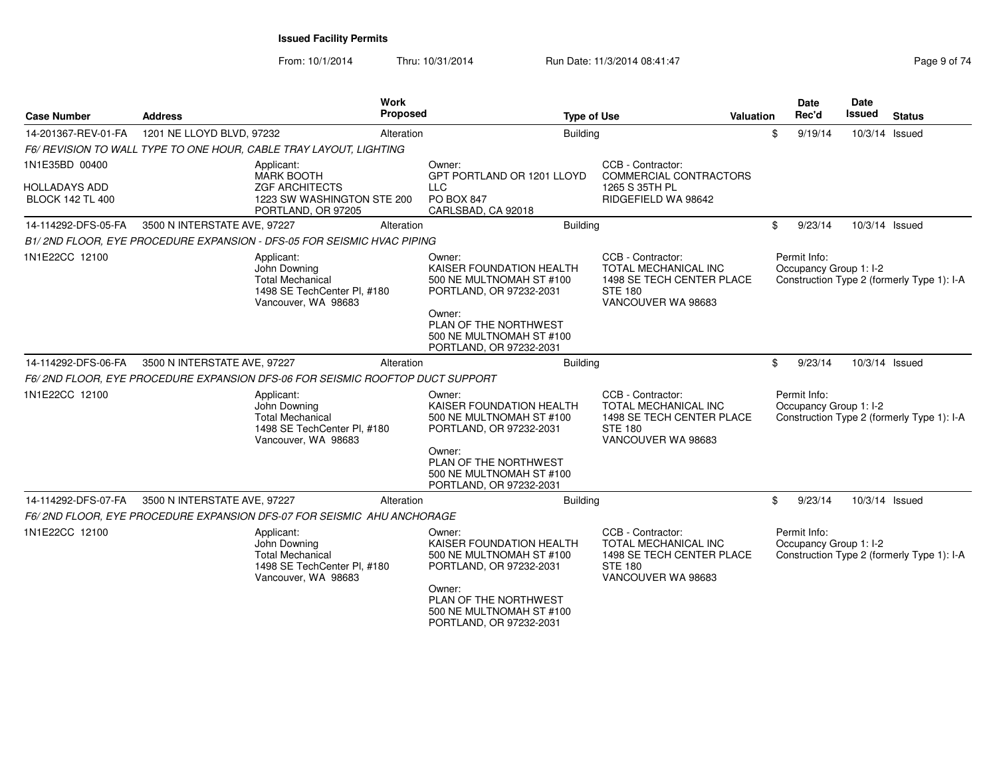From: 10/1/2014

Thru: 10/31/2014 Run Date: 11/3/2014 08:41:47 Pag

| Page 9 of 74 |  |  |
|--------------|--|--|

| <b>Case Number</b>                                                | <b>Address</b>               | <b>Work</b><br><b>Proposed</b>                                                                               | <b>Type of Use</b>                                                                                                                                                                  |                                                                                                                       | <b>Valuation</b> |              | Date<br>Rec'd | Date<br>Issued         | <b>Status</b>                              |
|-------------------------------------------------------------------|------------------------------|--------------------------------------------------------------------------------------------------------------|-------------------------------------------------------------------------------------------------------------------------------------------------------------------------------------|-----------------------------------------------------------------------------------------------------------------------|------------------|--------------|---------------|------------------------|--------------------------------------------|
| 14-201367-REV-01-FA                                               | 1201 NE LLOYD BLVD, 97232    | Alteration                                                                                                   | <b>Building</b>                                                                                                                                                                     |                                                                                                                       |                  | \$           | 9/19/14       | 10/3/14 Issued         |                                            |
|                                                                   |                              | F6/ REVISION TO WALL TYPE TO ONE HOUR, CABLE TRAY LAYOUT, LIGHTING                                           |                                                                                                                                                                                     |                                                                                                                       |                  |              |               |                        |                                            |
| 1N1E35BD 00400<br><b>HOLLADAYS ADD</b><br><b>BLOCK 142 TL 400</b> |                              | Applicant:<br><b>MARK BOOTH</b><br><b>ZGF ARCHITECTS</b><br>1223 SW WASHINGTON STE 200<br>PORTLAND, OR 97205 | Owner:<br>GPT PORTLAND OR 1201 LLOYD<br><b>LLC</b><br>PO BOX 847<br>CARLSBAD, CA 92018                                                                                              | CCB - Contractor:<br><b>COMMERCIAL CONTRACTORS</b><br>1265 S 35TH PL<br>RIDGEFIELD WA 98642                           |                  |              |               |                        |                                            |
| 14-114292-DFS-05-FA                                               | 3500 N INTERSTATE AVE, 97227 | Alteration                                                                                                   | <b>Building</b>                                                                                                                                                                     |                                                                                                                       |                  | \$           | 9/23/14       | 10/3/14 Issued         |                                            |
|                                                                   |                              | B1/2ND FLOOR, EYE PROCEDURE EXPANSION - DFS-05 FOR SEISMIC HVAC PIPING                                       |                                                                                                                                                                                     |                                                                                                                       |                  |              |               |                        |                                            |
| 1N1E22CC 12100                                                    |                              | Applicant:<br>John Downing<br><b>Total Mechanical</b><br>1498 SE TechCenter Pl, #180<br>Vancouver, WA 98683  | Owner:<br>KAISER FOUNDATION HEALTH<br>500 NE MULTNOMAH ST #100<br>PORTLAND, OR 97232-2031<br>Owner:<br>PLAN OF THE NORTHWEST<br>500 NE MULTNOMAH ST #100                            | CCB - Contractor:<br><b>TOTAL MECHANICAL INC</b><br>1498 SE TECH CENTER PLACE<br><b>STE 180</b><br>VANCOUVER WA 98683 |                  | Permit Info: |               | Occupancy Group 1: I-2 | Construction Type 2 (formerly Type 1): I-A |
| 14-114292-DFS-06-FA                                               | 3500 N INTERSTATE AVE, 97227 | Alteration                                                                                                   | PORTLAND, OR 97232-2031<br><b>Building</b>                                                                                                                                          |                                                                                                                       |                  | \$           | 9/23/14       | 10/3/14 Issued         |                                            |
|                                                                   |                              |                                                                                                              |                                                                                                                                                                                     |                                                                                                                       |                  |              |               |                        |                                            |
|                                                                   |                              | F6/2ND FLOOR, EYE PROCEDURE EXPANSION DFS-06 FOR SEISMIC ROOFTOP DUCT SUPPORT                                |                                                                                                                                                                                     |                                                                                                                       |                  |              |               |                        |                                            |
| 1N1E22CC 12100                                                    |                              | Applicant:<br>John Downing<br><b>Total Mechanical</b><br>1498 SE TechCenter Pl, #180<br>Vancouver, WA 98683  | Owner:<br>KAISER FOUNDATION HEALTH<br>500 NE MULTNOMAH ST #100<br>PORTLAND, OR 97232-2031<br>Owner:<br>PLAN OF THE NORTHWEST<br>500 NE MULTNOMAH ST #100<br>PORTLAND, OR 97232-2031 | CCB - Contractor:<br><b>TOTAL MECHANICAL INC</b><br>1498 SE TECH CENTER PLACE<br><b>STE 180</b><br>VANCOUVER WA 98683 |                  | Permit Info: |               | Occupancy Group 1: I-2 | Construction Type 2 (formerly Type 1): I-A |
| 14-114292-DFS-07-FA                                               | 3500 N INTERSTATE AVE, 97227 | Alteration                                                                                                   | <b>Building</b>                                                                                                                                                                     |                                                                                                                       |                  | \$           | 9/23/14       | 10/3/14 Issued         |                                            |
|                                                                   |                              | F6/2ND FLOOR, EYE PROCEDURE EXPANSION DFS-07 FOR SEISMIC AHU ANCHORAGE                                       |                                                                                                                                                                                     |                                                                                                                       |                  |              |               |                        |                                            |
| 1N1E22CC 12100                                                    |                              | Applicant:<br>John Downing<br><b>Total Mechanical</b><br>1498 SE TechCenter PI, #180<br>Vancouver, WA 98683  | Owner:<br>KAISER FOUNDATION HEALTH<br>500 NE MULTNOMAH ST #100<br>PORTLAND, OR 97232-2031<br>Owner:<br>PLAN OF THE NORTHWEST<br>500 NE MULTNOMAH ST #100<br>PORTLAND, OR 97232-2031 | CCB - Contractor:<br><b>TOTAL MECHANICAL INC</b><br>1498 SE TECH CENTER PLACE<br><b>STE 180</b><br>VANCOUVER WA 98683 |                  | Permit Info: |               | Occupancy Group 1: I-2 | Construction Type 2 (formerly Type 1): I-A |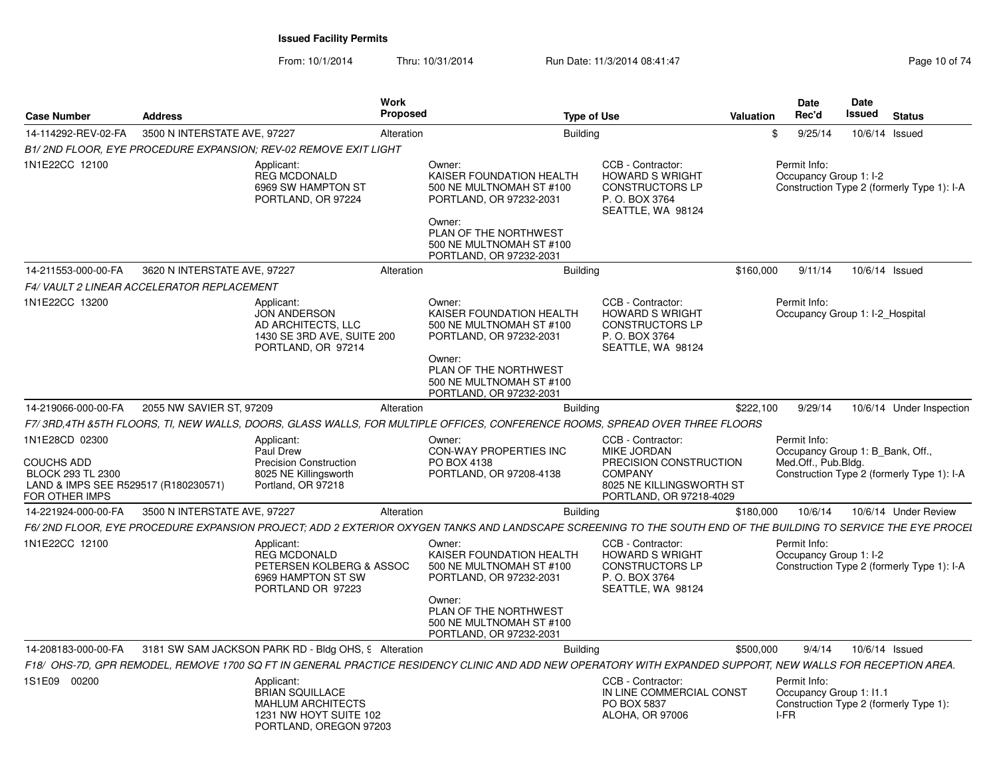From: 10/1/2014Thru: 10/31/2014 Run Date: 11/3/2014 08:41:47 Rege 10 of 74

|                                                                                                             |                              |                                                                                                                                                  | Work<br><b>Proposed</b> |                                                                                                                                                                                     |                                                                                                                                     |           | Date<br>Rec'd                                                           | Date<br>Issued |                                            |
|-------------------------------------------------------------------------------------------------------------|------------------------------|--------------------------------------------------------------------------------------------------------------------------------------------------|-------------------------|-------------------------------------------------------------------------------------------------------------------------------------------------------------------------------------|-------------------------------------------------------------------------------------------------------------------------------------|-----------|-------------------------------------------------------------------------|----------------|--------------------------------------------|
| <b>Case Number</b>                                                                                          | <b>Address</b>               |                                                                                                                                                  |                         |                                                                                                                                                                                     | <b>Type of Use</b>                                                                                                                  | Valuation |                                                                         |                | <b>Status</b>                              |
| 14-114292-REV-02-FA                                                                                         | 3500 N INTERSTATE AVE, 97227 |                                                                                                                                                  | Alteration              | Building                                                                                                                                                                            |                                                                                                                                     | \$        | 9/25/14                                                                 |                | 10/6/14 Issued                             |
| 1N1E22CC 12100                                                                                              |                              | B1/2ND FLOOR, EYE PROCEDURE EXPANSION; REV-02 REMOVE EXIT LIGHT<br>Applicant:<br><b>REG MCDONALD</b><br>6969 SW HAMPTON ST<br>PORTLAND, OR 97224 |                         | Owner:<br>KAISER FOUNDATION HEALTH<br>500 NE MULTNOMAH ST #100<br>PORTLAND, OR 97232-2031<br>Owner:<br>PLAN OF THE NORTHWEST<br>500 NE MULTNOMAH ST #100<br>PORTLAND, OR 97232-2031 | CCB - Contractor:<br><b>HOWARD S WRIGHT</b><br><b>CONSTRUCTORS LP</b><br>P. O. BOX 3764<br>SEATTLE, WA 98124                        |           | Permit Info:<br>Occupancy Group 1: I-2                                  |                | Construction Type 2 (formerly Type 1): I-A |
| 14-211553-000-00-FA                                                                                         | 3620 N INTERSTATE AVE, 97227 |                                                                                                                                                  | Alteration              | <b>Building</b>                                                                                                                                                                     |                                                                                                                                     | \$160,000 | 9/11/14                                                                 |                | 10/6/14 Issued                             |
| F4/VAULT 2 LINEAR ACCELERATOR REPLACEMENT                                                                   |                              |                                                                                                                                                  |                         |                                                                                                                                                                                     |                                                                                                                                     |           |                                                                         |                |                                            |
| 1N1E22CC 13200                                                                                              |                              | Applicant:<br><b>JON ANDERSON</b><br>AD ARCHITECTS, LLC<br>1430 SE 3RD AVE, SUITE 200<br>PORTLAND, OR 97214                                      |                         | Owner:<br>KAISER FOUNDATION HEALTH<br>500 NE MULTNOMAH ST #100<br>PORTLAND, OR 97232-2031<br>Owner:<br>PLAN OF THE NORTHWEST<br>500 NE MULTNOMAH ST #100<br>PORTLAND, OR 97232-2031 | CCB - Contractor:<br><b>HOWARD S WRIGHT</b><br><b>CONSTRUCTORS LP</b><br>P.O. BOX 3764<br>SEATTLE, WA 98124                         |           | Permit Info:<br>Occupancy Group 1: I-2 Hospital                         |                |                                            |
| 14-219066-000-00-FA                                                                                         | 2055 NW SAVIER ST, 97209     |                                                                                                                                                  | Alteration              | <b>Building</b>                                                                                                                                                                     |                                                                                                                                     | \$222,100 | 9/29/14                                                                 |                | 10/6/14 Under Inspection                   |
|                                                                                                             |                              |                                                                                                                                                  |                         | F7/3RD,4TH &5TH FLOORS, TI, NEW WALLS, DOORS, GLASS WALLS, FOR MULTIPLE OFFICES, CONFERENCE ROOMS, SPREAD OVER THREE FLOORS                                                         |                                                                                                                                     |           |                                                                         |                |                                            |
| 1N1E28CD 02300<br>COUCHS ADD<br>BLOCK 293 TL 2300<br>LAND & IMPS SEE R529517 (R180230571)<br>FOR OTHER IMPS |                              | Applicant:<br>Paul Drew<br><b>Precision Construction</b><br>8025 NE Killingsworth<br>Portland, OR 97218                                          |                         | Owner:<br>CON-WAY PROPERTIES INC<br>PO BOX 4138<br>PORTLAND, OR 97208-4138                                                                                                          | CCB - Contractor:<br>MIKE JORDAN<br>PRECISION CONSTRUCTION<br><b>COMPANY</b><br>8025 NE KILLINGSWORTH ST<br>PORTLAND, OR 97218-4029 |           | Permit Info:<br>Occupancy Group 1: B_Bank, Off.,<br>Med.Off., Pub.Bldg. |                | Construction Type 2 (formerly Type 1): I-A |
| 14-221924-000-00-FA                                                                                         | 3500 N INTERSTATE AVE, 97227 |                                                                                                                                                  | Alteration              | Building                                                                                                                                                                            |                                                                                                                                     | \$180,000 | 10/6/14                                                                 |                | 10/6/14 Under Review                       |
|                                                                                                             |                              |                                                                                                                                                  |                         | F6/ 2ND FLOOR, EYE PROCEDURE EXPANSION PROJECT; ADD 2 EXTERIOR OXYGEN TANKS AND LANDSCAPE SCREENING TO THE SOUTH END OF THE BUILDING TO SERVICE THE EYE PROCEI                      |                                                                                                                                     |           |                                                                         |                |                                            |
| 1N1E22CC 12100                                                                                              |                              | Applicant:<br><b>REG MCDONALD</b><br>PETERSEN KOLBERG & ASSOC<br>6969 HAMPTON ST SW<br>PORTLAND OR 97223                                         |                         | Owner:<br>KAISER FOUNDATION HEALTH<br>500 NE MULTNOMAH ST #100<br>PORTLAND, OR 97232-2031<br>Owner:<br>PLAN OF THE NORTHWEST<br>500 NE MULTNOMAH ST #100<br>PORTLAND, OR 97232-2031 | CCB - Contractor:<br><b>HOWARD S WRIGHT</b><br><b>CONSTRUCTORS LP</b><br>P. O. BOX 3764<br>SEATTLE, WA 98124                        |           | Permit Info:<br>Occupancy Group 1: I-2                                  |                | Construction Type 2 (formerly Type 1): I-A |
| 14-208183-000-00-FA                                                                                         |                              | 3181 SW SAM JACKSON PARK RD - Bldg OHS, 9 Alteration                                                                                             |                         | <b>Building</b>                                                                                                                                                                     |                                                                                                                                     | \$500,000 | 9/4/14                                                                  |                | 10/6/14 Issued                             |
|                                                                                                             |                              |                                                                                                                                                  |                         | F18/ OHS-7D, GPR REMODEL, REMOVE 1700 SQ FT IN GENERAL PRACTICE RESIDENCY CLINIC AND ADD NEW OPERATORY WITH EXPANDED SUPPORT, NEW WALLS FOR RECEPTION AREA.                         |                                                                                                                                     |           |                                                                         |                |                                            |
| 1S1E09 00200                                                                                                |                              | Applicant:<br><b>BRIAN SQUILLACE</b><br><b>MAHLUM ARCHITECTS</b><br>1231 NW HOYT SUITE 102<br>PORTLAND, OREGON 97203                             |                         |                                                                                                                                                                                     | CCB - Contractor:<br>IN LINE COMMERCIAL CONST<br>PO BOX 5837<br>ALOHA, OR 97006                                                     |           | Permit Info:<br>Occupancy Group 1: I1.1<br>I-FR                         |                | Construction Type 2 (formerly Type 1):     |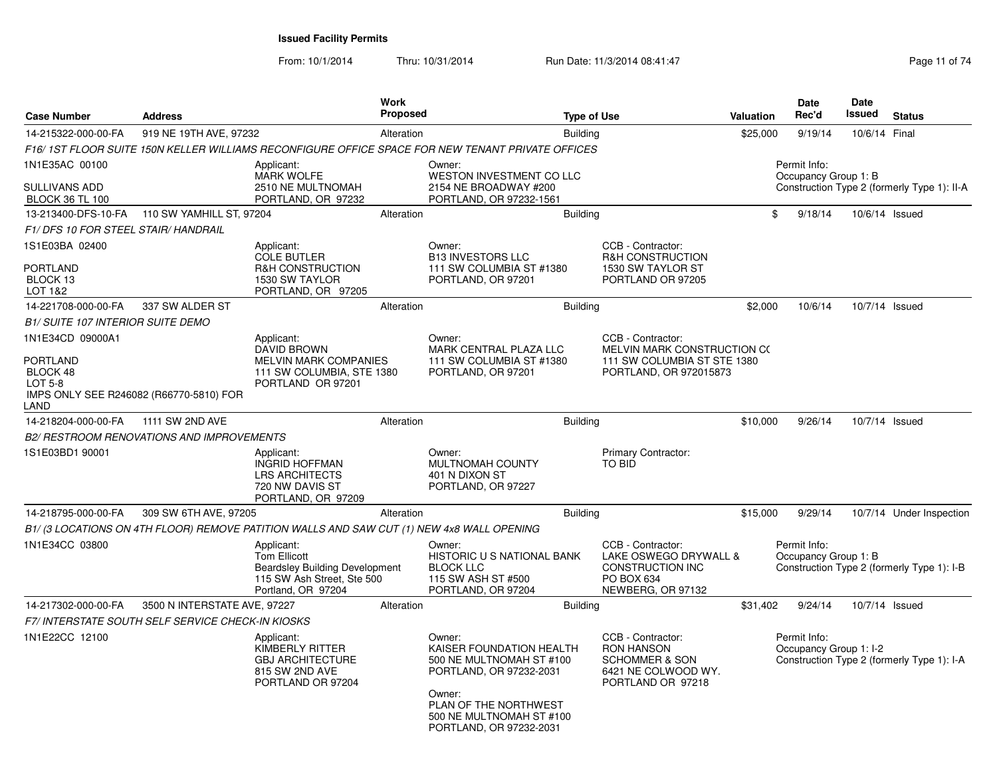From: 10/1/2014

Thru: 10/31/2014 Run Date: 11/3/2014 08:41:47 Rege 11 of 74

| <b>Address</b>                           |                                                                                                        | <b>Work</b>                                                                                                                                                                                                                                              |                                                                                                                                                |                                                                                                                        |                                                                                                                                                                                                                                                                                                                    |                                                                                                                                                                                                                                                               | Date<br>Rec'd                                                                                                                                         | <b>Date</b><br>Issued                                                                                                    | <b>Status</b>                                                                                                                                                                                                                       |
|------------------------------------------|--------------------------------------------------------------------------------------------------------|----------------------------------------------------------------------------------------------------------------------------------------------------------------------------------------------------------------------------------------------------------|------------------------------------------------------------------------------------------------------------------------------------------------|------------------------------------------------------------------------------------------------------------------------|--------------------------------------------------------------------------------------------------------------------------------------------------------------------------------------------------------------------------------------------------------------------------------------------------------------------|---------------------------------------------------------------------------------------------------------------------------------------------------------------------------------------------------------------------------------------------------------------|-------------------------------------------------------------------------------------------------------------------------------------------------------|--------------------------------------------------------------------------------------------------------------------------|-------------------------------------------------------------------------------------------------------------------------------------------------------------------------------------------------------------------------------------|
|                                          |                                                                                                        | Alteration                                                                                                                                                                                                                                               |                                                                                                                                                |                                                                                                                        |                                                                                                                                                                                                                                                                                                                    |                                                                                                                                                                                                                                                               | 9/19/14                                                                                                                                               | 10/6/14 Final                                                                                                            |                                                                                                                                                                                                                                     |
|                                          |                                                                                                        |                                                                                                                                                                                                                                                          |                                                                                                                                                |                                                                                                                        |                                                                                                                                                                                                                                                                                                                    |                                                                                                                                                                                                                                                               |                                                                                                                                                       |                                                                                                                          |                                                                                                                                                                                                                                     |
|                                          | Applicant:<br><b>MARK WOLFE</b><br>2510 NE MULTNOMAH                                                   |                                                                                                                                                                                                                                                          | Owner:<br>2154 NE BROADWAY #200                                                                                                                |                                                                                                                        |                                                                                                                                                                                                                                                                                                                    |                                                                                                                                                                                                                                                               |                                                                                                                                                       |                                                                                                                          |                                                                                                                                                                                                                                     |
|                                          |                                                                                                        |                                                                                                                                                                                                                                                          |                                                                                                                                                |                                                                                                                        |                                                                                                                                                                                                                                                                                                                    |                                                                                                                                                                                                                                                               |                                                                                                                                                       |                                                                                                                          |                                                                                                                                                                                                                                     |
|                                          |                                                                                                        |                                                                                                                                                                                                                                                          |                                                                                                                                                |                                                                                                                        |                                                                                                                                                                                                                                                                                                                    |                                                                                                                                                                                                                                                               |                                                                                                                                                       |                                                                                                                          |                                                                                                                                                                                                                                     |
|                                          |                                                                                                        |                                                                                                                                                                                                                                                          |                                                                                                                                                |                                                                                                                        |                                                                                                                                                                                                                                                                                                                    |                                                                                                                                                                                                                                                               |                                                                                                                                                       |                                                                                                                          |                                                                                                                                                                                                                                     |
|                                          | <b>COLE BUTLER</b><br><b>R&amp;H CONSTRUCTION</b><br>1530 SW TAYLOR<br>PORTLAND, OR 97205              |                                                                                                                                                                                                                                                          | <b>B13 INVESTORS LLC</b><br>PORTLAND, OR 97201                                                                                                 |                                                                                                                        | <b>R&amp;H CONSTRUCTION</b><br>1530 SW TAYLOR ST<br>PORTLAND OR 97205                                                                                                                                                                                                                                              |                                                                                                                                                                                                                                                               |                                                                                                                                                       |                                                                                                                          |                                                                                                                                                                                                                                     |
| 337 SW ALDER ST                          |                                                                                                        | Alteration                                                                                                                                                                                                                                               |                                                                                                                                                |                                                                                                                        |                                                                                                                                                                                                                                                                                                                    |                                                                                                                                                                                                                                                               | 10/6/14                                                                                                                                               |                                                                                                                          | 10/7/14 Issued                                                                                                                                                                                                                      |
| <b>B1/ SUITE 107 INTERIOR SUITE DEMO</b> |                                                                                                        |                                                                                                                                                                                                                                                          |                                                                                                                                                |                                                                                                                        |                                                                                                                                                                                                                                                                                                                    |                                                                                                                                                                                                                                                               |                                                                                                                                                       |                                                                                                                          |                                                                                                                                                                                                                                     |
|                                          | Applicant:<br><b>DAVID BROWN</b>                                                                       |                                                                                                                                                                                                                                                          | Owner:                                                                                                                                         |                                                                                                                        | CCB - Contractor:                                                                                                                                                                                                                                                                                                  |                                                                                                                                                                                                                                                               |                                                                                                                                                       |                                                                                                                          |                                                                                                                                                                                                                                     |
| IMPS ONLY SEE R246082 (R66770-5810) FOR  | PORTLAND OR 97201                                                                                      |                                                                                                                                                                                                                                                          | PORTLAND, OR 97201                                                                                                                             |                                                                                                                        |                                                                                                                                                                                                                                                                                                                    |                                                                                                                                                                                                                                                               |                                                                                                                                                       |                                                                                                                          |                                                                                                                                                                                                                                     |
| 1111 SW 2ND AVE                          |                                                                                                        | Alteration                                                                                                                                                                                                                                               |                                                                                                                                                |                                                                                                                        |                                                                                                                                                                                                                                                                                                                    |                                                                                                                                                                                                                                                               | 9/26/14                                                                                                                                               |                                                                                                                          | 10/7/14 Issued                                                                                                                                                                                                                      |
|                                          |                                                                                                        |                                                                                                                                                                                                                                                          |                                                                                                                                                |                                                                                                                        |                                                                                                                                                                                                                                                                                                                    |                                                                                                                                                                                                                                                               |                                                                                                                                                       |                                                                                                                          |                                                                                                                                                                                                                                     |
|                                          | Applicant:<br><b>INGRID HOFFMAN</b><br><b>LRS ARCHITECTS</b><br>720 NW DAVIS ST<br>PORTLAND, OR 97209  |                                                                                                                                                                                                                                                          | Owner:<br>MULTNOMAH COUNTY<br>401 N DIXON ST<br>PORTLAND, OR 97227                                                                             |                                                                                                                        | Primary Contractor:<br>TO BID                                                                                                                                                                                                                                                                                      |                                                                                                                                                                                                                                                               |                                                                                                                                                       |                                                                                                                          |                                                                                                                                                                                                                                     |
|                                          |                                                                                                        | Alteration                                                                                                                                                                                                                                               |                                                                                                                                                |                                                                                                                        |                                                                                                                                                                                                                                                                                                                    |                                                                                                                                                                                                                                                               | 9/29/14                                                                                                                                               |                                                                                                                          | 10/7/14 Under Inspection                                                                                                                                                                                                            |
|                                          |                                                                                                        |                                                                                                                                                                                                                                                          |                                                                                                                                                |                                                                                                                        |                                                                                                                                                                                                                                                                                                                    |                                                                                                                                                                                                                                                               |                                                                                                                                                       |                                                                                                                          |                                                                                                                                                                                                                                     |
|                                          | Applicant:<br>Tom Ellicott<br>Portland, OR 97204                                                       |                                                                                                                                                                                                                                                          | Owner:<br><b>BLOCK LLC</b><br>115 SW ASH ST #500<br>PORTLAND, OR 97204                                                                         |                                                                                                                        | CCB - Contractor:<br>CONSTRUCTION INC<br>PO BOX 634<br>NEWBERG, OR 97132                                                                                                                                                                                                                                           |                                                                                                                                                                                                                                                               |                                                                                                                                                       |                                                                                                                          |                                                                                                                                                                                                                                     |
|                                          |                                                                                                        | Alteration                                                                                                                                                                                                                                               |                                                                                                                                                |                                                                                                                        |                                                                                                                                                                                                                                                                                                                    |                                                                                                                                                                                                                                                               | 9/24/14                                                                                                                                               |                                                                                                                          | 10/7/14 Issued                                                                                                                                                                                                                      |
|                                          |                                                                                                        |                                                                                                                                                                                                                                                          |                                                                                                                                                |                                                                                                                        |                                                                                                                                                                                                                                                                                                                    |                                                                                                                                                                                                                                                               |                                                                                                                                                       |                                                                                                                          |                                                                                                                                                                                                                                     |
|                                          | Applicant:<br><b>KIMBERLY RITTER</b><br><b>GBJ ARCHITECTURE</b><br>815 SW 2ND AVE<br>PORTLAND OR 97204 |                                                                                                                                                                                                                                                          | Owner:<br>Owner:                                                                                                                               |                                                                                                                        | CCB - Contractor:<br><b>RON HANSON</b><br><b>SCHOMMER &amp; SON</b><br>6421 NE COLWOOD WY.<br>PORTLAND OR 97218                                                                                                                                                                                                    |                                                                                                                                                                                                                                                               |                                                                                                                                                       |                                                                                                                          |                                                                                                                                                                                                                                     |
|                                          | F1/DFS 10 FOR STEEL STAIR/HANDRAIL                                                                     | 919 NE 19TH AVE, 97232<br>PORTLAND, OR 97232<br>110 SW YAMHILL ST, 97204<br>Applicant:<br><b>B2/ RESTROOM RENOVATIONS AND IMPROVEMENTS</b><br>309 SW 6TH AVE, 97205<br>3500 N INTERSTATE AVE, 97227<br>F7/ INTERSTATE SOUTH SELF SERVICE CHECK-IN KIOSKS | Alteration<br><b>MELVIN MARK COMPANIES</b><br>111 SW COLUMBIA, STE 1380<br><b>Beardsley Building Development</b><br>115 SW Ash Street, Ste 500 | <b>Proposed</b><br>Owner:<br>B1/ (3 LOCATIONS ON 4TH FLOOR) REMOVE PATITION WALLS AND SAW CUT (1) NEW 4x8 WALL OPENING | WESTON INVESTMENT CO LLC<br>PORTLAND, OR 97232-1561<br>111 SW COLUMBIA ST #1380<br>MARK CENTRAL PLAZA LLC<br>111 SW COLUMBIA ST #1380<br><b>HISTORIC U S NATIONAL BANK</b><br>KAISER FOUNDATION HEALTH<br>500 NE MULTNOMAH ST #100<br>PORTLAND, OR 97232-2031<br>PLAN OF THE NORTHWEST<br>500 NE MULTNOMAH ST #100 | <b>Type of Use</b><br><b>Building</b><br>F16/1ST FLOOR SUITE 150N KELLER WILLIAMS RECONFIGURE OFFICE SPACE FOR NEW TENANT PRIVATE OFFICES<br><b>Building</b><br>CCB - Contractor:<br><b>Building</b><br><b>Building</b><br><b>Building</b><br><b>Building</b> | Valuation<br>MELVIN MARK CONSTRUCTION CO<br>111 SW COLUMBIA ST STE 1380<br>PORTLAND, OR 972015873<br>LAKE OSWEGO DRYWALL &<br>PORTLAND, OR 97232-2031 | \$25,000<br>Permit Info:<br>\$<br>9/18/14<br>\$2,000<br>\$10,000<br>\$15,000<br>Permit Info:<br>\$31,402<br>Permit Info: | Occupancy Group 1: B<br>Construction Type 2 (formerly Type 1): II-A<br>10/6/14 Issued<br>Occupancy Group 1: B<br>Construction Type 2 (formerly Type 1): I-B<br>Occupancy Group 1: I-2<br>Construction Type 2 (formerly Type 1): I-A |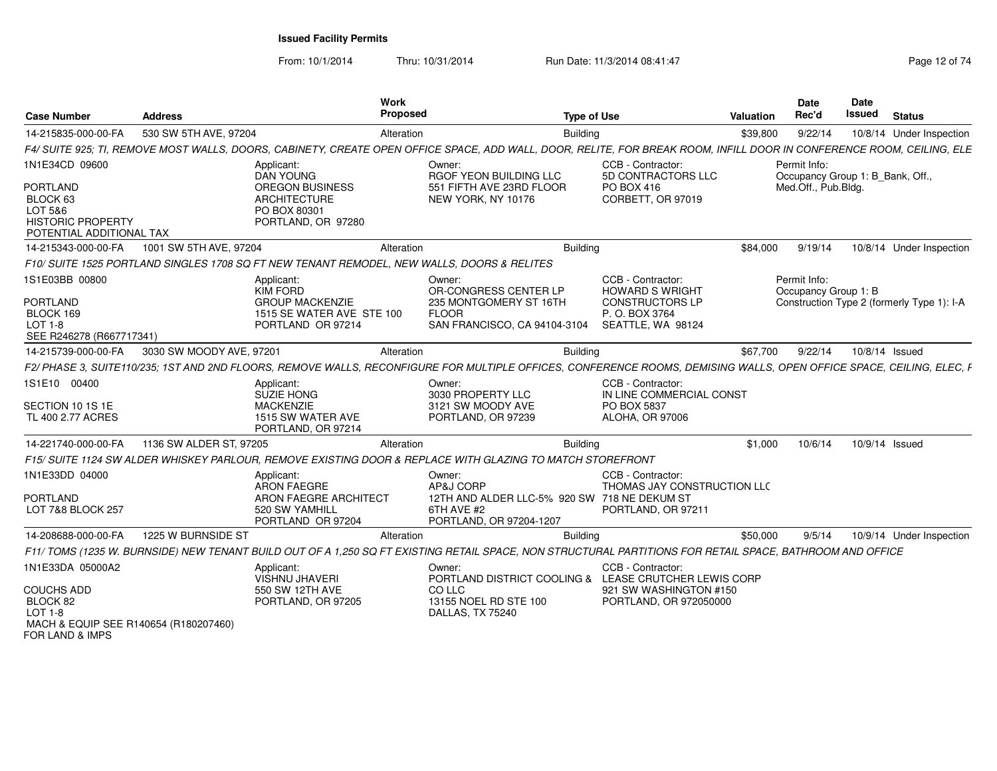From: 10/1/2014Thru: 10/31/2014 Run Date: 11/3/2014 08:41:47 Rege 12 of 74

| <b>Case Number</b>                                                                                                       | <b>Address</b>           |                                                                                                                | <b>Work</b><br><b>Proposed</b> |                                                                                                                                                                                                                                                | <b>Type of Use</b>                 |                                                                       | <b>Valuation</b> | Date<br>Rec'd                                                           | <b>Date</b><br>Issued | <b>Status</b>                              |
|--------------------------------------------------------------------------------------------------------------------------|--------------------------|----------------------------------------------------------------------------------------------------------------|--------------------------------|------------------------------------------------------------------------------------------------------------------------------------------------------------------------------------------------------------------------------------------------|------------------------------------|-----------------------------------------------------------------------|------------------|-------------------------------------------------------------------------|-----------------------|--------------------------------------------|
| 14-215835-000-00-FA                                                                                                      | 530 SW 5TH AVE, 97204    |                                                                                                                | Alteration<br><b>Building</b>  |                                                                                                                                                                                                                                                |                                    |                                                                       | \$39,800         | 9/22/14                                                                 |                       | 10/8/14 Under Inspection                   |
|                                                                                                                          |                          |                                                                                                                |                                | F4/ SUITE 925; TI, REMOVE MOST WALLS, DOORS, CABINETY, CREATE OPEN OFFICE SPACE, ADD WALL, DOOR, RELITE, FOR BREAK ROOM, INFILL DOOR IN CONFERENCE ROOM, CEILING, ELE                                                                          |                                    |                                                                       |                  |                                                                         |                       |                                            |
| 1N1E34CD 09600<br>PORTLAND<br>BLOCK 63<br>LOT 5&6<br><b>HISTORIC PROPERTY</b><br>POTENTIAL ADDITIONAL TAX                |                          | Applicant:<br>DAN YOUNG<br><b>OREGON BUSINESS</b><br><b>ARCHITECTURE</b><br>PO BOX 80301<br>PORTLAND, OR 97280 |                                | Owner:<br>RGOF YEON BUILDING LLC<br>551 FIFTH AVE 23RD FLOOR<br>NEW YORK, NY 10176                                                                                                                                                             | CCB - Contractor:<br>PO BOX 416    | 5D CONTRACTORS LLC<br>CORBETT, OR 97019                               |                  | Permit Info:<br>Occupancy Group 1: B Bank, Off.,<br>Med.Off., Pub.Bldg. |                       |                                            |
| 14-215343-000-00-FA                                                                                                      | 1001 SW 5TH AVE, 97204   |                                                                                                                | Alteration                     | Building                                                                                                                                                                                                                                       |                                    |                                                                       | \$84,000         | 9/19/14                                                                 |                       | 10/8/14 Under Inspection                   |
|                                                                                                                          |                          | F10/ SUITE 1525 PORTLAND SINGLES 1708 SQ FT NEW TENANT REMODEL, NEW WALLS, DOORS & RELITES                     |                                |                                                                                                                                                                                                                                                |                                    |                                                                       |                  |                                                                         |                       |                                            |
| 1S1E03BB 00800<br>PORTLAND<br>BLOCK 169<br>LOT 1-8<br>SEE R246278 (R667717341)                                           |                          | Applicant:<br><b>KIM FORD</b><br><b>GROUP MACKENZIE</b><br>1515 SE WATER AVE STE 100<br>PORTLAND OR 97214      |                                | Owner:<br>OR-CONGRESS CENTER LP<br>235 MONTGOMERY ST 16TH<br><b>FLOOR</b><br>SAN FRANCISCO, CA 94104-3104                                                                                                                                      | CCB - Contractor:<br>P.O. BOX 3764 | <b>HOWARD S WRIGHT</b><br><b>CONSTRUCTORS LP</b><br>SEATTLE, WA 98124 |                  | Permit Info:<br>Occupancy Group 1: B                                    |                       | Construction Type 2 (formerly Type 1): I-A |
| 14-215739-000-00-FA                                                                                                      | 3030 SW MOODY AVE, 97201 |                                                                                                                | Alteration                     | <b>Building</b>                                                                                                                                                                                                                                |                                    |                                                                       | \$67,700         | 9/22/14                                                                 | 10/8/14 Issued        |                                            |
| 1S1E10 00400<br>SECTION 10 1S 1E<br>TL 400 2.77 ACRES                                                                    |                          | Applicant:<br>SUZIE HONG<br><b>MACKENZIE</b><br>1515 SW WATER AVE<br>PORTLAND, OR 97214                        |                                | F2/ PHASE 3, SUITE110/235; 1ST AND 2ND FLOORS, REMOVE WALLS, RECONFIGURE FOR MULTIPLE OFFICES, CONFERENCE ROOMS, DEMISING WALLS, OPEN OFFICE SPACE, CEILING, ELEC, F<br>Owner:<br>3030 PROPERTY LLC<br>3121 SW MOODY AVE<br>PORTLAND, OR 97239 | CCB - Contractor:<br>PO BOX 5837   | IN LINE COMMERCIAL CONST<br><b>ALOHA, OR 97006</b>                    |                  |                                                                         |                       |                                            |
| 14-221740-000-00-FA                                                                                                      | 1136 SW ALDER ST, 97205  |                                                                                                                | Alteration                     | <b>Building</b>                                                                                                                                                                                                                                |                                    |                                                                       | \$1,000          | 10/6/14                                                                 | 10/9/14 Issued        |                                            |
|                                                                                                                          |                          |                                                                                                                |                                | F15/ SUITE 1124 SW ALDER WHISKEY PARLOUR, REMOVE EXISTING DOOR & REPLACE WITH GLAZING TO MATCH STOREFRONT                                                                                                                                      |                                    |                                                                       |                  |                                                                         |                       |                                            |
| 1N1E33DD 04000<br><b>PORTLAND</b><br>LOT 7&8 BLOCK 257                                                                   |                          | Applicant:<br><b>ARON FAEGRE</b><br>ARON FAEGRE ARCHITECT<br>520 SW YAMHILL<br>PORTLAND OR 97204               |                                | Owner:<br>AP&J CORP<br>12TH AND ALDER LLC-5% 920 SW 718 NE DEKUM ST<br>6TH AVE #2<br>PORTLAND, OR 97204-1207                                                                                                                                   | CCB - Contractor:                  | THOMAS JAY CONSTRUCTION LLC<br>PORTLAND, OR 97211                     |                  |                                                                         |                       |                                            |
| 14-208688-000-00-FA                                                                                                      | 1225 W BURNSIDE ST       |                                                                                                                | Alteration                     | <b>Building</b>                                                                                                                                                                                                                                |                                    |                                                                       | \$50,000         | 9/5/14                                                                  |                       | 10/9/14 Under Inspection                   |
|                                                                                                                          |                          |                                                                                                                |                                | F11/ TOMS (1235 W. BURNSIDE) NEW TENANT BUILD OUT OF A 1,250 SQ FT EXISTING RETAIL SPACE, NON STRUCTURAL PARTITIONS FOR RETAIL SPACE, BATHROOM AND OFFICE                                                                                      |                                    |                                                                       |                  |                                                                         |                       |                                            |
| 1N1E33DA 05000A2<br><b>COUCHS ADD</b><br>BLOCK 82<br>LOT 1-8<br>MACH & EQUIP SEE R140654 (R180207460)<br>FOR LAND & IMPS |                          | Applicant:<br><b>VISHNU JHAVERI</b><br>550 SW 12TH AVE<br>PORTLAND, OR 97205                                   |                                | Owner:<br>PORTLAND DISTRICT COOLING & LEASE CRUTCHER LEWIS CORP<br>CO LLC<br>13155 NOEL RD STE 100<br>DALLAS, TX 75240                                                                                                                         | CCB - Contractor:                  | 921 SW WASHINGTON #150<br>PORTLAND, OR 972050000                      |                  |                                                                         |                       |                                            |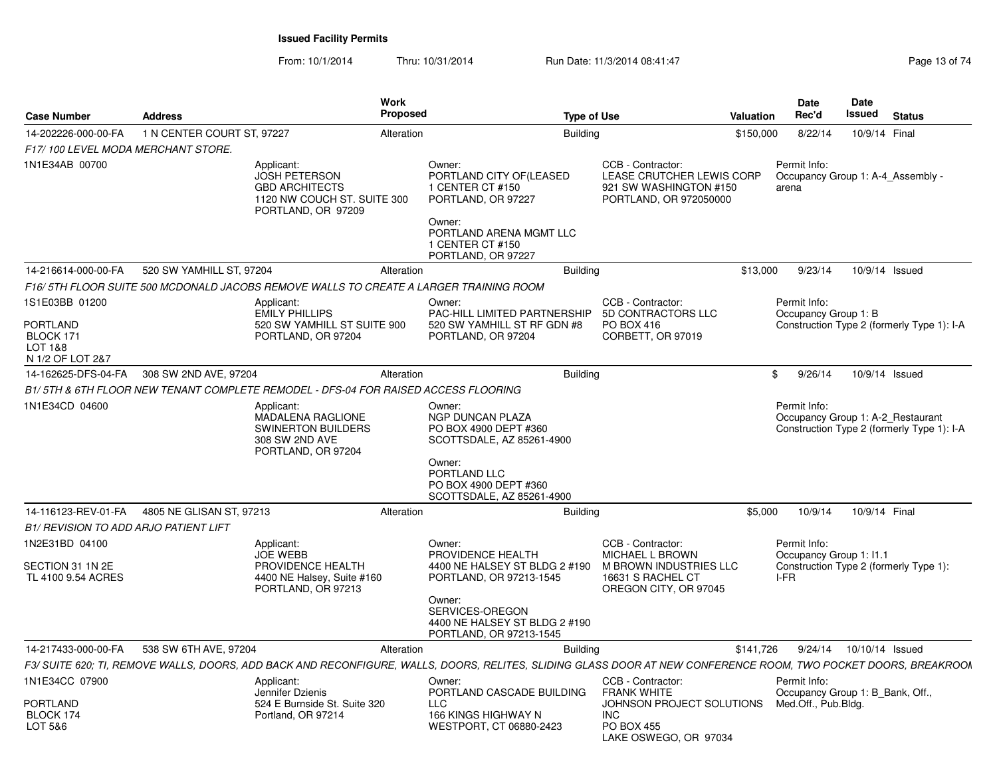From: 10/1/2014Thru: 10/31/2014 Run Date: 11/3/2014 08:41:47 Rege 13 of 74

| <b>Case Number</b>                           | <b>Address</b>             | Work<br>Proposed                                                                                                 |                                                                                                                                                                 | <b>Type of Use</b>                                                                                 | <b>Valuation</b> | <b>Date</b><br>Rec'd                    | Date<br>Issued | <b>Status</b>                                                                   |
|----------------------------------------------|----------------------------|------------------------------------------------------------------------------------------------------------------|-----------------------------------------------------------------------------------------------------------------------------------------------------------------|----------------------------------------------------------------------------------------------------|------------------|-----------------------------------------|----------------|---------------------------------------------------------------------------------|
| 14-202226-000-00-FA                          | 1 N CENTER COURT ST. 97227 | Alteration                                                                                                       |                                                                                                                                                                 | Buildina                                                                                           | \$150,000        | 8/22/14                                 |                | 10/9/14 Final                                                                   |
| F17/100 LEVEL MODA MERCHANT STORE.           |                            |                                                                                                                  |                                                                                                                                                                 |                                                                                                    |                  |                                         |                |                                                                                 |
| 1N1E34AB 00700                               |                            | Applicant:<br><b>JOSH PETERSON</b><br><b>GBD ARCHITECTS</b><br>1120 NW COUCH ST. SUITE 300<br>PORTLAND, OR 97209 | Owner:<br>PORTLAND CITY OF (LEASED<br>1 CENTER CT #150<br>PORTLAND, OR 97227                                                                                    | CCB - Contractor:<br>LEASE CRUTCHER LEWIS CORP<br>921 SW WASHINGTON #150<br>PORTLAND, OR 972050000 |                  | Permit Info:<br>arena                   |                | Occupancy Group 1: A-4 Assembly -                                               |
|                                              |                            |                                                                                                                  | Owner:<br>PORTLAND ARENA MGMT LLC<br>1 CENTER CT #150<br>PORTLAND, OR 97227                                                                                     |                                                                                                    |                  |                                         |                |                                                                                 |
| 14-216614-000-00-FA                          | 520 SW YAMHILL ST, 97204   | Alteration                                                                                                       |                                                                                                                                                                 | <b>Building</b>                                                                                    | \$13,000         | 9/23/14                                 |                | 10/9/14 Issued                                                                  |
|                                              |                            | F16/ 5TH FLOOR SUITE 500 MCDONALD JACOBS REMOVE WALLS TO CREATE A LARGER TRAINING ROOM                           |                                                                                                                                                                 |                                                                                                    |                  |                                         |                |                                                                                 |
| 1S1E03BB 01200<br>PORTLAND                   |                            | Applicant:<br><b>EMILY PHILLIPS</b><br>520 SW YAMHILL ST SUITE 900                                               | Owner:<br>PAC-HILL LIMITED PARTNERSHIP<br>520 SW YAMHILL ST RF GDN #8                                                                                           | CCB - Contractor:<br>5D CONTRACTORS LLC<br>PO BOX 416                                              |                  | Permit Info:<br>Occupancy Group 1: B    |                | Construction Type 2 (formerly Type 1): I-A                                      |
| BLOCK 171<br>LOT 1&8<br>N 1/2 OF LOT 2&7     |                            | PORTLAND, OR 97204                                                                                               | PORTLAND, OR 97204                                                                                                                                              | CORBETT, OR 97019                                                                                  |                  |                                         |                |                                                                                 |
| 14-162625-DFS-04-FA                          | 308 SW 2ND AVE, 97204      | Alteration                                                                                                       |                                                                                                                                                                 | <b>Building</b>                                                                                    |                  | 9/26/14<br>$^{\circ}$                   |                | 10/9/14 Issued                                                                  |
|                                              |                            | B1/5TH & 6TH FLOOR NEW TENANT COMPLETE REMODEL - DFS-04 FOR RAISED ACCESS FLOORING                               |                                                                                                                                                                 |                                                                                                    |                  |                                         |                |                                                                                 |
| 1N1E34CD 04600                               |                            | Applicant:<br><b>MADALENA RAGLIONE</b><br><b>SWINERTON BUILDERS</b><br>308 SW 2ND AVE<br>PORTLAND, OR 97204      | Owner:<br><b>NGP DUNCAN PLAZA</b><br>PO BOX 4900 DEPT #360<br>SCOTTSDALE, AZ 85261-4900                                                                         |                                                                                                    |                  | Permit Info:                            |                | Occupancy Group 1: A-2 Restaurant<br>Construction Type 2 (formerly Type 1): I-A |
|                                              |                            |                                                                                                                  | Owner:<br>PORTLAND LLC<br>PO BOX 4900 DEPT #360<br>SCOTTSDALE, AZ 85261-4900                                                                                    |                                                                                                    |                  |                                         |                |                                                                                 |
| 14-116123-REV-01-FA                          | 4805 NE GLISAN ST, 97213   | Alteration                                                                                                       |                                                                                                                                                                 | <b>Building</b>                                                                                    | \$5,000          | 10/9/14                                 |                | 10/9/14 Final                                                                   |
| <b>B1/ REVISION TO ADD ARJO PATIENT LIFT</b> |                            |                                                                                                                  |                                                                                                                                                                 |                                                                                                    |                  |                                         |                |                                                                                 |
| 1N2E31BD 04100                               |                            | Applicant:<br><b>JOE WEBB</b>                                                                                    | Owner:<br>PROVIDENCE HEALTH                                                                                                                                     | CCB - Contractor:<br><b>MICHAEL L BROWN</b>                                                        |                  | Permit Info:<br>Occupancy Group 1: 11.1 |                |                                                                                 |
| SECTION 31 1N 2E<br>TL 4100 9.54 ACRES       |                            | PROVIDENCE HEALTH<br>4400 NE Halsey, Suite #160<br>PORTLAND, OR 97213                                            | 4400 NE HALSEY ST BLDG 2 #190<br>PORTLAND, OR 97213-1545<br>Owner:<br>SERVICES-OREGON<br>4400 NE HALSEY ST BLDG 2 #190<br>PORTLAND, OR 97213-1545               | M BROWN INDUSTRIES LLC<br>16631 S RACHEL CT<br>OREGON CITY, OR 97045                               |                  | I-FR                                    |                | Construction Type 2 (formerly Type 1):                                          |
| 14-217433-000-00-FA                          | 538 SW 6TH AVE, 97204      | Alteration                                                                                                       |                                                                                                                                                                 | <b>Building</b>                                                                                    | \$141,726        | 9/24/14                                 |                | 10/10/14 Issued                                                                 |
|                                              |                            |                                                                                                                  | F3/ SUITE 620; TI, REMOVE WALLS, DOORS, ADD BACK AND RECONFIGURE, WALLS, DOORS, RELITES, SLIDING GLASS DOOR AT NEW CONFERENCE ROOM, TWO POCKET DOORS, BREAKROOM |                                                                                                    |                  |                                         |                |                                                                                 |
| 1N1E34CC 07900                               |                            | Applicant:                                                                                                       | Owner:                                                                                                                                                          | CCB - Contractor:                                                                                  |                  | Permit Info:                            |                |                                                                                 |
| PORTLAND<br>BLOCK 174                        |                            | Jennifer Dzienis<br>524 E Burnside St. Suite 320<br>Portland, OR 97214                                           | PORTLAND CASCADE BUILDING<br>LLC<br>166 KINGS HIGHWAY N                                                                                                         | <b>FRANK WHITE</b><br>JOHNSON PROJECT SOLUTIONS<br><b>INC</b>                                      |                  | Med.Off., Pub.Bldg.                     |                | Occupancy Group 1: B Bank, Off.,                                                |
| LOT 5&6                                      |                            |                                                                                                                  | WESTPORT, CT 06880-2423                                                                                                                                         | PO BOX 455<br>LAKE OSWEGO, OR 97034                                                                |                  |                                         |                |                                                                                 |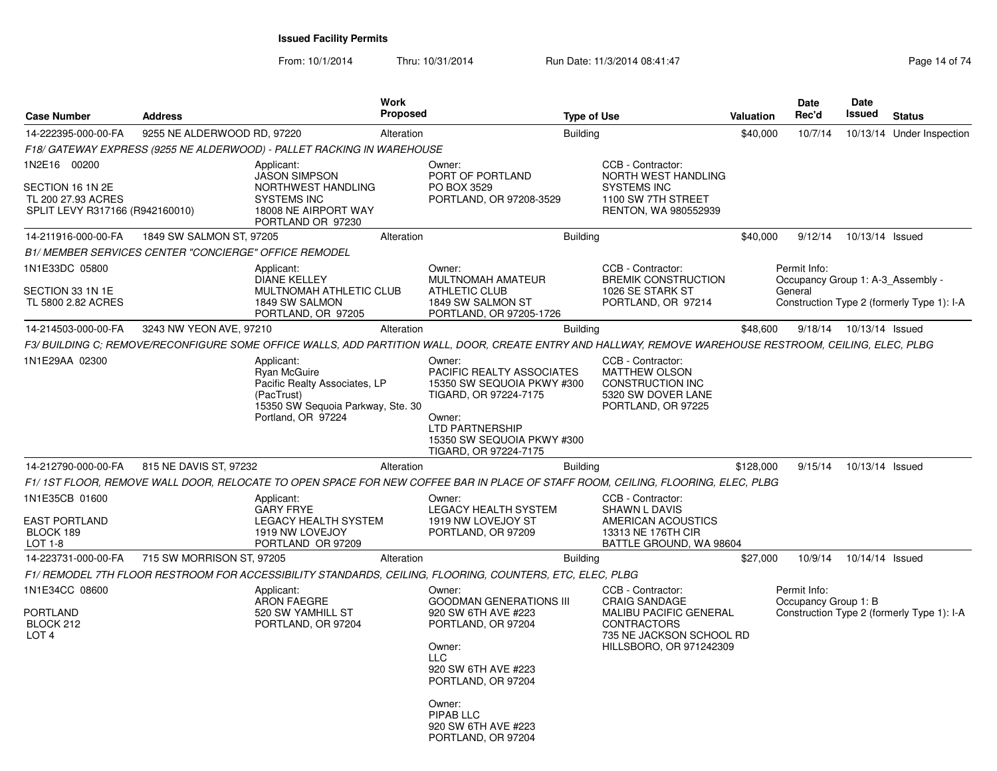From: 10/1/2014Thru: 10/31/2014 Run Date: 11/3/2014 08:41:47 Rege 14 of 74

| <b>Address</b>                  |                                                                                                                             |                                                                                                                                                                                                                                 |                                                                                                                                                                                              |                                                                                           |                                                                                                                                                                                      |                                                                                                                                                                                                                               | Date<br>Rec'd                                                                                                                                                  | <b>Date</b><br>Issued                                                                                                                                                                                                        | <b>Status</b>                                                                                                                                                                                                                                                                                                                        |
|---------------------------------|-----------------------------------------------------------------------------------------------------------------------------|---------------------------------------------------------------------------------------------------------------------------------------------------------------------------------------------------------------------------------|----------------------------------------------------------------------------------------------------------------------------------------------------------------------------------------------|-------------------------------------------------------------------------------------------|--------------------------------------------------------------------------------------------------------------------------------------------------------------------------------------|-------------------------------------------------------------------------------------------------------------------------------------------------------------------------------------------------------------------------------|----------------------------------------------------------------------------------------------------------------------------------------------------------------|------------------------------------------------------------------------------------------------------------------------------------------------------------------------------------------------------------------------------|--------------------------------------------------------------------------------------------------------------------------------------------------------------------------------------------------------------------------------------------------------------------------------------------------------------------------------------|
|                                 |                                                                                                                             |                                                                                                                                                                                                                                 |                                                                                                                                                                                              |                                                                                           |                                                                                                                                                                                      |                                                                                                                                                                                                                               | 10/7/14                                                                                                                                                        |                                                                                                                                                                                                                              | 10/13/14 Under Inspection                                                                                                                                                                                                                                                                                                            |
|                                 |                                                                                                                             |                                                                                                                                                                                                                                 |                                                                                                                                                                                              |                                                                                           |                                                                                                                                                                                      |                                                                                                                                                                                                                               |                                                                                                                                                                |                                                                                                                                                                                                                              |                                                                                                                                                                                                                                                                                                                                      |
| SPLIT LEVY R317166 (R942160010) | Applicant:<br><b>JASON SIMPSON</b><br>NORTHWEST HANDLING<br><b>SYSTEMS INC</b><br>18008 NE AIRPORT WAY<br>PORTLAND OR 97230 |                                                                                                                                                                                                                                 | Owner:<br>PORT OF PORTLAND<br>PO BOX 3529                                                                                                                                                    |                                                                                           | CCB - Contractor:<br>NORTH WEST HANDLING<br><b>SYSTEMS INC</b><br>1100 SW 7TH STREET<br>RENTON, WA 980552939                                                                         |                                                                                                                                                                                                                               |                                                                                                                                                                |                                                                                                                                                                                                                              |                                                                                                                                                                                                                                                                                                                                      |
|                                 |                                                                                                                             |                                                                                                                                                                                                                                 |                                                                                                                                                                                              |                                                                                           |                                                                                                                                                                                      |                                                                                                                                                                                                                               | 9/12/14                                                                                                                                                        | 10/13/14 Issued                                                                                                                                                                                                              |                                                                                                                                                                                                                                                                                                                                      |
|                                 |                                                                                                                             |                                                                                                                                                                                                                                 |                                                                                                                                                                                              |                                                                                           |                                                                                                                                                                                      |                                                                                                                                                                                                                               |                                                                                                                                                                |                                                                                                                                                                                                                              |                                                                                                                                                                                                                                                                                                                                      |
|                                 | Applicant:<br><b>DIANE KELLEY</b><br>1849 SW SALMON                                                                         |                                                                                                                                                                                                                                 | Owner:<br>MULTNOMAH AMATEUR<br><b>ATHLETIC CLUB</b><br>1849 SW SALMON ST                                                                                                                     |                                                                                           | CCB - Contractor:<br><b>BREMIK CONSTRUCTION</b><br>1026 SE STARK ST<br>PORTLAND, OR 97214                                                                                            |                                                                                                                                                                                                                               |                                                                                                                                                                |                                                                                                                                                                                                                              |                                                                                                                                                                                                                                                                                                                                      |
|                                 |                                                                                                                             |                                                                                                                                                                                                                                 |                                                                                                                                                                                              |                                                                                           |                                                                                                                                                                                      |                                                                                                                                                                                                                               | 9/18/14                                                                                                                                                        |                                                                                                                                                                                                                              |                                                                                                                                                                                                                                                                                                                                      |
|                                 |                                                                                                                             |                                                                                                                                                                                                                                 |                                                                                                                                                                                              |                                                                                           |                                                                                                                                                                                      |                                                                                                                                                                                                                               |                                                                                                                                                                |                                                                                                                                                                                                                              |                                                                                                                                                                                                                                                                                                                                      |
|                                 | Applicant:<br>Ryan McGuire<br>(PacTrust)<br>Portland, OR 97224                                                              |                                                                                                                                                                                                                                 | Owner:<br>TIGARD, OR 97224-7175<br>Owner:<br>LTD PARTNERSHIP<br>TIGARD, OR 97224-7175                                                                                                        |                                                                                           | CCB - Contractor:<br><b>MATTHEW OLSON</b><br><b>CONSTRUCTION INC</b><br>5320 SW DOVER LANE<br>PORTLAND, OR 97225                                                                     |                                                                                                                                                                                                                               |                                                                                                                                                                |                                                                                                                                                                                                                              |                                                                                                                                                                                                                                                                                                                                      |
|                                 |                                                                                                                             |                                                                                                                                                                                                                                 |                                                                                                                                                                                              |                                                                                           |                                                                                                                                                                                      |                                                                                                                                                                                                                               | 9/15/14                                                                                                                                                        | 10/13/14 Issued                                                                                                                                                                                                              |                                                                                                                                                                                                                                                                                                                                      |
|                                 |                                                                                                                             |                                                                                                                                                                                                                                 |                                                                                                                                                                                              |                                                                                           |                                                                                                                                                                                      |                                                                                                                                                                                                                               |                                                                                                                                                                |                                                                                                                                                                                                                              |                                                                                                                                                                                                                                                                                                                                      |
|                                 | Applicant:<br><b>GARY FRYE</b><br>1919 NW LOVEJOY<br>PORTLAND OR 97209                                                      |                                                                                                                                                                                                                                 | Owner:<br><b>LEGACY HEALTH SYSTEM</b><br>1919 NW LOVEJOY ST<br>PORTLAND, OR 97209                                                                                                            |                                                                                           | CCB - Contractor:<br>SHAWN L DAVIS<br>AMERICAN ACOUSTICS<br>13313 NE 176TH CIR                                                                                                       |                                                                                                                                                                                                                               |                                                                                                                                                                |                                                                                                                                                                                                                              |                                                                                                                                                                                                                                                                                                                                      |
|                                 |                                                                                                                             | Alteration                                                                                                                                                                                                                      |                                                                                                                                                                                              |                                                                                           |                                                                                                                                                                                      |                                                                                                                                                                                                                               | 10/9/14                                                                                                                                                        | 10/14/14 Issued                                                                                                                                                                                                              |                                                                                                                                                                                                                                                                                                                                      |
|                                 |                                                                                                                             |                                                                                                                                                                                                                                 |                                                                                                                                                                                              |                                                                                           |                                                                                                                                                                                      |                                                                                                                                                                                                                               |                                                                                                                                                                |                                                                                                                                                                                                                              |                                                                                                                                                                                                                                                                                                                                      |
|                                 | Applicant:<br><b>ARON FAEGRE</b><br>520 SW YAMHILL ST<br>PORTLAND, OR 97204                                                 |                                                                                                                                                                                                                                 | Owner:<br>920 SW 6TH AVE #223<br>PORTLAND, OR 97204<br>Owner:<br><b>LLC</b><br>920 SW 6TH AVE #223<br>PORTLAND, OR 97204<br>Owner:<br>PIPAB LLC<br>920 SW 6TH AVE #223                       |                                                                                           | CCB - Contractor:<br><b>CRAIG SANDAGE</b><br>CONTRACTORS                                                                                                                             |                                                                                                                                                                                                                               |                                                                                                                                                                |                                                                                                                                                                                                                              |                                                                                                                                                                                                                                                                                                                                      |
|                                 |                                                                                                                             | 9255 NE ALDERWOOD RD, 97220<br>1849 SW SALMON ST, 97205<br><b>B1/ MEMBER SERVICES CENTER "CONCIERGE" OFFICE REMODEL</b><br>PORTLAND, OR 97205<br>3243 NW YEON AVE, 97210<br>815 NE DAVIS ST, 97232<br>715 SW MORRISON ST, 97205 | <b>Work</b><br>Alteration<br>Alteration<br>MULTNOMAH ATHLETIC CLUB<br>Alteration<br>Pacific Realty Associates, LP<br>15350 SW Sequoia Parkway, Ste. 30<br>Alteration<br>LEGACY HEALTH SYSTEM | <b>Proposed</b><br>F18/ GATEWAY EXPRESS (9255 NE ALDERWOOD) - PALLET RACKING IN WAREHOUSE | PORTLAND, OR 97208-3529<br>PORTLAND, OR 97205-1726<br><b>PACIFIC REALTY ASSOCIATES</b><br>15350 SW SEQUOIA PKWY #300<br>15350 SW SEQUOIA PKWY #300<br><b>GOODMAN GENERATIONS III</b> | <b>Type of Use</b><br><b>Building</b><br><b>Building</b><br><b>Building</b><br><b>Building</b><br><b>Building</b><br>F1/ REMODEL 7TH FLOOR RESTROOM FOR ACCESSIBILITY STANDARDS, CEILING, FLOORING, COUNTERS, ETC, ELEC, PLBG | <b>Valuation</b><br>\$40,000<br>BATTLE GROUND, WA 98604<br>MALIBU PACIFIC GENERAL<br>735 NE JACKSON SCHOOL RD<br>HILLSBORO, OR 971242309<br>PORTLAND, OR 97204 | \$40,000<br>Permit Info:<br>General<br>\$48,600<br>\$128,000<br>F1/ 1ST FLOOR, REMOVE WALL DOOR, RELOCATE TO OPEN SPACE FOR NEW COFFEE BAR IN PLACE OF STAFF ROOM, CEILING, FLOORING, ELEC, PLBG<br>\$27,000<br>Permit Info: | Occupancy Group 1: A-3 Assembly -<br>Construction Type 2 (formerly Type 1): I-A<br>10/13/14 Issued<br>F3/ BUILDING C; REMOVE/RECONFIGURE SOME OFFICE WALLS, ADD PARTITION WALL, DOOR, CREATE ENTRY AND HALLWAY, REMOVE WAREHOUSE RESTROOM, CEILING, ELEC, PLBG<br>Occupancy Group 1: B<br>Construction Type 2 (formerly Type 1): I-A |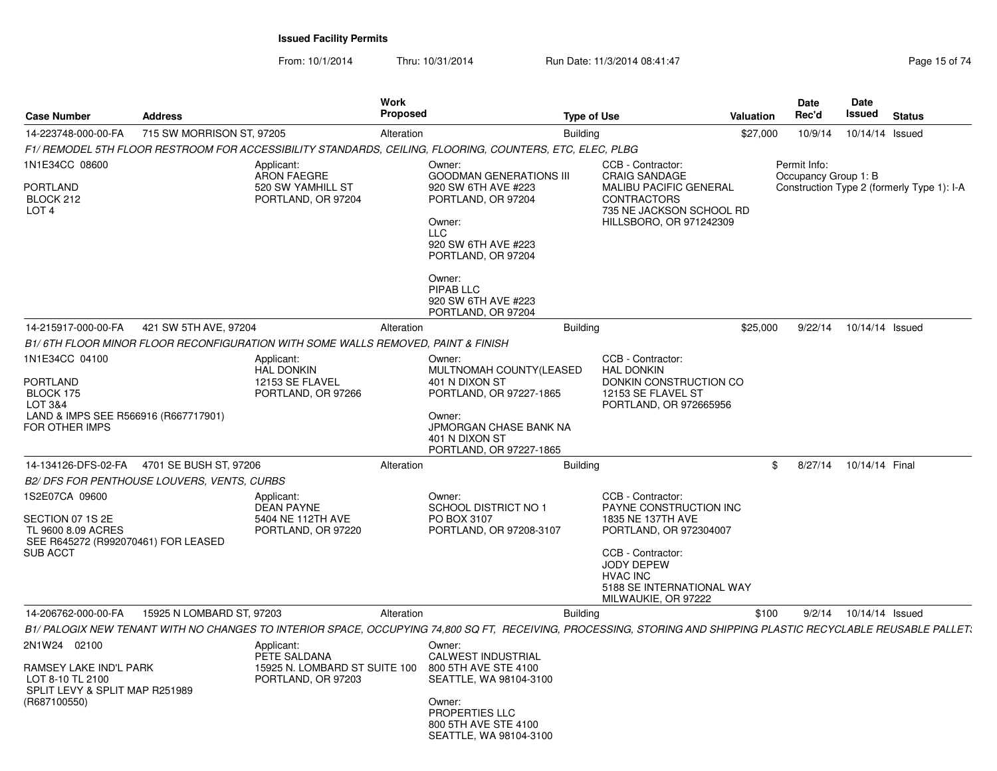From: 10/1/2014Thru: 10/31/2014 Run Date: 11/3/2014 08:41:47 Rege 15 of 74

| <b>Case Number</b>                                                                                                                  | <b>Address</b>            |                                                                                   | <b>Work</b><br><b>Proposed</b> |                                                                                                                                                                                    | <b>Type of Use</b>                                                                                                                                                                                          | Valuation | Date<br>Rec'd                        | Date<br>Issued  | <b>Status</b>                              |
|-------------------------------------------------------------------------------------------------------------------------------------|---------------------------|-----------------------------------------------------------------------------------|--------------------------------|------------------------------------------------------------------------------------------------------------------------------------------------------------------------------------|-------------------------------------------------------------------------------------------------------------------------------------------------------------------------------------------------------------|-----------|--------------------------------------|-----------------|--------------------------------------------|
| 14-223748-000-00-FA                                                                                                                 | 715 SW MORRISON ST, 97205 |                                                                                   | Alteration                     | <b>Building</b>                                                                                                                                                                    |                                                                                                                                                                                                             | \$27,000  | 10/9/14                              | 10/14/14 Issued |                                            |
|                                                                                                                                     |                           |                                                                                   |                                | F1/ REMODEL 5TH FLOOR RESTROOM FOR ACCESSIBILITY STANDARDS, CEILING, FLOORING, COUNTERS, ETC, ELEC, PLBG                                                                           |                                                                                                                                                                                                             |           |                                      |                 |                                            |
| 1N1E34CC 08600<br><b>PORTLAND</b><br>BLOCK 212<br>LOT 4                                                                             |                           | Applicant:<br><b>ARON FAEGRE</b><br>520 SW YAMHILL ST<br>PORTLAND, OR 97204       |                                | Owner:<br><b>GOODMAN GENERATIONS III</b><br>920 SW 6TH AVE #223<br>PORTLAND, OR 97204<br>Owner:<br>LLC<br>920 SW 6TH AVE #223<br>PORTLAND, OR 97204<br>Owner:<br>PIPAB LLC         | CCB - Contractor:<br><b>CRAIG SANDAGE</b><br><b>MALIBU PACIFIC GENERAL</b><br><b>CONTRACTORS</b><br>735 NE JACKSON SCHOOL RD<br>HILLSBORO, OR 971242309                                                     |           | Permit Info:<br>Occupancy Group 1: B |                 | Construction Type 2 (formerly Type 1): I-A |
|                                                                                                                                     |                           |                                                                                   |                                | 920 SW 6TH AVE #223<br>PORTLAND, OR 97204                                                                                                                                          |                                                                                                                                                                                                             |           |                                      |                 |                                            |
| 14-215917-000-00-FA                                                                                                                 | 421 SW 5TH AVE, 97204     |                                                                                   | Alteration                     | <b>Building</b>                                                                                                                                                                    |                                                                                                                                                                                                             | \$25,000  | 9/22/14                              | 10/14/14 Issued |                                            |
|                                                                                                                                     |                           | B1/6TH FLOOR MINOR FLOOR RECONFIGURATION WITH SOME WALLS REMOVED. PAINT & FINISH  |                                |                                                                                                                                                                                    |                                                                                                                                                                                                             |           |                                      |                 |                                            |
| 1N1E34CC 04100<br>PORTLAND<br>BLOCK 175<br>LOT 3&4<br>LAND & IMPS SEE R566916 (R667717901)<br>FOR OTHER IMPS<br>14-134126-DFS-02-FA | 4701 SE BUSH ST, 97206    | Applicant:<br><b>HAL DONKIN</b><br>12153 SE FLAVEL<br>PORTLAND, OR 97266          | Alteration                     | Owner:<br>MULTNOMAH COUNTY(LEASED<br>401 N DIXON ST<br>PORTLAND, OR 97227-1865<br>Owner:<br>JPMORGAN CHASE BANK NA<br>401 N DIXON ST<br>PORTLAND, OR 97227-1865<br><b>Building</b> | CCB - Contractor:<br><b>HAL DONKIN</b><br>DONKIN CONSTRUCTION CO<br>12153 SE FLAVEL ST<br>PORTLAND, OR 972665956                                                                                            | \$        | 8/27/14                              | 10/14/14 Final  |                                            |
| B2/ DFS FOR PENTHOUSE LOUVERS, VENTS, CURBS                                                                                         |                           |                                                                                   |                                |                                                                                                                                                                                    |                                                                                                                                                                                                             |           |                                      |                 |                                            |
| 1S2E07CA 09600<br>SECTION 07 1S 2E<br>TL 9600 8.09 ACRES<br>SEE R645272 (R992070461) FOR LEASED<br><b>SUB ACCT</b>                  |                           | Applicant:<br><b>DEAN PAYNE</b><br>5404 NE 112TH AVE<br>PORTLAND, OR 97220        |                                | Owner:<br>SCHOOL DISTRICT NO 1<br>PO BOX 3107<br>PORTLAND, OR 97208-3107                                                                                                           | CCB - Contractor:<br>PAYNE CONSTRUCTION INC<br>1835 NE 137TH AVE<br>PORTLAND, OR 972304007<br>CCB - Contractor:<br><b>JODY DEPEW</b><br><b>HVAC INC</b><br>5188 SE INTERNATIONAL WAY<br>MILWAUKIE, OR 97222 |           |                                      |                 |                                            |
| 14-206762-000-00-FA                                                                                                                 | 15925 N LOMBARD ST, 97203 |                                                                                   | Alteration                     | <b>Building</b>                                                                                                                                                                    |                                                                                                                                                                                                             | \$100     | 9/2/14                               | 10/14/14 Issued |                                            |
|                                                                                                                                     |                           |                                                                                   |                                | B1/ PALOGIX NEW TENANT WITH NO CHANGES TO INTERIOR SPACE, OCCUPYING 74,800 SQ FT, RECEIVING, PROCESSING, STORING AND SHIPPING PLASTIC RECYCLABLE REUSABLE PALLET.                  |                                                                                                                                                                                                             |           |                                      |                 |                                            |
| 2N1W24 02100<br>RAMSEY LAKE IND'L PARK<br>LOT 8-10 TL 2100<br>SPLIT LEVY & SPLIT MAP R251989<br>(R687100550)                        |                           | Applicant:<br>PETE SALDANA<br>15925 N. LOMBARD ST SUITE 100<br>PORTLAND, OR 97203 |                                | Owner:<br>CALWEST INDUSTRIAL<br>800 5TH AVE STE 4100<br>SEATTLE, WA 98104-3100<br>Owner:<br>PROPERTIES LLC<br>800 5TH AVE STE 4100<br>SEATTLE, WA 98104-3100                       |                                                                                                                                                                                                             |           |                                      |                 |                                            |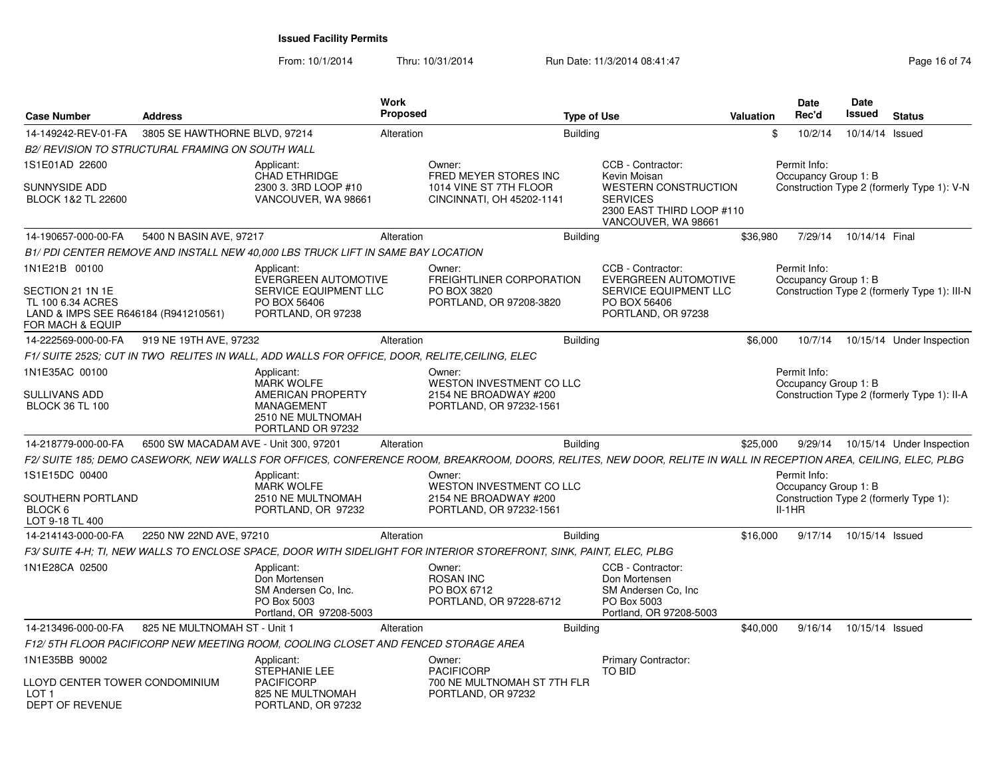From: 10/1/2014Thru: 10/31/2014 Run Date: 11/3/2014 08:41:47 Rege 16 of 74

| <b>Case Number</b>                                                           | <b>Address</b>                                          |                                                                                                       | <b>Work</b><br><b>Proposed</b> |                                                                                                                                                                  | <b>Type of Use</b> |                                                                                                                    | Valuation | Date<br>Rec'd                        | <b>Date</b><br><b>Issued</b> | <b>Status</b>                                |
|------------------------------------------------------------------------------|---------------------------------------------------------|-------------------------------------------------------------------------------------------------------|--------------------------------|------------------------------------------------------------------------------------------------------------------------------------------------------------------|--------------------|--------------------------------------------------------------------------------------------------------------------|-----------|--------------------------------------|------------------------------|----------------------------------------------|
| 14-149242-REV-01-FA                                                          | 3805 SE HAWTHORNE BLVD, 97214                           |                                                                                                       | Alteration                     |                                                                                                                                                                  | <b>Building</b>    |                                                                                                                    | \$        | 10/2/14                              | 10/14/14 Issued              |                                              |
|                                                                              | <b>B2/ REVISION TO STRUCTURAL FRAMING ON SOUTH WALL</b> |                                                                                                       |                                |                                                                                                                                                                  |                    |                                                                                                                    |           |                                      |                              |                                              |
| 1S1E01AD 22600                                                               |                                                         | Applicant:                                                                                            |                                | Owner:                                                                                                                                                           |                    | CCB - Contractor:                                                                                                  |           | Permit Info:                         |                              |                                              |
| <b>SUNNYSIDE ADD</b><br>BLOCK 1&2 TL 22600                                   |                                                         | CHAD ETHRIDGE<br>2300 3. 3RD LOOP #10<br>VANCOUVER, WA 98661                                          |                                | FRED MEYER STORES INC<br>1014 VINE ST 7TH FLOOR<br>CINCINNATI, OH 45202-1141                                                                                     |                    | Kevin Moisan<br><b>WESTERN CONSTRUCTION</b><br><b>SERVICES</b><br>2300 EAST THIRD LOOP #110<br>VANCOUVER, WA 98661 |           | Occupancy Group 1: B                 |                              | Construction Type 2 (formerly Type 1): V-N   |
| 14-190657-000-00-FA                                                          | 5400 N BASIN AVE, 97217                                 |                                                                                                       | Alteration                     |                                                                                                                                                                  | <b>Building</b>    |                                                                                                                    | \$36,980  | 7/29/14                              | 10/14/14 Final               |                                              |
|                                                                              |                                                         | B1/ PDI CENTER REMOVE AND INSTALL NEW 40,000 LBS TRUCK LIFT IN SAME BAY LOCATION                      |                                |                                                                                                                                                                  |                    |                                                                                                                    |           |                                      |                              |                                              |
| 1N1E21B 00100<br>SECTION 21 1N 1E<br>TL 100 6.34 ACRES                       |                                                         | Applicant:<br>EVERGREEN AUTOMOTIVE<br>SERVICE EQUIPMENT LLC<br>PO BOX 56406                           |                                | Owner:<br>FREIGHTLINER CORPORATION<br>PO BOX 3820<br>PORTLAND, OR 97208-3820                                                                                     |                    | CCB - Contractor:<br>EVERGREEN AUTOMOTIVE<br>SERVICE EQUIPMENT LLC<br>PO BOX 56406                                 |           | Permit Info:<br>Occupancy Group 1: B |                              | Construction Type 2 (formerly Type 1): III-N |
| LAND & IMPS SEE R646184 (R941210561)<br>FOR MACH & EQUIP                     |                                                         | PORTLAND, OR 97238                                                                                    |                                |                                                                                                                                                                  |                    | PORTLAND, OR 97238                                                                                                 |           |                                      |                              |                                              |
| 14-222569-000-00-FA                                                          | 919 NE 19TH AVE, 97232                                  |                                                                                                       | Alteration                     |                                                                                                                                                                  | <b>Building</b>    |                                                                                                                    | \$6.000   | 10/7/14                              |                              | 10/15/14 Under Inspection                    |
|                                                                              |                                                         | F1/ SUITE 252S; CUT IN TWO  RELITES IN WALL, ADD WALLS FOR OFFICE, DOOR, RELITE,CEILING, ELEC         |                                |                                                                                                                                                                  |                    |                                                                                                                    |           |                                      |                              |                                              |
| 1N1E35AC 00100                                                               |                                                         | Applicant:                                                                                            |                                | Owner:                                                                                                                                                           |                    |                                                                                                                    |           | Permit Info:                         |                              |                                              |
| <b>SULLIVANS ADD</b><br><b>BLOCK 36 TL 100</b>                               |                                                         | <b>MARK WOLFE</b><br>AMERICAN PROPERTY<br><b>MANAGEMENT</b><br>2510 NE MULTNOMAH<br>PORTLAND OR 97232 |                                | WESTON INVESTMENT CO LLC<br>2154 NE BROADWAY #200<br>PORTLAND, OR 97232-1561                                                                                     |                    |                                                                                                                    |           | Occupancy Group 1: B                 |                              | Construction Type 2 (formerly Type 1): II-A  |
| 14-218779-000-00-FA                                                          | 6500 SW MACADAM AVE - Unit 300, 97201                   |                                                                                                       | Alteration                     |                                                                                                                                                                  | <b>Building</b>    |                                                                                                                    | \$25,000  | 9/29/14                              |                              | 10/15/14 Under Inspection                    |
|                                                                              |                                                         |                                                                                                       |                                | F2/ SUITE 185; DEMO CASEWORK, NEW WALLS FOR OFFICES, CONFERENCE ROOM, BREAKROOM, DOORS, RELITES, NEW DOOR, RELITE IN WALL IN RECEPTION AREA, CEILING, ELEC, PLBG |                    |                                                                                                                    |           |                                      |                              |                                              |
| 1S1E15DC 00400                                                               |                                                         | Applicant:                                                                                            |                                | Owner:                                                                                                                                                           |                    |                                                                                                                    |           | Permit Info:                         |                              |                                              |
| SOUTHERN PORTLAND<br>BLOCK 6<br>LOT 9-18 TL 400                              |                                                         | <b>MARK WOLFE</b><br>2510 NE MULTNOMAH<br>PORTLAND, OR 97232                                          |                                | WESTON INVESTMENT CO LLC<br>2154 NE BROADWAY #200<br>PORTLAND, OR 97232-1561                                                                                     |                    |                                                                                                                    |           | Occupancy Group 1: B<br>$II-1HR$     |                              | Construction Type 2 (formerly Type 1):       |
| 14-214143-000-00-FA                                                          | 2250 NW 22ND AVE, 97210                                 |                                                                                                       | Alteration                     |                                                                                                                                                                  | <b>Building</b>    |                                                                                                                    | \$16,000  | 9/17/14                              | 10/15/14 Issued              |                                              |
|                                                                              |                                                         |                                                                                                       |                                | F3/ SUITE 4-H; TI, NEW WALLS TO ENCLOSE SPACE, DOOR WITH SIDELIGHT FOR INTERIOR STOREFRONT, SINK, PAINT, ELEC, PLBG                                              |                    |                                                                                                                    |           |                                      |                              |                                              |
| 1N1E28CA 02500                                                               |                                                         | Applicant:<br>Don Mortensen<br>SM Andersen Co. Inc.<br>PO Box 5003<br>Portland, OR 97208-5003         |                                | Owner:<br><b>ROSAN INC</b><br>PO BOX 6712<br>PORTLAND, OR 97228-6712                                                                                             |                    | CCB - Contractor:<br>Don Mortensen<br>SM Andersen Co, Inc.<br>PO Box 5003<br>Portland, OR 97208-5003               |           |                                      |                              |                                              |
| 14-213496-000-00-FA                                                          | 825 NE MULTNOMAH ST - Unit 1                            |                                                                                                       | Alteration                     |                                                                                                                                                                  | <b>Building</b>    |                                                                                                                    | \$40,000  | 9/16/14                              | 10/15/14 Issued              |                                              |
|                                                                              |                                                         | F12/5TH FLOOR PACIFICORP NEW MEETING ROOM, COOLING CLOSET AND FENCED STORAGE AREA                     |                                |                                                                                                                                                                  |                    |                                                                                                                    |           |                                      |                              |                                              |
| 1N1E35BB 90002                                                               |                                                         | Applicant:                                                                                            |                                | Owner:                                                                                                                                                           |                    | Primary Contractor:                                                                                                |           |                                      |                              |                                              |
| LLOYD CENTER TOWER CONDOMINIUM<br>LOT <sub>1</sub><br><b>DEPT OF REVENUE</b> |                                                         | STEPHANIE LEE<br><b>PACIFICORP</b><br>825 NE MULTNOMAH<br>PORTLAND, OR 97232                          |                                | <b>PACIFICORP</b><br>700 NE MULTNOMAH ST 7TH FLR<br>PORTLAND, OR 97232                                                                                           |                    | TO BID                                                                                                             |           |                                      |                              |                                              |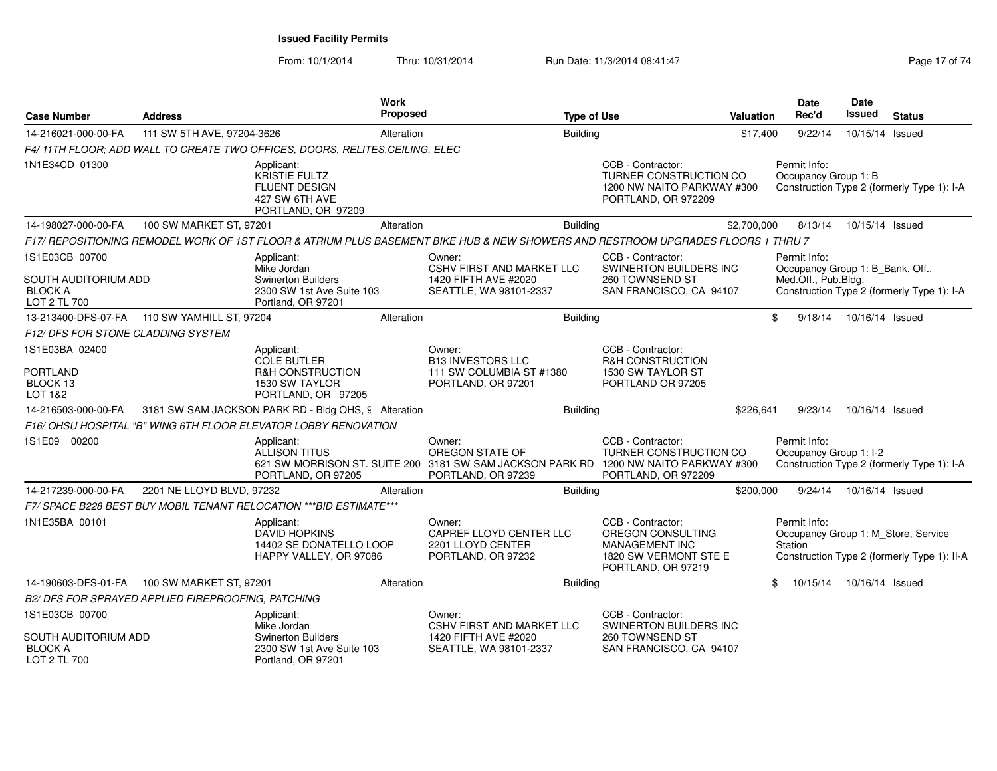From: 10/1/2014Thru: 10/31/2014 Run Date: 11/3/2014 08:41:47 Run Date: 11/3/2014 08:41:47

| <b>Case Number</b>                                     | <b>Address</b>                                     |                                                                                                    | <b>Work</b><br>Proposed |                                                                                                                                         | <b>Type of Use</b> |                                                                                                         | <b>Valuation</b> | Date<br>Rec'd                                                  | Date<br>Issued  | <b>Status</b>                               |
|--------------------------------------------------------|----------------------------------------------------|----------------------------------------------------------------------------------------------------|-------------------------|-----------------------------------------------------------------------------------------------------------------------------------------|--------------------|---------------------------------------------------------------------------------------------------------|------------------|----------------------------------------------------------------|-----------------|---------------------------------------------|
| 14-216021-000-00-FA                                    | 111 SW 5TH AVE, 97204-3626                         |                                                                                                    | Alteration              |                                                                                                                                         | <b>Building</b>    |                                                                                                         | \$17,400         | 9/22/14                                                        | 10/15/14 Issued |                                             |
|                                                        |                                                    | F4/11TH FLOOR; ADD WALL TO CREATE TWO OFFICES, DOORS, RELITES, CEILING, ELEC                       |                         |                                                                                                                                         |                    |                                                                                                         |                  |                                                                |                 |                                             |
| 1N1E34CD 01300                                         |                                                    | Applicant:<br><b>KRISTIE FULTZ</b><br><b>FLUENT DESIGN</b><br>427 SW 6TH AVE<br>PORTLAND, OR 97209 |                         |                                                                                                                                         |                    | CCB - Contractor:<br>TURNER CONSTRUCTION CO<br>1200 NW NAITO PARKWAY #300<br>PORTLAND, OR 972209        |                  | Permit Info:<br>Occupancy Group 1: B                           |                 | Construction Type 2 (formerly Type 1): I-A  |
| 14-198027-000-00-FA                                    | 100 SW MARKET ST, 97201                            |                                                                                                    | Alteration              |                                                                                                                                         | <b>Building</b>    |                                                                                                         | \$2,700,000      | 8/13/14                                                        | 10/15/14 Issued |                                             |
|                                                        |                                                    |                                                                                                    |                         | F17/ REPOSITIONING REMODEL WORK OF 1ST FLOOR & ATRIUM PLUS BASEMENT BIKE HUB & NEW SHOWERS AND RESTROOM UPGRADES FLOORS 1 THRU 7        |                    |                                                                                                         |                  |                                                                |                 |                                             |
| 1S1E03CB 00700                                         |                                                    | Applicant:                                                                                         |                         | Owner:                                                                                                                                  |                    | CCB - Contractor:                                                                                       |                  | Permit Info:                                                   |                 |                                             |
| SOUTH AUDITORIUM ADD<br><b>BLOCK A</b><br>LOT 2 TL 700 |                                                    | Mike Jordan<br><b>Swinerton Builders</b><br>2300 SW 1st Ave Suite 103<br>Portland, OR 97201        |                         | CSHV FIRST AND MARKET LLC<br>1420 FIFTH AVE #2020<br>SEATTLE, WA 98101-2337                                                             |                    | SWINERTON BUILDERS INC<br>260 TOWNSEND ST<br>SAN FRANCISCO, CA 94107                                    |                  | Occupancy Group 1: B_Bank, Off.,<br>Med.Off., Pub.Bldg.        |                 | Construction Type 2 (formerly Type 1): I-A  |
|                                                        | 13-213400-DFS-07-FA   110 SW YAMHILL ST, 97204     |                                                                                                    | Alteration              |                                                                                                                                         | Building           |                                                                                                         |                  | \$<br>9/18/14                                                  | 10/16/14 Issued |                                             |
| <b>F12/ DFS FOR STONE CLADDING SYSTEM</b>              |                                                    |                                                                                                    |                         |                                                                                                                                         |                    |                                                                                                         |                  |                                                                |                 |                                             |
| 1S1E03BA 02400<br><b>PORTLAND</b><br>BLOCK 13          |                                                    | Applicant:<br>COLE BUTLER<br><b>R&amp;H CONSTRUCTION</b><br>1530 SW TAYLOR                         |                         | Owner:<br><b>B13 INVESTORS LLC</b><br>111 SW COLUMBIA ST #1380<br>PORTLAND, OR 97201                                                    |                    | CCB - Contractor:<br>R&H CONSTRUCTION<br>1530 SW TAYLOR ST<br>PORTLAND OR 97205                         |                  |                                                                |                 |                                             |
| LOT 1&2                                                |                                                    | PORTLAND, OR 97205                                                                                 |                         |                                                                                                                                         |                    |                                                                                                         |                  |                                                                |                 |                                             |
| 14-216503-000-00-FA                                    |                                                    | 3181 SW SAM JACKSON PARK RD - Bldg OHS, 9 Alteration                                               |                         |                                                                                                                                         | <b>Building</b>    |                                                                                                         | \$226,641        | 9/23/14                                                        | 10/16/14 Issued |                                             |
|                                                        |                                                    | F16/ OHSU HOSPITAL "B" WING 6TH FLOOR ELEVATOR LOBBY RENOVATION                                    |                         |                                                                                                                                         |                    |                                                                                                         |                  |                                                                |                 |                                             |
| 1S1E09 00200                                           |                                                    | Applicant:<br><b>ALLISON TITUS</b><br>PORTLAND, OR 97205                                           |                         | Owner:<br>OREGON STATE OF<br>621 SW MORRISON ST, SUITE 200 3181 SW SAM JACKSON PARK RD 1200 NW NAITO PARKWAY #300<br>PORTLAND, OR 97239 |                    | CCB - Contractor:<br>TURNER CONSTRUCTION CO<br>PORTLAND, OR 972209                                      |                  | Permit Info:<br>Occupancy Group 1: I-2                         |                 | Construction Type 2 (formerly Type 1): I-A  |
| 14-217239-000-00-FA                                    | 2201 NE LLOYD BLVD, 97232                          |                                                                                                    | Alteration              |                                                                                                                                         | <b>Building</b>    |                                                                                                         | \$200,000        | 9/24/14                                                        | 10/16/14 Issued |                                             |
|                                                        |                                                    | F7/ SPACE B228 BEST BUY MOBIL TENANT RELOCATION *** BID ESTIMATE***                                |                         |                                                                                                                                         |                    |                                                                                                         |                  |                                                                |                 |                                             |
| 1N1E35BA 00101                                         |                                                    | Applicant:<br><b>DAVID HOPKINS</b><br>14402 SE DONATELLO LOOP<br>HAPPY VALLEY, OR 97086            |                         | Owner:<br>CAPREF LLOYD CENTER LLC<br>2201 LLOYD CENTER<br>PORTLAND, OR 97232                                                            |                    | CCB - Contractor:<br>OREGON CONSULTING<br>MANAGEMENT INC<br>1820 SW VERMONT STE E<br>PORTLAND, OR 97219 |                  | Permit Info:<br>Occupancy Group 1: M_Store, Service<br>Station |                 | Construction Type 2 (formerly Type 1): II-A |
| 14-190603-DFS-01-FA                                    | 100 SW MARKET ST, 97201                            |                                                                                                    | Alteration              |                                                                                                                                         | <b>Building</b>    |                                                                                                         |                  | \$<br>10/15/14                                                 | 10/16/14 Issued |                                             |
|                                                        | B2/ DFS FOR SPRAYED APPLIED FIREPROOFING, PATCHING |                                                                                                    |                         |                                                                                                                                         |                    |                                                                                                         |                  |                                                                |                 |                                             |
| 1S1E03CB 00700                                         |                                                    | Applicant:<br>Mike Jordan                                                                          |                         | Owner:<br>CSHV FIRST AND MARKET LLC                                                                                                     |                    | CCB - Contractor:<br>SWINERTON BUILDERS INC                                                             |                  |                                                                |                 |                                             |
| SOUTH AUDITORIUM ADD<br><b>BLOCK A</b><br>LOT 2 TL 700 |                                                    | <b>Swinerton Builders</b><br>2300 SW 1st Ave Suite 103<br>Portland, OR 97201                       |                         | 1420 FIFTH AVE #2020<br>SEATTLE, WA 98101-2337                                                                                          |                    | 260 TOWNSEND ST<br>SAN FRANCISCO, CA 94107                                                              |                  |                                                                |                 |                                             |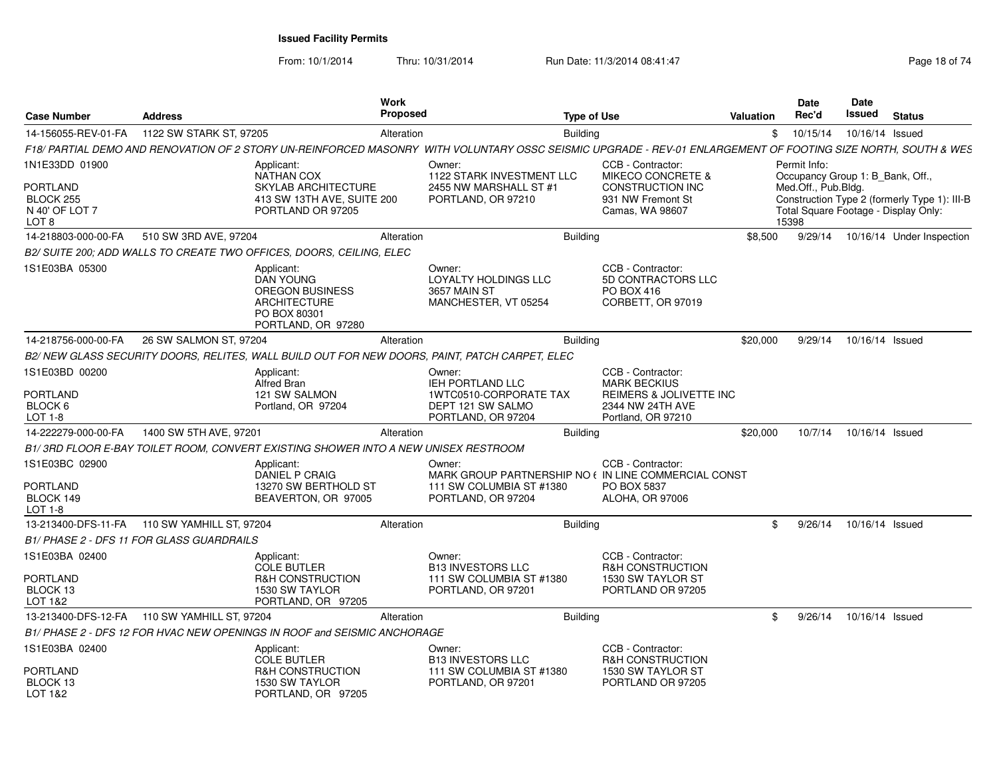From: 10/1/2014

Thru: 10/31/2014 Run Date: 11/3/2014 08:41:47 Run Date: 11/3/2014 08:41:47

| <b>Case Number</b>                                        | <b>Address</b>                                   |                                                                                                                       | <b>Work</b><br>Proposed |                                                                                                                                                               |                 | <b>Type of Use</b>                                                           | <b>Valuation</b> | Date<br>Rec'd                                                           | <b>Date</b><br><b>Issued</b> | <b>Status</b>                                                                        |
|-----------------------------------------------------------|--------------------------------------------------|-----------------------------------------------------------------------------------------------------------------------|-------------------------|---------------------------------------------------------------------------------------------------------------------------------------------------------------|-----------------|------------------------------------------------------------------------------|------------------|-------------------------------------------------------------------------|------------------------------|--------------------------------------------------------------------------------------|
| 14-156055-REV-01-FA                                       | 1122 SW STARK ST, 97205                          |                                                                                                                       | Alteration              |                                                                                                                                                               | Building        |                                                                              | \$               | 10/15/14                                                                | 10/16/14 Issued              |                                                                                      |
|                                                           |                                                  |                                                                                                                       |                         | F18/ PARTIAL DEMO AND RENOVATION OF 2 STORY UN-REINFORCED MASONRY WITH VOLUNTARY OSSC SEISMIC UPGRADE - REV-01 ENLARGEMENT OF FOOTING SIZE NORTH, SOUTH & WES |                 |                                                                              |                  |                                                                         |                              |                                                                                      |
| 1N1E33DD 01900<br><b>PORTLAND</b>                         |                                                  | Applicant:<br><b>NATHAN COX</b><br><b>SKYLAB ARCHITECTURE</b>                                                         |                         | Owner:<br>1122 STARK INVESTMENT LLC<br>2455 NW MARSHALL ST #1                                                                                                 |                 | CCB - Contractor:<br><b>MIKECO CONCRETE &amp;</b><br><b>CONSTRUCTION INC</b> |                  | Permit Info:<br>Occupancy Group 1: B_Bank, Off.,<br>Med.Off., Pub.Bldg. |                              |                                                                                      |
| BLOCK 255<br>N 40' OF LOT 7<br>LOT 8                      |                                                  | 413 SW 13TH AVE, SUITE 200<br>PORTLAND OR 97205                                                                       |                         | PORTLAND, OR 97210                                                                                                                                            |                 | 931 NW Fremont St<br>Camas, WA 98607                                         |                  | 15398                                                                   |                              | Construction Type 2 (formerly Type 1): III-B<br>Total Square Footage - Display Only: |
| 14-218803-000-00-FA                                       | 510 SW 3RD AVE, 97204                            |                                                                                                                       | Alteration              |                                                                                                                                                               | <b>Building</b> |                                                                              | \$8,500          | 9/29/14                                                                 |                              | 10/16/14 Under Inspection                                                            |
|                                                           |                                                  | B2/ SUITE 200; ADD WALLS TO CREATE TWO OFFICES, DOORS, CEILING, ELEC                                                  |                         |                                                                                                                                                               |                 |                                                                              |                  |                                                                         |                              |                                                                                      |
| 1S1E03BA 05300                                            |                                                  | Applicant:<br><b>DAN YOUNG</b><br><b>OREGON BUSINESS</b><br><b>ARCHITECTURE</b><br>PO BOX 80301<br>PORTLAND, OR 97280 |                         | Owner:<br>LOYALTY HOLDINGS LLC<br>3657 MAIN ST<br>MANCHESTER, VT 05254                                                                                        |                 | CCB - Contractor:<br>5D CONTRACTORS LLC<br>PO BOX 416<br>CORBETT, OR 97019   |                  |                                                                         |                              |                                                                                      |
| 14-218756-000-00-FA                                       | 26 SW SALMON ST, 97204                           |                                                                                                                       | Alteration              |                                                                                                                                                               | <b>Building</b> |                                                                              | \$20,000         | 9/29/14                                                                 | 10/16/14 Issued              |                                                                                      |
|                                                           |                                                  |                                                                                                                       |                         | B2/ NEW GLASS SECURITY DOORS, RELITES, WALL BUILD OUT FOR NEW DOORS, PAINT, PATCH CARPET, ELEC                                                                |                 |                                                                              |                  |                                                                         |                              |                                                                                      |
| 1S1E03BD 00200                                            |                                                  | Applicant:<br>Alfred Bran                                                                                             |                         | Owner:<br>IEH PORTLAND LLC                                                                                                                                    |                 | CCB - Contractor:<br><b>MARK BECKIUS</b>                                     |                  |                                                                         |                              |                                                                                      |
| <b>PORTLAND</b><br>BLOCK 6<br>LOT 1-8                     |                                                  | 121 SW SALMON<br>Portland, OR 97204                                                                                   |                         | <b>1WTC0510-CORPORATE TAX</b><br>DEPT 121 SW SALMO<br>PORTLAND, OR 97204                                                                                      |                 | <b>REIMERS &amp; JOLIVETTE INC</b><br>2344 NW 24TH AVE<br>Portland, OR 97210 |                  |                                                                         |                              |                                                                                      |
| 14-222279-000-00-FA                                       | 1400 SW 5TH AVE, 97201                           |                                                                                                                       | Alteration              |                                                                                                                                                               | <b>Building</b> |                                                                              | \$20,000         | 10/7/14                                                                 | 10/16/14 Issued              |                                                                                      |
|                                                           |                                                  | B1/3RD FLOOR E-BAY TOILET ROOM, CONVERT EXISTING SHOWER INTO A NEW UNISEX RESTROOM                                    |                         |                                                                                                                                                               |                 |                                                                              |                  |                                                                         |                              |                                                                                      |
| 1S1E03BC 02900<br><b>PORTLAND</b><br>BLOCK 149<br>LOT 1-8 |                                                  | Applicant:<br><b>DANIEL P CRAIG</b><br>13270 SW BERTHOLD ST<br>BEAVERTON, OR 97005                                    |                         | Owner:<br>MARK GROUP PARTNERSHIP NO ( IN LINE COMMERCIAL CONST<br>111 SW COLUMBIA ST #1380<br>PORTLAND, OR 97204                                              |                 | CCB - Contractor:<br>PO BOX 5837<br><b>ALOHA, OR 97006</b>                   |                  |                                                                         |                              |                                                                                      |
| 13-213400-DFS-11-FA                                       | 110 SW YAMHILL ST, 97204                         |                                                                                                                       | Alteration              |                                                                                                                                                               | <b>Building</b> |                                                                              | \$               | 9/26/14                                                                 | 10/16/14 Issued              |                                                                                      |
|                                                           | <b>B1/ PHASE 2 - DFS 11 FOR GLASS GUARDRAILS</b> |                                                                                                                       |                         |                                                                                                                                                               |                 |                                                                              |                  |                                                                         |                              |                                                                                      |
| 1S1E03BA 02400                                            |                                                  | Applicant:<br><b>COLE BUTLER</b>                                                                                      |                         | Owner:<br><b>B13 INVESTORS LLC</b>                                                                                                                            |                 | CCB - Contractor:<br><b>R&amp;H CONSTRUCTION</b>                             |                  |                                                                         |                              |                                                                                      |
| <b>PORTLAND</b><br>BLOCK 13<br>LOT 1&2                    |                                                  | <b>R&amp;H CONSTRUCTION</b><br>1530 SW TAYLOR<br>PORTLAND, OR 97205                                                   |                         | 111 SW COLUMBIA ST #1380<br>PORTLAND, OR 97201                                                                                                                |                 | 1530 SW TAYLOR ST<br>PORTLAND OR 97205                                       |                  |                                                                         |                              |                                                                                      |
| 13-213400-DFS-12-FA                                       | 110 SW YAMHILL ST, 97204                         |                                                                                                                       | Alteration              |                                                                                                                                                               | <b>Building</b> |                                                                              | \$               | 9/26/14                                                                 | 10/16/14 Issued              |                                                                                      |
|                                                           |                                                  | B1/ PHASE 2 - DFS 12 FOR HVAC NEW OPENINGS IN ROOF and SEISMIC ANCHORAGE                                              |                         |                                                                                                                                                               |                 |                                                                              |                  |                                                                         |                              |                                                                                      |
| 1S1E03BA 02400                                            |                                                  | Applicant:<br><b>COLE BUTLER</b>                                                                                      |                         | Owner:<br><b>B13 INVESTORS LLC</b>                                                                                                                            |                 | CCB - Contractor:<br><b>R&amp;H CONSTRUCTION</b>                             |                  |                                                                         |                              |                                                                                      |
| <b>PORTLAND</b><br>BLOCK 13<br>LOT 1&2                    |                                                  | <b>R&amp;H CONSTRUCTION</b><br>1530 SW TAYLOR<br>PORTLAND, OR 97205                                                   |                         | 111 SW COLUMBIA ST #1380<br>PORTLAND, OR 97201                                                                                                                |                 | 1530 SW TAYLOR ST<br>PORTLAND OR 97205                                       |                  |                                                                         |                              |                                                                                      |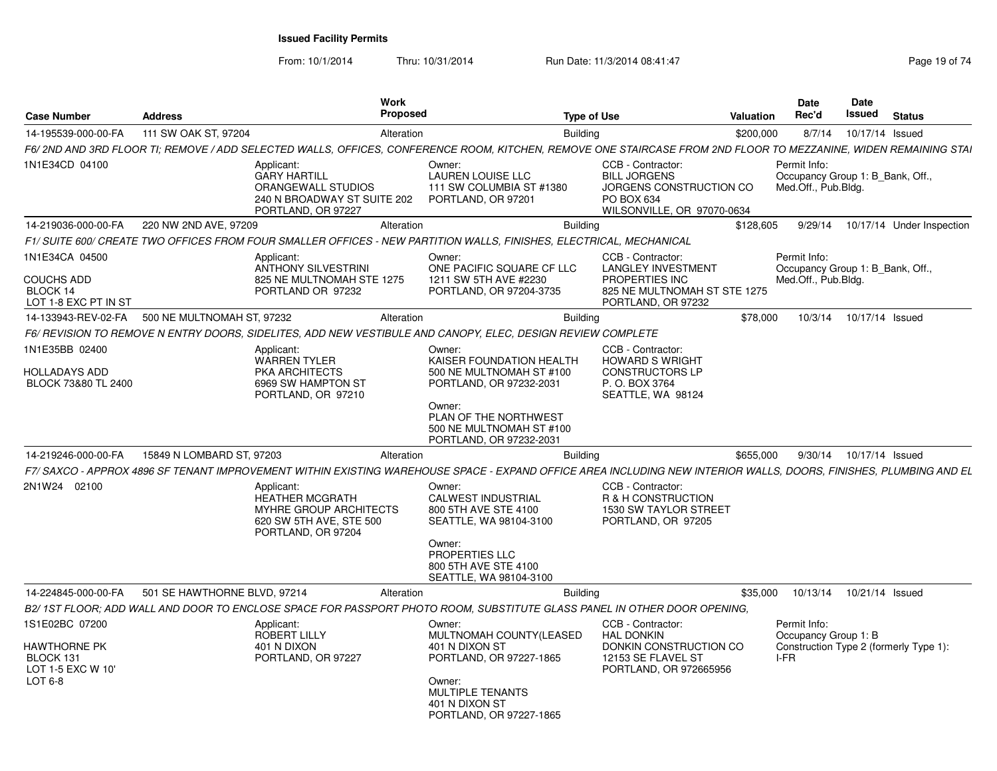From: 10/1/2014

Thru: 10/31/2014 Run Date: 11/3/2014 08:41:47 Run Date: 11/3/2014 08:41:47

| <b>Case Number</b>                                               | <b>Address</b>               |                                                                                                                 | <b>Work</b><br><b>Proposed</b> | <b>Type of Use</b>                                                                                                                                                |                                                                                                                               | <b>Valuation</b> | <b>Date</b><br>Rec'd                                                    | Date<br>Issued | <b>Status</b>                          |
|------------------------------------------------------------------|------------------------------|-----------------------------------------------------------------------------------------------------------------|--------------------------------|-------------------------------------------------------------------------------------------------------------------------------------------------------------------|-------------------------------------------------------------------------------------------------------------------------------|------------------|-------------------------------------------------------------------------|----------------|----------------------------------------|
| 14-195539-000-00-FA                                              | 111 SW OAK ST, 97204         |                                                                                                                 | Alteration                     | <b>Building</b>                                                                                                                                                   |                                                                                                                               | \$200,000        | 8/7/14                                                                  |                | 10/17/14 Issued                        |
|                                                                  |                              |                                                                                                                 |                                | F6/ 2ND AND 3RD FLOOR TI; REMOVE / ADD SELECTED WALLS, OFFICES, CONFERENCE ROOM, KITCHEN, REMOVE ONE STAIRCASE FROM 2ND FLOOR TO MEZZANINE, WIDEN REMAINING STAI  |                                                                                                                               |                  |                                                                         |                |                                        |
| 1N1E34CD 04100                                                   |                              | Applicant:<br><b>GARY HARTILL</b><br>ORANGEWALL STUDIOS<br>240 N BROADWAY ST SUITE 202<br>PORTLAND, OR 97227    |                                | Owner:<br><b>LAUREN LOUISE LLC</b><br>111 SW COLUMBIA ST #1380<br>PORTLAND, OR 97201                                                                              | CCB - Contractor:<br><b>BILL JORGENS</b><br>JORGENS CONSTRUCTION CO<br>PO BOX 634<br>WILSONVILLE, OR 97070-0634               |                  | Permit Info:<br>Occupancy Group 1: B Bank, Off.,<br>Med.Off., Pub.Bldg. |                |                                        |
| 14-219036-000-00-FA                                              | 220 NW 2ND AVE, 97209        |                                                                                                                 | Alteration                     | <b>Building</b>                                                                                                                                                   |                                                                                                                               | \$128,605        | 9/29/14                                                                 |                | 10/17/14 Under Inspection              |
|                                                                  |                              |                                                                                                                 |                                | F1/ SUITE 600/ CREATE TWO OFFICES FROM FOUR SMALLER OFFICES - NEW PARTITION WALLS. FINISHES. ELECTRICAL. MECHANICAL                                               |                                                                                                                               |                  |                                                                         |                |                                        |
| 1N1E34CA 04500<br>COUCHS ADD<br>BLOCK 14<br>LOT 1-8 EXC PT IN ST |                              | Applicant:<br><b>ANTHONY SILVESTRINI</b><br>825 NE MULTNOMAH STE 1275<br>PORTLAND OR 97232                      |                                | Owner:<br>ONE PACIFIC SQUARE CF LLC<br>1211 SW 5TH AVE #2230<br>PORTLAND, OR 97204-3735                                                                           | CCB - Contractor:<br><b>LANGLEY INVESTMENT</b><br><b>PROPERTIES INC</b><br>825 NE MULTNOMAH ST STE 1275<br>PORTLAND, OR 97232 |                  | Permit Info:<br>Occupancy Group 1: B Bank, Off.,<br>Med.Off., Pub.Bldg. |                |                                        |
| 14-133943-REV-02-FA                                              | 500 NE MULTNOMAH ST. 97232   |                                                                                                                 | Alteration                     | <b>Building</b>                                                                                                                                                   |                                                                                                                               | \$78,000         | 10/3/14                                                                 |                | 10/17/14 Issued                        |
|                                                                  |                              |                                                                                                                 |                                | F6/ REVISION TO REMOVE N ENTRY DOORS, SIDELITES, ADD NEW VESTIBULE AND CANOPY, ELEC, DESIGN REVIEW COMPLETE                                                       |                                                                                                                               |                  |                                                                         |                |                                        |
| 1N1E35BB 02400                                                   |                              | Applicant:<br><b>WARREN TYLER</b>                                                                               |                                | Owner:<br>KAISER FOUNDATION HEALTH                                                                                                                                | CCB - Contractor:<br><b>HOWARD S WRIGHT</b>                                                                                   |                  |                                                                         |                |                                        |
| <b>HOLLADAYS ADD</b><br>BLOCK 73&80 TL 2400                      |                              | PKA ARCHITECTS<br>6969 SW HAMPTON ST<br>PORTLAND, OR 97210                                                      |                                | 500 NE MULTNOMAH ST #100<br>PORTLAND, OR 97232-2031                                                                                                               | <b>CONSTRUCTORS LP</b><br>P. O. BOX 3764<br>SEATTLE, WA 98124                                                                 |                  |                                                                         |                |                                        |
|                                                                  |                              |                                                                                                                 |                                | Owner:<br>PLAN OF THE NORTHWEST<br>500 NE MULTNOMAH ST #100<br>PORTLAND, OR 97232-2031                                                                            |                                                                                                                               |                  |                                                                         |                |                                        |
| 14-219246-000-00-FA                                              | 15849 N LOMBARD ST, 97203    |                                                                                                                 | Alteration                     | <b>Building</b>                                                                                                                                                   |                                                                                                                               | \$655,000        | 9/30/14                                                                 |                | 10/17/14 Issued                        |
|                                                                  |                              |                                                                                                                 |                                | F7/ SAXCO - APPROX 4896 SF TENANT IMPROVEMENT WITHIN EXISTING WAREHOUSE SPACE - EXPAND OFFICE AREA INCLUDING NEW INTERIOR WALLS. DOORS. FINISHES. PLUMBING AND EL |                                                                                                                               |                  |                                                                         |                |                                        |
| 2N1W24 02100                                                     |                              | Applicant:<br><b>HEATHER MCGRATH</b><br>MYHRE GROUP ARCHITECTS<br>620 SW 5TH AVE, STE 500<br>PORTLAND, OR 97204 |                                | Owner:<br><b>CALWEST INDUSTRIAL</b><br>800 5TH AVE STE 4100<br>SEATTLE, WA 98104-3100<br>Owner:<br>PROPERTIES LLC<br>800 5TH AVE STE 4100                         | CCB - Contractor:<br>R & H CONSTRUCTION<br>1530 SW TAYLOR STREET<br>PORTLAND, OR 97205                                        |                  |                                                                         |                |                                        |
|                                                                  |                              |                                                                                                                 |                                | SEATTLE, WA 98104-3100                                                                                                                                            |                                                                                                                               |                  |                                                                         |                |                                        |
| 14-224845-000-00-FA                                              | 501 SE HAWTHORNE BLVD, 97214 |                                                                                                                 | Alteration                     | <b>Building</b>                                                                                                                                                   |                                                                                                                               | \$35,000         | 10/13/14                                                                |                | 10/21/14 Issued                        |
|                                                                  |                              |                                                                                                                 |                                | B2/ 1ST FLOOR: ADD WALL AND DOOR TO ENCLOSE SPACE FOR PASSPORT PHOTO ROOM, SUBSTITUTE GLASS PANEL IN OTHER DOOR OPENING.                                          |                                                                                                                               |                  |                                                                         |                |                                        |
| 1S1E02BC 07200                                                   |                              | Applicant:<br>ROBERT LILLY                                                                                      |                                | Owner:<br>MULTNOMAH COUNTY(LEASED                                                                                                                                 | CCB - Contractor:<br><b>HAL DONKIN</b>                                                                                        |                  | Permit Info:<br>Occupancy Group 1: B                                    |                |                                        |
| HAWTHORNE PK<br>BLOCK 131<br>LOT 1-5 EXC W 10'<br>LOT 6-8        |                              | 401 N DIXON<br>PORTLAND, OR 97227                                                                               |                                | 401 N DIXON ST<br>PORTLAND, OR 97227-1865<br>Owner:                                                                                                               | DONKIN CONSTRUCTION CO<br>12153 SE FLAVEL ST<br>PORTLAND, OR 972665956                                                        |                  | I-FR                                                                    |                | Construction Type 2 (formerly Type 1): |
|                                                                  |                              |                                                                                                                 |                                | <b>MULTIPLE TENANTS</b><br>401 N DIXON ST<br>PORTLAND, OR 97227-1865                                                                                              |                                                                                                                               |                  |                                                                         |                |                                        |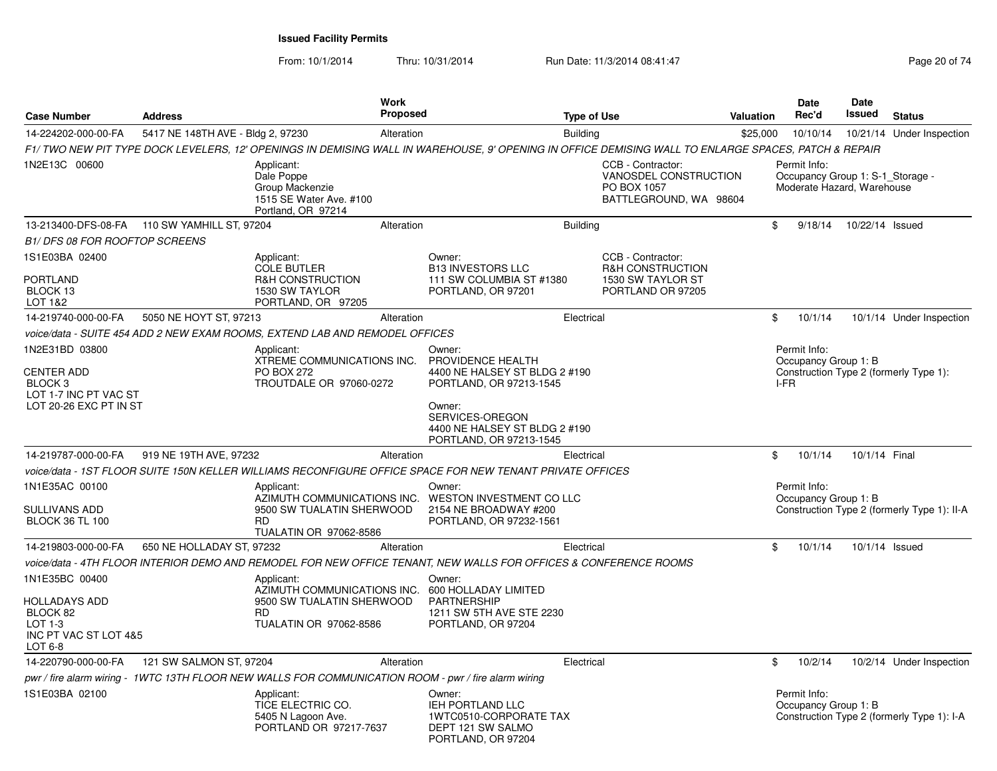From: 10/1/2014Thru: 10/31/2014 Run Date: 11/3/2014 08:41:47 Rege 20 of 74

| <b>Case Number</b>                                                                  | <b>Address</b>                               |                                                                                                      | <b>Work</b><br><b>Proposed</b> |                                                                                                                                                      | <b>Type of Use</b>                                                                         | Valuation | Date<br>Rec'd                                                                  | <b>Date</b><br><b>Issued</b> | <b>Status</b>                               |
|-------------------------------------------------------------------------------------|----------------------------------------------|------------------------------------------------------------------------------------------------------|--------------------------------|------------------------------------------------------------------------------------------------------------------------------------------------------|--------------------------------------------------------------------------------------------|-----------|--------------------------------------------------------------------------------|------------------------------|---------------------------------------------|
| 14-224202-000-00-FA                                                                 | 5417 NE 148TH AVE - Bldg 2, 97230            |                                                                                                      | Alteration                     | <b>Building</b>                                                                                                                                      |                                                                                            | \$25,000  | 10/10/14                                                                       |                              | 10/21/14 Under Inspection                   |
|                                                                                     |                                              |                                                                                                      |                                | F1/ TWO NEW PIT TYPE DOCK LEVELERS, 12' OPENINGS IN DEMISING WALL IN WAREHOUSE, 9' OPENING IN OFFICE DEMISING WALL TO ENLARGE SPACES, PATCH & REPAIR |                                                                                            |           |                                                                                |                              |                                             |
| 1N2E13C 00600                                                                       |                                              | Applicant:<br>Dale Poppe<br>Group Mackenzie<br>1515 SE Water Ave. #100<br>Portland, OR 97214         |                                |                                                                                                                                                      | CCB - Contractor:<br>VANOSDEL CONSTRUCTION<br>PO BOX 1057<br>BATTLEGROUND, WA 98604        |           | Permit Info:<br>Occupancy Group 1: S-1_Storage -<br>Moderate Hazard, Warehouse |                              |                                             |
|                                                                                     | 13-213400-DFS-08-FA 110 SW YAMHILL ST, 97204 |                                                                                                      | Alteration                     | <b>Building</b>                                                                                                                                      |                                                                                            |           | \$<br>9/18/14                                                                  | 10/22/14 Issued              |                                             |
| <b>B1/DFS 08 FOR ROOFTOP SCREENS</b>                                                |                                              |                                                                                                      |                                |                                                                                                                                                      |                                                                                            |           |                                                                                |                              |                                             |
| 1S1E03BA 02400<br><b>PORTLAND</b><br>BLOCK 13                                       |                                              | Applicant:<br><b>COLE BUTLER</b><br><b>R&amp;H CONSTRUCTION</b><br>1530 SW TAYLOR                    |                                | Owner:<br><b>B13 INVESTORS LLC</b><br>111 SW COLUMBIA ST #1380                                                                                       | CCB - Contractor:<br><b>R&amp;H CONSTRUCTION</b><br>1530 SW TAYLOR ST<br>PORTLAND OR 97205 |           |                                                                                |                              |                                             |
| LOT 1&2                                                                             |                                              | PORTLAND, OR 97205                                                                                   |                                | PORTLAND, OR 97201                                                                                                                                   |                                                                                            |           |                                                                                |                              |                                             |
| 14-219740-000-00-FA                                                                 | 5050 NE HOYT ST, 97213                       |                                                                                                      | Alteration                     | Electrical                                                                                                                                           |                                                                                            |           | \$<br>10/1/14                                                                  |                              | 10/1/14 Under Inspection                    |
|                                                                                     |                                              | voice/data - SUITE 454 ADD 2 NEW EXAM ROOMS, EXTEND LAB AND REMODEL OFFICES                          |                                |                                                                                                                                                      |                                                                                            |           |                                                                                |                              |                                             |
| 1N2E31BD 03800                                                                      |                                              | Applicant:<br>XTREME COMMUNICATIONS INC.                                                             |                                | Owner:<br>PROVIDENCE HEALTH                                                                                                                          |                                                                                            |           | Permit Info:<br>Occupancy Group 1: B                                           |                              |                                             |
| <b>CENTER ADD</b><br>BLOCK <sub>3</sub><br>LOT 1-7 INC PT VAC ST                    |                                              | <b>PO BOX 272</b><br>TROUTDALE OR 97060-0272                                                         |                                | 4400 NE HALSEY ST BLDG 2 #190<br>PORTLAND, OR 97213-1545                                                                                             |                                                                                            |           | I-FR                                                                           |                              | Construction Type 2 (formerly Type 1):      |
| LOT 20-26 EXC PT IN ST                                                              |                                              |                                                                                                      |                                | Owner:<br>SERVICES-OREGON<br>4400 NE HALSEY ST BLDG 2 #190<br>PORTLAND, OR 97213-1545                                                                |                                                                                            |           |                                                                                |                              |                                             |
| 14-219787-000-00-FA                                                                 | 919 NE 19TH AVE, 97232                       |                                                                                                      | Alteration                     | Electrical                                                                                                                                           |                                                                                            | \$        | 10/1/14                                                                        | 10/1/14 Final                |                                             |
|                                                                                     |                                              |                                                                                                      |                                | voice/data - 1ST FLOOR SUITE 150N KELLER WILLIAMS RECONFIGURE OFFICE SPACE FOR NEW TENANT PRIVATE OFFICES                                            |                                                                                            |           |                                                                                |                              |                                             |
| 1N1E35AC 00100                                                                      |                                              | Applicant:                                                                                           |                                | Owner:<br>AZIMUTH COMMUNICATIONS INC. WESTON INVESTMENT CO LLC                                                                                       |                                                                                            |           | Permit Info:<br>Occupancy Group 1: B                                           |                              |                                             |
| <b>SULLIVANS ADD</b><br><b>BLOCK 36 TL 100</b>                                      |                                              | 9500 SW TUALATIN SHERWOOD<br><b>RD</b><br>TUALATIN OR 97062-8586                                     |                                | 2154 NE BROADWAY #200<br>PORTLAND, OR 97232-1561                                                                                                     |                                                                                            |           |                                                                                |                              | Construction Type 2 (formerly Type 1): II-A |
| 14-219803-000-00-FA                                                                 | 650 NE HOLLADAY ST, 97232                    |                                                                                                      | Alteration                     | Electrical                                                                                                                                           |                                                                                            | \$        | 10/1/14                                                                        |                              | 10/1/14 Issued                              |
|                                                                                     |                                              |                                                                                                      |                                | voice/data - 4TH FLOOR INTERIOR DEMO AND REMODEL FOR NEW OFFICE TENANT, NEW WALLS FOR OFFICES & CONFERENCE ROOMS                                     |                                                                                            |           |                                                                                |                              |                                             |
| 1N1E35BC 00400                                                                      |                                              | Applicant:<br>AZIMUTH COMMUNICATIONS INC.                                                            |                                | Owner:<br>600 HOLLADAY LIMITED                                                                                                                       |                                                                                            |           |                                                                                |                              |                                             |
| <b>HOLLADAYS ADD</b><br>BLOCK 82<br>LOT $1-3$<br>INC PT VAC ST LOT 4&5<br>LOT $6-8$ |                                              | 9500 SW TUALATIN SHERWOOD<br><b>RD</b><br><b>TUALATIN OR 97062-8586</b>                              |                                | <b>PARTNERSHIP</b><br>1211 SW 5TH AVE STE 2230<br>PORTLAND, OR 97204                                                                                 |                                                                                            |           |                                                                                |                              |                                             |
| 14-220790-000-00-FA                                                                 | 121 SW SALMON ST, 97204                      |                                                                                                      | Alteration                     | Electrical                                                                                                                                           |                                                                                            |           | \$<br>10/2/14                                                                  |                              | 10/2/14 Under Inspection                    |
|                                                                                     |                                              | pwr / fire alarm wiring - 1WTC 13TH FLOOR NEW WALLS FOR COMMUNICATION ROOM - pwr / fire alarm wiring |                                |                                                                                                                                                      |                                                                                            |           |                                                                                |                              |                                             |
| 1S1E03BA 02100                                                                      |                                              | Applicant:<br>TICE ELECTRIC CO.<br>5405 N Lagoon Ave.<br>PORTLAND OR 97217-7637                      |                                | Owner:<br>IEH PORTLAND LLC<br>1WTC0510-CORPORATE TAX<br>DEPT 121 SW SALMO<br>PORTLAND, OR 97204                                                      |                                                                                            |           | Permit Info:<br>Occupancy Group 1: B                                           |                              | Construction Type 2 (formerly Type 1): I-A  |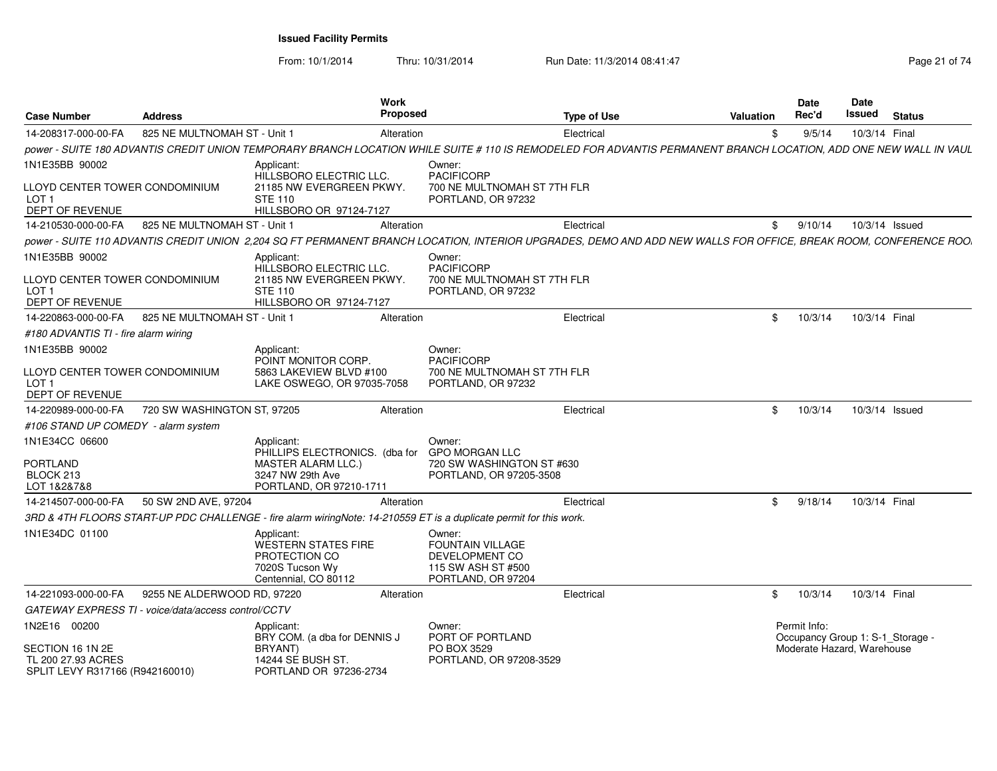From: 10/1/2014Thru: 10/31/2014 Run Date: 11/3/2014 08:41:47 Rege 21 of 74

| <b>Case Number</b>                                                        | <b>Address</b>               | Work                                                                                                                                                              | <b>Proposed</b>                                                                          | <b>Type of Use</b> | <b>Valuation</b> | Date<br>Rec'd                                    | Date<br>Issued | <b>Status</b>  |
|---------------------------------------------------------------------------|------------------------------|-------------------------------------------------------------------------------------------------------------------------------------------------------------------|------------------------------------------------------------------------------------------|--------------------|------------------|--------------------------------------------------|----------------|----------------|
| 14-208317-000-00-FA                                                       | 825 NE MULTNOMAH ST - Unit 1 | Alteration                                                                                                                                                        |                                                                                          | Electrical         | \$               | 9/5/14                                           | 10/3/14 Final  |                |
|                                                                           |                              | power - SUITE 180 ADVANTIS CREDIT UNION TEMPORARY BRANCH LOCATION WHILE SUITE # 110 IS REMODELED FOR ADVANTIS PERMANENT BRANCH LOCATION, ADD ONE NEW WALL IN VAUL |                                                                                          |                    |                  |                                                  |                |                |
| 1N1E35BB 90002<br>LLOYD CENTER TOWER CONDOMINIUM                          |                              | Applicant:<br>HILLSBORO ELECTRIC LLC.<br>21185 NW EVERGREEN PKWY.                                                                                                 | Owner:<br><b>PACIFICORP</b><br>700 NE MULTNOMAH ST 7TH FLR                               |                    |                  |                                                  |                |                |
| LOT <sub>1</sub><br>DEPT OF REVENUE                                       |                              | <b>STE 110</b><br>HILLSBORO OR 97124-7127                                                                                                                         | PORTLAND, OR 97232                                                                       |                    |                  |                                                  |                |                |
| 14-210530-000-00-FA                                                       | 825 NE MULTNOMAH ST - Unit 1 | Alteration                                                                                                                                                        |                                                                                          | Electrical         | \$               | 9/10/14                                          |                | 10/3/14 Issued |
|                                                                           |                              | power - SUITE 110 ADVANTIS CREDIT UNION 2,204 SQ FT PERMANENT BRANCH LOCATION, INTERIOR UPGRADES, DEMO AND ADD NEW WALLS FOR OFFICE, BREAK ROOM, CONFERENCE ROO.  |                                                                                          |                    |                  |                                                  |                |                |
| 1N1E35BB 90002                                                            |                              | Applicant:<br><b>HILLSBORO ELECTRIC LLC.</b>                                                                                                                      | Owner:<br><b>PACIFICORP</b>                                                              |                    |                  |                                                  |                |                |
| LLOYD CENTER TOWER CONDOMINIUM<br>LOT <sub>1</sub><br>DEPT OF REVENUE     |                              | 21185 NW EVERGREEN PKWY.<br><b>STE 110</b><br>HILLSBORO OR 97124-7127                                                                                             | 700 NE MULTNOMAH ST 7TH FLR<br>PORTLAND, OR 97232                                        |                    |                  |                                                  |                |                |
| 14-220863-000-00-FA                                                       | 825 NE MULTNOMAH ST - Unit 1 | Alteration                                                                                                                                                        |                                                                                          | Electrical         | \$               | 10/3/14                                          | 10/3/14 Final  |                |
| #180 ADVANTIS TI - fire alarm wiring                                      |                              |                                                                                                                                                                   |                                                                                          |                    |                  |                                                  |                |                |
| 1N1E35BB 90002                                                            |                              | Applicant:<br>POINT MONITOR CORP.                                                                                                                                 | Owner:<br><b>PACIFICORP</b>                                                              |                    |                  |                                                  |                |                |
| LLOYD CENTER TOWER CONDOMINIUM<br>LOT <sub>1</sub><br>DEPT OF REVENUE     |                              | 5863 LAKEVIEW BLVD #100<br>LAKE OSWEGO, OR 97035-7058                                                                                                             | 700 NE MULTNOMAH ST 7TH FLR<br>PORTLAND, OR 97232                                        |                    |                  |                                                  |                |                |
| 14-220989-000-00-FA                                                       | 720 SW WASHINGTON ST, 97205  | Alteration                                                                                                                                                        |                                                                                          | Electrical         | \$               | 10/3/14                                          |                | 10/3/14 Issued |
| #106 STAND UP COMEDY - alarm system                                       |                              |                                                                                                                                                                   |                                                                                          |                    |                  |                                                  |                |                |
| 1N1E34CC 06600                                                            |                              | Applicant:                                                                                                                                                        | Owner:                                                                                   |                    |                  |                                                  |                |                |
| <b>PORTLAND</b><br>BLOCK 213<br>LOT 1&2&7&8                               |                              | PHILLIPS ELECTRONICS. (dba for<br><b>MASTER ALARM LLC.)</b><br>3247 NW 29th Ave<br>PORTLAND, OR 97210-1711                                                        | <b>GPO MORGAN LLC</b><br>720 SW WASHINGTON ST #630<br>PORTLAND, OR 97205-3508            |                    |                  |                                                  |                |                |
| 14-214507-000-00-FA                                                       | 50 SW 2ND AVE, 97204         | Alteration                                                                                                                                                        |                                                                                          | Electrical         | \$               | 9/18/14                                          | 10/3/14 Final  |                |
|                                                                           |                              | 3RD & 4TH FLOORS START-UP PDC CHALLENGE - fire alarm wiringNote: 14-210559 ET is a duplicate permit for this work.                                                |                                                                                          |                    |                  |                                                  |                |                |
| 1N1E34DC 01100                                                            |                              | Applicant:<br>WESTERN STATES FIRE<br>PROTECTION CO<br>7020S Tucson Wy<br>Centennial, CO 80112                                                                     | Owner:<br>FOUNTAIN VILLAGE<br>DEVELOPMENT CO<br>115 SW ASH ST #500<br>PORTLAND, OR 97204 |                    |                  |                                                  |                |                |
| 14-221093-000-00-FA                                                       | 9255 NE ALDERWOOD RD, 97220  | Alteration                                                                                                                                                        |                                                                                          | Electrical         | \$               | 10/3/14                                          | 10/3/14 Final  |                |
| GATEWAY EXPRESS TI - voice/data/access control/CCTV                       |                              |                                                                                                                                                                   |                                                                                          |                    |                  |                                                  |                |                |
| 1N2E16 00200                                                              |                              | Applicant:<br>BRY COM. (a dba for DENNIS J                                                                                                                        | Owner:<br>PORT OF PORTLAND                                                               |                    |                  | Permit Info:<br>Occupancy Group 1: S-1_Storage - |                |                |
| SECTION 16 1N 2E<br>TL 200 27.93 ACRES<br>SPLIT LEVY R317166 (R942160010) |                              | BRYANT)<br>14244 SE BUSH ST.<br>PORTLAND OR 97236-2734                                                                                                            | PO BOX 3529<br>PORTLAND, OR 97208-3529                                                   |                    |                  | Moderate Hazard, Warehouse                       |                |                |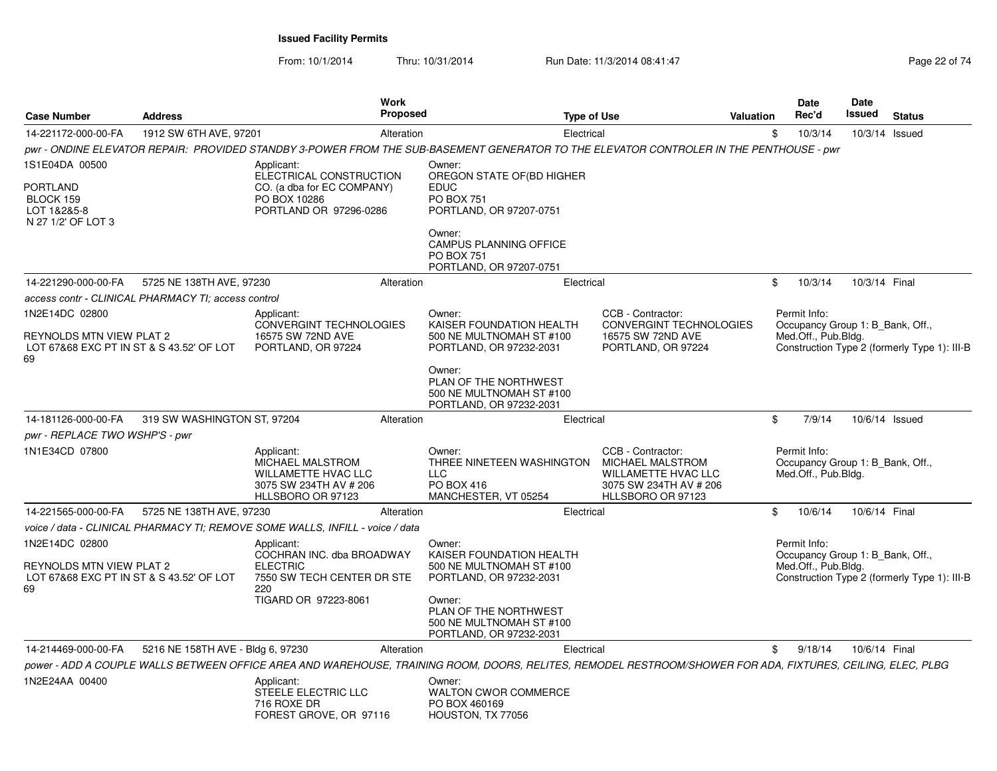From: 10/1/2014

Thru: 10/31/2014 Run Date: 11/3/2014 08:41:47

|  | Page 22 of 74 |
|--|---------------|
|--|---------------|

| <b>Case Number</b>                                                                                  | <b>Address</b>                    |                                                                                                               | <b>Work</b><br><b>Proposed</b> | <b>Type of Use</b>                                                                                                                                                                     |                                                                                                                    | Valuation | <b>Date</b><br>Rec'd                                                    | <b>Date</b><br>Issued | <b>Status</b>                                |
|-----------------------------------------------------------------------------------------------------|-----------------------------------|---------------------------------------------------------------------------------------------------------------|--------------------------------|----------------------------------------------------------------------------------------------------------------------------------------------------------------------------------------|--------------------------------------------------------------------------------------------------------------------|-----------|-------------------------------------------------------------------------|-----------------------|----------------------------------------------|
| 14-221172-000-00-FA                                                                                 | 1912 SW 6TH AVE, 97201            |                                                                                                               | Alteration                     | Electrical                                                                                                                                                                             |                                                                                                                    | \$        | 10/3/14                                                                 | 10/3/14 Issued        |                                              |
|                                                                                                     |                                   |                                                                                                               |                                | pwr - ONDINE ELEVATOR REPAIR: PROVIDED STANDBY 3-POWER FROM THE SUB-BASEMENT GENERATOR TO THE ELEVATOR CONTROLER IN THE PENTHOUSE - pwr                                                |                                                                                                                    |           |                                                                         |                       |                                              |
| 1S1E04DA 00500<br><b>PORTLAND</b><br>BLOCK 159<br>LOT 1&2&5-8<br>N 27 1/2' OF LOT 3                 |                                   | Applicant:<br>ELECTRICAL CONSTRUCTION<br>CO. (a dba for EC COMPANY)<br>PO BOX 10286<br>PORTLAND OR 97296-0286 |                                | Owner:<br>OREGON STATE OF(BD HIGHER<br><b>EDUC</b><br><b>PO BOX 751</b><br>PORTLAND, OR 97207-0751<br>Owner:<br>CAMPUS PLANNING OFFICE<br><b>PO BOX 751</b><br>PORTLAND, OR 97207-0751 |                                                                                                                    |           |                                                                         |                       |                                              |
| 14-221290-000-00-FA                                                                                 | 5725 NE 138TH AVE, 97230          |                                                                                                               | Alteration                     | Electrical                                                                                                                                                                             |                                                                                                                    | \$        | 10/3/14                                                                 | 10/3/14 Final         |                                              |
| access contr - CLINICAL PHARMACY TI: access control                                                 |                                   |                                                                                                               |                                |                                                                                                                                                                                        |                                                                                                                    |           |                                                                         |                       |                                              |
| 1N2E14DC 02800<br><b>REYNOLDS MTN VIEW PLAT 2</b><br>LOT 67&68 EXC PT IN ST & S 43.52' OF LOT<br>69 |                                   | Applicant:<br><b>CONVERGINT TECHNOLOGIES</b><br>16575 SW 72ND AVE<br>PORTLAND, OR 97224                       |                                | Owner:<br>KAISER FOUNDATION HEALTH<br>500 NE MULTNOMAH ST #100<br>PORTLAND, OR 97232-2031                                                                                              | CCB - Contractor:<br><b>CONVERGINT TECHNOLOGIES</b><br>16575 SW 72ND AVE<br>PORTLAND, OR 97224                     |           | Permit Info:<br>Occupancy Group 1: B Bank, Off.,<br>Med.Off., Pub.Bldg. |                       | Construction Type 2 (formerly Type 1): III-B |
|                                                                                                     |                                   |                                                                                                               |                                | Owner:<br>PLAN OF THE NORTHWEST<br>500 NE MULTNOMAH ST #100<br>PORTLAND, OR 97232-2031                                                                                                 |                                                                                                                    |           |                                                                         |                       |                                              |
| 14-181126-000-00-FA                                                                                 | 319 SW WASHINGTON ST, 97204       |                                                                                                               | Alteration                     | Electrical                                                                                                                                                                             |                                                                                                                    | \$        | 7/9/14                                                                  | 10/6/14 Issued        |                                              |
| pwr - REPLACE TWO WSHP'S - pwr                                                                      |                                   |                                                                                                               |                                |                                                                                                                                                                                        |                                                                                                                    |           |                                                                         |                       |                                              |
| 1N1E34CD 07800                                                                                      |                                   | Applicant:<br>MICHAEL MALSTROM<br><b>WILLAMETTE HVAC LLC</b><br>3075 SW 234TH AV # 206<br>HLLSBORO OR 97123   |                                | Owner:<br>THREE NINETEEN WASHINGTON<br><b>LLC</b><br>PO BOX 416<br>MANCHESTER, VT 05254                                                                                                | CCB - Contractor:<br>MICHAEL MALSTROM<br><b>WILLAMETTE HVAC LLC</b><br>3075 SW 234TH AV # 206<br>HLLSBORO OR 97123 |           | Permit Info:<br>Occupancy Group 1: B Bank, Off.,<br>Med.Off., Pub.Bldg. |                       |                                              |
| 14-221565-000-00-FA                                                                                 | 5725 NE 138TH AVE, 97230          |                                                                                                               | Alteration                     | Electrical                                                                                                                                                                             |                                                                                                                    | \$        | 10/6/14                                                                 | 10/6/14 Final         |                                              |
|                                                                                                     |                                   | voice / data - CLINICAL PHARMACY TI: REMOVE SOME WALLS. INFILL - voice / data                                 |                                |                                                                                                                                                                                        |                                                                                                                    |           |                                                                         |                       |                                              |
| 1N2E14DC 02800<br>REYNOLDS MTN VIEW PLAT 2<br>LOT 67&68 EXC PT IN ST & S 43.52' OF LOT              |                                   | Applicant:<br>COCHRAN INC. dba BROADWAY<br><b>ELECTRIC</b><br>7550 SW TECH CENTER DR STE                      |                                | Owner:<br>KAISER FOUNDATION HEALTH<br>500 NE MULTNOMAH ST #100<br>PORTLAND, OR 97232-2031                                                                                              |                                                                                                                    |           | Permit Info:<br>Occupancy Group 1: B Bank, Off.,<br>Med.Off., Pub.Bldg. |                       | Construction Type 2 (formerly Type 1): III-B |
| 69                                                                                                  |                                   | 220<br>TIGARD OR 97223-8061                                                                                   |                                | Owner:<br>PLAN OF THE NORTHWEST<br>500 NE MULTNOMAH ST #100<br>PORTLAND, OR 97232-2031                                                                                                 |                                                                                                                    |           |                                                                         |                       |                                              |
| 14-214469-000-00-FA                                                                                 | 5216 NE 158TH AVE - Bldg 6, 97230 |                                                                                                               | Alteration                     | Electrical                                                                                                                                                                             |                                                                                                                    | \$        | 9/18/14                                                                 | 10/6/14 Final         |                                              |
|                                                                                                     |                                   |                                                                                                               |                                | power - ADD A COUPLE WALLS BETWEEN OFFICE AREA AND WAREHOUSE, TRAINING ROOM, DOORS, RELITES, REMODEL RESTROOM/SHOWER FOR ADA, FIXTURES, CEILING, ELEC, PLBG                            |                                                                                                                    |           |                                                                         |                       |                                              |
| 1N2E24AA 00400                                                                                      |                                   | Applicant:<br>STEELE ELECTRIC LLC<br>716 ROXE DR<br>FOREST GROVE, OR 97116                                    |                                | Owner:<br><b>WALTON CWOR COMMERCE</b><br>PO BOX 460169<br>HOUSTON, TX 77056                                                                                                            |                                                                                                                    |           |                                                                         |                       |                                              |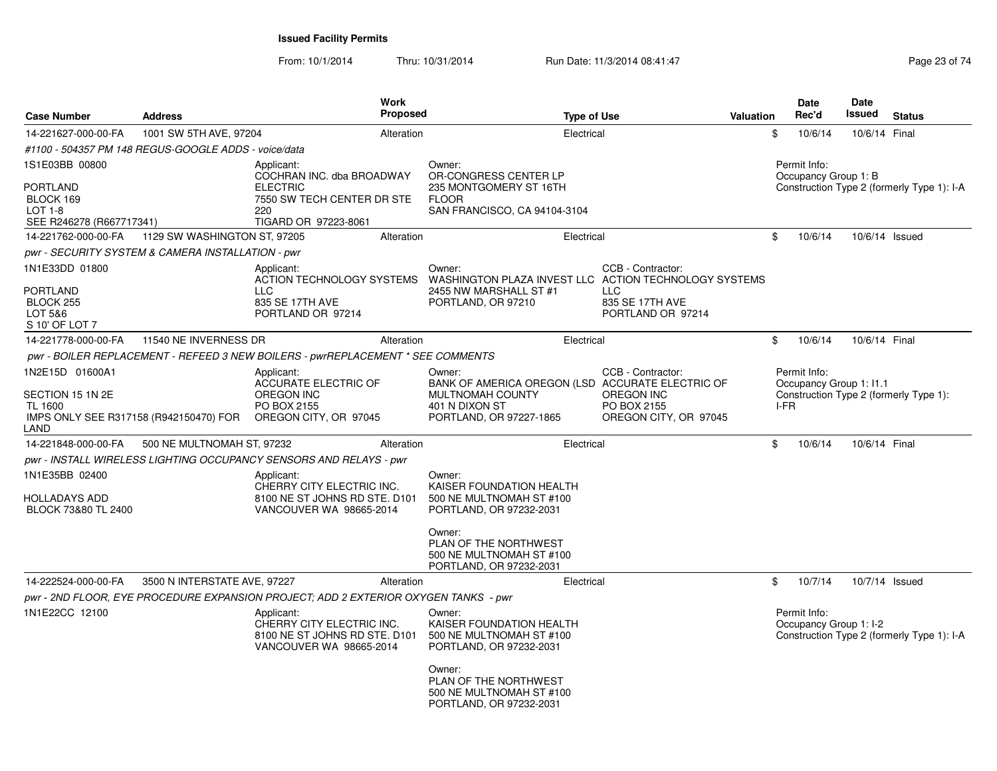From: 10/1/2014Thru: 10/31/2014 Run Date: 11/3/2014 08:41:47 Run Date: 11/3/2014 08:41:47

| <b>Case Number</b>                                                                                      | <b>Address</b>               |                                                                                                     | <b>Work</b><br>Proposed |                                                                                                                             | <b>Type of Use</b> |                                                                                | Valuation |      | <b>Date</b><br>Rec'd                   | <b>Date</b><br>Issued   | <b>Status</b>                              |
|---------------------------------------------------------------------------------------------------------|------------------------------|-----------------------------------------------------------------------------------------------------|-------------------------|-----------------------------------------------------------------------------------------------------------------------------|--------------------|--------------------------------------------------------------------------------|-----------|------|----------------------------------------|-------------------------|--------------------------------------------|
| 14-221627-000-00-FA                                                                                     | 1001 SW 5TH AVE, 97204       |                                                                                                     | Alteration              |                                                                                                                             | Electrical         |                                                                                |           | \$   | 10/6/14                                | 10/6/14 Final           |                                            |
| #1100 - 504357 PM 148 REGUS-GOOGLE ADDS - voice/data                                                    |                              |                                                                                                     |                         |                                                                                                                             |                    |                                                                                |           |      |                                        |                         |                                            |
| 1S1E03BB 00800                                                                                          |                              | Applicant:<br>COCHRAN INC. dba BROADWAY                                                             |                         | Owner:<br>OR-CONGRESS CENTER LP                                                                                             |                    |                                                                                |           |      | Permit Info:<br>Occupancy Group 1: B   |                         |                                            |
| PORTLAND<br>BLOCK 169<br>$LOT 1-8$<br>SEE R246278 (R667717341)                                          |                              | <b>ELECTRIC</b><br>7550 SW TECH CENTER DR STE<br>220<br>TIGARD OR 97223-8061                        |                         | 235 MONTGOMERY ST 16TH<br><b>FLOOR</b><br>SAN FRANCISCO, CA 94104-3104                                                      |                    |                                                                                |           |      |                                        |                         | Construction Type 2 (formerly Type 1): I-A |
| 14-221762-000-00-FA                                                                                     | 1129 SW WASHINGTON ST, 97205 |                                                                                                     | Alteration              |                                                                                                                             | Electrical         |                                                                                |           | \$   | 10/6/14                                |                         | 10/6/14 Issued                             |
| pwr - SECURITY SYSTEM & CAMERA INSTALLATION - pwr                                                       |                              |                                                                                                     |                         |                                                                                                                             |                    |                                                                                |           |      |                                        |                         |                                            |
| 1N1E33DD 01800<br>PORTLAND<br>BLOCK 255<br>LOT 5&6<br>S 10' OF LOT 7                                    |                              | Applicant:<br>ACTION TECHNOLOGY SYSTEMS<br><b>LLC</b><br>835 SE 17TH AVE<br>PORTLAND OR 97214       |                         | Owner:<br>WASHINGTON PLAZA INVEST LLC ACTION TECHNOLOGY SYSTEMS<br>2455 NW MARSHALL ST #1<br>PORTLAND, OR 97210             |                    | CCB - Contractor:<br><b>LLC</b><br>835 SE 17TH AVE<br>PORTLAND OR 97214        |           |      |                                        |                         |                                            |
| 14-221778-000-00-FA                                                                                     | 11540 NE INVERNESS DR        |                                                                                                     | Alteration              |                                                                                                                             | Electrical         |                                                                                |           | \$   | 10/6/14                                | 10/6/14 Final           |                                            |
|                                                                                                         |                              | pwr - BOILER REPLACEMENT - REFEED 3 NEW BOILERS - pwrREPLACEMENT * SEE COMMENTS                     |                         |                                                                                                                             |                    |                                                                                |           |      |                                        |                         |                                            |
| 1N2E15D 01600A1<br>SECTION 15 1N 2E<br><b>TL 1600</b><br>IMPS ONLY SEE R317158 (R942150470) FOR<br>LAND |                              | Applicant:<br>ACCURATE ELECTRIC OF<br>OREGON INC<br>PO BOX 2155<br>OREGON CITY, OR 97045            |                         | Owner:<br>BANK OF AMERICA OREGON (LSD ACCURATE ELECTRIC OF<br>MULTNOMAH COUNTY<br>401 N DIXON ST<br>PORTLAND, OR 97227-1865 |                    | CCB - Contractor:<br><b>OREGON INC</b><br>PO BOX 2155<br>OREGON CITY, OR 97045 |           | I-FR | Permit Info:                           | Occupancy Group 1: I1.1 | Construction Type 2 (formerly Type 1):     |
| 14-221848-000-00-FA                                                                                     | 500 NE MULTNOMAH ST, 97232   |                                                                                                     | Alteration              |                                                                                                                             | Electrical         |                                                                                |           | \$   | 10/6/14                                | 10/6/14 Final           |                                            |
|                                                                                                         |                              | pwr - INSTALL WIRELESS LIGHTING OCCUPANCY SENSORS AND RELAYS - pwr                                  |                         |                                                                                                                             |                    |                                                                                |           |      |                                        |                         |                                            |
| 1N1E35BB 02400<br>HOLLADAYS ADD<br>BLOCK 73&80 TL 2400                                                  |                              | Applicant:<br>CHERRY CITY ELECTRIC INC.<br>8100 NE ST JOHNS RD STE, D101<br>VANCOUVER WA 98665-2014 |                         | Owner:<br>KAISER FOUNDATION HEALTH<br>500 NE MULTNOMAH ST #100<br>PORTLAND, OR 97232-2031                                   |                    |                                                                                |           |      |                                        |                         |                                            |
|                                                                                                         |                              |                                                                                                     |                         | Owner:<br>PLAN OF THE NORTHWEST<br>500 NE MULTNOMAH ST #100<br>PORTLAND, OR 97232-2031                                      |                    |                                                                                |           |      |                                        |                         |                                            |
| 14-222524-000-00-FA                                                                                     | 3500 N INTERSTATE AVE, 97227 |                                                                                                     | Alteration              |                                                                                                                             | Electrical         |                                                                                |           | \$   | 10/7/14                                |                         | 10/7/14 Issued                             |
|                                                                                                         |                              | pwr - 2ND FLOOR, EYE PROCEDURE EXPANSION PROJECT; ADD 2 EXTERIOR OXYGEN TANKS - pwr                 |                         |                                                                                                                             |                    |                                                                                |           |      |                                        |                         |                                            |
| 1N1E22CC 12100                                                                                          |                              | Applicant:<br>CHERRY CITY ELECTRIC INC.<br>8100 NE ST JOHNS RD STE. D101<br>VANCOUVER WA 98665-2014 |                         | Owner:<br>KAISER FOUNDATION HEALTH<br>500 NE MULTNOMAH ST #100<br>PORTLAND, OR 97232-2031                                   |                    |                                                                                |           |      | Permit Info:<br>Occupancy Group 1: I-2 |                         | Construction Type 2 (formerly Type 1): I-A |
|                                                                                                         |                              |                                                                                                     |                         | Owner:<br>PLAN OF THE NORTHWEST<br>500 NE MULTNOMAH ST #100<br>PORTLAND, OR 97232-2031                                      |                    |                                                                                |           |      |                                        |                         |                                            |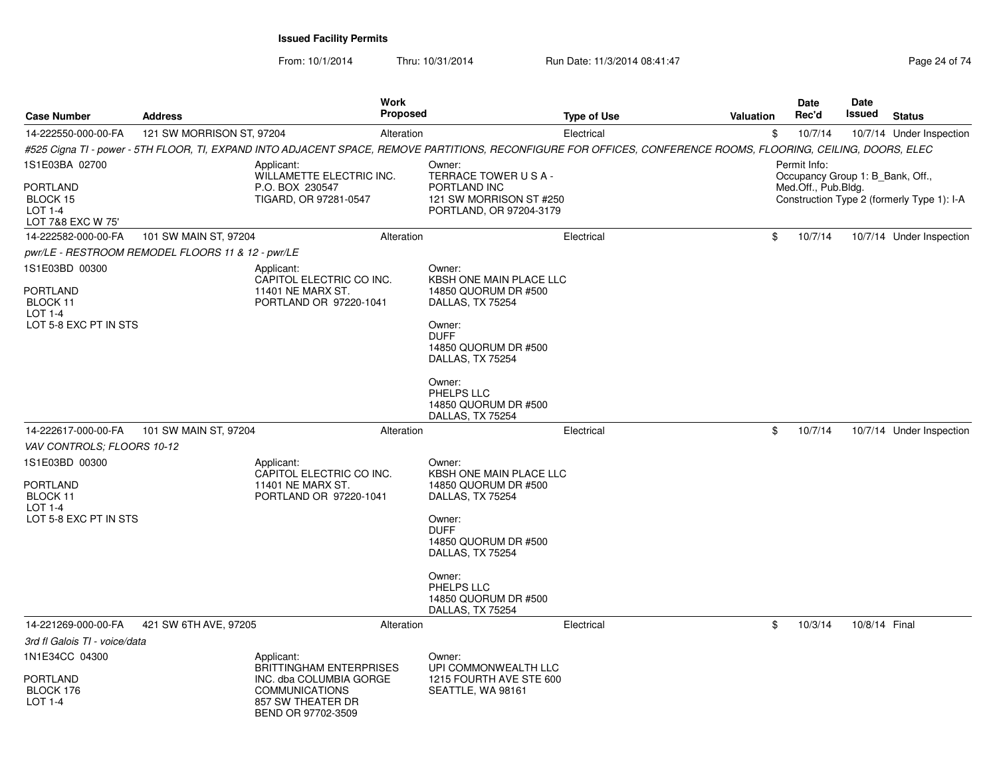From: 10/1/2014

Thru: 10/31/2014 Run Date: 11/3/2014 08:41:47 Run Date: 11/3/2014 08:41:47

| <b>Case Number</b>                                                                                                | <b>Address</b>                                    |                                                                                                                                                                 | Work<br><b>Proposed</b> |                                                                                                                                                                                                                        | <b>Type of Use</b> | <b>Valuation</b> | Date<br>Rec'd                                                           | Date<br>Issued | <b>Status</b>                              |
|-------------------------------------------------------------------------------------------------------------------|---------------------------------------------------|-----------------------------------------------------------------------------------------------------------------------------------------------------------------|-------------------------|------------------------------------------------------------------------------------------------------------------------------------------------------------------------------------------------------------------------|--------------------|------------------|-------------------------------------------------------------------------|----------------|--------------------------------------------|
| 14-222550-000-00-FA                                                                                               | 121 SW MORRISON ST, 97204                         |                                                                                                                                                                 | Alteration              |                                                                                                                                                                                                                        | Electrical         | \$               | 10/7/14                                                                 |                | 10/7/14 Under Inspection                   |
|                                                                                                                   |                                                   | #525 Cigna TI - power - 5TH FLOOR, TI, EXPAND INTO ADJACENT SPACE, REMOVE PARTITIONS, RECONFIGURE FOR OFFICES, CONFERENCE ROOMS, FLOORING, CEILING, DOORS, ELEC |                         |                                                                                                                                                                                                                        |                    |                  |                                                                         |                |                                            |
| 1S1E03BA 02700<br>PORTLAND<br>BLOCK 15<br>LOT 1-4<br>LOT 7&8 EXC W 75'                                            |                                                   | Applicant:<br><b>WILLAMETTE ELECTRIC INC.</b><br>P.O. BOX 230547<br>TIGARD, OR 97281-0547                                                                       |                         | Owner:<br>TERRACE TOWER USA-<br>PORTLAND INC<br>121 SW MORRISON ST #250<br>PORTLAND, OR 97204-3179                                                                                                                     |                    |                  | Permit Info:<br>Occupancy Group 1: B Bank, Off.,<br>Med.Off., Pub.Bldg. |                | Construction Type 2 (formerly Type 1): I-A |
| 14-222582-000-00-FA                                                                                               | 101 SW MAIN ST, 97204                             |                                                                                                                                                                 | Alteration              |                                                                                                                                                                                                                        | Electrical         | \$               | 10/7/14                                                                 |                | 10/7/14 Under Inspection                   |
|                                                                                                                   | pwr/LE - RESTROOM REMODEL FLOORS 11 & 12 - pwr/LE |                                                                                                                                                                 |                         |                                                                                                                                                                                                                        |                    |                  |                                                                         |                |                                            |
| 1S1E03BD 00300<br>PORTLAND<br>BLOCK 11<br>LOT 1-4<br>LOT 5-8 EXC PT IN STS                                        |                                                   | Applicant:<br>CAPITOL ELECTRIC CO INC.<br>11401 NE MARX ST.<br>PORTLAND OR 97220-1041                                                                           |                         | Owner:<br><b>KBSH ONE MAIN PLACE LLC</b><br>14850 QUORUM DR #500<br>DALLAS, TX 75254<br>Owner:<br><b>DUFF</b><br>14850 QUORUM DR #500<br>DALLAS, TX 75254<br>Owner:<br>PHELPS LLC<br>14850 QUORUM DR #500              |                    |                  |                                                                         |                |                                            |
|                                                                                                                   |                                                   |                                                                                                                                                                 |                         | DALLAS, TX 75254                                                                                                                                                                                                       |                    |                  |                                                                         |                |                                            |
| 14-222617-000-00-FA                                                                                               | 101 SW MAIN ST, 97204                             |                                                                                                                                                                 | Alteration              |                                                                                                                                                                                                                        | Electrical         | \$               | 10/7/14                                                                 |                | 10/7/14 Under Inspection                   |
| VAV CONTROLS: FLOORS 10-12<br>1S1E03BD 00300<br><b>PORTLAND</b><br>BLOCK 11<br>$LOT 1-4$<br>LOT 5-8 EXC PT IN STS |                                                   | Applicant:<br>CAPITOL ELECTRIC CO INC.<br>11401 NE MARX ST.<br>PORTLAND OR 97220-1041                                                                           |                         | Owner:<br>KBSH ONE MAIN PLACE LLC<br>14850 QUORUM DR #500<br>DALLAS, TX 75254<br>Owner:<br><b>DUFF</b><br>14850 QUORUM DR #500<br>DALLAS, TX 75254<br>Owner:<br>PHELPS LLC<br>14850 QUORUM DR #500<br>DALLAS, TX 75254 |                    |                  |                                                                         |                |                                            |
| 14-221269-000-00-FA                                                                                               | 421 SW 6TH AVE, 97205                             |                                                                                                                                                                 | Alteration              |                                                                                                                                                                                                                        | Electrical         | \$               | 10/3/14                                                                 | 10/8/14 Final  |                                            |
| 3rd fl Galois TI - voice/data                                                                                     |                                                   |                                                                                                                                                                 |                         |                                                                                                                                                                                                                        |                    |                  |                                                                         |                |                                            |
| 1N1E34CC 04300<br><b>PORTLAND</b><br>BLOCK 176<br><b>LOT 1-4</b>                                                  |                                                   | Applicant:<br><b>BRITTINGHAM ENTERPRISES</b><br>INC. dba COLUMBIA GORGE<br><b>COMMUNICATIONS</b><br>857 SW THEATER DR<br>BEND OR 97702-3509                     |                         | Owner:<br>UPI COMMONWEALTH LLC<br>1215 FOURTH AVE STE 600<br>SEATTLE, WA 98161                                                                                                                                         |                    |                  |                                                                         |                |                                            |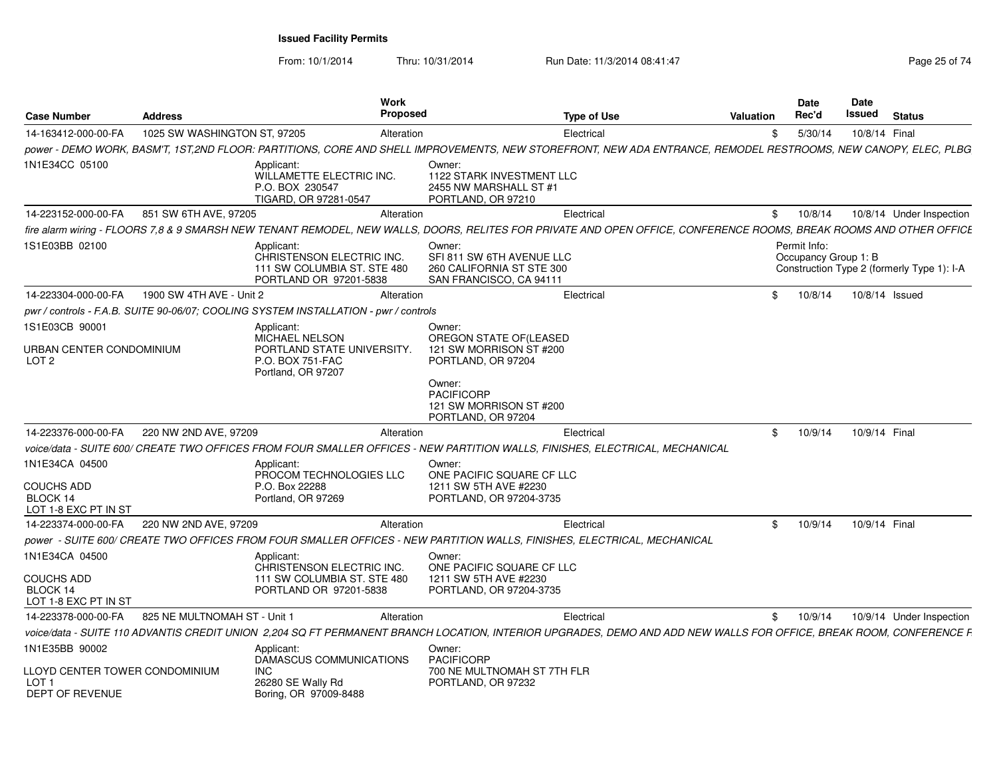From: 10/1/2014Thru: 10/31/2014 Run Date: 11/3/2014 08:41:47 Rege 25 of 74

| <b>Case Number</b>                                                           | <b>Address</b>               | <b>Work</b><br><b>Proposed</b>                                                                                                                                      |                                                                                             | <b>Type of Use</b> | Valuation | <b>Date</b><br>Rec'd                 | Date<br>Issued | <b>Status</b>                              |
|------------------------------------------------------------------------------|------------------------------|---------------------------------------------------------------------------------------------------------------------------------------------------------------------|---------------------------------------------------------------------------------------------|--------------------|-----------|--------------------------------------|----------------|--------------------------------------------|
| 14-163412-000-00-FA                                                          | 1025 SW WASHINGTON ST, 97205 | Alteration                                                                                                                                                          |                                                                                             | Electrical         | \$.       | 5/30/14                              | 10/8/14 Final  |                                            |
|                                                                              |                              | power - DEMO WORK, BASM'T, 1ST,2ND FLOOR: PARTITIONS, CORE AND SHELL IMPROVEMENTS, NEW STOREFRONT, NEW ADA ENTRANCE, REMODEL RESTROOMS, NEW CANOPY, ELEC, PLBG      |                                                                                             |                    |           |                                      |                |                                            |
| 1N1E34CC 05100                                                               |                              | Applicant:<br>WILLAMETTE ELECTRIC INC.<br>P.O. BOX 230547<br>TIGARD, OR 97281-0547                                                                                  | Owner:<br>1122 STARK INVESTMENT LLC<br>2455 NW MARSHALL ST #1<br>PORTLAND, OR 97210         |                    |           |                                      |                |                                            |
| 14-223152-000-00-FA                                                          | 851 SW 6TH AVE, 97205        | Alteration                                                                                                                                                          |                                                                                             | Electrical         | \$        | 10/8/14                              |                | 10/8/14 Under Inspection                   |
|                                                                              |                              | fire alarm wiring - FLOORS 7,8 & 9 SMARSH NEW TENANT REMODEL, NEW WALLS, DOORS, RELITES FOR PRIVATE AND OPEN OFFICE, CONFERENCE ROOMS, BREAK ROOMS AND OTHER OFFICE |                                                                                             |                    |           |                                      |                |                                            |
| 1S1E03BB 02100                                                               |                              | Applicant:<br>CHRISTENSON ELECTRIC INC.<br>111 SW COLUMBIA ST. STE 480<br>PORTLAND OR 97201-5838                                                                    | Owner:<br>SFI 811 SW 6TH AVENUE LLC<br>260 CALIFORNIA ST STE 300<br>SAN FRANCISCO, CA 94111 |                    |           | Permit Info:<br>Occupancy Group 1: B |                | Construction Type 2 (formerly Type 1): I-A |
| 14-223304-000-00-FA                                                          | 1900 SW 4TH AVE - Unit 2     | Alteration                                                                                                                                                          |                                                                                             | Electrical         | \$        | 10/8/14                              |                | 10/8/14 Issued                             |
|                                                                              |                              | pwr / controls - F.A.B. SUITE 90-06/07; COOLING SYSTEM INSTALLATION - pwr / controls                                                                                |                                                                                             |                    |           |                                      |                |                                            |
| 1S1E03CB 90001                                                               |                              | Applicant:                                                                                                                                                          | Owner:                                                                                      |                    |           |                                      |                |                                            |
| URBAN CENTER CONDOMINIUM<br>LOT <sub>2</sub>                                 |                              | <b>MICHAEL NELSON</b><br>PORTLAND STATE UNIVERSITY.<br>P.O. BOX 751-FAC<br>Portland, OR 97207                                                                       | OREGON STATE OF(LEASED<br>121 SW MORRISON ST #200<br>PORTLAND, OR 97204                     |                    |           |                                      |                |                                            |
|                                                                              |                              |                                                                                                                                                                     | Owner:<br><b>PACIFICORP</b><br>121 SW MORRISON ST #200<br>PORTLAND, OR 97204                |                    |           |                                      |                |                                            |
| 14-223376-000-00-FA                                                          | 220 NW 2ND AVE, 97209        | Alteration                                                                                                                                                          |                                                                                             | Electrical         | \$        | 10/9/14                              | 10/9/14 Final  |                                            |
|                                                                              |                              | voice/data - SUITE 600/ CREATE TWO OFFICES FROM FOUR SMALLER OFFICES - NEW PARTITION WALLS, FINISHES, ELECTRICAL, MECHANICAL                                        |                                                                                             |                    |           |                                      |                |                                            |
| 1N1E34CA 04500<br><b>COUCHS ADD</b><br>BLOCK 14                              |                              | Applicant:<br>PROCOM TECHNOLOGIES LLC<br>P.O. Box 22288<br>Portland, OR 97269                                                                                       | Owner:<br>ONE PACIFIC SQUARE CF LLC<br>1211 SW 5TH AVE #2230<br>PORTLAND, OR 97204-3735     |                    |           |                                      |                |                                            |
| LOT 1-8 EXC PT IN ST                                                         |                              |                                                                                                                                                                     |                                                                                             |                    |           |                                      |                |                                            |
| 14-223374-000-00-FA                                                          | 220 NW 2ND AVE, 97209        | Alteration                                                                                                                                                          |                                                                                             | Electrical         | \$        | 10/9/14                              | 10/9/14 Final  |                                            |
|                                                                              |                              | power - SUITE 600/ CREATE TWO OFFICES FROM FOUR SMALLER OFFICES - NEW PARTITION WALLS, FINISHES, ELECTRICAL, MECHANICAL                                             |                                                                                             |                    |           |                                      |                |                                            |
| 1N1E34CA 04500                                                               |                              | Applicant:<br>CHRISTENSON ELECTRIC INC.                                                                                                                             | Owner:<br>ONE PACIFIC SQUARE CF LLC                                                         |                    |           |                                      |                |                                            |
| <b>COUCHS ADD</b><br>BLOCK 14<br>LOT 1-8 EXC PT IN ST                        |                              | 111 SW COLUMBIA ST. STE 480<br>PORTLAND OR 97201-5838                                                                                                               | 1211 SW 5TH AVE #2230<br>PORTLAND, OR 97204-3735                                            |                    |           |                                      |                |                                            |
| 14-223378-000-00-FA                                                          | 825 NE MULTNOMAH ST - Unit 1 | Alteration                                                                                                                                                          |                                                                                             | Electrical         | \$        | 10/9/14                              |                | 10/9/14 Under Inspection                   |
|                                                                              |                              | voice/data - SUITE 110 ADVANTIS CREDIT UNION 2,204 SQ FT PERMANENT BRANCH LOCATION, INTERIOR UPGRADES, DEMO AND ADD NEW WALLS FOR OFFICE, BREAK ROOM, CONFERENCE F  |                                                                                             |                    |           |                                      |                |                                            |
| 1N1E35BB 90002                                                               |                              | Applicant:<br>DAMASCUS COMMUNICATIONS                                                                                                                               | Owner:<br><b>PACIFICORP</b>                                                                 |                    |           |                                      |                |                                            |
| LLOYD CENTER TOWER CONDOMINIUM<br>LOT <sub>1</sub><br><b>DEPT OF REVENUE</b> |                              | <b>INC</b><br>26280 SE Wally Rd<br>Boring, OR 97009-8488                                                                                                            | 700 NE MULTNOMAH ST 7TH FLR<br>PORTLAND, OR 97232                                           |                    |           |                                      |                |                                            |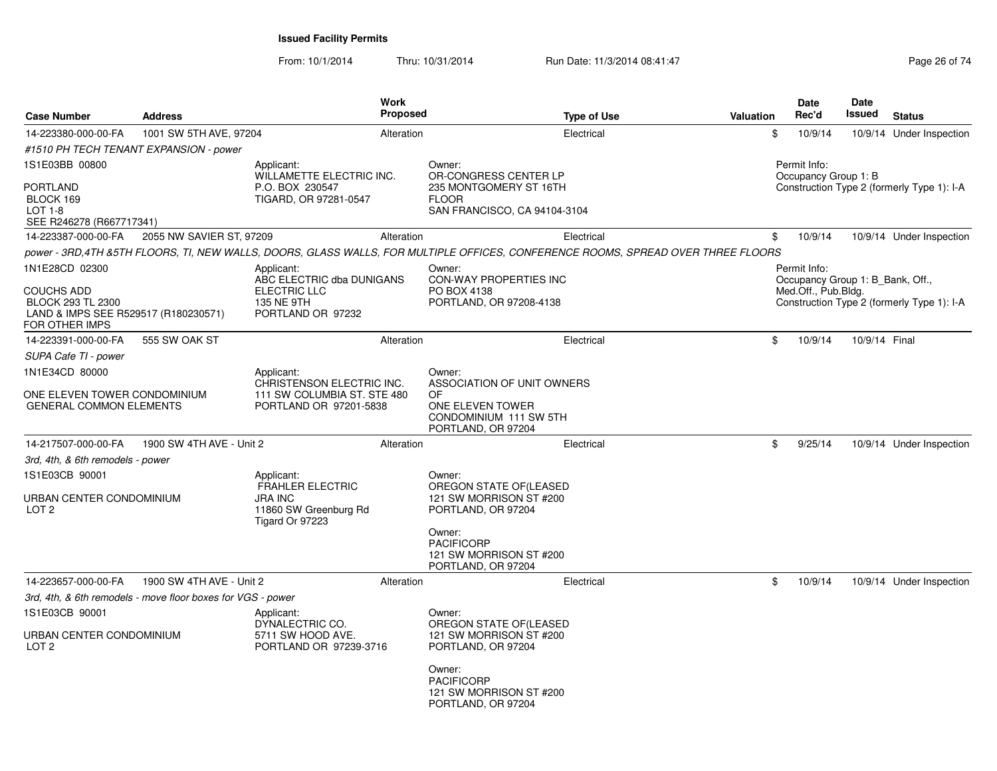From: 10/1/2014Thru: 10/31/2014 Run Date: 11/3/2014 08:41:47 Rege 26 of 74

| <b>Case Number</b>                                                                        | <b>Address</b>                                              |                                                                                                     | Work<br><b>Proposed</b> | Type of Use                                                                                                                      | <b>Valuation</b> | Date<br>Rec'd                                    | <b>Date</b><br>Issued | <b>Status</b>                              |
|-------------------------------------------------------------------------------------------|-------------------------------------------------------------|-----------------------------------------------------------------------------------------------------|-------------------------|----------------------------------------------------------------------------------------------------------------------------------|------------------|--------------------------------------------------|-----------------------|--------------------------------------------|
| 14-223380-000-00-FA                                                                       | 1001 SW 5TH AVE, 97204                                      |                                                                                                     | Alteration              | Electrical                                                                                                                       | \$               | 10/9/14                                          |                       | 10/9/14 Under Inspection                   |
| #1510 PH TECH TENANT EXPANSION - power                                                    |                                                             |                                                                                                     |                         |                                                                                                                                  |                  |                                                  |                       |                                            |
| 1S1E03BB 00800                                                                            |                                                             | Applicant:<br>WILLAMETTE ELECTRIC INC.                                                              |                         | Owner:<br>OR-CONGRESS CENTER LP                                                                                                  |                  | Permit Info:<br>Occupancy Group 1: B             |                       |                                            |
| <b>PORTLAND</b><br>BLOCK 169<br>$LOT 1-8$<br>SEE R246278 (R667717341)                     |                                                             | P.O. BOX 230547<br>TIGARD, OR 97281-0547                                                            |                         | 235 MONTGOMERY ST 16TH<br><b>FLOOR</b><br>SAN FRANCISCO, CA 94104-3104                                                           |                  |                                                  |                       | Construction Type 2 (formerly Type 1): I-A |
| 14-223387-000-00-FA                                                                       | 2055 NW SAVIER ST, 97209                                    |                                                                                                     | Alteration              | Electrical                                                                                                                       | \$               | 10/9/14                                          |                       | 10/9/14 Under Inspection                   |
|                                                                                           |                                                             |                                                                                                     |                         | power - 3RD,4TH &5TH FLOORS, TI, NEW WALLS, DOORS, GLASS WALLS, FOR MULTIPLE OFFICES, CONFERENCE ROOMS, SPREAD OVER THREE FLOORS |                  |                                                  |                       |                                            |
| 1N1E28CD 02300                                                                            |                                                             | Applicant:<br>ABC ELECTRIC dba DUNIGANS                                                             |                         | Owner:<br><b>CON-WAY PROPERTIES INC</b>                                                                                          |                  | Permit Info:<br>Occupancy Group 1: B_Bank, Off., |                       |                                            |
| COUCHS ADD<br>BLOCK 293 TL 2300<br>LAND & IMPS SEE R529517 (R180230571)<br>FOR OTHER IMPS |                                                             | ELECTRIC LLC<br>135 NE 9TH<br>PORTLAND OR 97232                                                     |                         | PO BOX 4138<br>PORTLAND, OR 97208-4138                                                                                           |                  | Med.Off., Pub.Bldg.                              |                       | Construction Type 2 (formerly Type 1): I-A |
| 14-223391-000-00-FA                                                                       | 555 SW OAK ST                                               |                                                                                                     | Alteration              | Electrical                                                                                                                       | \$               | 10/9/14                                          | 10/9/14 Final         |                                            |
| SUPA Cafe TI - power                                                                      |                                                             |                                                                                                     |                         |                                                                                                                                  |                  |                                                  |                       |                                            |
| 1N1E34CD 80000                                                                            |                                                             | Applicant:                                                                                          |                         | Owner:                                                                                                                           |                  |                                                  |                       |                                            |
| ONE ELEVEN TOWER CONDOMINIUM<br><b>GENERAL COMMON ELEMENTS</b>                            |                                                             | CHRISTENSON ELECTRIC INC.<br>111 SW COLUMBIA ST. STE 480<br>PORTLAND OR 97201-5838                  |                         | ASSOCIATION OF UNIT OWNERS<br>0F<br>ONE ELEVEN TOWER<br>CONDOMINIUM 111 SW 5TH<br>PORTLAND, OR 97204                             |                  |                                                  |                       |                                            |
| 14-217507-000-00-FA                                                                       | 1900 SW 4TH AVE - Unit 2                                    |                                                                                                     | Alteration              | Electrical                                                                                                                       | \$               | 9/25/14                                          |                       | 10/9/14 Under Inspection                   |
| 3rd, 4th, & 6th remodels - power                                                          |                                                             |                                                                                                     |                         |                                                                                                                                  |                  |                                                  |                       |                                            |
| 1S1E03CB 90001<br>URBAN CENTER CONDOMINIUM<br>LOT <sub>2</sub>                            |                                                             | Applicant:<br><b>FRAHLER ELECTRIC</b><br><b>JRA INC</b><br>11860 SW Greenburg Rd<br>Tigard Or 97223 |                         | Owner:<br>OREGON STATE OF (LEASED<br>121 SW MORRISON ST #200<br>PORTLAND, OR 97204                                               |                  |                                                  |                       |                                            |
|                                                                                           |                                                             |                                                                                                     |                         | Owner:<br><b>PACIFICORP</b><br>121 SW MORRISON ST #200<br>PORTLAND, OR 97204                                                     |                  |                                                  |                       |                                            |
| 14-223657-000-00-FA                                                                       | 1900 SW 4TH AVE - Unit 2                                    |                                                                                                     | Alteration              | Electrical                                                                                                                       | \$               | 10/9/14                                          |                       | 10/9/14 Under Inspection                   |
|                                                                                           | 3rd, 4th, & 6th remodels - move floor boxes for VGS - power |                                                                                                     |                         |                                                                                                                                  |                  |                                                  |                       |                                            |
| 1S1E03CB 90001                                                                            |                                                             | Applicant:<br>DYNALECTRIC CO.                                                                       |                         | Owner:<br>OREGON STATE OF (LEASED                                                                                                |                  |                                                  |                       |                                            |
| URBAN CENTER CONDOMINIUM<br>LOT <sub>2</sub>                                              |                                                             | 5711 SW HOOD AVE.<br>PORTLAND OR 97239-3716                                                         |                         | 121 SW MORRISON ST #200<br>PORTLAND, OR 97204                                                                                    |                  |                                                  |                       |                                            |
|                                                                                           |                                                             |                                                                                                     |                         | Owner:<br><b>PACIFICORP</b><br>121 SW MORRISON ST #200<br>PORTLAND, OR 97204                                                     |                  |                                                  |                       |                                            |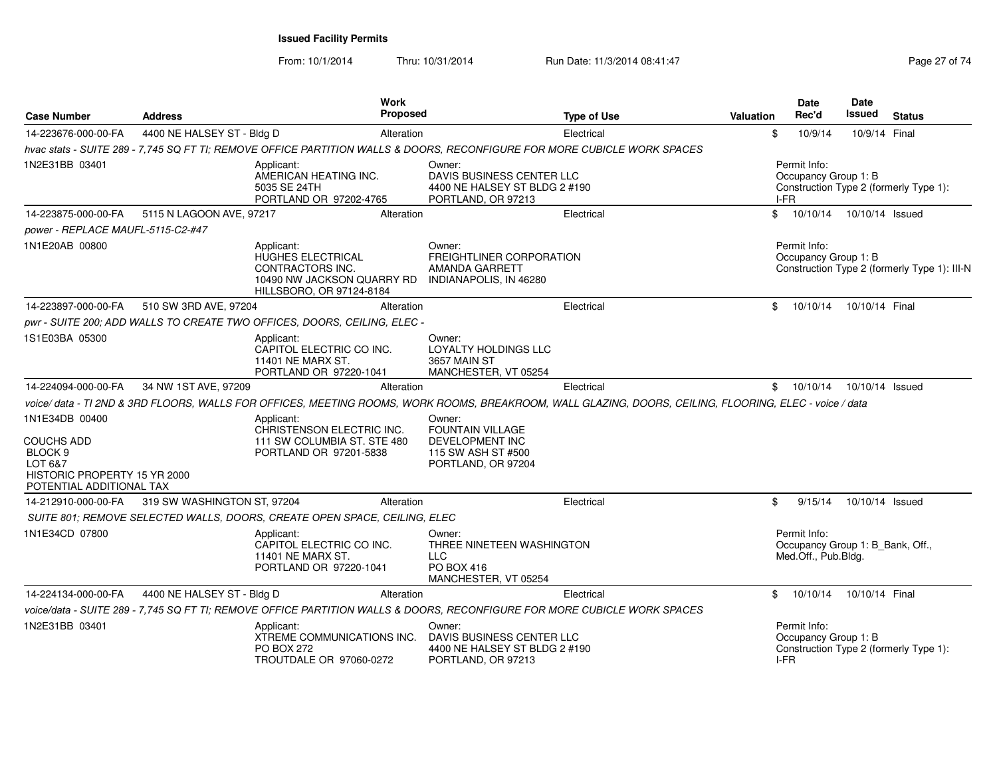From: 10/1/2014Thru: 10/31/2014 Run Date: 11/3/2014 08:41:47 Run Date: 11/3/2014 08:41:47

| <b>Case Number</b>                                                                                                        | <b>Address</b>              | Work<br><b>Proposed</b>                                                                                                                                |                                                                                                  | <b>Type of Use</b> | <b>Valuation</b> | Date<br>Rec'd                                                           | Date<br>Issued  | <b>Status</b>                                |
|---------------------------------------------------------------------------------------------------------------------------|-----------------------------|--------------------------------------------------------------------------------------------------------------------------------------------------------|--------------------------------------------------------------------------------------------------|--------------------|------------------|-------------------------------------------------------------------------|-----------------|----------------------------------------------|
| 14-223676-000-00-FA                                                                                                       | 4400 NE HALSEY ST - Bldg D  | Alteration                                                                                                                                             |                                                                                                  | Electrical         | \$               | 10/9/14                                                                 | 10/9/14 Final   |                                              |
|                                                                                                                           |                             | hvac stats - SUITE 289 - 7,745 SQ FT TI; REMOVE OFFICE PARTITION WALLS & DOORS, RECONFIGURE FOR MORE CUBICLE WORK SPACES                               |                                                                                                  |                    |                  |                                                                         |                 |                                              |
| 1N2E31BB 03401                                                                                                            |                             | Applicant:<br>AMERICAN HEATING INC.<br>5035 SE 24TH<br>PORTLAND OR 97202-4765                                                                          | Owner:<br>DAVIS BUSINESS CENTER LLC<br>4400 NE HALSEY ST BLDG 2 #190<br>PORTLAND, OR 97213       |                    |                  | Permit Info:<br>Occupancy Group 1: B<br>$I-FR$                          |                 | Construction Type 2 (formerly Type 1):       |
| 14-223875-000-00-FA                                                                                                       | 5115 N LAGOON AVE, 97217    | Alteration                                                                                                                                             |                                                                                                  | Electrical         | $\mathbb{S}$     | 10/10/14                                                                | 10/10/14 Issued |                                              |
| power - REPLACE MAUFL-5115-C2-#47                                                                                         |                             |                                                                                                                                                        |                                                                                                  |                    |                  |                                                                         |                 |                                              |
| 1N1E20AB 00800                                                                                                            |                             | Applicant:<br>HUGHES ELECTRICAL<br>CONTRACTORS INC.<br>10490 NW JACKSON QUARRY RD<br>HILLSBORO, OR 97124-8184                                          | Owner:<br>FREIGHTLINER CORPORATION<br>AMANDA GARRETT<br>INDIANAPOLIS, IN 46280                   |                    |                  | Permit Info:<br>Occupancy Group 1: B                                    |                 | Construction Type 2 (formerly Type 1): III-N |
| 14-223897-000-00-FA                                                                                                       | 510 SW 3RD AVE, 97204       | Alteration                                                                                                                                             |                                                                                                  | Electrical         | \$               | 10/10/14                                                                | 10/10/14 Final  |                                              |
|                                                                                                                           |                             | pwr - SUITE 200; ADD WALLS TO CREATE TWO OFFICES, DOORS, CEILING, ELEC -                                                                               |                                                                                                  |                    |                  |                                                                         |                 |                                              |
| 1S1E03BA 05300                                                                                                            |                             | Applicant:<br>CAPITOL ELECTRIC CO INC.<br>11401 NE MARX ST.<br>PORTLAND OR 97220-1041                                                                  | Owner:<br>LOYALTY HOLDINGS LLC<br><b>3657 MAIN ST</b><br>MANCHESTER, VT 05254                    |                    |                  |                                                                         |                 |                                              |
| 14-224094-000-00-FA                                                                                                       | 34 NW 1ST AVE, 97209        | Alteration                                                                                                                                             |                                                                                                  | Electrical         | \$               | 10/10/14                                                                | 10/10/14 Issued |                                              |
|                                                                                                                           |                             | voice/data - TI 2ND & 3RD FLOORS, WALLS FOR OFFICES, MEETING ROOMS, WORK ROOMS, BREAKROOM, WALL GLAZING, DOORS, CEILING, FLOORING, ELEC - voice / data |                                                                                                  |                    |                  |                                                                         |                 |                                              |
| 1N1E34DB 00400<br>COUCHS ADD<br>BLOCK <sub>9</sub><br>LOT 6&7<br>HISTORIC PROPERTY 15 YR 2000<br>POTENTIAL ADDITIONAL TAX |                             | Applicant:<br>CHRISTENSON ELECTRIC INC.<br>111 SW COLUMBIA ST. STE 480<br>PORTLAND OR 97201-5838                                                       | Owner:<br><b>FOUNTAIN VILLAGE</b><br>DEVELOPMENT INC<br>115 SW ASH ST #500<br>PORTLAND, OR 97204 |                    |                  |                                                                         |                 |                                              |
| 14-212910-000-00-FA                                                                                                       | 319 SW WASHINGTON ST, 97204 | Alteration                                                                                                                                             |                                                                                                  | Electrical         | \$               | 9/15/14                                                                 | 10/10/14 Issued |                                              |
|                                                                                                                           |                             | SUITE 801; REMOVE SELECTED WALLS, DOORS, CREATE OPEN SPACE, CEILING, ELEC                                                                              |                                                                                                  |                    |                  |                                                                         |                 |                                              |
| 1N1E34CD 07800                                                                                                            |                             | Applicant:<br>CAPITOL ELECTRIC CO INC.<br>11401 NE MARX ST.<br>PORTLAND OR 97220-1041                                                                  | Owner:<br>THREE NINETEEN WASHINGTON<br><b>LLC</b><br><b>PO BOX 416</b><br>MANCHESTER, VT 05254   |                    |                  | Permit Info:<br>Occupancy Group 1: B_Bank, Off.,<br>Med.Off., Pub.Bldg. |                 |                                              |
| 14-224134-000-00-FA                                                                                                       | 4400 NE HALSEY ST - Bldg D  | Alteration                                                                                                                                             |                                                                                                  | Electrical         | $\mathbb{S}$     | 10/10/14                                                                | 10/10/14 Final  |                                              |
|                                                                                                                           |                             | voice/data - SUITE 289 - 7,745 SQ FT TI; REMOVE OFFICE PARTITION WALLS & DOORS, RECONFIGURE FOR MORE CUBICLE WORK SPACES                               |                                                                                                  |                    |                  |                                                                         |                 |                                              |
| 1N2E31BB 03401                                                                                                            |                             | Applicant:<br>XTREME COMMUNICATIONS INC.<br><b>PO BOX 272</b><br>TROUTDALE OR 97060-0272                                                               | Owner:<br>DAVIS BUSINESS CENTER LLC<br>4400 NE HALSEY ST BLDG 2 #190<br>PORTLAND, OR 97213       |                    |                  | Permit Info:<br>Occupancy Group 1: B<br>I-FR                            |                 | Construction Type 2 (formerly Type 1):       |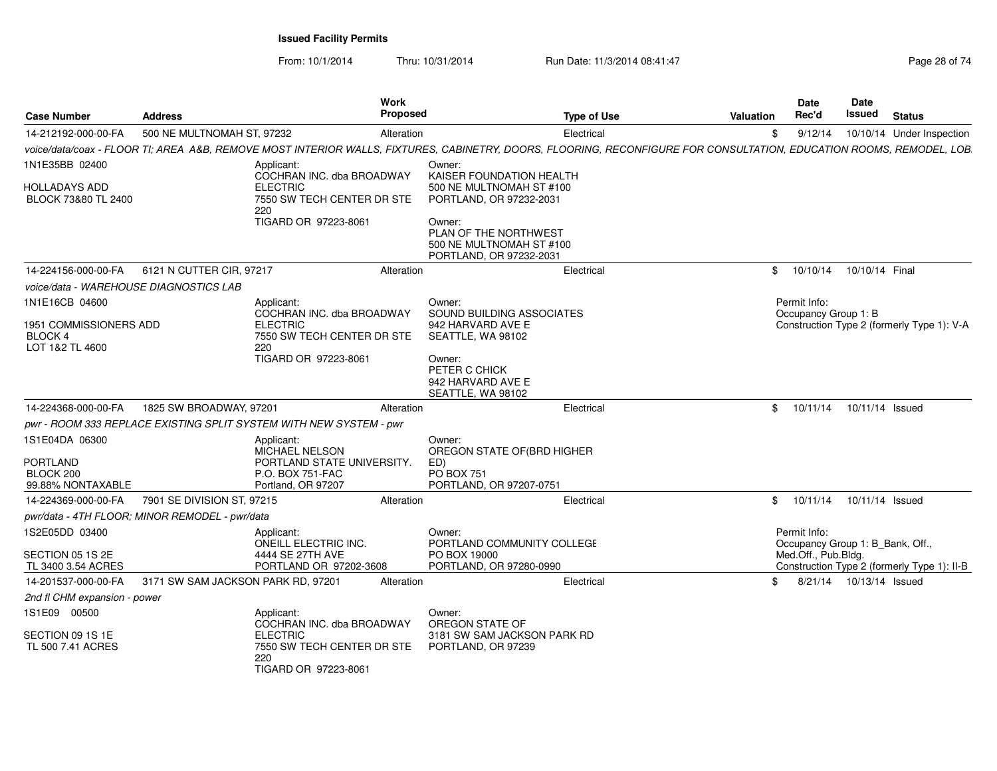From: 10/1/2014Thru: 10/31/2014 Run Date: 11/3/2014 08:41:47 Rege 28 of 74

| <b>Case Number</b>                                           | <b>Address</b>                                 | Work<br><b>Proposed</b>                                                                                                                                             |                                                                                                                                          | <b>Type of Use</b> | <b>Valuation</b> | Date<br>Rec'd        | Date<br>Issued                   | <b>Status</b>                               |
|--------------------------------------------------------------|------------------------------------------------|---------------------------------------------------------------------------------------------------------------------------------------------------------------------|------------------------------------------------------------------------------------------------------------------------------------------|--------------------|------------------|----------------------|----------------------------------|---------------------------------------------|
| 14-212192-000-00-FA                                          | 500 NE MULTNOMAH ST, 97232                     | Alteration                                                                                                                                                          |                                                                                                                                          | Electrical         | \$               | 9/12/14              |                                  | 10/10/14 Under Inspection                   |
|                                                              |                                                | voice/data/coax - FLOOR TI; AREA A&B, REMOVE MOST INTERIOR WALLS, FIXTURES, CABINETRY, DOORS, FLOORING, RECONFIGURE FOR CONSULTATION, EDUCATION ROOMS, REMODEL, LOB |                                                                                                                                          |                    |                  |                      |                                  |                                             |
| 1N1E35BB 02400                                               |                                                | Applicant:<br>COCHRAN INC. dba BROADWAY                                                                                                                             | Owner:<br>KAISER FOUNDATION HEALTH                                                                                                       |                    |                  |                      |                                  |                                             |
| HOLLADAYS ADD<br>BLOCK 73&80 TL 2400                         |                                                | <b>ELECTRIC</b><br>7550 SW TECH CENTER DR STE<br>220<br>TIGARD OR 97223-8061                                                                                        | 500 NE MULTNOMAH ST #100<br>PORTLAND, OR 97232-2031<br>Owner:<br>PLAN OF THE NORTHWEST                                                   |                    |                  |                      |                                  |                                             |
|                                                              |                                                |                                                                                                                                                                     | 500 NE MULTNOMAH ST #100<br>PORTLAND, OR 97232-2031                                                                                      |                    |                  |                      |                                  |                                             |
| 14-224156-000-00-FA                                          | 6121 N CUTTER CIR, 97217                       | Alteration                                                                                                                                                          |                                                                                                                                          | Electrical         |                  | \$10/10/14           | 10/10/14 Final                   |                                             |
| voice/data - WAREHOUSE DIAGNOSTICS LAB                       |                                                |                                                                                                                                                                     |                                                                                                                                          |                    |                  |                      |                                  |                                             |
| 1N1E16CB 04600                                               |                                                | Applicant:                                                                                                                                                          | Owner:                                                                                                                                   |                    |                  | Permit Info:         |                                  |                                             |
| 1951 COMMISSIONERS ADD<br><b>BLOCK 4</b><br>LOT 1&2 TL 4600  |                                                | COCHRAN INC. dba BROADWAY<br><b>ELECTRIC</b><br>7550 SW TECH CENTER DR STE<br>220<br>TIGARD OR 97223-8061                                                           | SOUND BUILDING ASSOCIATES<br>942 HARVARD AVE E<br>SEATTLE, WA 98102<br>Owner:<br>PETER C CHICK<br>942 HARVARD AVE E<br>SEATTLE, WA 98102 |                    |                  | Occupancy Group 1: B |                                  | Construction Type 2 (formerly Type 1): V-A  |
| 14-224368-000-00-FA                                          | 1825 SW BROADWAY, 97201                        | Alteration                                                                                                                                                          |                                                                                                                                          | Electrical         | \$               | 10/11/14             | 10/11/14 Issued                  |                                             |
|                                                              |                                                | pwr - ROOM 333 REPLACE EXISTING SPLIT SYSTEM WITH NEW SYSTEM - pwr                                                                                                  |                                                                                                                                          |                    |                  |                      |                                  |                                             |
| 1S1E04DA 06300<br>PORTLAND<br>BLOCK 200<br>99.88% NONTAXABLE |                                                | Applicant:<br>MICHAEL NELSON<br>PORTLAND STATE UNIVERSITY.<br>P.O. BOX 751-FAC<br>Portland, OR 97207                                                                | Owner:<br>OREGON STATE OF (BRD HIGHER<br>ED)<br><b>PO BOX 751</b><br>PORTLAND, OR 97207-0751                                             |                    |                  |                      |                                  |                                             |
| 14-224369-000-00-FA                                          | 7901 SE DIVISION ST, 97215                     | Alteration                                                                                                                                                          |                                                                                                                                          | Electrical         | \$               | 10/11/14             | 10/11/14 Issued                  |                                             |
|                                                              | pwr/data - 4TH FLOOR; MINOR REMODEL - pwr/data |                                                                                                                                                                     |                                                                                                                                          |                    |                  |                      |                                  |                                             |
| 1S2E05DD 03400                                               |                                                | Applicant:<br>ONEILL ELECTRIC INC.                                                                                                                                  | Owner:<br>PORTLAND COMMUNITY COLLEGE                                                                                                     |                    |                  | Permit Info:         | Occupancy Group 1: B_Bank, Off., |                                             |
| SECTION 05 1S 2E<br>TL 3400 3.54 ACRES                       |                                                | 4444 SE 27TH AVE<br>PORTLAND OR 97202-3608                                                                                                                          | PO BOX 19000<br>PORTLAND, OR 97280-0990                                                                                                  |                    |                  | Med.Off., Pub.Bldg.  |                                  | Construction Type 2 (formerly Type 1): II-B |
| 14-201537-000-00-FA                                          | 3171 SW SAM JACKSON PARK RD, 97201             | Alteration                                                                                                                                                          |                                                                                                                                          | Electrical         | \$.              |                      | 8/21/14  10/13/14  Issued        |                                             |
| 2nd fl CHM expansion - power                                 |                                                |                                                                                                                                                                     |                                                                                                                                          |                    |                  |                      |                                  |                                             |
| 1S1E09 00500                                                 |                                                | Applicant:<br>COCHRAN INC. dba BROADWAY                                                                                                                             | Owner:<br>OREGON STATE OF                                                                                                                |                    |                  |                      |                                  |                                             |
| SECTION 09 1S 1E<br>TL 500 7.41 ACRES                        |                                                | <b>ELECTRIC</b><br>7550 SW TECH CENTER DR STE<br>220<br>TIGARD OR 97223-8061                                                                                        | 3181 SW SAM JACKSON PARK RD<br>PORTLAND, OR 97239                                                                                        |                    |                  |                      |                                  |                                             |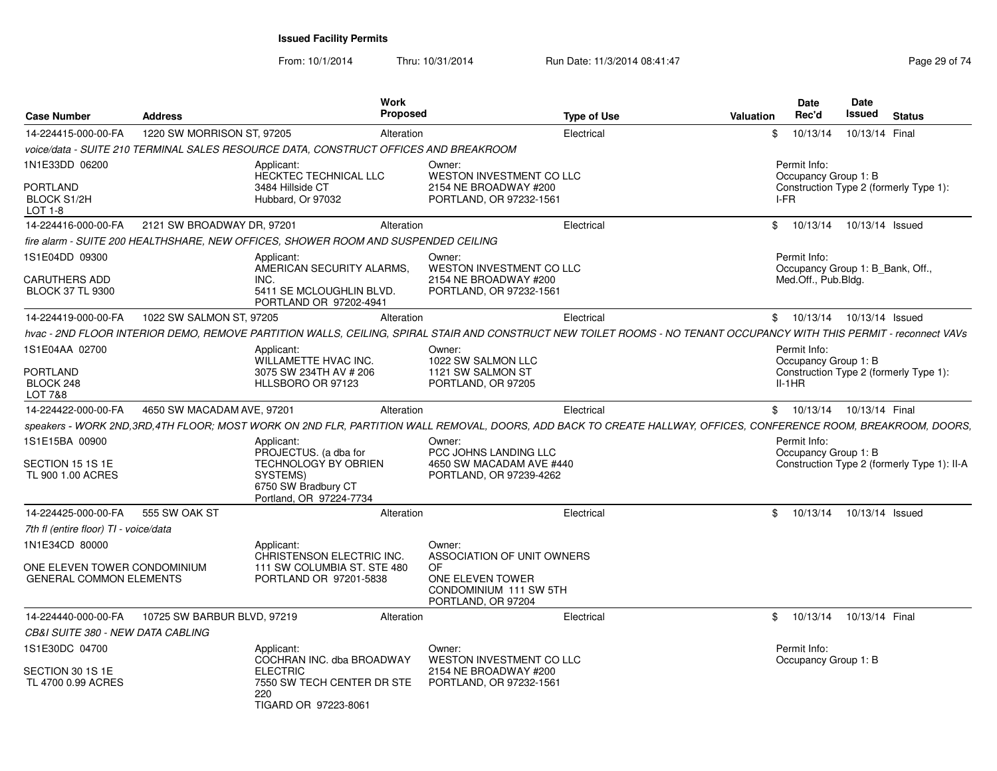From: 10/1/2014Thru: 10/31/2014 Run Date: 11/3/2014 08:41:47 Rege 29 of 74

|                                                                |                             | Work                                                                                                                                                                 |                                                                         |                    |           | <b>Date</b>                                        | Date |                |                                             |
|----------------------------------------------------------------|-----------------------------|----------------------------------------------------------------------------------------------------------------------------------------------------------------------|-------------------------------------------------------------------------|--------------------|-----------|----------------------------------------------------|------|----------------|---------------------------------------------|
| <b>Case Number</b>                                             | <b>Address</b>              | <b>Proposed</b>                                                                                                                                                      |                                                                         | <b>Type of Use</b> | Valuation | Rec'd                                              |      | Issued         | <b>Status</b>                               |
| 14-224415-000-00-FA                                            | 1220 SW MORRISON ST, 97205  | Alteration                                                                                                                                                           |                                                                         | Electrical         |           | 10/13/14                                           |      | 10/13/14 Final |                                             |
|                                                                |                             | voice/data - SUITE 210 TERMINAL SALES RESOURCE DATA. CONSTRUCT OFFICES AND BREAKROOM                                                                                 |                                                                         |                    |           |                                                    |      |                |                                             |
| 1N1E33DD 06200                                                 |                             | Applicant:<br>HECKTEC TECHNICAL LLC                                                                                                                                  | Owner:<br>WESTON INVESTMENT CO LLC                                      |                    |           | Permit Info:<br>Occupancy Group 1: B               |      |                |                                             |
| PORTLAND<br>BLOCK S1/2H<br>LOT 1-8                             |                             | 3484 Hillside CT<br>Hubbard, Or 97032                                                                                                                                | 2154 NE BROADWAY #200<br>PORTLAND, OR 97232-1561                        |                    |           | Construction Type 2 (formerly Type 1):<br>I-FR     |      |                |                                             |
| 14-224416-000-00-FA                                            | 2121 SW BROADWAY DR, 97201  | Alteration                                                                                                                                                           |                                                                         | Electrical         |           | \$ 10/13/14 10/13/14 Issued                        |      |                |                                             |
|                                                                |                             | fire alarm - SUITE 200 HEALTHSHARE, NEW OFFICES, SHOWER ROOM AND SUSPENDED CEILING                                                                                   |                                                                         |                    |           |                                                    |      |                |                                             |
| 1S1E04DD 09300                                                 |                             | Applicant:<br>AMERICAN SECURITY ALARMS,                                                                                                                              | Owner:<br>WESTON INVESTMENT CO LLC                                      |                    |           | Permit Info:<br>Occupancy Group 1: B Bank, Off.,   |      |                |                                             |
| <b>CARUTHERS ADD</b><br><b>BLOCK 37 TL 9300</b>                |                             | INC.<br>5411 SE MCLOUGHLIN BLVD.<br>PORTLAND OR 97202-4941                                                                                                           | 2154 NE BROADWAY #200<br>PORTLAND, OR 97232-1561                        |                    |           | Med.Off., Pub.Bldg.                                |      |                |                                             |
| 14-224419-000-00-FA                                            | 1022 SW SALMON ST, 97205    | Alteration                                                                                                                                                           |                                                                         | Electrical         |           | \$ 10/13/14 10/13/14 Issued                        |      |                |                                             |
|                                                                |                             | hvac - 2ND FLOOR INTERIOR DEMO, REMOVE PARTITION WALLS, CEILING, SPIRAL STAIR AND CONSTRUCT NEW TOILET ROOMS - NO TENANT OCCUPANCY WITH THIS PERMIT - reconnect VAVs |                                                                         |                    |           |                                                    |      |                |                                             |
| 1S1E04AA 02700                                                 |                             | Applicant:                                                                                                                                                           | Owner:                                                                  |                    |           | Permit Info:                                       |      |                |                                             |
|                                                                |                             | WILLAMETTE HVAC INC.                                                                                                                                                 | 1022 SW SALMON LLC                                                      |                    |           | Occupancy Group 1: B                               |      |                |                                             |
| <b>PORTLAND</b><br>BLOCK 248<br>LOT 7&8                        |                             | 3075 SW 234TH AV # 206<br>HLLSBORO OR 97123                                                                                                                          | 1121 SW SALMON ST<br>PORTLAND, OR 97205                                 |                    |           | Construction Type 2 (formerly Type 1):<br>$II-1HR$ |      |                |                                             |
| 14-224422-000-00-FA                                            | 4650 SW MACADAM AVE, 97201  | Alteration                                                                                                                                                           |                                                                         | Electrical         |           | \$ 10/13/14 10/13/14 Final                         |      |                |                                             |
|                                                                |                             | speakers - WORK 2ND,3RD,4TH FLOOR; MOST WORK ON 2ND FLR, PARTITION WALL REMOVAL, DOORS, ADD BACK TO CREATE HALLWAY, OFFICES, CONFERENCE ROOM, BREAKROOM, DOORS,      |                                                                         |                    |           |                                                    |      |                |                                             |
| 1S1E15BA 00900                                                 |                             | Applicant:<br>PROJECTUS. (a dba for                                                                                                                                  | Owner:<br>PCC JOHNS LANDING LLC                                         |                    |           | Permit Info:<br>Occupancy Group 1: B               |      |                |                                             |
| SECTION 15 1S 1E<br>TL 900 1.00 ACRES                          |                             | <b>TECHNOLOGY BY OBRIEN</b><br>SYSTEMS)<br>6750 SW Bradbury CT<br>Portland, OR 97224-7734                                                                            | 4650 SW MACADAM AVE #440<br>PORTLAND, OR 97239-4262                     |                    |           |                                                    |      |                | Construction Type 2 (formerly Type 1): II-A |
| 14-224425-000-00-FA                                            | 555 SW OAK ST               | Alteration                                                                                                                                                           |                                                                         | Electrical         |           | 10/13/14  10/13/14  Issued                         |      |                |                                             |
| 7th fl (entire floor) TI - voice/data                          |                             |                                                                                                                                                                      |                                                                         |                    |           |                                                    |      |                |                                             |
| 1N1E34CD 80000                                                 |                             | Applicant:<br>CHRISTENSON ELECTRIC INC.                                                                                                                              | Owner:<br>ASSOCIATION OF UNIT OWNERS                                    |                    |           |                                                    |      |                |                                             |
| ONE ELEVEN TOWER CONDOMINIUM<br><b>GENERAL COMMON ELEMENTS</b> |                             | 111 SW COLUMBIA ST. STE 480<br>PORTLAND OR 97201-5838                                                                                                                | OF.<br>ONE ELEVEN TOWER<br>CONDOMINIUM 111 SW 5TH<br>PORTLAND, OR 97204 |                    |           |                                                    |      |                |                                             |
| 14-224440-000-00-FA                                            | 10725 SW BARBUR BLVD, 97219 | Alteration                                                                                                                                                           |                                                                         | Electrical         |           | \$ 10/13/14 10/13/14 Final                         |      |                |                                             |
| CB&I SUITE 380 - NEW DATA CABLING                              |                             |                                                                                                                                                                      |                                                                         |                    |           |                                                    |      |                |                                             |
| 1S1E30DC 04700                                                 |                             | Applicant:<br>COCHRAN INC. dba BROADWAY                                                                                                                              | Owner:<br>WESTON INVESTMENT CO LLC                                      |                    |           | Permit Info:<br>Occupancy Group 1: B               |      |                |                                             |
| SECTION 30 1S 1E<br>TL 4700 0.99 ACRES                         |                             | <b>ELECTRIC</b><br>7550 SW TECH CENTER DR STE<br>220                                                                                                                 | 2154 NE BROADWAY #200<br>PORTLAND, OR 97232-1561                        |                    |           |                                                    |      |                |                                             |
|                                                                |                             | TIGARD OR 97223-8061                                                                                                                                                 |                                                                         |                    |           |                                                    |      |                |                                             |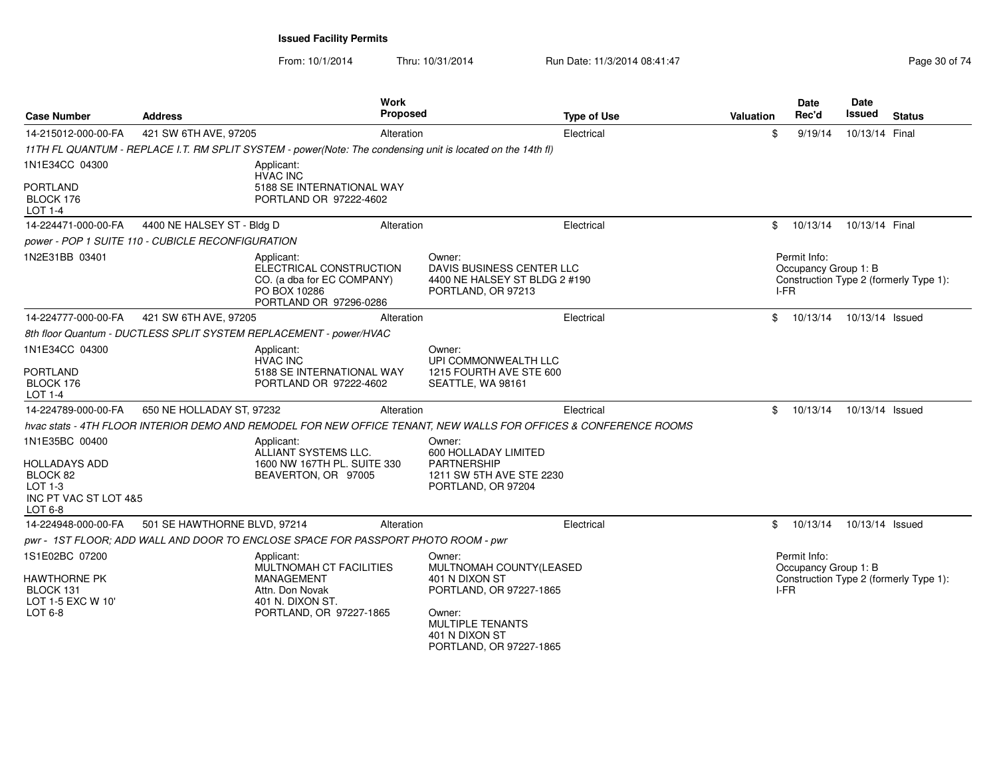From: 10/1/2014

Thru: 10/31/2014 Run Date: 11/3/2014 08:41:47 Rege 30 of 74

| <b>Case Number</b>                                                                           | <b>Address</b>                                    | <b>Work</b><br><b>Proposed</b>                                                                                               |                                                                                                                                                                  | <b>Type of Use</b> | <b>Valuation</b> | Date<br>Rec'd                                | Date<br>Issued  | <b>Status</b>                          |
|----------------------------------------------------------------------------------------------|---------------------------------------------------|------------------------------------------------------------------------------------------------------------------------------|------------------------------------------------------------------------------------------------------------------------------------------------------------------|--------------------|------------------|----------------------------------------------|-----------------|----------------------------------------|
| 14-215012-000-00-FA                                                                          | 421 SW 6TH AVE, 97205                             | Alteration                                                                                                                   |                                                                                                                                                                  | Electrical         | \$               | 9/19/14                                      | 10/13/14 Final  |                                        |
|                                                                                              |                                                   | 11TH FL QUANTUM - REPLACE I.T. RM SPLIT SYSTEM - power(Note: The condensing unit is located on the 14th fl)                  |                                                                                                                                                                  |                    |                  |                                              |                 |                                        |
| 1N1E34CC 04300<br>PORTLAND<br>BLOCK 176<br>LOT 1-4                                           |                                                   | Applicant:<br><b>HVAC INC</b><br>5188 SE INTERNATIONAL WAY<br>PORTLAND OR 97222-4602                                         |                                                                                                                                                                  |                    |                  |                                              |                 |                                        |
| 14-224471-000-00-FA                                                                          | 4400 NE HALSEY ST - Bldg D                        | Alteration                                                                                                                   |                                                                                                                                                                  | Electrical         | \$               | 10/13/14  10/13/14  Final                    |                 |                                        |
|                                                                                              | power - POP 1 SUITE 110 - CUBICLE RECONFIGURATION |                                                                                                                              |                                                                                                                                                                  |                    |                  |                                              |                 |                                        |
| 1N2E31BB 03401                                                                               |                                                   | Applicant:<br>ELECTRICAL CONSTRUCTION<br>CO. (a dba for EC COMPANY)<br>PO BOX 10286<br>PORTLAND OR 97296-0286                | Owner:<br>DAVIS BUSINESS CENTER LLC<br>4400 NE HALSEY ST BLDG 2 #190<br>PORTLAND, OR 97213                                                                       |                    |                  | Permit Info:<br>Occupancy Group 1: B<br>I-FR |                 | Construction Type 2 (formerly Type 1): |
| 14-224777-000-00-FA                                                                          | 421 SW 6TH AVE, 97205                             | Alteration                                                                                                                   |                                                                                                                                                                  | Electrical         | \$               | 10/13/14                                     | 10/13/14 Issued |                                        |
|                                                                                              |                                                   | 8th floor Quantum - DUCTLESS SPLIT SYSTEM REPLACEMENT - power/HVAC                                                           |                                                                                                                                                                  |                    |                  |                                              |                 |                                        |
| 1N1E34CC 04300<br>PORTLAND<br>BLOCK 176<br><b>LOT 1-4</b>                                    |                                                   | Applicant:<br><b>HVAC INC</b><br>5188 SE INTERNATIONAL WAY<br>PORTLAND OR 97222-4602                                         | Owner:<br>UPI COMMONWEALTH LLC<br>1215 FOURTH AVE STE 600<br>SEATTLE, WA 98161                                                                                   |                    |                  |                                              |                 |                                        |
| 14-224789-000-00-FA                                                                          | 650 NE HOLLADAY ST, 97232                         | Alteration                                                                                                                   |                                                                                                                                                                  | Electrical         | \$               | 10/13/14                                     | 10/13/14 Issued |                                        |
|                                                                                              |                                                   | hvac stats - 4TH FLOOR INTERIOR DEMO AND REMODEL FOR NEW OFFICE TENANT, NEW WALLS FOR OFFICES & CONFERENCE ROOMS             |                                                                                                                                                                  |                    |                  |                                              |                 |                                        |
| 1N1E35BC 00400<br>HOLLADAYS ADD<br>BLOCK 82<br>$LOT 1-3$<br>INC PT VAC ST LOT 4&5<br>LOT 6-8 |                                                   | Applicant:<br>ALLIANT SYSTEMS LLC.<br>1600 NW 167TH PL. SUITE 330<br>BEAVERTON, OR 97005                                     | Owner:<br>600 HOLLADAY LIMITED<br><b>PARTNERSHIP</b><br>1211 SW 5TH AVE STE 2230<br>PORTLAND, OR 97204                                                           |                    |                  |                                              |                 |                                        |
| 14-224948-000-00-FA                                                                          | 501 SE HAWTHORNE BLVD, 97214                      | Alteration                                                                                                                   |                                                                                                                                                                  | Electrical         | \$               | 10/13/14                                     | 10/13/14 Issued |                                        |
|                                                                                              |                                                   | pwr - 1ST FLOOR; ADD WALL AND DOOR TO ENCLOSE SPACE FOR PASSPORT PHOTO ROOM - pwr                                            |                                                                                                                                                                  |                    |                  |                                              |                 |                                        |
| 1S1E02BC 07200<br>HAWTHORNE PK<br>BLOCK 131<br>LOT 1-5 EXC W 10'<br>LOT $6-8$                |                                                   | Applicant:<br>MULTNOMAH CT FACILITIES<br><b>MANAGEMENT</b><br>Attn. Don Novak<br>401 N. DIXON ST.<br>PORTLAND, OR 97227-1865 | Owner:<br>MULTNOMAH COUNTY(LEASED<br>401 N DIXON ST<br>PORTLAND, OR 97227-1865<br>Owner:<br><b>MULTIPLE TENANTS</b><br>401 N DIXON ST<br>PORTLAND, OR 97227-1865 |                    |                  | Permit Info:<br>Occupancy Group 1: B<br>I-FR |                 | Construction Type 2 (formerly Type 1): |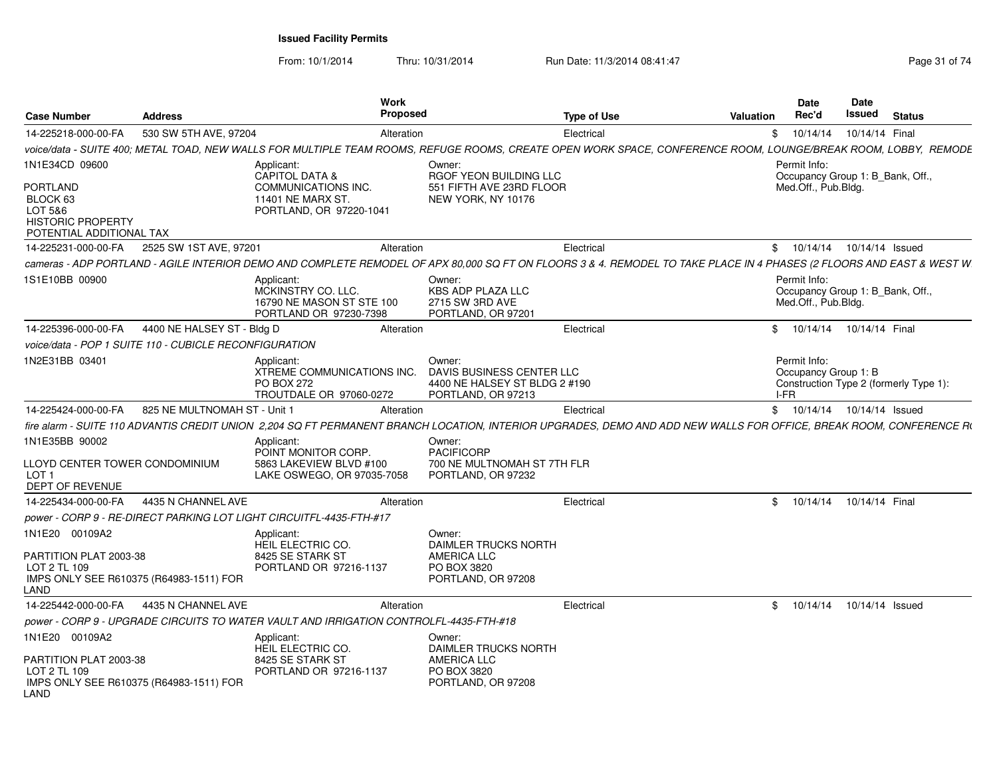From: 10/1/2014

Thru: 10/31/2014 Run Date: 11/3/2014 08:41:47 Rege 31 of 74

| <b>Case Number</b>                                                                                          | <b>Address</b>               | Work<br>Proposed                                                                                                                                                     |                                                                                            | <b>Type of Use</b> | <b>Valuation</b> | <b>Date</b><br>Rec'd                | <b>Date</b><br><b>Issued</b>     | <b>Status</b>                          |
|-------------------------------------------------------------------------------------------------------------|------------------------------|----------------------------------------------------------------------------------------------------------------------------------------------------------------------|--------------------------------------------------------------------------------------------|--------------------|------------------|-------------------------------------|----------------------------------|----------------------------------------|
| 14-225218-000-00-FA                                                                                         | 530 SW 5TH AVE, 97204        | Alteration                                                                                                                                                           |                                                                                            | Electrical         |                  | 10/14/14<br>\$                      |                                  | 10/14/14 Final                         |
|                                                                                                             |                              | voice/data - SUITE 400: METAL TOAD. NEW WALLS FOR MULTIPLE TEAM ROOMS. REFUGE ROOMS. CREATE OPEN WORK SPACE. CONFERENCE ROOM. LOUNGE/BREAK ROOM. LOBBY.  REMODE      |                                                                                            |                    |                  |                                     |                                  |                                        |
| 1N1E34CD 09600<br>PORTLAND<br>BLOCK 63<br>LOT 5&6<br><b>HISTORIC PROPERTY</b><br>POTENTIAL ADDITIONAL TAX   |                              | Applicant:<br><b>CAPITOL DATA &amp;</b><br>COMMUNICATIONS INC.<br>11401 NE MARX ST.<br>PORTLAND, OR 97220-1041                                                       | Owner:<br>RGOF YEON BUILDING LLC<br>551 FIFTH AVE 23RD FLOOR<br>NEW YORK, NY 10176         |                    |                  | Permit Info:<br>Med.Off., Pub.Bldg. |                                  | Occupancy Group 1: B Bank, Off.,       |
| 14-225231-000-00-FA                                                                                         | 2525 SW 1ST AVE, 97201       | Alteration                                                                                                                                                           |                                                                                            | Electrical         |                  |                                     | \$ 10/14/14 10/14/14 Issued      |                                        |
|                                                                                                             |                              | cameras - ADP PORTLAND - AGILE INTERIOR DEMO AND COMPLETE REMODEL OF APX 80.000 SQ FT ON FLOORS 3 & 4. REMODEL TO TAKE PLACE IN 4 PHASES (2 FLOORS AND EAST & WEST W |                                                                                            |                    |                  |                                     |                                  |                                        |
| 1S1E10BB 00900                                                                                              |                              | Applicant:<br>MCKINSTRY CO. LLC.<br>16790 NE MASON ST STE 100<br>PORTLAND OR 97230-7398                                                                              | Owner:<br>KBS ADP PLAZA LLC<br>2715 SW 3RD AVE<br>PORTLAND, OR 97201                       |                    |                  | Permit Info:<br>Med.Off., Pub.Bldg. | Occupancy Group 1: B Bank, Off., |                                        |
| 14-225396-000-00-FA                                                                                         | 4400 NE HALSEY ST - Bldg D   | Alteration                                                                                                                                                           |                                                                                            | Electrical         |                  | \$10/14/14                          | 10/14/14 Final                   |                                        |
| voice/data - POP 1 SUITE 110 - CUBICLE RECONFIGURATION                                                      |                              |                                                                                                                                                                      |                                                                                            |                    |                  |                                     |                                  |                                        |
| 1N2E31BB 03401                                                                                              |                              | Applicant:<br>XTREME COMMUNICATIONS INC.<br><b>PO BOX 272</b><br>TROUTDALE OR 97060-0272                                                                             | Owner:<br>DAVIS BUSINESS CENTER LLC<br>4400 NE HALSEY ST BLDG 2 #190<br>PORTLAND, OR 97213 |                    |                  | Permit Info:<br>I-FR.               | Occupancy Group 1: B             | Construction Type 2 (formerly Type 1): |
| 14-225424-000-00-FA                                                                                         | 825 NE MULTNOMAH ST - Unit 1 | Alteration                                                                                                                                                           |                                                                                            | Electrical         |                  | \$10/14/14                          |                                  | 10/14/14 Issued                        |
|                                                                                                             |                              | fire alarm - SUITE 110 ADVANTIS CREDIT UNION 2.204 SQ FT PERMANENT BRANCH LOCATION. INTERIOR UPGRADES, DEMO AND ADD NEW WALLS FOR OFFICE, BREAK ROOM, CONFERENCE R(  |                                                                                            |                    |                  |                                     |                                  |                                        |
| 1N1E35BB 90002<br>LLOYD CENTER TOWER CONDOMINIUM<br>LOT <sub>1</sub><br><b>DEPT OF REVENUE</b>              |                              | Applicant:<br>POINT MONITOR CORP.<br>5863 LAKEVIEW BLVD #100<br>LAKE OSWEGO, OR 97035-7058                                                                           | Owner:<br><b>PACIFICORP</b><br>700 NE MULTNOMAH ST 7TH FLR<br>PORTLAND, OR 97232           |                    |                  |                                     |                                  |                                        |
| 14-225434-000-00-FA                                                                                         | 4435 N CHANNEL AVE           | Alteration                                                                                                                                                           |                                                                                            | Electrical         |                  | 10/14/14<br>\$                      |                                  | 10/14/14 Final                         |
|                                                                                                             |                              | power - CORP 9 - RE-DIRECT PARKING LOT LIGHT CIRCUITFL-4435-FTH-#17                                                                                                  |                                                                                            |                    |                  |                                     |                                  |                                        |
| 1N1E20 00109A2<br>PARTITION PLAT 2003-38<br>LOT 2 TL 109<br>IMPS ONLY SEE R610375 (R64983-1511) FOR<br>_AND |                              | Applicant:<br><b>HEIL ELECTRIC CO.</b><br>8425 SE STARK ST<br>PORTLAND OR 97216-1137                                                                                 | Owner:<br>DAIMLER TRUCKS NORTH<br><b>AMERICA LLC</b><br>PO BOX 3820<br>PORTLAND, OR 97208  |                    |                  |                                     |                                  |                                        |
| 14-225442-000-00-FA 4435 N CHANNEL AVE                                                                      |                              | Alteration                                                                                                                                                           |                                                                                            | Electrical         |                  | \$10/14/14                          |                                  | 10/14/14 Issued                        |
|                                                                                                             |                              | power - CORP 9 - UPGRADE CIRCUITS TO WATER VAULT AND IRRIGATION CONTROLFL-4435-FTH-#18                                                                               |                                                                                            |                    |                  |                                     |                                  |                                        |
| 1N1E20 00109A2<br>PARTITION PLAT 2003-38<br>LOT 2 TL 109<br>IMPS ONLY SEE R610375 (R64983-1511) FOR<br>LAND |                              | Applicant:<br><b>HEIL ELECTRIC CO.</b><br>8425 SE STARK ST<br>PORTLAND OR 97216-1137                                                                                 | Owner:<br><b>DAIMLER TRUCKS NORTH</b><br>AMERICA LLC<br>PO BOX 3820<br>PORTLAND, OR 97208  |                    |                  |                                     |                                  |                                        |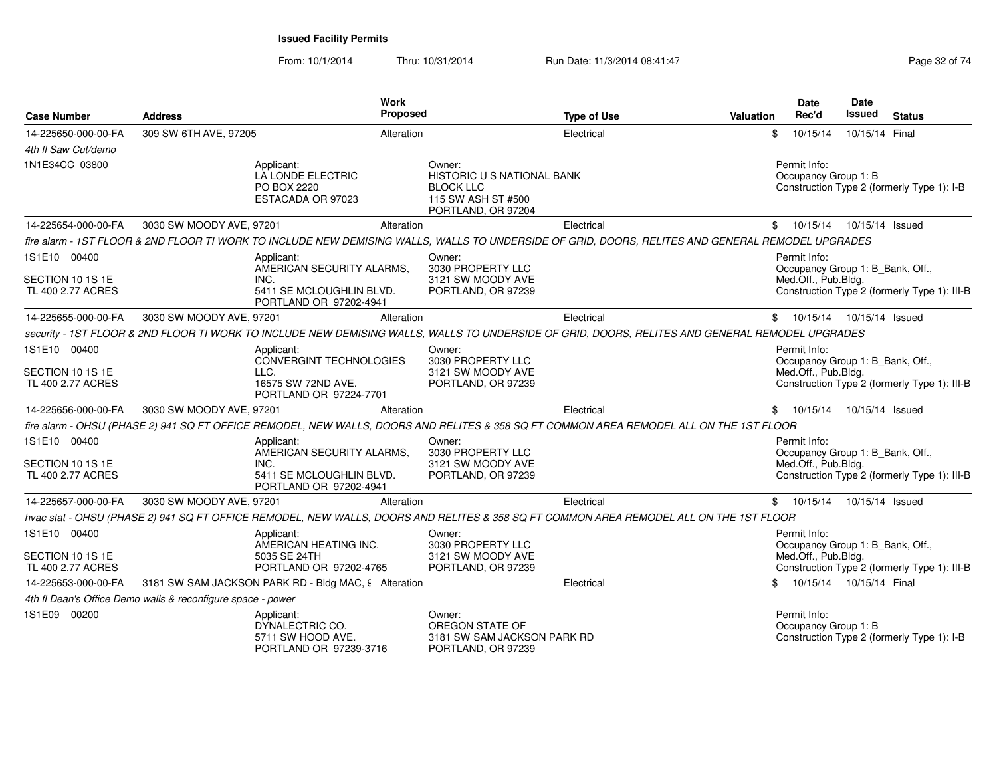From: 10/1/2014Thru: 10/31/2014 Run Date: 11/3/2014 08:41:47 Rege 32 of 74

| <b>Case Number</b>                    | <b>Address</b>                                              | Work<br>Proposed                                                                                                                                  |                                                                                                             | <b>Type of Use</b> | <b>Valuation</b> | <b>Date</b><br>Rec'd                                                    | <b>Date</b><br>Issued     | <b>Status</b>                                |
|---------------------------------------|-------------------------------------------------------------|---------------------------------------------------------------------------------------------------------------------------------------------------|-------------------------------------------------------------------------------------------------------------|--------------------|------------------|-------------------------------------------------------------------------|---------------------------|----------------------------------------------|
| 14-225650-000-00-FA                   | 309 SW 6TH AVE, 97205                                       | Alteration                                                                                                                                        |                                                                                                             | Electrical         |                  | 10/15/14<br>\$                                                          | 10/15/14 Final            |                                              |
| 4th fl Saw Cut/demo                   |                                                             |                                                                                                                                                   |                                                                                                             |                    |                  |                                                                         |                           |                                              |
| 1N1E34CC 03800                        |                                                             | Applicant:<br>LA LONDE ELECTRIC<br>PO BOX 2220<br>ESTACADA OR 97023                                                                               | Owner:<br><b>HISTORIC U S NATIONAL BANK</b><br><b>BLOCK LLC</b><br>115 SW ASH ST #500<br>PORTLAND, OR 97204 |                    |                  | Permit Info:<br>Occupancy Group 1: B                                    |                           | Construction Type 2 (formerly Type 1): I-B   |
| 14-225654-000-00-FA                   | 3030 SW MOODY AVE, 97201                                    | Alteration                                                                                                                                        |                                                                                                             | Electrical         |                  | \$10/15/14                                                              | 10/15/14 Issued           |                                              |
|                                       |                                                             | fire alarm - 1ST FLOOR & 2ND FLOOR TI WORK TO INCLUDE NEW DEMISING WALLS, WALLS TO UNDERSIDE OF GRID, DOORS, RELITES AND GENERAL REMODEL UPGRADES |                                                                                                             |                    |                  |                                                                         |                           |                                              |
| 1S1E10 00400                          |                                                             | Applicant:<br>AMERICAN SECURITY ALARMS.                                                                                                           | Owner:<br>3030 PROPERTY LLC                                                                                 |                    |                  | Permit Info:<br>Occupancy Group 1: B_Bank, Off.,                        |                           |                                              |
| SECTION 10 1S 1E<br>TL 400 2.77 ACRES |                                                             | INC.<br>5411 SE MCLOUGHLIN BLVD.<br>PORTLAND OR 97202-4941                                                                                        | 3121 SW MOODY AVE<br>PORTLAND, OR 97239                                                                     |                    |                  | Med.Off., Pub.Bldg.                                                     |                           | Construction Type 2 (formerly Type 1): III-B |
| 14-225655-000-00-FA                   | 3030 SW MOODY AVE, 97201                                    | Alteration                                                                                                                                        |                                                                                                             | Electrical         |                  | \$ 10/15/14 10/15/14 Issued                                             |                           |                                              |
|                                       |                                                             | security - 1ST FLOOR & 2ND FLOOR TI WORK TO INCLUDE NEW DEMISING WALLS, WALLS TO UNDERSIDE OF GRID, DOORS, RELITES AND GENERAL REMODEL UPGRADES   |                                                                                                             |                    |                  |                                                                         |                           |                                              |
| 1S1E10 00400<br>SECTION 10 1S 1E      |                                                             | Applicant:<br>CONVERGINT TECHNOLOGIES<br>LLC.                                                                                                     | Owner:<br>3030 PROPERTY LLC<br>3121 SW MOODY AVE                                                            |                    |                  | Permit Info:<br>Occupancy Group 1: B Bank, Off.,<br>Med.Off., Pub.Bldg. |                           |                                              |
| TL 400 2.77 ACRES                     |                                                             | 16575 SW 72ND AVE.<br>PORTLAND OR 97224-7701                                                                                                      | PORTLAND, OR 97239                                                                                          |                    |                  |                                                                         |                           | Construction Type 2 (formerly Type 1): III-B |
| 14-225656-000-00-FA                   | 3030 SW MOODY AVE, 97201                                    | Alteration                                                                                                                                        |                                                                                                             | Electrical         |                  | \$10/15/14                                                              | 10/15/14 Issued           |                                              |
|                                       |                                                             | fire alarm - OHSU (PHASE 2) 941 SQ FT OFFICE REMODEL, NEW WALLS, DOORS AND RELITES & 358 SQ FT COMMON AREA REMODEL ALL ON THE 1ST FLOOR           |                                                                                                             |                    |                  |                                                                         |                           |                                              |
| 1S1E10 00400                          |                                                             | Applicant:<br>AMERICAN SECURITY ALARMS,                                                                                                           | Owner:<br>3030 PROPERTY LLC                                                                                 |                    |                  | Permit Info:<br>Occupancy Group 1: B_Bank, Off.,                        |                           |                                              |
| SECTION 10 1S 1E<br>TL 400 2.77 ACRES |                                                             | INC.<br>5411 SE MCLOUGHLIN BLVD.<br>PORTLAND OR 97202-4941                                                                                        | 3121 SW MOODY AVE<br>PORTLAND, OR 97239                                                                     |                    |                  | Med.Off., Pub.Bldg.                                                     |                           | Construction Type 2 (formerly Type 1): III-B |
| 14-225657-000-00-FA                   | 3030 SW MOODY AVE, 97201                                    | Alteration                                                                                                                                        |                                                                                                             | Electrical         |                  | \$10/15/14                                                              | 10/15/14 Issued           |                                              |
|                                       |                                                             | hvac stat - OHSU (PHASE 2) 941 SQ FT OFFICE REMODEL, NEW WALLS, DOORS AND RELITES & 358 SQ FT COMMON AREA REMODEL ALL ON THE 1ST FLOOR            |                                                                                                             |                    |                  |                                                                         |                           |                                              |
| 1S1E10 00400                          |                                                             | Applicant:<br>AMERICAN HEATING INC.                                                                                                               | Owner:<br>3030 PROPERTY LLC                                                                                 |                    |                  | Permit Info:<br>Occupancy Group 1: B_Bank, Off.,                        |                           |                                              |
| SECTION 10 1S 1E<br>TL 400 2.77 ACRES |                                                             | 5035 SE 24TH<br>PORTLAND OR 97202-4765                                                                                                            | 3121 SW MOODY AVE<br>PORTLAND, OR 97239                                                                     |                    |                  | Med.Off., Pub.Bldg.                                                     |                           | Construction Type 2 (formerly Type 1): III-B |
| 14-225653-000-00-FA                   |                                                             | 3181 SW SAM JACKSON PARK RD - Bldg MAC, 9 Alteration                                                                                              |                                                                                                             | Electrical         |                  | \$                                                                      | 10/15/14  10/15/14  Final |                                              |
|                                       | 4th fl Dean's Office Demo walls & reconfigure space - power |                                                                                                                                                   |                                                                                                             |                    |                  |                                                                         |                           |                                              |
| 1S1E09 00200                          |                                                             | Applicant:<br>DYNALECTRIC CO.<br>5711 SW HOOD AVE.<br>PORTLAND OR 97239-3716                                                                      | Owner:<br>OREGON STATE OF<br>3181 SW SAM JACKSON PARK RD<br>PORTLAND, OR 97239                              |                    |                  | Permit Info:<br>Occupancy Group 1: B                                    |                           | Construction Type 2 (formerly Type 1): I-B   |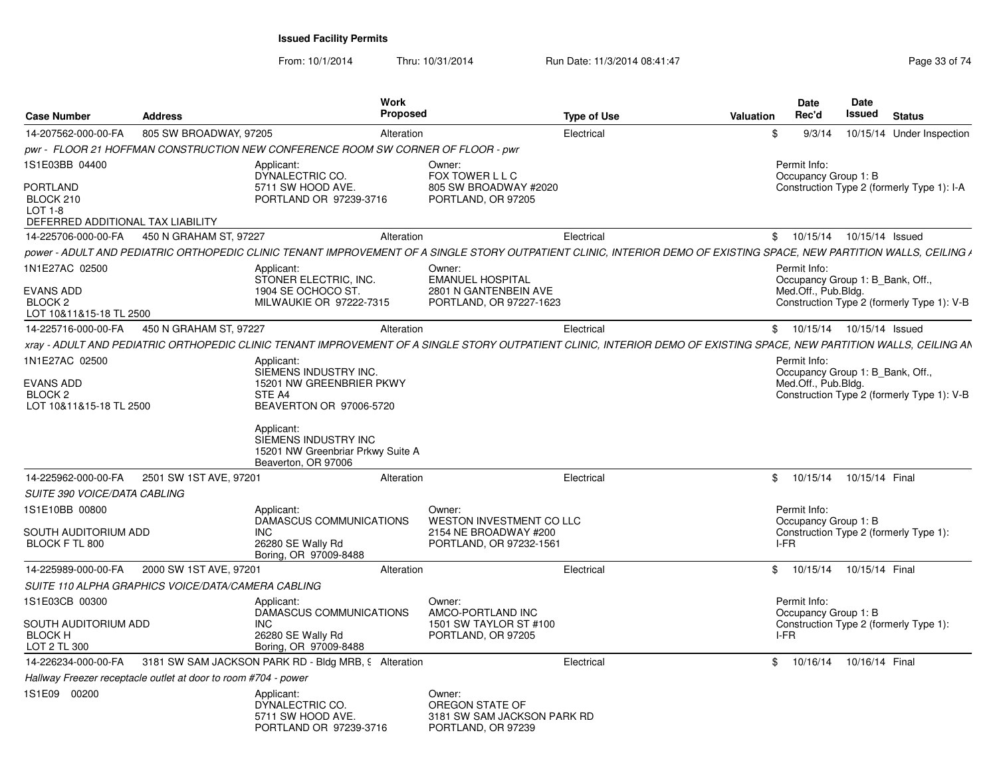From: 10/1/2014Thru: 10/31/2014 Run Date: 11/3/2014 08:41:47 Run Date: 11/3/2014 08:41:47

| 805 SW BROADWAY, 97205<br>14-207562-000-00-FA<br>Alteration<br>pwr - FLOOR 21 HOFFMAN CONSTRUCTION NEW CONFERENCE ROOM SW CORNER OF FLOOR - pwr<br>1S1E03BB 04400<br>Applicant:<br>Owner:<br>DYNALECTRIC CO.<br>FOX TOWER L L C<br>5711 SW HOOD AVE.<br>BLOCK 210<br>PORTLAND OR 97239-3716<br>PORTLAND, OR 97205<br>$LOT 1-8$<br>DEFERRED ADDITIONAL TAX LIABILITY<br>14-225706-000-00-FA<br>450 N GRAHAM ST, 97227<br>Alteration<br>DOWER - ADULT AND PEDIATRIC ORTHOPEDIC CLINIC TENANT IMPROVEMENT OF A SINGLE STORY OUTPATIENT CLINIC. INTERIOR DEMO OF EXISTING SPACE, NEW PARTITION WALLS, CEILING A<br>1N1E27AC 02500<br>Applicant:<br>Owner:<br>STONER ELECTRIC. INC.<br><b>EMANUEL HOSPITAL</b><br>2801 N GANTENBEIN AVE<br>1904 SE OCHOCO ST<br>BLOCK <sub>2</sub><br>MILWAUKIE OR 97222-7315<br>LOT 10&11&15-18 TL 2500<br>14-225716-000-00-FA<br>450 N GRAHAM ST, 97227<br>Alteration<br>xray - ADULT AND PEDIATRIC ORTHOPEDIC CLINIC TENANT IMPROVEMENT OF A SINGLE STORY OUTPATIENT CLINIC, INTERIOR DEMO OF EXISTING SPACE, NEW PARTITION WALLS, CEILING AN<br>1N1E27AC 02500<br>Applicant: | Electrical                                       | 9/3/14<br>10/15/14 Under Inspection<br>\$                      |
|-------------------------------------------------------------------------------------------------------------------------------------------------------------------------------------------------------------------------------------------------------------------------------------------------------------------------------------------------------------------------------------------------------------------------------------------------------------------------------------------------------------------------------------------------------------------------------------------------------------------------------------------------------------------------------------------------------------------------------------------------------------------------------------------------------------------------------------------------------------------------------------------------------------------------------------------------------------------------------------------------------------------------------------------------------------------------------------------------------------|--------------------------------------------------|----------------------------------------------------------------|
|                                                                                                                                                                                                                                                                                                                                                                                                                                                                                                                                                                                                                                                                                                                                                                                                                                                                                                                                                                                                                                                                                                             |                                                  |                                                                |
| <b>PORTLAND</b><br><b>EVANS ADD</b>                                                                                                                                                                                                                                                                                                                                                                                                                                                                                                                                                                                                                                                                                                                                                                                                                                                                                                                                                                                                                                                                         |                                                  |                                                                |
|                                                                                                                                                                                                                                                                                                                                                                                                                                                                                                                                                                                                                                                                                                                                                                                                                                                                                                                                                                                                                                                                                                             |                                                  | Permit Info:<br>Occupancy Group 1: B                           |
|                                                                                                                                                                                                                                                                                                                                                                                                                                                                                                                                                                                                                                                                                                                                                                                                                                                                                                                                                                                                                                                                                                             | 805 SW BROADWAY #2020                            | Construction Type 2 (formerly Type 1): I-A                     |
|                                                                                                                                                                                                                                                                                                                                                                                                                                                                                                                                                                                                                                                                                                                                                                                                                                                                                                                                                                                                                                                                                                             |                                                  |                                                                |
|                                                                                                                                                                                                                                                                                                                                                                                                                                                                                                                                                                                                                                                                                                                                                                                                                                                                                                                                                                                                                                                                                                             | Electrical                                       | \$ 10/15/14 10/15/14 Issued                                    |
|                                                                                                                                                                                                                                                                                                                                                                                                                                                                                                                                                                                                                                                                                                                                                                                                                                                                                                                                                                                                                                                                                                             |                                                  |                                                                |
|                                                                                                                                                                                                                                                                                                                                                                                                                                                                                                                                                                                                                                                                                                                                                                                                                                                                                                                                                                                                                                                                                                             |                                                  | Permit Info:<br>Occupancy Group 1: B_Bank, Off.,               |
|                                                                                                                                                                                                                                                                                                                                                                                                                                                                                                                                                                                                                                                                                                                                                                                                                                                                                                                                                                                                                                                                                                             |                                                  | Med.Off., Pub.Bldg.                                            |
|                                                                                                                                                                                                                                                                                                                                                                                                                                                                                                                                                                                                                                                                                                                                                                                                                                                                                                                                                                                                                                                                                                             | PORTLAND, OR 97227-1623                          | Construction Type 2 (formerly Type 1): V-B                     |
|                                                                                                                                                                                                                                                                                                                                                                                                                                                                                                                                                                                                                                                                                                                                                                                                                                                                                                                                                                                                                                                                                                             | Electrical                                       | \$ 10/15/14 10/15/14 Issued                                    |
|                                                                                                                                                                                                                                                                                                                                                                                                                                                                                                                                                                                                                                                                                                                                                                                                                                                                                                                                                                                                                                                                                                             |                                                  |                                                                |
|                                                                                                                                                                                                                                                                                                                                                                                                                                                                                                                                                                                                                                                                                                                                                                                                                                                                                                                                                                                                                                                                                                             |                                                  | Permit Info:                                                   |
| SIEMENS INDUSTRY INC.                                                                                                                                                                                                                                                                                                                                                                                                                                                                                                                                                                                                                                                                                                                                                                                                                                                                                                                                                                                                                                                                                       |                                                  | Occupancy Group 1: B_Bank, Off.,                               |
| <b>EVANS ADD</b><br>15201 NW GREENBRIER PKWY                                                                                                                                                                                                                                                                                                                                                                                                                                                                                                                                                                                                                                                                                                                                                                                                                                                                                                                                                                                                                                                                |                                                  | Med.Off., Pub.Bldg.                                            |
| BLOCK <sub>2</sub><br>STE A4<br>BEAVERTON OR 97006-5720<br>LOT 10&11&15-18 TL 2500                                                                                                                                                                                                                                                                                                                                                                                                                                                                                                                                                                                                                                                                                                                                                                                                                                                                                                                                                                                                                          |                                                  | Construction Type 2 (formerly Type 1): V-B                     |
| Applicant:<br>SIEMENS INDUSTRY INC<br>15201 NW Greenbriar Prkwy Suite A<br>Beaverton, OR 97006                                                                                                                                                                                                                                                                                                                                                                                                                                                                                                                                                                                                                                                                                                                                                                                                                                                                                                                                                                                                              |                                                  |                                                                |
| 2501 SW 1ST AVE, 97201<br>14-225962-000-00-FA<br>Alteration                                                                                                                                                                                                                                                                                                                                                                                                                                                                                                                                                                                                                                                                                                                                                                                                                                                                                                                                                                                                                                                 | Electrical                                       | \$10/15/14<br>10/15/14 Final                                   |
| <b>SUITE 390 VOICE/DATA CABLING</b>                                                                                                                                                                                                                                                                                                                                                                                                                                                                                                                                                                                                                                                                                                                                                                                                                                                                                                                                                                                                                                                                         |                                                  |                                                                |
| 1S1E10BB 00800<br>Applicant:<br>Owner:<br>DAMASCUS COMMUNICATIONS                                                                                                                                                                                                                                                                                                                                                                                                                                                                                                                                                                                                                                                                                                                                                                                                                                                                                                                                                                                                                                           | WESTON INVESTMENT CO LLC                         | Permit Info:<br>Occupancy Group 1: B                           |
| SOUTH AUDITORIUM ADD<br><b>INC</b><br>BLOCK F TL 800<br>26280 SE Wally Rd<br>Boring, OR 97009-8488                                                                                                                                                                                                                                                                                                                                                                                                                                                                                                                                                                                                                                                                                                                                                                                                                                                                                                                                                                                                          | 2154 NE BROADWAY #200<br>PORTLAND, OR 97232-1561 | Construction Type 2 (formerly Type 1):<br>I-FR                 |
| 2000 SW 1ST AVE, 97201<br>14-225989-000-00-FA<br>Alteration                                                                                                                                                                                                                                                                                                                                                                                                                                                                                                                                                                                                                                                                                                                                                                                                                                                                                                                                                                                                                                                 | Electrical                                       | \$10/15/14<br>10/15/14 Final                                   |
| SUITE 110 ALPHA GRAPHICS VOICE/DATA/CAMERA CABLING                                                                                                                                                                                                                                                                                                                                                                                                                                                                                                                                                                                                                                                                                                                                                                                                                                                                                                                                                                                                                                                          |                                                  |                                                                |
| 1S1E03CB 00300<br>Owner:<br>Applicant:                                                                                                                                                                                                                                                                                                                                                                                                                                                                                                                                                                                                                                                                                                                                                                                                                                                                                                                                                                                                                                                                      |                                                  | Permit Info:                                                   |
| DAMASCUS COMMUNICATIONS<br>AMCO-PORTLAND INC<br>SOUTH AUDITORIUM ADD<br><b>INC</b>                                                                                                                                                                                                                                                                                                                                                                                                                                                                                                                                                                                                                                                                                                                                                                                                                                                                                                                                                                                                                          | 1501 SW TAYLOR ST #100                           | Occupancy Group 1: B<br>Construction Type 2 (formerly Type 1): |
| <b>BLOCK H</b><br>26280 SE Wally Rd<br>PORTLAND, OR 97205<br>LOT 2 TL 300<br>Boring, OR 97009-8488                                                                                                                                                                                                                                                                                                                                                                                                                                                                                                                                                                                                                                                                                                                                                                                                                                                                                                                                                                                                          |                                                  | I-FR                                                           |
| 14-226234-000-00-FA<br>3181 SW SAM JACKSON PARK RD - Bldg MRB, 9 Alteration                                                                                                                                                                                                                                                                                                                                                                                                                                                                                                                                                                                                                                                                                                                                                                                                                                                                                                                                                                                                                                 | Electrical                                       | \$ 10/16/14 10/16/14 Final                                     |
| Hallway Freezer receptacle outlet at door to room #704 - power                                                                                                                                                                                                                                                                                                                                                                                                                                                                                                                                                                                                                                                                                                                                                                                                                                                                                                                                                                                                                                              |                                                  |                                                                |
| 1S1E09 00200<br>Applicant:<br>Owner:<br>OREGON STATE OF<br>DYNALECTRIC CO.<br>5711 SW HOOD AVE.<br>PORTLAND OR 97239-3716<br>PORTLAND, OR 97239                                                                                                                                                                                                                                                                                                                                                                                                                                                                                                                                                                                                                                                                                                                                                                                                                                                                                                                                                             | 3181 SW SAM JACKSON PARK RD                      |                                                                |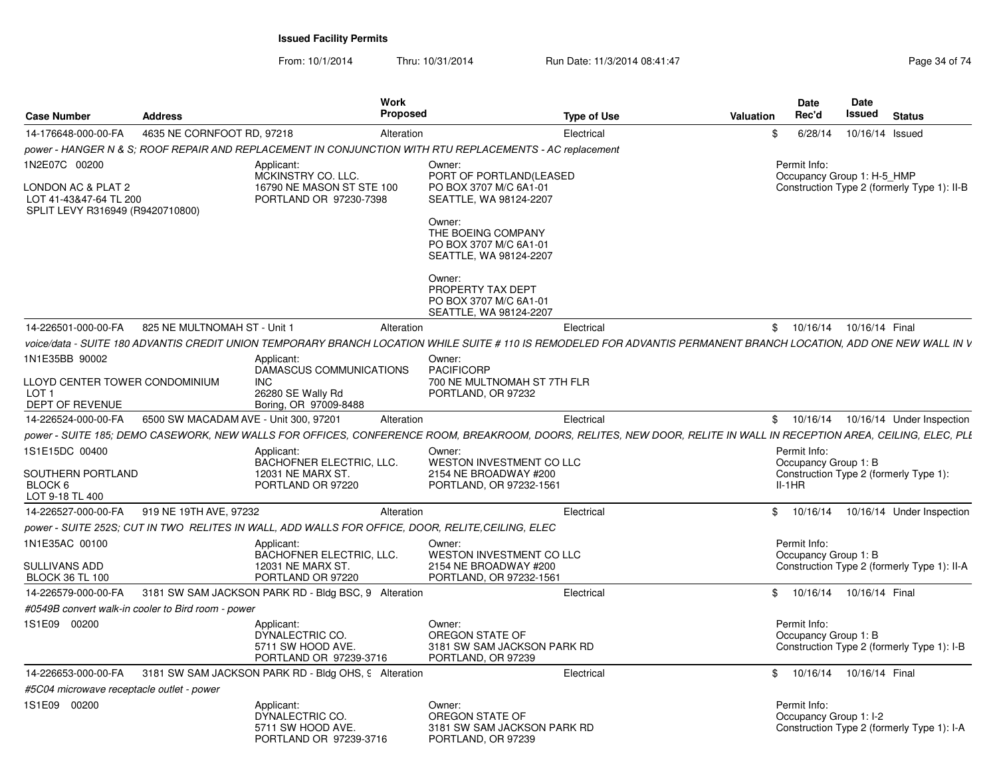From: 10/1/2014Thru: 10/31/2014 Run Date: 11/3/2014 08:41:47 Rege 34 of 74

| <b>Case Number</b>                                                                                | <b>Address</b>                                     | <b>Work</b><br><b>Proposed</b>                                                                                                                                      |                                                                                                                                                                                     | <b>Type of Use</b> | Valuation                                  | <b>Date</b><br>Rec'd                             | Date<br><b>Issued</b>                       | <b>Status</b>                               |
|---------------------------------------------------------------------------------------------------|----------------------------------------------------|---------------------------------------------------------------------------------------------------------------------------------------------------------------------|-------------------------------------------------------------------------------------------------------------------------------------------------------------------------------------|--------------------|--------------------------------------------|--------------------------------------------------|---------------------------------------------|---------------------------------------------|
| 14-176648-000-00-FA                                                                               | 4635 NE CORNFOOT RD, 97218                         | Alteration                                                                                                                                                          |                                                                                                                                                                                     | Electrical         | \$                                         | 6/28/14                                          | 10/16/14 Issued                             |                                             |
|                                                                                                   |                                                    | power - HANGER N & S; ROOF REPAIR AND REPLACEMENT IN CONJUNCTION WITH RTU REPLACEMENTS - AC replacement                                                             |                                                                                                                                                                                     |                    |                                            |                                                  |                                             |                                             |
| 1N2E07C 00200<br>LONDON AC & PLAT 2<br>LOT 41-43&47-64 TL 200<br>SPLIT LEVY R316949 (R9420710800) |                                                    | Applicant:<br>MCKINSTRY CO. LLC.<br>16790 NE MASON ST STE 100<br>PORTLAND OR 97230-7398                                                                             | Owner:<br>PORT OF PORTLAND(LEASED<br>PO BOX 3707 M/C 6A1-01<br>SEATTLE, WA 98124-2207<br>Owner:<br>THE BOEING COMPANY<br>PO BOX 3707 M/C 6A1-01<br>SEATTLE, WA 98124-2207<br>Owner: |                    | Permit Info:<br>Occupancy Group 1: H-5 HMP |                                                  | Construction Type 2 (formerly Type 1): II-B |                                             |
|                                                                                                   |                                                    |                                                                                                                                                                     | PROPERTY TAX DEPT<br>PO BOX 3707 M/C 6A1-01<br>SEATTLE, WA 98124-2207                                                                                                               |                    |                                            |                                                  |                                             |                                             |
| 14-226501-000-00-FA                                                                               | 825 NE MULTNOMAH ST - Unit 1                       | Alteration                                                                                                                                                          |                                                                                                                                                                                     | Electrical         |                                            | $^{\circ}$                                       | 10/16/14  10/16/14  Final                   |                                             |
|                                                                                                   |                                                    | voice/data - SUITE 180 ADVANTIS CREDIT UNION TEMPORARY BRANCH LOCATION WHILE SUITE # 110 IS REMODELED FOR ADVANTIS PERMANENT BRANCH LOCATION, ADD ONE NEW WALL IN V |                                                                                                                                                                                     |                    |                                            |                                                  |                                             |                                             |
| 1N1E35BB 90002                                                                                    |                                                    | Applicant:<br><b>DAMASCUS COMMUNICATIONS</b>                                                                                                                        | Owner:<br><b>PACIFICORP</b>                                                                                                                                                         |                    |                                            |                                                  |                                             |                                             |
| LLOYD CENTER TOWER CONDOMINIUM<br>LOT <sub>1</sub><br>DEPT OF REVENUE                             |                                                    | <b>INC</b><br>26280 SE Wally Rd<br>Boring, OR 97009-8488                                                                                                            | 700 NE MULTNOMAH ST 7TH FLR<br>PORTLAND, OR 97232                                                                                                                                   |                    |                                            |                                                  |                                             |                                             |
| 14-226524-000-00-FA                                                                               | 6500 SW MACADAM AVE - Unit 300, 97201              | Alteration                                                                                                                                                          |                                                                                                                                                                                     | Electrical         |                                            |                                                  |                                             | \$ 10/16/14 10/16/14 Under Inspection       |
|                                                                                                   |                                                    | power - SUITE 185; DEMO CASEWORK, NEW WALLS FOR OFFICES, CONFERENCE ROOM, BREAKROOM, DOORS, RELITES, NEW DOOR, RELITE IN WALL IN RECEPTION AREA, CEILING, ELEC, PLI |                                                                                                                                                                                     |                    |                                            |                                                  |                                             |                                             |
| 1S1E15DC 00400<br>SOUTHERN PORTLAND<br>BLOCK 6<br>LOT 9-18 TL 400                                 |                                                    | Applicant:<br>BACHOFNER ELECTRIC, LLC.<br>12031 NE MARX ST.<br>PORTLAND OR 97220                                                                                    | Owner:<br>WESTON INVESTMENT CO LLC<br>2154 NE BROADWAY #200<br>PORTLAND, OR 97232-1561                                                                                              |                    |                                            | Permit Info:<br>Occupancy Group 1: B<br>$II-1HR$ |                                             | Construction Type 2 (formerly Type 1):      |
| 14-226527-000-00-FA                                                                               | 919 NE 19TH AVE, 97232                             | Alteration                                                                                                                                                          |                                                                                                                                                                                     | Electrical         | \$                                         | 10/16/14                                         |                                             | 10/16/14 Under Inspection                   |
|                                                                                                   |                                                    | power - SUITE 252S; CUT IN TWO RELITES IN WALL, ADD WALLS FOR OFFICE, DOOR, RELITE,CEILING, ELEC                                                                    |                                                                                                                                                                                     |                    |                                            |                                                  |                                             |                                             |
| 1N1E35AC 00100<br>SULLIVANS ADD<br><b>BLOCK 36 TL 100</b>                                         |                                                    | Applicant:<br>BACHOFNER ELECTRIC, LLC.<br>12031 NE MARX ST.<br>PORTLAND OR 97220                                                                                    | Owner:<br>WESTON INVESTMENT CO LLC<br>2154 NE BROADWAY #200<br>PORTLAND, OR 97232-1561                                                                                              |                    |                                            | Permit Info:<br>Occupancy Group 1: B             |                                             | Construction Type 2 (formerly Type 1): II-A |
| 14-226579-000-00-FA                                                                               |                                                    | 3181 SW SAM JACKSON PARK RD - Bldg BSC, 9 Alteration                                                                                                                |                                                                                                                                                                                     | Electrical         |                                            | $^{\circ}$                                       | 10/16/14  10/16/14  Final                   |                                             |
|                                                                                                   | #0549B convert walk-in cooler to Bird room - power |                                                                                                                                                                     |                                                                                                                                                                                     |                    |                                            |                                                  |                                             |                                             |
| 1S1E09 00200                                                                                      |                                                    | Applicant:<br>DYNALECTRIC CO.<br>5711 SW HOOD AVE.<br>PORTLAND OR 97239-3716                                                                                        | Owner:<br>OREGON STATE OF<br>3181 SW SAM JACKSON PARK RD<br>PORTLAND, OR 97239                                                                                                      |                    |                                            | Permit Info:<br>Occupancy Group 1: B             |                                             | Construction Type 2 (formerly Type 1): I-B  |
| 14-226653-000-00-FA                                                                               |                                                    | 3181 SW SAM JACKSON PARK RD - Bldg OHS, 9 Alteration                                                                                                                |                                                                                                                                                                                     | Electrical         | \$                                         |                                                  | 10/16/14  10/16/14  Final                   |                                             |
| #5C04 microwave receptacle outlet - power                                                         |                                                    |                                                                                                                                                                     |                                                                                                                                                                                     |                    |                                            |                                                  |                                             |                                             |
| 1S1E09 00200                                                                                      |                                                    | Applicant:<br>DYNALECTRIC CO.<br>5711 SW HOOD AVE.<br>PORTLAND OR 97239-3716                                                                                        | Owner:<br>OREGON STATE OF<br>3181 SW SAM JACKSON PARK RD<br>PORTLAND, OR 97239                                                                                                      |                    |                                            | Permit Info:<br>Occupancy Group 1: I-2           |                                             | Construction Type 2 (formerly Type 1): I-A  |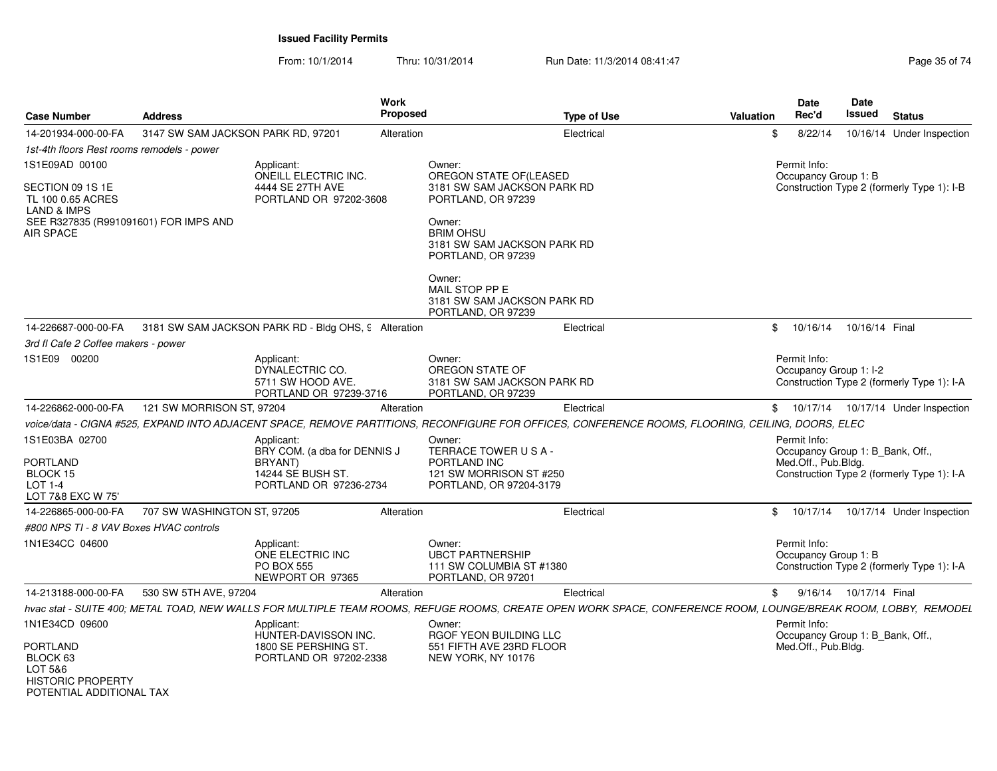From: 10/1/2014Thru: 10/31/2014 Run Date: 11/3/2014 08:41:47 Rege 35 of 74

| <b>Case Number</b>                                                                                                           | <b>Address</b>                                       |                                                                              | <b>Work</b><br>Proposed | <b>Type of Use</b>                                                                                                                                             | Valuation      | <b>Date</b><br>Rec'd                             | Date<br><b>Issued</b> | <b>Status</b>                              |
|------------------------------------------------------------------------------------------------------------------------------|------------------------------------------------------|------------------------------------------------------------------------------|-------------------------|----------------------------------------------------------------------------------------------------------------------------------------------------------------|----------------|--------------------------------------------------|-----------------------|--------------------------------------------|
|                                                                                                                              |                                                      |                                                                              |                         |                                                                                                                                                                |                |                                                  |                       |                                            |
| 14-201934-000-00-FA                                                                                                          | 3147 SW SAM JACKSON PARK RD, 97201                   |                                                                              | Alteration              | Electrical                                                                                                                                                     | \$             | 8/22/14                                          |                       | 10/16/14 Under Inspection                  |
| 1st-4th floors Rest rooms remodels - power                                                                                   |                                                      |                                                                              |                         |                                                                                                                                                                |                |                                                  |                       |                                            |
| 1S1E09AD 00100                                                                                                               |                                                      | Applicant:                                                                   |                         | Owner:<br>OREGON STATE OF(LEASED                                                                                                                               |                | Permit Info:                                     |                       |                                            |
| SECTION 09 1S 1E<br>TL 100 0.65 ACRES<br><b>LAND &amp; IMPS</b><br>SEE R327835 (R991091601) FOR IMPS AND<br><b>AIR SPACE</b> |                                                      | ONEILL ELECTRIC INC.<br>4444 SE 27TH AVE<br>PORTLAND OR 97202-3608           |                         | 3181 SW SAM JACKSON PARK RD<br>PORTLAND, OR 97239<br>Owner:<br><b>BRIM OHSU</b>                                                                                |                | Occupancy Group 1: B                             |                       | Construction Type 2 (formerly Type 1): I-B |
|                                                                                                                              |                                                      |                                                                              |                         | 3181 SW SAM JACKSON PARK RD<br>PORTLAND, OR 97239                                                                                                              |                |                                                  |                       |                                            |
|                                                                                                                              |                                                      |                                                                              |                         | Owner:<br>MAIL STOP PP E<br>3181 SW SAM JACKSON PARK RD<br>PORTLAND, OR 97239                                                                                  |                |                                                  |                       |                                            |
| 14-226687-000-00-FA                                                                                                          | 3181 SW SAM JACKSON PARK RD - Bldg OHS, 9 Alteration |                                                                              |                         | Electrical                                                                                                                                                     | $\mathfrak{S}$ | 10/16/14                                         | 10/16/14 Final        |                                            |
| 3rd fl Cafe 2 Coffee makers - power                                                                                          |                                                      |                                                                              |                         |                                                                                                                                                                |                |                                                  |                       |                                            |
| 1S1E09 00200                                                                                                                 |                                                      | Applicant:<br>DYNALECTRIC CO.<br>5711 SW HOOD AVE.<br>PORTLAND OR 97239-3716 |                         | Owner:<br>OREGON STATE OF<br>3181 SW SAM JACKSON PARK RD<br>PORTLAND, OR 97239                                                                                 |                | Permit Info:<br>Occupancy Group 1: I-2           |                       | Construction Type 2 (formerly Type 1): I-A |
| 14-226862-000-00-FA                                                                                                          | 121 SW MORRISON ST, 97204                            |                                                                              | Alteration              | Electrical                                                                                                                                                     | \$             |                                                  |                       | 10/17/14  10/17/14  Under Inspection       |
|                                                                                                                              |                                                      |                                                                              |                         | voice/data - CIGNA #525, EXPAND INTO ADJACENT SPACE, REMOVE PARTITIONS, RECONFIGURE FOR OFFICES, CONFERENCE ROOMS, FLOORING, CEILING, DOORS, ELEC              |                |                                                  |                       |                                            |
| 1S1E03BA 02700                                                                                                               |                                                      | Applicant:                                                                   |                         | Owner:                                                                                                                                                         |                | Permit Info:                                     |                       |                                            |
|                                                                                                                              |                                                      | BRY COM. (a dba for DENNIS J                                                 |                         | TERRACE TOWER USA-                                                                                                                                             |                | Occupancy Group 1: B_Bank, Off.,                 |                       |                                            |
| <b>PORTLAND</b><br>BLOCK 15                                                                                                  |                                                      | BRYANT)<br>14244 SE BUSH ST.                                                 |                         | PORTLAND INC<br>121 SW MORRISON ST #250                                                                                                                        |                | Med.Off., Pub.Bldg.                              |                       | Construction Type 2 (formerly Type 1): I-A |
| $LOT 1-4$<br>LOT 7&8 EXC W 75'                                                                                               |                                                      | PORTLAND OR 97236-2734                                                       |                         | PORTLAND, OR 97204-3179                                                                                                                                        |                |                                                  |                       |                                            |
| 14-226865-000-00-FA                                                                                                          | 707 SW WASHINGTON ST, 97205                          |                                                                              | Alteration              | Electrical                                                                                                                                                     | \$             | 10/17/14                                         |                       | 10/17/14 Under Inspection                  |
| #800 NPS TI - 8 VAV Boxes HVAC controls                                                                                      |                                                      |                                                                              |                         |                                                                                                                                                                |                |                                                  |                       |                                            |
| 1N1E34CC 04600                                                                                                               |                                                      | Applicant:<br>ONE ELECTRIC INC<br><b>PO BOX 555</b><br>NEWPORT OR 97365      |                         | Owner:<br><b>UBCT PARTNERSHIP</b><br>111 SW COLUMBIA ST #1380<br>PORTLAND, OR 97201                                                                            |                | Permit Info:<br>Occupancy Group 1: B             |                       | Construction Type 2 (formerly Type 1): I-A |
| 14-213188-000-00-FA                                                                                                          | 530 SW 5TH AVE, 97204                                |                                                                              | Alteration              | Electrical                                                                                                                                                     | \$             | 9/16/14                                          | 10/17/14 Final        |                                            |
|                                                                                                                              |                                                      |                                                                              |                         | hvac stat - SUITE 400; METAL TOAD, NEW WALLS FOR MULTIPLE TEAM ROOMS, REFUGE ROOMS, CREATE OPEN WORK SPACE, CONFERENCE ROOM, LOUNGE/BREAK ROOM, LOBBY, REMODEL |                |                                                  |                       |                                            |
| 1N1E34CD 09600                                                                                                               |                                                      | Applicant:<br>HUNTER-DAVISSON INC.                                           |                         | Owner:<br>RGOF YEON BUILDING LLC                                                                                                                               |                | Permit Info:<br>Occupancy Group 1: B_Bank, Off., |                       |                                            |
| <b>PORTLAND</b><br>BLOCK 63<br>LOT 5&6<br><b>HISTORIC PROPERTY</b><br>POTENTIAL ADDITIONAL TAX                               |                                                      | 1800 SE PERSHING ST.<br>PORTLAND OR 97202-2338                               |                         | 551 FIFTH AVE 23RD FLOOR<br>NEW YORK, NY 10176                                                                                                                 |                | Med.Off., Pub.Bldg.                              |                       |                                            |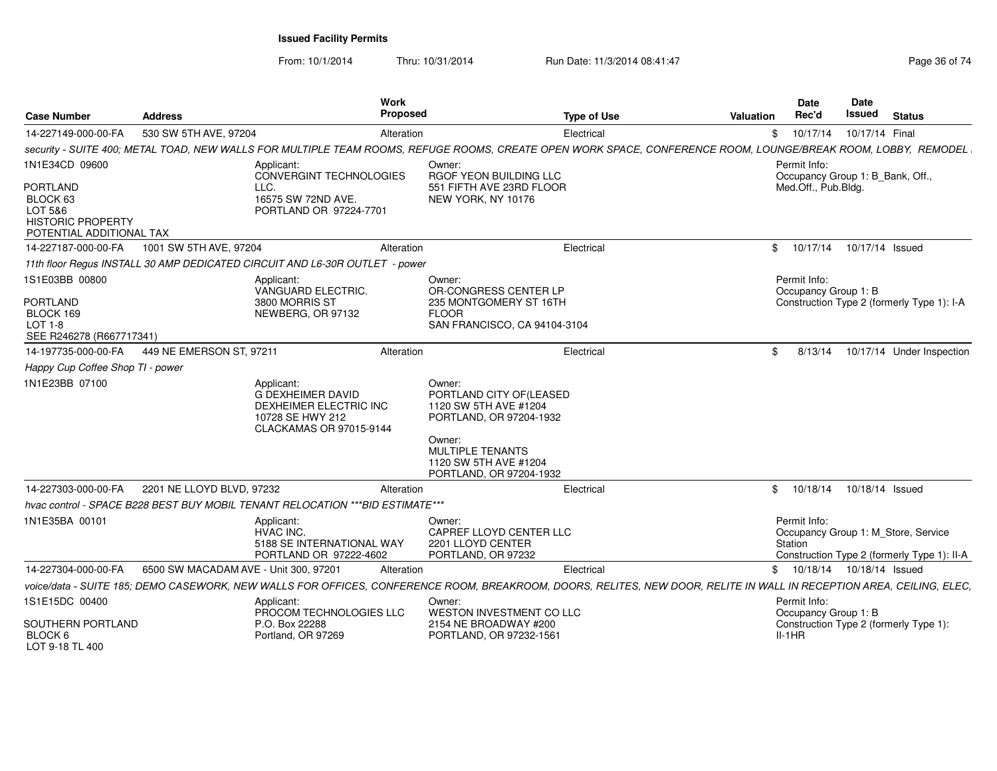From: 10/1/2014

Thru: 10/31/2014 Run Date: 11/3/2014 08:41:47 Run Date: 11/3/2014 08:41:47

| <b>Case Number</b>                                                                             | Address                               | Work<br>Proposed                                                                                                                                                     |                                                                                                                                                                                | <b>Type of Use</b> | <b>Valuation</b> | <b>Date</b><br>Rec'd                             | Date<br><b>Issued</b> | <b>Status</b>                                                                      |
|------------------------------------------------------------------------------------------------|---------------------------------------|----------------------------------------------------------------------------------------------------------------------------------------------------------------------|--------------------------------------------------------------------------------------------------------------------------------------------------------------------------------|--------------------|------------------|--------------------------------------------------|-----------------------|------------------------------------------------------------------------------------|
| 14-227149-000-00-FA                                                                            | 530 SW 5TH AVE, 97204                 | Alteration                                                                                                                                                           |                                                                                                                                                                                | Electrical         |                  | \$10/17/14                                       | 10/17/14 Final        |                                                                                    |
|                                                                                                |                                       | security - SUITE 400; METAL TOAD, NEW WALLS FOR MULTIPLE TEAM ROOMS, REFUGE ROOMS, CREATE OPEN WORK SPACE, CONFERENCE ROOM, LOUNGE/BREAK ROOM, LOBBY, REMODEL        |                                                                                                                                                                                |                    |                  |                                                  |                       |                                                                                    |
| 1N1E34CD 09600                                                                                 |                                       | Applicant:<br>CONVERGINT TECHNOLOGIES                                                                                                                                | Owner:<br>RGOF YEON BUILDING LLC<br>551 FIFTH AVE 23RD FLOOR<br>NEW YORK, NY 10176                                                                                             |                    |                  | Permit Info:<br>Occupancy Group 1: B_Bank, Off., |                       |                                                                                    |
| <b>PORTLAND</b><br>BLOCK 63<br>LOT 5&6<br><b>HISTORIC PROPERTY</b><br>POTENTIAL ADDITIONAL TAX |                                       | LLC.<br>16575 SW 72ND AVE.<br>PORTLAND OR 97224-7701                                                                                                                 |                                                                                                                                                                                |                    |                  | Med.Off., Pub.Bldg.                              |                       |                                                                                    |
| 14-227187-000-00-FA                                                                            | 1001 SW 5TH AVE, 97204                | Alteration                                                                                                                                                           |                                                                                                                                                                                | Electrical         | \$               | 10/17/14                                         | 10/17/14 Issued       |                                                                                    |
|                                                                                                |                                       | 11th floor Regus INSTALL 30 AMP DEDICATED CIRCUIT AND L6-30R OUTLET - power                                                                                          |                                                                                                                                                                                |                    |                  |                                                  |                       |                                                                                    |
| 1S1E03BB 00800                                                                                 |                                       | Applicant:<br>VANGUARD ELECTRIC.                                                                                                                                     | Owner:<br>OR-CONGRESS CENTER LP                                                                                                                                                |                    |                  | Permit Info:<br>Occupancy Group 1: B             |                       |                                                                                    |
| <b>PORTLAND</b><br>BLOCK 169<br>$LOT 1-8$<br>SEE R246278 (R667717341)                          |                                       | 3800 MORRIS ST<br>NEWBERG, OR 97132                                                                                                                                  | 235 MONTGOMERY ST 16TH<br><b>FLOOR</b><br>SAN FRANCISCO, CA 94104-3104                                                                                                         |                    |                  |                                                  |                       | Construction Type 2 (formerly Type 1): I-A                                         |
| 14-197735-000-00-FA                                                                            | 449 NE EMERSON ST, 97211              | Alteration                                                                                                                                                           |                                                                                                                                                                                | Electrical         | $\mathbb{S}$     | 8/13/14                                          |                       | 10/17/14 Under Inspection                                                          |
| Happy Cup Coffee Shop TI - power                                                               |                                       |                                                                                                                                                                      |                                                                                                                                                                                |                    |                  |                                                  |                       |                                                                                    |
| 1N1E23BB 07100                                                                                 |                                       | Applicant:<br><b>G DEXHEIMER DAVID</b><br>DEXHEIMER ELECTRIC INC<br>10728 SE HWY 212<br>CLACKAMAS OR 97015-9144                                                      | Owner:<br>PORTLAND CITY OF(LEASED<br>1120 SW 5TH AVE #1204<br>PORTLAND, OR 97204-1932<br>Owner:<br><b>MULTIPLE TENANTS</b><br>1120 SW 5TH AVE #1204<br>PORTLAND, OR 97204-1932 |                    |                  |                                                  |                       |                                                                                    |
| 14-227303-000-00-FA                                                                            | 2201 NE LLOYD BLVD, 97232             | Alteration                                                                                                                                                           |                                                                                                                                                                                | Electrical         | \$               | 10/18/14                                         | 10/18/14 Issued       |                                                                                    |
|                                                                                                |                                       | hvac control - SPACE B228 BEST BUY MOBIL TENANT RELOCATION *** BID ESTIMATE***                                                                                       |                                                                                                                                                                                |                    |                  |                                                  |                       |                                                                                    |
| 1N1E35BA 00101                                                                                 |                                       | Applicant:<br>HVAC INC.<br>5188 SE INTERNATIONAL WAY<br>PORTLAND OR 97222-4602                                                                                       | Owner:<br>CAPREF LLOYD CENTER LLC<br>2201 LLOYD CENTER<br>PORTLAND, OR 97232                                                                                                   |                    |                  | Permit Info:<br>Station                          |                       | Occupancy Group 1: M Store, Service<br>Construction Type 2 (formerly Type 1): II-A |
| 14-227304-000-00-FA                                                                            | 6500 SW MACADAM AVE - Unit 300, 97201 | Alteration                                                                                                                                                           |                                                                                                                                                                                | Electrical         |                  | \$ 10/18/14 10/18/14 Issued                      |                       |                                                                                    |
|                                                                                                |                                       | voice/data - SUITE 185; DEMO CASEWORK, NEW WALLS FOR OFFICES, CONFERENCE ROOM, BREAKROOM, DOORS, RELITES, NEW DOOR, RELITE IN WALL IN RECEPTION AREA, CEILING, ELEC, |                                                                                                                                                                                |                    |                  |                                                  |                       |                                                                                    |
| 1S1E15DC 00400                                                                                 |                                       | Applicant:<br>PROCOM TECHNOLOGIES LLC                                                                                                                                | Owner:<br>WESTON INVESTMENT CO LLC                                                                                                                                             |                    |                  | Permit Info:<br>Occupancy Group 1: B             |                       |                                                                                    |
| SOUTHERN PORTLAND<br>BLOCK 6<br>LOT 9-18 TL 400                                                |                                       | P.O. Box 22288<br>Portland, OR 97269                                                                                                                                 | 2154 NE BROADWAY #200<br>PORTLAND, OR 97232-1561                                                                                                                               |                    |                  | $II-1HR$                                         |                       | Construction Type 2 (formerly Type 1):                                             |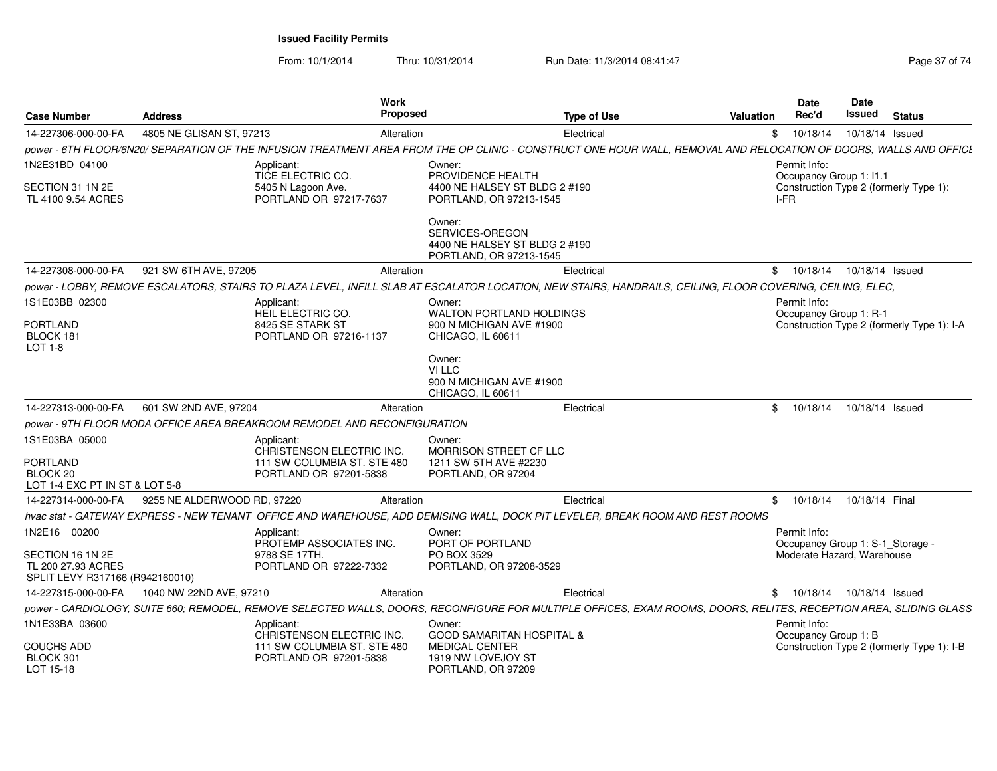| <b>Case Number</b>                                                        | <b>Address</b>                                                           | <b>Work</b><br>Proposed                                                                                                    | <b>Type of Use</b>                                                                                                                                                | Valuation                  | <b>Date</b><br>Rec'd                             | <b>Date</b><br>Issued | <b>Status</b>                              |
|---------------------------------------------------------------------------|--------------------------------------------------------------------------|----------------------------------------------------------------------------------------------------------------------------|-------------------------------------------------------------------------------------------------------------------------------------------------------------------|----------------------------|--------------------------------------------------|-----------------------|--------------------------------------------|
| 14-227306-000-00-FA                                                       | 4805 NE GLISAN ST, 97213                                                 | Alteration                                                                                                                 | Electrical                                                                                                                                                        | $^{\circ}$                 | 10/18/14                                         | 10/18/14 Issued       |                                            |
|                                                                           |                                                                          |                                                                                                                            | power - 6TH FLOOR/6N20/ SEPARATION OF THE INFUSION TREATMENT AREA FROM THE OP CLINIC - CONSTRUCT ONE HOUR WALL, REMOVAL AND RELOCATION OF DOORS, WALLS AND OFFICI |                            |                                                  |                       |                                            |
| 1N2E31BD 04100                                                            | Applicant:<br>TICE ELECTRIC CO.                                          | Owner:<br>PROVIDENCE HEALTH                                                                                                |                                                                                                                                                                   |                            | Permit Info:<br>Occupancy Group 1: I1.1          |                       |                                            |
| SECTION 31 1N 2E<br>TL 4100 9.54 ACRES                                    | 5405 N Lagoon Ave.                                                       | PORTLAND OR 97217-7637                                                                                                     | 4400 NE HALSEY ST BLDG 2 #190<br>PORTLAND, OR 97213-1545                                                                                                          | I-FR                       |                                                  |                       | Construction Type 2 (formerly Type 1):     |
|                                                                           |                                                                          | Owner:<br>SERVICES-OREGON                                                                                                  | 4400 NE HALSEY ST BLDG 2 #190<br>PORTLAND, OR 97213-1545                                                                                                          |                            |                                                  |                       |                                            |
| 14-227308-000-00-FA                                                       | 921 SW 6TH AVE, 97205                                                    | Alteration                                                                                                                 | Electrical                                                                                                                                                        |                            | \$10/18/14                                       | 10/18/14 Issued       |                                            |
|                                                                           |                                                                          |                                                                                                                            | power - LOBBY, REMOVE ESCALATORS, STAIRS TO PLAZA LEVEL, INFILL SLAB AT ESCALATOR LOCATION, NEW STAIRS, HANDRAILS, CEILING, FLOOR COVERING, CEILING, ELEC,        |                            |                                                  |                       |                                            |
| 1S1E03BB 02300<br><b>PORTLAND</b>                                         | Applicant:<br>HEIL ELECTRIC CO.<br>8425 SE STARK ST                      | Owner:                                                                                                                     | <b>WALTON PORTLAND HOLDINGS</b><br>900 N MICHIGAN AVE #1900                                                                                                       |                            | Permit Info:<br>Occupancy Group 1: R-1           |                       | Construction Type 2 (formerly Type 1): I-A |
| BLOCK 181<br>LOT 1-8                                                      |                                                                          | PORTLAND OR 97216-1137<br>CHICAGO, IL 60611                                                                                |                                                                                                                                                                   |                            |                                                  |                       |                                            |
|                                                                           |                                                                          | Owner:<br>VI LLC<br>CHICAGO. IL 60611                                                                                      | 900 N MICHIGAN AVE #1900                                                                                                                                          |                            |                                                  |                       |                                            |
| 14-227313-000-00-FA                                                       | 601 SW 2ND AVE, 97204                                                    | Alteration                                                                                                                 | Electrical                                                                                                                                                        | $\textcircled{\texttt{s}}$ | 10/18/14                                         | 10/18/14 Issued       |                                            |
|                                                                           | power - 9TH FLOOR MODA OFFICE AREA BREAKROOM REMODEL AND RECONFIGURATION |                                                                                                                            |                                                                                                                                                                   |                            |                                                  |                       |                                            |
| 1S1E03BA 05000                                                            | Applicant:                                                               | Owner:<br>CHRISTENSON ELECTRIC INC.                                                                                        | MORRISON STREET CF LLC                                                                                                                                            |                            |                                                  |                       |                                            |
| <b>PORTLAND</b><br>BLOCK 20<br>LOT 1-4 EXC PT IN ST & LOT 5-8             |                                                                          | 1211 SW 5TH AVE #2230<br>111 SW COLUMBIA ST. STE 480<br>PORTLAND OR 97201-5838<br>PORTLAND, OR 97204                       |                                                                                                                                                                   |                            |                                                  |                       |                                            |
| 14-227314-000-00-FA                                                       | 9255 NE ALDERWOOD RD, 97220                                              | Alteration                                                                                                                 | Electrical                                                                                                                                                        |                            | \$ 10/18/14 10/18/14 Final                       |                       |                                            |
|                                                                           |                                                                          |                                                                                                                            | hvac stat - GATEWAY EXPRESS - NEW TENANT OFFICE AND WAREHOUSE, ADD DEMISING WALL, DOCK PIT LEVELER, BREAK ROOM AND REST ROOMS                                     |                            |                                                  |                       |                                            |
| 1N2E16 00200                                                              | Applicant:                                                               | Owner:<br>PROTEMP ASSOCIATES INC.<br>PORT OF PORTLAND                                                                      |                                                                                                                                                                   |                            | Permit Info:<br>Occupancy Group 1: S-1_Storage - |                       |                                            |
| SECTION 16 1N 2E<br>TL 200 27.93 ACRES<br>SPLIT LEVY R317166 (R942160010) | 9788 SE 17TH.                                                            | PO BOX 3529<br>PORTLAND OR 97222-7332                                                                                      | PORTLAND, OR 97208-3529                                                                                                                                           |                            | Moderate Hazard, Warehouse                       |                       |                                            |
| 14-227315-000-00-FA                                                       | 1040 NW 22ND AVE, 97210                                                  | Alteration                                                                                                                 | Electrical                                                                                                                                                        |                            | \$ 10/18/14 10/18/14 Issued                      |                       |                                            |
|                                                                           |                                                                          |                                                                                                                            | power - CARDIOLOGY, SUITE 660; REMODEL, REMOVE SELECTED WALLS, DOORS, RECONFIGURE FOR MULTIPLE OFFICES, EXAM ROOMS, DOORS, RELITES, RECEPTION AREA, SLIDING GLASS |                            |                                                  |                       |                                            |
| 1N1E33BA 03600                                                            | Applicant:                                                               | Owner:<br>CHRISTENSON ELECTRIC INC.                                                                                        | <b>GOOD SAMARITAN HOSPITAL &amp;</b>                                                                                                                              |                            | Permit Info:<br>Occupancy Group 1: B             |                       |                                            |
| <b>COUCHS ADD</b><br>BLOCK 301<br>LOT 15-18                               |                                                                          | 111 SW COLUMBIA ST. STE 480<br><b>MEDICAL CENTER</b><br>1919 NW LOVEJOY ST<br>PORTLAND OR 97201-5838<br>PORTLAND, OR 97209 |                                                                                                                                                                   |                            |                                                  |                       | Construction Type 2 (formerly Type 1): I-B |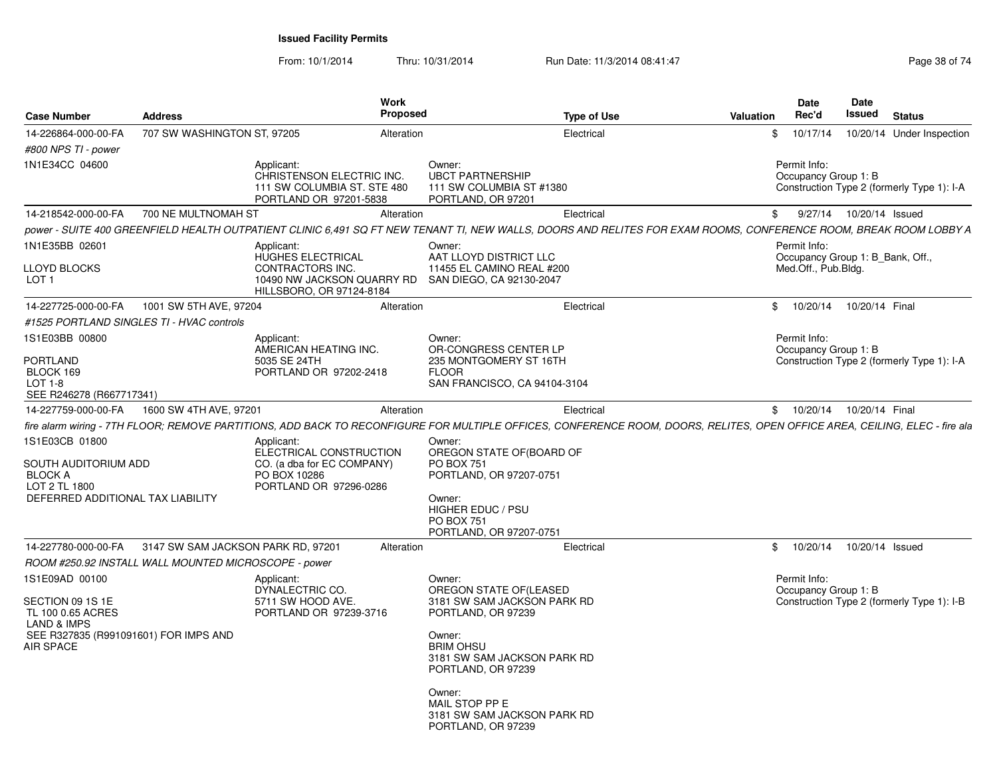|                                                                                                                |                                                      | <b>Work</b><br><b>Proposed</b>                                                                                                                                                                                                                                                               |                                                                                                                                                                   |                    |                  | <b>Date</b>                                             | Date                      |                                            |
|----------------------------------------------------------------------------------------------------------------|------------------------------------------------------|----------------------------------------------------------------------------------------------------------------------------------------------------------------------------------------------------------------------------------------------------------------------------------------------|-------------------------------------------------------------------------------------------------------------------------------------------------------------------|--------------------|------------------|---------------------------------------------------------|---------------------------|--------------------------------------------|
| <b>Case Number</b>                                                                                             | <b>Address</b>                                       |                                                                                                                                                                                                                                                                                              |                                                                                                                                                                   | <b>Type of Use</b> | <b>Valuation</b> | Rec'd                                                   | Issued                    | <b>Status</b>                              |
| 14-226864-000-00-FA                                                                                            | 707 SW WASHINGTON ST, 97205                          | Alteration                                                                                                                                                                                                                                                                                   |                                                                                                                                                                   | Electrical         | \$               | 10/17/14                                                |                           | 10/20/14 Under Inspection                  |
| #800 NPS TI - power                                                                                            |                                                      |                                                                                                                                                                                                                                                                                              |                                                                                                                                                                   |                    |                  |                                                         |                           |                                            |
| 1N1E34CC 04600                                                                                                 |                                                      | Applicant:<br>CHRISTENSON ELECTRIC INC.<br>111 SW COLUMBIA ST. STE 480<br>PORTLAND OR 97201-5838                                                                                                                                                                                             | Owner:<br><b>UBCT PARTNERSHIP</b><br>111 SW COLUMBIA ST #1380<br>PORTLAND, OR 97201                                                                               |                    |                  | Permit Info:<br>Occupancy Group 1: B                    |                           | Construction Type 2 (formerly Type 1): I-A |
| 14-218542-000-00-FA                                                                                            | 700 NE MULTNOMAH ST                                  | Alteration                                                                                                                                                                                                                                                                                   |                                                                                                                                                                   | Electrical         | \$               |                                                         | 9/27/14  10/20/14  Issued |                                            |
|                                                                                                                |                                                      | power - SUITE 400 GREENFIELD HEALTH OUTPATIENT CLINIC 6,491 SQ FT NEW TENANT TI, NEW WALLS, DOORS AND RELITES FOR EXAM ROOMS, CONFERENCE ROOM, BREAK ROOM LOBBY A                                                                                                                            |                                                                                                                                                                   |                    |                  |                                                         |                           |                                            |
| 1N1E35BB 02601                                                                                                 |                                                      | Applicant:                                                                                                                                                                                                                                                                                   | Owner:                                                                                                                                                            |                    |                  | Permit Info:                                            |                           |                                            |
| LLOYD BLOCKS<br>LOT 1                                                                                          |                                                      | <b>HUGHES ELECTRICAL</b><br>CONTRACTORS INC.<br>10490 NW JACKSON QUARRY RD<br>HILLSBORO, OR 97124-8184                                                                                                                                                                                       | AAT LLOYD DISTRICT LLC<br>11455 EL CAMINO REAL #200<br>SAN DIEGO, CA 92130-2047                                                                                   |                    |                  | Occupancy Group 1: B_Bank, Off.,<br>Med.Off., Pub.Bldg. |                           |                                            |
| 14-227725-000-00-FA                                                                                            | 1001 SW 5TH AVE, 97204                               | Alteration                                                                                                                                                                                                                                                                                   |                                                                                                                                                                   | Electrical         | \$               | 10/20/14                                                | 10/20/14 Final            |                                            |
|                                                                                                                | #1525 PORTLAND SINGLES TI - HVAC controls            |                                                                                                                                                                                                                                                                                              |                                                                                                                                                                   |                    |                  |                                                         |                           |                                            |
| 1S1E03BB 00800                                                                                                 |                                                      | Applicant:<br>AMERICAN HEATING INC.                                                                                                                                                                                                                                                          | Owner:<br>OR-CONGRESS CENTER LP                                                                                                                                   |                    |                  | Permit Info:<br>Occupancy Group 1: B                    |                           |                                            |
| <b>PORTLAND</b><br>BLOCK 169<br>LOT 1-8<br>SEE R246278 (R667717341)                                            |                                                      | 5035 SE 24TH<br>PORTLAND OR 97202-2418                                                                                                                                                                                                                                                       | 235 MONTGOMERY ST 16TH<br><b>FLOOR</b><br>SAN FRANCISCO, CA 94104-3104                                                                                            |                    |                  |                                                         |                           | Construction Type 2 (formerly Type 1): I-A |
| 14-227759-000-00-FA                                                                                            | 1600 SW 4TH AVE, 97201                               | Alteration                                                                                                                                                                                                                                                                                   |                                                                                                                                                                   | Electrical         |                  | \$10/20/14                                              | 10/20/14 Final            |                                            |
| 1S1E03CB 01800<br>SOUTH AUDITORIUM ADD<br><b>BLOCK A</b><br>LOT 2 TL 1800<br>DEFERRED ADDITIONAL TAX LIABILITY |                                                      | fire alarm wiring - 7TH FLOOR; REMOVE PARTITIONS, ADD BACK TO RECONFIGURE FOR MULTIPLE OFFICES, CONFERENCE ROOM, DOORS, RELITES, OPEN OFFICE AREA, CEILING, ELEC - fire ala<br>Applicant:<br>ELECTRICAL CONSTRUCTION<br>CO. (a dba for EC COMPANY)<br>PO BOX 10286<br>PORTLAND OR 97296-0286 | Owner:<br>OREGON STATE OF(BOARD OF<br><b>PO BOX 751</b><br>PORTLAND, OR 97207-0751<br>Owner:<br>HIGHER EDUC / PSU<br><b>PO BOX 751</b><br>PORTLAND, OR 97207-0751 |                    |                  |                                                         |                           |                                            |
| 14-227780-000-00-FA                                                                                            | 3147 SW SAM JACKSON PARK RD, 97201                   | Alteration                                                                                                                                                                                                                                                                                   |                                                                                                                                                                   | Electrical         | \$               | 10/20/14                                                | 10/20/14 Issued           |                                            |
|                                                                                                                | ROOM #250.92 INSTALL WALL MOUNTED MICROSCOPE - power |                                                                                                                                                                                                                                                                                              |                                                                                                                                                                   |                    |                  |                                                         |                           |                                            |
| 1S1E09AD 00100<br>SECTION 09 1S 1E<br>TL 100 0.65 ACRES                                                        |                                                      | Applicant:<br>DYNALECTRIC CO.<br>5711 SW HOOD AVE.<br>PORTLAND OR 97239-3716                                                                                                                                                                                                                 | Owner:<br>OREGON STATE OF(LEASED<br>3181 SW SAM JACKSON PARK RD<br>PORTLAND, OR 97239                                                                             |                    |                  | Permit Info:<br>Occupancy Group 1: B                    |                           | Construction Type 2 (formerly Type 1): I-B |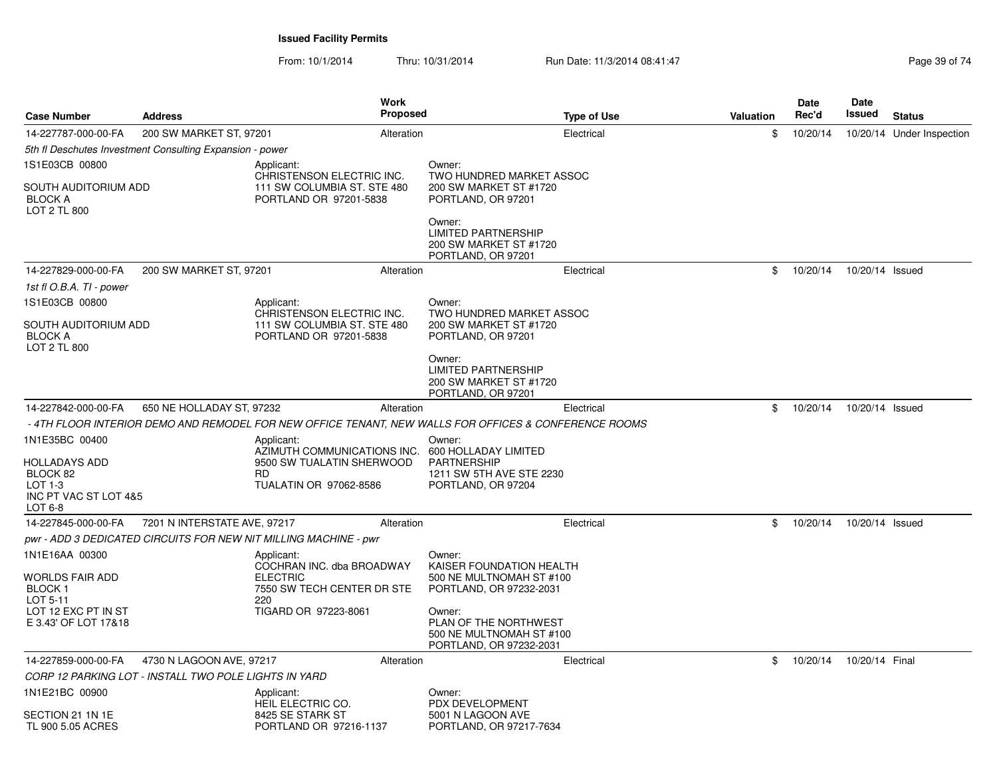| <b>Case Number</b>                                            | <b>Address</b>                                           | Work<br><b>Proposed</b>                                                                               |                                                                                        | <b>Type of Use</b> | Valuation | <b>Date</b><br>Rec'd | Date<br>Issued  | <b>Status</b>             |
|---------------------------------------------------------------|----------------------------------------------------------|-------------------------------------------------------------------------------------------------------|----------------------------------------------------------------------------------------|--------------------|-----------|----------------------|-----------------|---------------------------|
| 14-227787-000-00-FA                                           | 200 SW MARKET ST, 97201                                  | Alteration                                                                                            |                                                                                        | Electrical         | \$        | 10/20/14             |                 | 10/20/14 Under Inspection |
|                                                               | 5th fl Deschutes Investment Consulting Expansion - power |                                                                                                       |                                                                                        |                    |           |                      |                 |                           |
| 1S1E03CB 00800                                                |                                                          | Applicant:<br>CHRISTENSON ELECTRIC INC.                                                               | Owner:<br>TWO HUNDRED MARKET ASSOC                                                     |                    |           |                      |                 |                           |
| SOUTH AUDITORIUM ADD<br><b>BLOCK A</b><br><b>LOT 2 TL 800</b> |                                                          | 111 SW COLUMBIA ST. STE 480<br>PORTLAND OR 97201-5838                                                 | 200 SW MARKET ST #1720<br>PORTLAND, OR 97201                                           |                    |           |                      |                 |                           |
|                                                               |                                                          |                                                                                                       | Owner:<br><b>LIMITED PARTNERSHIP</b><br>200 SW MARKET ST #1720<br>PORTLAND, OR 97201   |                    |           |                      |                 |                           |
| 14-227829-000-00-FA                                           | 200 SW MARKET ST, 97201                                  | Alteration                                                                                            |                                                                                        | Electrical         | \$        | 10/20/14             | 10/20/14 Issued |                           |
| 1st fl O.B.A. TI - power                                      |                                                          |                                                                                                       |                                                                                        |                    |           |                      |                 |                           |
| 1S1E03CB 00800                                                |                                                          | Applicant:                                                                                            | Owner:                                                                                 |                    |           |                      |                 |                           |
| SOUTH AUDITORIUM ADD<br><b>BLOCK A</b><br><b>LOT 2 TL 800</b> |                                                          | CHRISTENSON ELECTRIC INC.<br>111 SW COLUMBIA ST. STE 480<br>PORTLAND OR 97201-5838                    | TWO HUNDRED MARKET ASSOC<br>200 SW MARKET ST #1720<br>PORTLAND, OR 97201               |                    |           |                      |                 |                           |
|                                                               |                                                          |                                                                                                       | Owner:<br><b>LIMITED PARTNERSHIP</b><br>200 SW MARKET ST #1720<br>PORTLAND, OR 97201   |                    |           |                      |                 |                           |
| 14-227842-000-00-FA                                           | 650 NE HOLLADAY ST, 97232                                | Alteration                                                                                            |                                                                                        | Electrical         | \$        | 10/20/14             | 10/20/14 Issued |                           |
|                                                               |                                                          | - 4TH FLOOR INTERIOR DEMO AND REMODEL FOR NEW OFFICE TENANT, NEW WALLS FOR OFFICES & CONFERENCE ROOMS |                                                                                        |                    |           |                      |                 |                           |
| 1N1E35BC 00400                                                |                                                          | Applicant:<br>AZIMUTH COMMUNICATIONS INC.                                                             | Owner:<br>600 HOLLADAY LIMITED                                                         |                    |           |                      |                 |                           |
| HOLLADAYS ADD<br>BLOCK 82<br>LOT 1-3                          |                                                          | 9500 SW TUALATIN SHERWOOD<br>RD.<br><b>TUALATIN OR 97062-8586</b>                                     | <b>PARTNERSHIP</b><br>1211 SW 5TH AVE STE 2230<br>PORTLAND, OR 97204                   |                    |           |                      |                 |                           |
| INC PT VAC ST LOT 4&5<br>LOT 6-8                              |                                                          |                                                                                                       |                                                                                        |                    |           |                      |                 |                           |
| 14-227845-000-00-FA                                           | 7201 N INTERSTATE AVE, 97217                             | Alteration                                                                                            |                                                                                        | Electrical         | \$        | 10/20/14             | 10/20/14 Issued |                           |
|                                                               |                                                          | pwr - ADD 3 DEDICATED CIRCUITS FOR NEW NIT MILLING MACHINE - pwr                                      |                                                                                        |                    |           |                      |                 |                           |
| 1N1E16AA 00300                                                |                                                          | Applicant:                                                                                            | Owner:                                                                                 |                    |           |                      |                 |                           |
| WORLDS FAIR ADD<br>BLOCK <sub>1</sub><br>LOT 5-11             |                                                          | COCHRAN INC. dba BROADWAY<br><b>ELECTRIC</b><br>7550 SW TECH CENTER DR STE<br>220                     | KAISER FOUNDATION HEALTH<br>500 NE MULTNOMAH ST #100<br>PORTLAND, OR 97232-2031        |                    |           |                      |                 |                           |
| LOT 12 EXC PT IN ST<br>E 3.43' OF LOT 17&18                   |                                                          | TIGARD OR 97223-8061                                                                                  | Owner:<br>PLAN OF THE NORTHWEST<br>500 NE MULTNOMAH ST #100<br>PORTLAND, OR 97232-2031 |                    |           |                      |                 |                           |
| 14-227859-000-00-FA                                           | 4730 N LAGOON AVE, 97217                                 | Alteration                                                                                            |                                                                                        | Electrical         | \$        | 10/20/14             | 10/20/14 Final  |                           |
|                                                               | CORP 12 PARKING LOT - INSTALL TWO POLE LIGHTS IN YARD    |                                                                                                       |                                                                                        |                    |           |                      |                 |                           |
| 1N1E21BC 00900                                                |                                                          | Applicant:<br>HEIL ELECTRIC CO.                                                                       | Owner:<br>PDX DEVELOPMENT                                                              |                    |           |                      |                 |                           |
| SECTION 21 1N 1E<br>TL 900 5.05 ACRES                         |                                                          | 8425 SE STARK ST<br>PORTLAND OR 97216-1137                                                            | 5001 N LAGOON AVE<br>PORTLAND, OR 97217-7634                                           |                    |           |                      |                 |                           |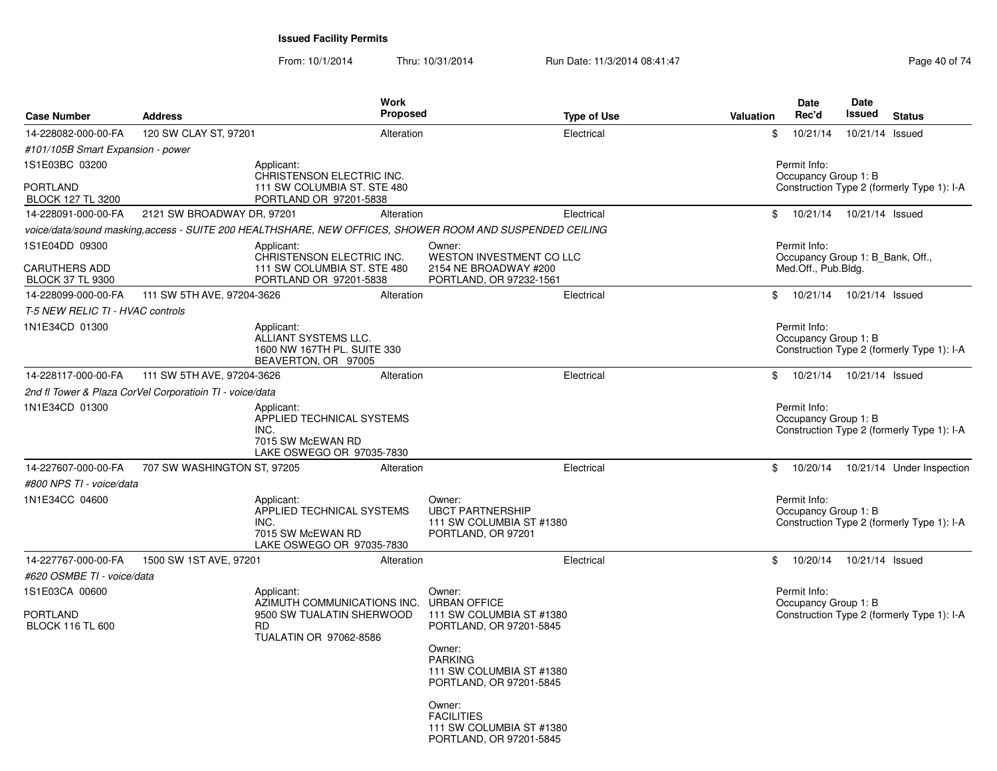From: 10/1/2014Thru: 10/31/2014 Run Date: 11/3/2014 08:41:47 Rege 40 of 74

| <b>Case Number</b>                                                | <b>Address</b>                                           | Work<br>Proposed                                                                                        |                                                                                        | <b>Type of Use</b> | <b>Valuation</b> | <b>Date</b><br>Rec'd                                                    | Date<br><b>Issued</b>      | <b>Status</b>                              |
|-------------------------------------------------------------------|----------------------------------------------------------|---------------------------------------------------------------------------------------------------------|----------------------------------------------------------------------------------------|--------------------|------------------|-------------------------------------------------------------------------|----------------------------|--------------------------------------------|
| 14-228082-000-00-FA                                               | 120 SW CLAY ST, 97201                                    | Alteration                                                                                              |                                                                                        | Electrical         | \$               | 10/21/14                                                                | 10/21/14 Issued            |                                            |
| #101/105B Smart Expansion - power                                 |                                                          |                                                                                                         |                                                                                        |                    |                  |                                                                         |                            |                                            |
| 1S1E03BC 03200<br><b>PORTLAND</b>                                 |                                                          | Applicant:<br>CHRISTENSON ELECTRIC INC.<br>111 SW COLUMBIA ST, STE 480                                  |                                                                                        |                    |                  | Permit Info:<br>Occupancy Group 1: B                                    |                            | Construction Type 2 (formerly Type 1): I-A |
| <b>BLOCK 127 TL 3200</b>                                          |                                                          | PORTLAND OR 97201-5838                                                                                  |                                                                                        |                    |                  |                                                                         |                            |                                            |
| 14-228091-000-00-FA                                               | 2121 SW BROADWAY DR, 97201                               | Alteration                                                                                              |                                                                                        | Electrical         | \$               |                                                                         | 10/21/14  10/21/14  Issued |                                            |
|                                                                   |                                                          | voice/data/sound masking,access - SUITE 200 HEALTHSHARE, NEW OFFICES, SHOWER ROOM AND SUSPENDED CEILING |                                                                                        |                    |                  |                                                                         |                            |                                            |
| 1S1E04DD 09300<br><b>CARUTHERS ADD</b><br><b>BLOCK 37 TL 9300</b> |                                                          | Applicant:<br>CHRISTENSON ELECTRIC INC.<br>111 SW COLUMBIA ST. STE 480<br>PORTLAND OR 97201-5838        | Owner:<br>WESTON INVESTMENT CO LLC<br>2154 NE BROADWAY #200<br>PORTLAND, OR 97232-1561 |                    |                  | Permit Info:<br>Occupancy Group 1: B_Bank, Off.,<br>Med.Off., Pub.Bldg. |                            |                                            |
| 14-228099-000-00-FA                                               | 111 SW 5TH AVE, 97204-3626                               | Alteration                                                                                              |                                                                                        | Electrical         | \$               | 10/21/14                                                                | 10/21/14 Issued            |                                            |
| T-5 NEW RELIC TI - HVAC controls                                  |                                                          |                                                                                                         |                                                                                        |                    |                  |                                                                         |                            |                                            |
| 1N1E34CD 01300                                                    |                                                          | Applicant:<br>ALLIANT SYSTEMS LLC.<br>1600 NW 167TH PL. SUITE 330<br>BEAVERTON, OR 97005                |                                                                                        |                    |                  | Permit Info:<br>Occupancy Group 1: B                                    |                            | Construction Type 2 (formerly Type 1): I-A |
| 14-228117-000-00-FA                                               | 111 SW 5TH AVE, 97204-3626                               | Alteration                                                                                              |                                                                                        | Electrical         | \$               |                                                                         | 10/21/14  10/21/14  Issued |                                            |
|                                                                   | 2nd fl Tower & Plaza CorVel Corporatioin TI - voice/data |                                                                                                         |                                                                                        |                    |                  |                                                                         |                            |                                            |
| 1N1E34CD 01300                                                    |                                                          | Applicant:<br>APPLIED TECHNICAL SYSTEMS<br>INC.<br>7015 SW McEWAN RD<br>LAKE OSWEGO OR 97035-7830       |                                                                                        |                    |                  | Permit Info:<br>Occupancy Group 1: B                                    |                            | Construction Type 2 (formerly Type 1): I-A |
| 14-227607-000-00-FA                                               | 707 SW WASHINGTON ST, 97205                              | Alteration                                                                                              |                                                                                        | Electrical         | \$               | 10/20/14                                                                |                            | 10/21/14 Under Inspection                  |
| #800 NPS TI - voice/data                                          |                                                          |                                                                                                         |                                                                                        |                    |                  |                                                                         |                            |                                            |
| 1N1E34CC 04600                                                    |                                                          | Applicant:<br>APPLIED TECHNICAL SYSTEMS<br>INC.<br>7015 SW McEWAN RD<br>LAKE OSWEGO OR 97035-7830       | Owner:<br><b>UBCT PARTNERSHIP</b><br>111 SW COLUMBIA ST #1380<br>PORTLAND, OR 97201    |                    |                  | Permit Info:<br>Occupancy Group 1: B                                    |                            | Construction Type 2 (formerly Type 1): I-A |
| 14-227767-000-00-FA                                               | 1500 SW 1ST AVE, 97201                                   | Alteration                                                                                              |                                                                                        | Electrical         | \$               |                                                                         | 10/20/14  10/21/14  Issued |                                            |
| #620 OSMBE TI - voice/data                                        |                                                          |                                                                                                         |                                                                                        |                    |                  |                                                                         |                            |                                            |
| 1S1E03CA 00600                                                    |                                                          | Applicant:                                                                                              | Owner:                                                                                 |                    |                  | Permit Info:                                                            |                            |                                            |
| <b>PORTLAND</b><br><b>BLOCK 116 TL 600</b>                        |                                                          | AZIMUTH COMMUNICATIONS INC.<br>9500 SW TUALATIN SHERWOOD<br><b>RD</b><br>TUALATIN OR 97062-8586         | <b>URBAN OFFICE</b><br>111 SW COLUMBIA ST #1380<br>PORTLAND, OR 97201-5845             |                    |                  | Occupancy Group 1: B                                                    |                            | Construction Type 2 (formerly Type 1): I-A |
|                                                                   |                                                          |                                                                                                         | Owner:<br><b>PARKING</b><br>111 SW COLUMBIA ST #1380<br>PORTLAND, OR 97201-5845        |                    |                  |                                                                         |                            |                                            |
|                                                                   |                                                          |                                                                                                         | Owner:<br><b>FACILITIES</b><br>111 SW COLUMBIA ST #1380<br>PORTLAND, OR 97201-5845     |                    |                  |                                                                         |                            |                                            |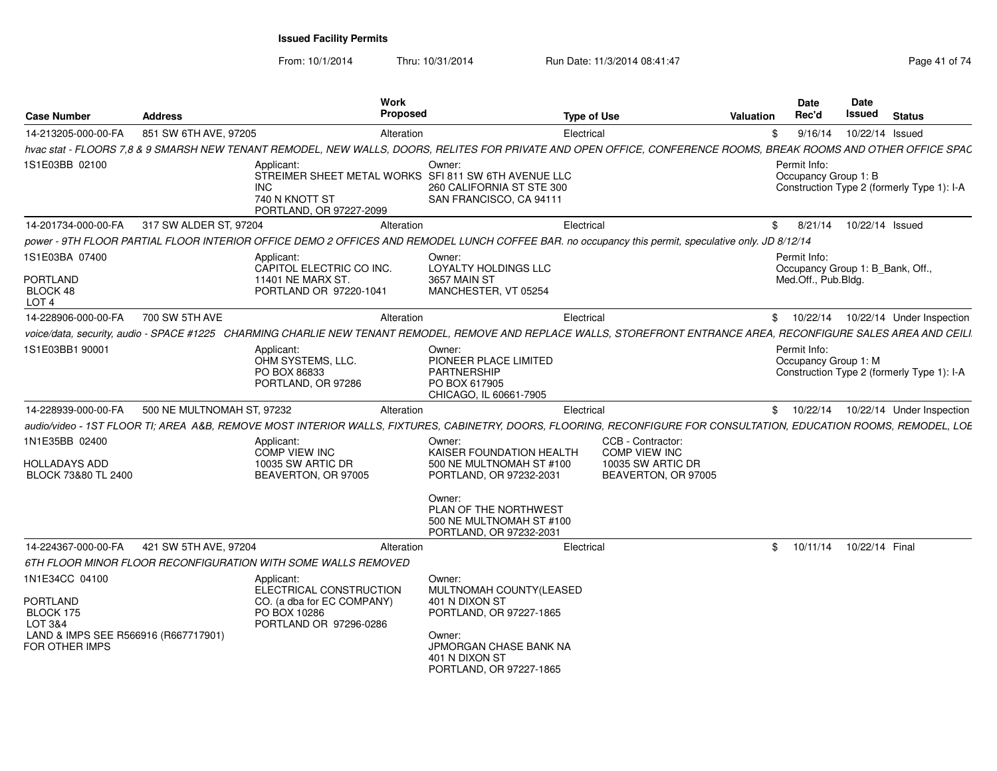| <b>Case Number</b>                                                                                                  | <b>Address</b>             | Work<br><b>Proposed</b>                                                                                                                                             |                                                                                                                                                                        | <b>Type of Use</b>                                                                    | Valuation      | Date<br>Rec'd                                                           | <b>Date</b><br><b>Issued</b> | <b>Status</b>                              |
|---------------------------------------------------------------------------------------------------------------------|----------------------------|---------------------------------------------------------------------------------------------------------------------------------------------------------------------|------------------------------------------------------------------------------------------------------------------------------------------------------------------------|---------------------------------------------------------------------------------------|----------------|-------------------------------------------------------------------------|------------------------------|--------------------------------------------|
| 14-213205-000-00-FA                                                                                                 | 851 SW 6TH AVE, 97205      | Alteration                                                                                                                                                          | Electrical                                                                                                                                                             |                                                                                       | \$             | 9/16/14                                                                 | 10/22/14 Issued              |                                            |
|                                                                                                                     |                            | hvac stat - FLOORS 7,8 & 9 SMARSH NEW TENANT REMODEL, NEW WALLS, DOORS, RELITES FOR PRIVATE AND OPEN OFFICE, CONFERENCE ROOMS, BREAK ROOMS AND OTHER OFFICE SPAC    |                                                                                                                                                                        |                                                                                       |                |                                                                         |                              |                                            |
| 1S1E03BB 02100                                                                                                      |                            | Applicant:<br>STREIMER SHEET METAL WORKS SFI 811 SW 6TH AVENUE LLC<br>INC.<br>740 N KNOTT ST<br>PORTLAND, OR 97227-2099                                             | Owner:<br>260 CALIFORNIA ST STE 300<br>SAN FRANCISCO, CA 94111                                                                                                         |                                                                                       |                | Permit Info:<br>Occupancy Group 1: B                                    |                              | Construction Type 2 (formerly Type 1): I-A |
| 14-201734-000-00-FA                                                                                                 | 317 SW ALDER ST, 97204     | Alteration                                                                                                                                                          | Electrical                                                                                                                                                             |                                                                                       | \$             | 8/21/14                                                                 | 10/22/14 Issued              |                                            |
|                                                                                                                     |                            | power - 9TH FLOOR PARTIAL FLOOR INTERIOR OFFICE DEMO 2 OFFICES AND REMODEL LUNCH COFFEE BAR. no occupancy this permit, speculative only. JD 8/12/14                 |                                                                                                                                                                        |                                                                                       |                |                                                                         |                              |                                            |
| 1S1E03BA 07400<br><b>PORTLAND</b><br>BLOCK 48<br>LOT <sub>4</sub>                                                   |                            | Applicant:<br>CAPITOL ELECTRIC CO INC.<br>11401 NE MARX ST.<br>PORTLAND OR 97220-1041                                                                               | Owner:<br>LOYALTY HOLDINGS LLC<br>3657 MAIN ST<br>MANCHESTER, VT 05254                                                                                                 |                                                                                       |                | Permit Info:<br>Occupancy Group 1: B_Bank, Off.,<br>Med.Off., Pub.Bldg. |                              |                                            |
| 14-228906-000-00-FA                                                                                                 | 700 SW 5TH AVE             | Alteration                                                                                                                                                          | Electrical                                                                                                                                                             |                                                                                       |                | \$10/22/14                                                              |                              | 10/22/14 Under Inspection                  |
|                                                                                                                     |                            | voice/data, security, audio - SPACE #1225 CHARMING CHARLIE NEW TENANT REMODEL, REMOVE AND REPLACE WALLS, STOREFRONT ENTRANCE AREA, RECONFIGURE SALES AREA AND CEILI |                                                                                                                                                                        |                                                                                       |                |                                                                         |                              |                                            |
| 1S1E03BB1 90001                                                                                                     |                            | Applicant:<br>OHM SYSTEMS, LLC.<br>PO BOX 86833<br>PORTLAND, OR 97286                                                                                               | Owner:<br>PIONEER PLACE LIMITED<br>PARTNERSHIP<br>PO BOX 617905<br>CHICAGO, IL 60661-7905                                                                              |                                                                                       |                | Permit Info:<br>Occupancy Group 1: M                                    |                              | Construction Type 2 (formerly Type 1): I-A |
| 14-228939-000-00-FA                                                                                                 | 500 NE MULTNOMAH ST, 97232 | Alteration                                                                                                                                                          | Electrical                                                                                                                                                             |                                                                                       | \$             | 10/22/14                                                                |                              | 10/22/14 Under Inspection                  |
|                                                                                                                     |                            | audio/video - 1ST FLOOR TI; AREA A&B, REMOVE MOST INTERIOR WALLS, FIXTURES, CABINETRY, DOORS, FLOORING, RECONFIGURE FOR CONSULTATION, EDUCATION ROOMS, REMODEL, LOE |                                                                                                                                                                        |                                                                                       |                |                                                                         |                              |                                            |
| 1N1E35BB 02400<br><b>HOLLADAYS ADD</b><br>BLOCK 73&80 TL 2400                                                       |                            | Applicant:<br><b>COMP VIEW INC</b><br>10035 SW ARTIC DR<br>BEAVERTON, OR 97005                                                                                      | Owner:<br>KAISER FOUNDATION HEALTH<br>500 NE MULTNOMAH ST #100<br>PORTLAND, OR 97232-2031<br>Owner:                                                                    | CCB - Contractor:<br><b>COMP VIEW INC</b><br>10035 SW ARTIC DR<br>BEAVERTON, OR 97005 |                |                                                                         |                              |                                            |
|                                                                                                                     |                            |                                                                                                                                                                     | PLAN OF THE NORTHWEST<br>500 NE MULTNOMAH ST #100<br>PORTLAND, OR 97232-2031                                                                                           |                                                                                       |                |                                                                         |                              |                                            |
| 14-224367-000-00-FA                                                                                                 | 421 SW 5TH AVE, 97204      | Alteration                                                                                                                                                          | Electrical                                                                                                                                                             |                                                                                       | $\mathfrak{S}$ | 10/11/14                                                                | 10/22/14 Final               |                                            |
|                                                                                                                     |                            | 6TH FLOOR MINOR FLOOR RECONFIGURATION WITH SOME WALLS REMOVED                                                                                                       |                                                                                                                                                                        |                                                                                       |                |                                                                         |                              |                                            |
| 1N1E34CC 04100<br><b>PORTLAND</b><br>BLOCK 175<br>LOT 3&4<br>LAND & IMPS SEE R566916 (R667717901)<br>FOR OTHER IMPS |                            | Applicant:<br>ELECTRICAL CONSTRUCTION<br>CO. (a dba for EC COMPANY)<br>PO BOX 10286<br>PORTLAND OR 97296-0286                                                       | Owner:<br>MULTNOMAH COUNTY(LEASED<br>401 N DIXON ST<br>PORTLAND, OR 97227-1865<br>Owner:<br><b>JPMORGAN CHASE BANK NA</b><br>401 N DIXON ST<br>PORTLAND, OR 97227-1865 |                                                                                       |                |                                                                         |                              |                                            |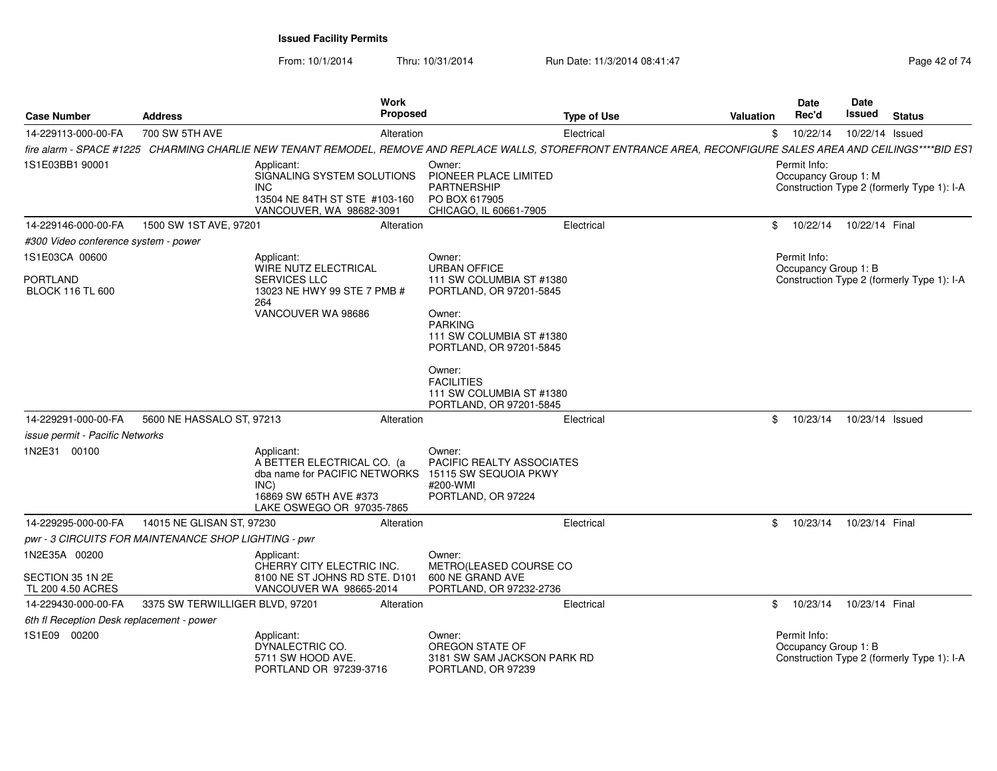From: 10/1/2014

Thru: 10/31/2014 Run Date: 11/3/2014 08:41:47

| Page 42 of 74 |  |
|---------------|--|
|---------------|--|

| <b>Case Number</b>                                   | <b>Address</b>                  | Work                                                                                                                                     | <b>Proposed</b>                                                                                                                                                                                   | <b>Type of Use</b> | <b>Valuation</b> | Date<br>Rec'd                        | Date<br>Issued  | <b>Status</b>                              |
|------------------------------------------------------|---------------------------------|------------------------------------------------------------------------------------------------------------------------------------------|---------------------------------------------------------------------------------------------------------------------------------------------------------------------------------------------------|--------------------|------------------|--------------------------------------|-----------------|--------------------------------------------|
| 14-229113-000-00-FA                                  | 700 SW 5TH AVE                  |                                                                                                                                          | Alteration                                                                                                                                                                                        | Electrical         | \$               | 10/22/14                             | 10/22/14 Issued |                                            |
|                                                      |                                 |                                                                                                                                          | fire alarm - SPACE #1225 CHARMING CHARLIE NEW TENANT REMODEL, REMOVE AND REPLACE WALLS, STOREFRONT ENTRANCE AREA, RECONFIGURE SALES AREA AND CEILINGS****BID ES1                                  |                    |                  |                                      |                 |                                            |
| 1S1E03BB1 90001                                      |                                 | Applicant:<br>SIGNALING SYSTEM SOLUTIONS<br>INC.<br>13504 NE 84TH ST STE #103-160<br>VANCOUVER, WA 98682-3091                            | Owner:<br>PIONEER PLACE LIMITED<br><b>PARTNERSHIP</b><br>PO BOX 617905<br>CHICAGO, IL 60661-7905                                                                                                  |                    |                  | Permit Info:<br>Occupancy Group 1: M |                 | Construction Type 2 (formerly Type 1): I-A |
| 14-229146-000-00-FA                                  | 1500 SW 1ST AVE, 97201          |                                                                                                                                          | Alteration                                                                                                                                                                                        | Electrical         | \$               | 10/22/14                             | 10/22/14 Final  |                                            |
| #300 Video conference system - power                 |                                 |                                                                                                                                          |                                                                                                                                                                                                   |                    |                  |                                      |                 |                                            |
| 1S1E03CA 00600                                       |                                 | Applicant:<br>WIRE NUTZ ELECTRICAL                                                                                                       | Owner:<br><b>URBAN OFFICE</b>                                                                                                                                                                     |                    |                  | Permit Info:<br>Occupancy Group 1: B |                 |                                            |
| <b>PORTLAND</b><br><b>BLOCK 116 TL 600</b>           |                                 | <b>SERVICES LLC</b><br>13023 NE HWY 99 STE 7 PMB #<br>264<br>VANCOUVER WA 98686                                                          | 111 SW COLUMBIA ST #1380<br>PORTLAND, OR 97201-5845<br>Owner:<br><b>PARKING</b><br>111 SW COLUMBIA ST #1380<br>PORTLAND, OR 97201-5845<br>Owner:<br><b>FACILITIES</b><br>111 SW COLUMBIA ST #1380 |                    |                  |                                      |                 | Construction Type 2 (formerly Type 1): I-A |
|                                                      |                                 |                                                                                                                                          | PORTLAND, OR 97201-5845                                                                                                                                                                           |                    |                  |                                      |                 |                                            |
| 14-229291-000-00-FA                                  | 5600 NE HASSALO ST, 97213       |                                                                                                                                          | Alteration                                                                                                                                                                                        | Electrical         | \$               | 10/23/14                             | 10/23/14 Issued |                                            |
| <i>issue permit - Pacific Networks</i>               |                                 |                                                                                                                                          |                                                                                                                                                                                                   |                    |                  |                                      |                 |                                            |
| 1N2E31 00100                                         |                                 | Applicant:<br>A BETTER ELECTRICAL CO. (a<br>dba name for PACIFIC NETWORKS<br>INC)<br>16869 SW 65TH AVE #373<br>LAKE OSWEGO OR 97035-7865 | Owner:<br><b>PACIFIC REALTY ASSOCIATES</b><br>15115 SW SEQUOIA PKWY<br>#200-WMI<br>PORTLAND, OR 97224                                                                                             |                    |                  |                                      |                 |                                            |
| 14-229295-000-00-FA                                  | 14015 NE GLISAN ST, 97230       |                                                                                                                                          | Alteration                                                                                                                                                                                        | Electrical         | \$               | 10/23/14                             | 10/23/14 Final  |                                            |
| pwr - 3 CIRCUITS FOR MAINTENANCE SHOP LIGHTING - pwr |                                 |                                                                                                                                          |                                                                                                                                                                                                   |                    |                  |                                      |                 |                                            |
| 1N2E35A 00200                                        |                                 | Applicant:<br>CHERRY CITY ELECTRIC INC.                                                                                                  | Owner:<br>METRO(LEASED COURSE CO                                                                                                                                                                  |                    |                  |                                      |                 |                                            |
| SECTION 35 1N 2E<br>TL 200 4.50 ACRES                |                                 | 8100 NE ST JOHNS RD STE. D101<br>VANCOUVER WA 98665-2014                                                                                 | 600 NE GRAND AVE<br>PORTLAND, OR 97232-2736                                                                                                                                                       |                    |                  |                                      |                 |                                            |
| 14-229430-000-00-FA                                  | 3375 SW TERWILLIGER BLVD, 97201 |                                                                                                                                          | Alteration                                                                                                                                                                                        | Electrical         | \$               | 10/23/14                             | 10/23/14 Final  |                                            |
| 6th fl Reception Desk replacement - power            |                                 |                                                                                                                                          |                                                                                                                                                                                                   |                    |                  |                                      |                 |                                            |
| 1S1E09 00200                                         |                                 | Applicant:<br>DYNALECTRIC CO.<br>5711 SW HOOD AVE.<br>PORTLAND OR 97239-3716                                                             | Owner:<br>OREGON STATE OF<br>3181 SW SAM JACKSON PARK RD<br>PORTLAND, OR 97239                                                                                                                    |                    |                  | Permit Info:<br>Occupancy Group 1: B |                 | Construction Type 2 (formerly Type 1): I-A |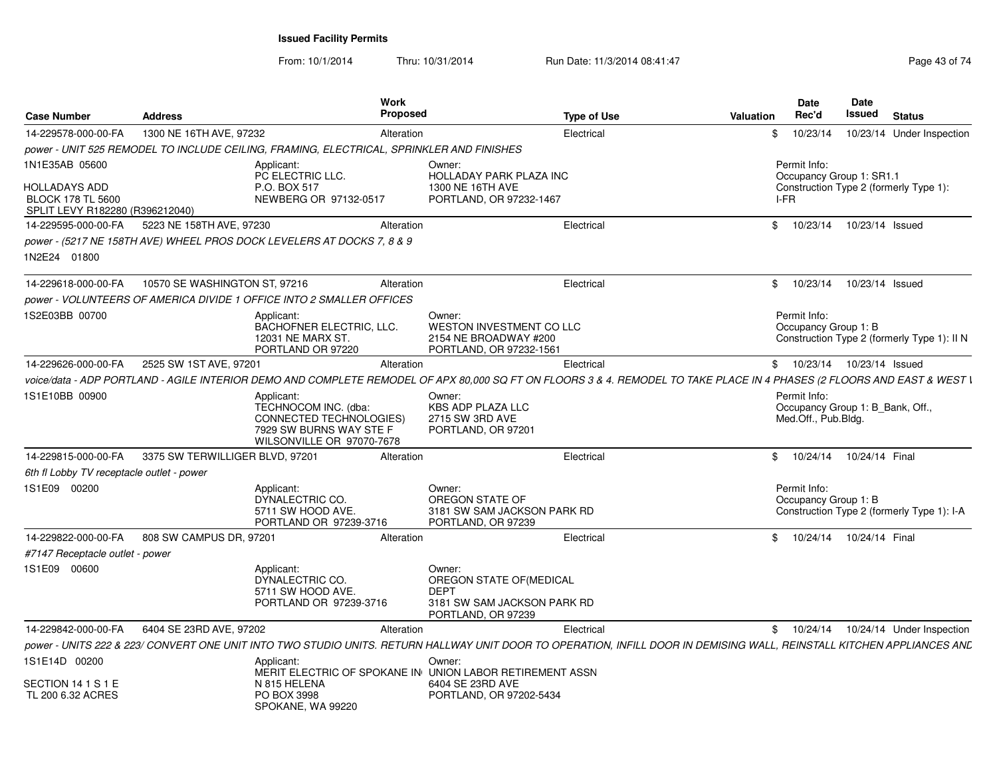| <b>Case Number</b>                                                                  | <b>Address</b>                                                                           | Work<br><b>Proposed</b>                                                                                        |                                                                                                        | Type of Use<br><b>Valuation</b>                                                                                                                                         | Date<br>Rec'd                                                           | Date<br>Issued  | <b>Status</b>                               |
|-------------------------------------------------------------------------------------|------------------------------------------------------------------------------------------|----------------------------------------------------------------------------------------------------------------|--------------------------------------------------------------------------------------------------------|-------------------------------------------------------------------------------------------------------------------------------------------------------------------------|-------------------------------------------------------------------------|-----------------|---------------------------------------------|
| 14-229578-000-00-FA                                                                 | 1300 NE 16TH AVE, 97232                                                                  | Alteration                                                                                                     | Electrical                                                                                             | \$                                                                                                                                                                      | 10/23/14                                                                |                 | 10/23/14 Under Inspection                   |
|                                                                                     | power - UNIT 525 REMODEL TO INCLUDE CEILING, FRAMING, ELECTRICAL, SPRINKLER AND FINISHES |                                                                                                                |                                                                                                        |                                                                                                                                                                         |                                                                         |                 |                                             |
| 1N1E35AB 05600                                                                      | Applicant:                                                                               | PC ELECTRIC LLC.                                                                                               | Owner:<br><b>HOLLADAY PARK PLAZA INC</b>                                                               |                                                                                                                                                                         | Permit Info:<br>Occupancy Group 1: SR1.1                                |                 |                                             |
| <b>HOLLADAYS ADD</b><br><b>BLOCK 178 TL 5600</b><br>SPLIT LEVY R182280 (R396212040) | P.O. BOX 517                                                                             | NEWBERG OR 97132-0517                                                                                          | 1300 NE 16TH AVE<br>PORTLAND, OR 97232-1467                                                            |                                                                                                                                                                         | I-FR                                                                    |                 | Construction Type 2 (formerly Type 1):      |
| 14-229595-000-00-FA                                                                 | 5223 NE 158TH AVE, 97230                                                                 | Alteration                                                                                                     | Electrical                                                                                             |                                                                                                                                                                         | \$ 10/23/14 10/23/14 Issued                                             |                 |                                             |
| 1N2E24 01800                                                                        | power - (5217 NE 158TH AVE) WHEEL PROS DOCK LEVELERS AT DOCKS 7, 8 & 9                   |                                                                                                                |                                                                                                        |                                                                                                                                                                         |                                                                         |                 |                                             |
|                                                                                     |                                                                                          |                                                                                                                |                                                                                                        |                                                                                                                                                                         |                                                                         |                 |                                             |
| 14-229618-000-00-FA                                                                 | 10570 SE WASHINGTON ST, 97216                                                            | Alteration                                                                                                     | Electrical                                                                                             | \$                                                                                                                                                                      | 10/23/14                                                                | 10/23/14 Issued |                                             |
|                                                                                     | power - VOLUNTEERS OF AMERICA DIVIDE 1 OFFICE INTO 2 SMALLER OFFICES                     |                                                                                                                |                                                                                                        |                                                                                                                                                                         |                                                                         |                 |                                             |
| 1S2E03BB 00700                                                                      | Applicant:                                                                               | <b>BACHOFNER ELECTRIC, LLC.</b><br>12031 NE MARX ST.<br>PORTLAND OR 97220                                      | Owner:<br>WESTON INVESTMENT CO LLC<br>2154 NE BROADWAY #200<br>PORTLAND, OR 97232-1561                 |                                                                                                                                                                         | Permit Info:<br>Occupancy Group 1: B                                    |                 | Construction Type 2 (formerly Type 1): II N |
| 14-229626-000-00-FA                                                                 | 2525 SW 1ST AVE, 97201                                                                   | Alteration                                                                                                     | Electrical                                                                                             |                                                                                                                                                                         | \$ 10/23/14 10/23/14 Issued                                             |                 |                                             |
|                                                                                     |                                                                                          |                                                                                                                |                                                                                                        | voice/data - ADP PORTLAND - AGILE INTERIOR DEMO AND COMPLETE REMODEL OF APX 80,000 SQ FT ON FLOORS 3 & 4. REMODEL TO TAKE PLACE IN 4 PHASES (2 FLOORS AND EAST & WEST I |                                                                         |                 |                                             |
| 1S1E10BB 00900                                                                      | Applicant:                                                                               | TECHNOCOM INC. (dba:<br><b>CONNECTED TECHNOLOGIES)</b><br>7929 SW BURNS WAY STE F<br>WILSONVILLE OR 97070-7678 | Owner:<br><b>KBS ADP PLAZA LLC</b><br>2715 SW 3RD AVE<br>PORTLAND, OR 97201                            |                                                                                                                                                                         | Permit Info:<br>Occupancy Group 1: B_Bank, Off.,<br>Med.Off., Pub.Bldg. |                 |                                             |
| 14-229815-000-00-FA                                                                 | 3375 SW TERWILLIGER BLVD, 97201                                                          | Alteration                                                                                                     | Electrical                                                                                             | $\mathfrak{S}$                                                                                                                                                          | 10/24/14  10/24/14  Final                                               |                 |                                             |
| 6th fl Lobby TV receptacle outlet - power                                           |                                                                                          |                                                                                                                |                                                                                                        |                                                                                                                                                                         |                                                                         |                 |                                             |
| 1S1E09 00200                                                                        | Applicant:                                                                               | DYNALECTRIC CO.<br>5711 SW HOOD AVE.<br>PORTLAND OR 97239-3716                                                 | Owner:<br>OREGON STATE OF<br>3181 SW SAM JACKSON PARK RD<br>PORTLAND, OR 97239                         |                                                                                                                                                                         | Permit Info:<br>Occupancy Group 1: B                                    |                 | Construction Type 2 (formerly Type 1): I-A  |
| 14-229822-000-00-FA                                                                 | 808 SW CAMPUS DR. 97201                                                                  | Alteration                                                                                                     | Electrical                                                                                             | \$                                                                                                                                                                      | 10/24/14                                                                | 10/24/14 Final  |                                             |
| #7147 Receptacle outlet - power                                                     |                                                                                          |                                                                                                                |                                                                                                        |                                                                                                                                                                         |                                                                         |                 |                                             |
| 1S1E09 00600                                                                        | Applicant:                                                                               | DYNALECTRIC CO.<br>5711 SW HOOD AVE.<br>PORTLAND OR 97239-3716                                                 | Owner:<br>OREGON STATE OF (MEDICAL<br><b>DEPT</b><br>3181 SW SAM JACKSON PARK RD<br>PORTLAND, OR 97239 |                                                                                                                                                                         |                                                                         |                 |                                             |
| 14-229842-000-00-FA                                                                 | 6404 SE 23RD AVE, 97202                                                                  | Alteration                                                                                                     | Electrical                                                                                             |                                                                                                                                                                         |                                                                         |                 | \$ 10/24/14 10/24/14 Under Inspection       |
|                                                                                     |                                                                                          |                                                                                                                |                                                                                                        | power - UNITS 222 & 223/ CONVERT ONE UNIT INTO TWO STUDIO UNITS. RETURN HALLWAY UNIT DOOR TO OPERATION, INFILL DOOR IN DEMISING WALL, REINSTALL KITCHEN APPLIANCES AND  |                                                                         |                 |                                             |
| 1S1E14D 00200                                                                       | Applicant:                                                                               |                                                                                                                | Owner:<br>MERIT ELECTRIC OF SPOKANE IN UNION LABOR RETIREMENT ASSN                                     |                                                                                                                                                                         |                                                                         |                 |                                             |
| SECTION 14 1 S 1 E<br>TL 200 6.32 ACRES                                             | N 815 HELENA<br>PO BOX 3998                                                              | SPOKANE, WA 99220                                                                                              | 6404 SE 23RD AVE<br>PORTLAND, OR 97202-5434                                                            |                                                                                                                                                                         |                                                                         |                 |                                             |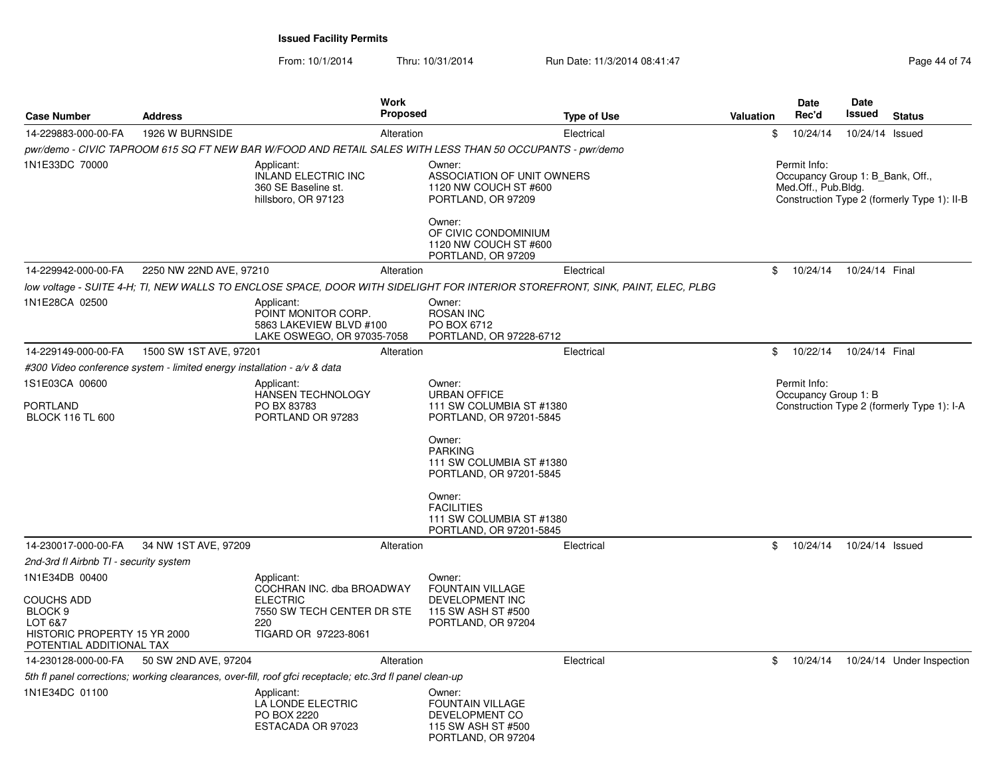| <b>Case Number</b>                                                                                             | <b>Address</b>                                                          | Work<br><b>Proposed</b>                                                                                                       |                                                                                                 | <b>Type of Use</b> | Valuation | <b>Date</b><br>Rec'd                                                    | <b>Date</b><br>Issued | <b>Status</b>                               |
|----------------------------------------------------------------------------------------------------------------|-------------------------------------------------------------------------|-------------------------------------------------------------------------------------------------------------------------------|-------------------------------------------------------------------------------------------------|--------------------|-----------|-------------------------------------------------------------------------|-----------------------|---------------------------------------------|
| 14-229883-000-00-FA                                                                                            | 1926 W BURNSIDE                                                         | Alteration                                                                                                                    |                                                                                                 | Electrical         | \$        | 10/24/14                                                                | 10/24/14 Issued       |                                             |
|                                                                                                                |                                                                         | pwr/demo - CIVIC TAPROOM 615 SQ FT NEW BAR W/FOOD AND RETAIL SALES WITH LESS THAN 50 OCCUPANTS - pwr/demo                     |                                                                                                 |                    |           |                                                                         |                       |                                             |
| 1N1E33DC 70000                                                                                                 |                                                                         | Applicant:<br><b>INLAND ELECTRIC INC</b><br>360 SE Baseline st.<br>hillsboro, OR 97123                                        | Owner:<br>ASSOCIATION OF UNIT OWNERS<br>1120 NW COUCH ST #600<br>PORTLAND, OR 97209<br>Owner:   |                    |           | Permit Info:<br>Occupancy Group 1: B Bank, Off.,<br>Med.Off., Pub.Bldg. |                       | Construction Type 2 (formerly Type 1): II-B |
|                                                                                                                |                                                                         |                                                                                                                               | OF CIVIC CONDOMINIUM<br>1120 NW COUCH ST #600<br>PORTLAND, OR 97209                             |                    |           |                                                                         |                       |                                             |
| 14-229942-000-00-FA                                                                                            | 2250 NW 22ND AVE, 97210                                                 | Alteration                                                                                                                    |                                                                                                 | Electrical         | \$        | 10/24/14                                                                | 10/24/14 Final        |                                             |
|                                                                                                                |                                                                         | low voltage - SUITE 4-H; TI, NEW WALLS TO ENCLOSE SPACE, DOOR WITH SIDELIGHT FOR INTERIOR STOREFRONT, SINK, PAINT, ELEC, PLBG |                                                                                                 |                    |           |                                                                         |                       |                                             |
| 1N1E28CA 02500                                                                                                 |                                                                         | Applicant:<br>POINT MONITOR CORP.<br>5863 LAKEVIEW BLVD #100<br>LAKE OSWEGO, OR 97035-7058                                    | Owner:<br><b>ROSAN INC</b><br>PO BOX 6712<br>PORTLAND, OR 97228-6712                            |                    |           |                                                                         |                       |                                             |
| 14-229149-000-00-FA                                                                                            | 1500 SW 1ST AVE, 97201                                                  | Alteration                                                                                                                    |                                                                                                 | Electrical         | \$        | 10/22/14                                                                | 10/24/14 Final        |                                             |
|                                                                                                                | #300 Video conference system - limited energy installation - a/v & data |                                                                                                                               |                                                                                                 |                    |           |                                                                         |                       |                                             |
| 1S1E03CA 00600                                                                                                 |                                                                         | Applicant:                                                                                                                    | Owner:                                                                                          |                    |           | Permit Info:                                                            |                       |                                             |
| <b>PORTLAND</b><br><b>BLOCK 116 TL 600</b>                                                                     |                                                                         | HANSEN TECHNOLOGY<br>PO BX 83783<br>PORTLAND OR 97283                                                                         | <b>URBAN OFFICE</b><br>111 SW COLUMBIA ST #1380<br>PORTLAND, OR 97201-5845                      |                    |           | Occupancy Group 1: B                                                    |                       | Construction Type 2 (formerly Type 1): I-A  |
|                                                                                                                |                                                                         |                                                                                                                               | Owner:<br><b>PARKING</b><br>111 SW COLUMBIA ST #1380<br>PORTLAND, OR 97201-5845                 |                    |           |                                                                         |                       |                                             |
|                                                                                                                |                                                                         |                                                                                                                               | Owner:<br><b>FACILITIES</b><br>111 SW COLUMBIA ST #1380<br>PORTLAND, OR 97201-5845              |                    |           |                                                                         |                       |                                             |
| 14-230017-000-00-FA                                                                                            | 34 NW 1ST AVE, 97209                                                    | Alteration                                                                                                                    |                                                                                                 | Electrical         | \$        | 10/24/14                                                                | 10/24/14 Issued       |                                             |
| 2nd-3rd fl Airbnb TI - security system                                                                         |                                                                         |                                                                                                                               |                                                                                                 |                    |           |                                                                         |                       |                                             |
| 1N1E34DB 00400                                                                                                 |                                                                         | Applicant:<br>COCHRAN INC. dba BROADWAY                                                                                       | Owner:<br><b>FOUNTAIN VILLAGE</b>                                                               |                    |           |                                                                         |                       |                                             |
| <b>COUCHS ADD</b><br>BLOCK <sub>9</sub><br>LOT 6&7<br>HISTORIC PROPERTY 15 YR 2000<br>POTENTIAL ADDITIONAL TAX |                                                                         | <b>ELECTRIC</b><br>7550 SW TECH CENTER DR STE<br>220<br>TIGARD OR 97223-8061                                                  | DEVELOPMENT INC<br>115 SW ASH ST #500<br>PORTLAND, OR 97204                                     |                    |           |                                                                         |                       |                                             |
| 14-230128-000-00-FA                                                                                            | 50 SW 2ND AVE, 97204                                                    | Alteration                                                                                                                    |                                                                                                 | Electrical         | \$        | 10/24/14                                                                |                       | 10/24/14 Under Inspection                   |
|                                                                                                                |                                                                         | 5th fl panel corrections; working clearances, over-fill, roof gfci receptacle; etc.3rd fl panel clean-up                      |                                                                                                 |                    |           |                                                                         |                       |                                             |
| 1N1E34DC 01100                                                                                                 |                                                                         | Applicant:<br>LA LONDE ELECTRIC<br>PO BOX 2220<br>ESTACADA OR 97023                                                           | Owner:<br><b>FOUNTAIN VILLAGE</b><br>DEVELOPMENT CO<br>115 SW ASH ST #500<br>PORTLAND, OR 97204 |                    |           |                                                                         |                       |                                             |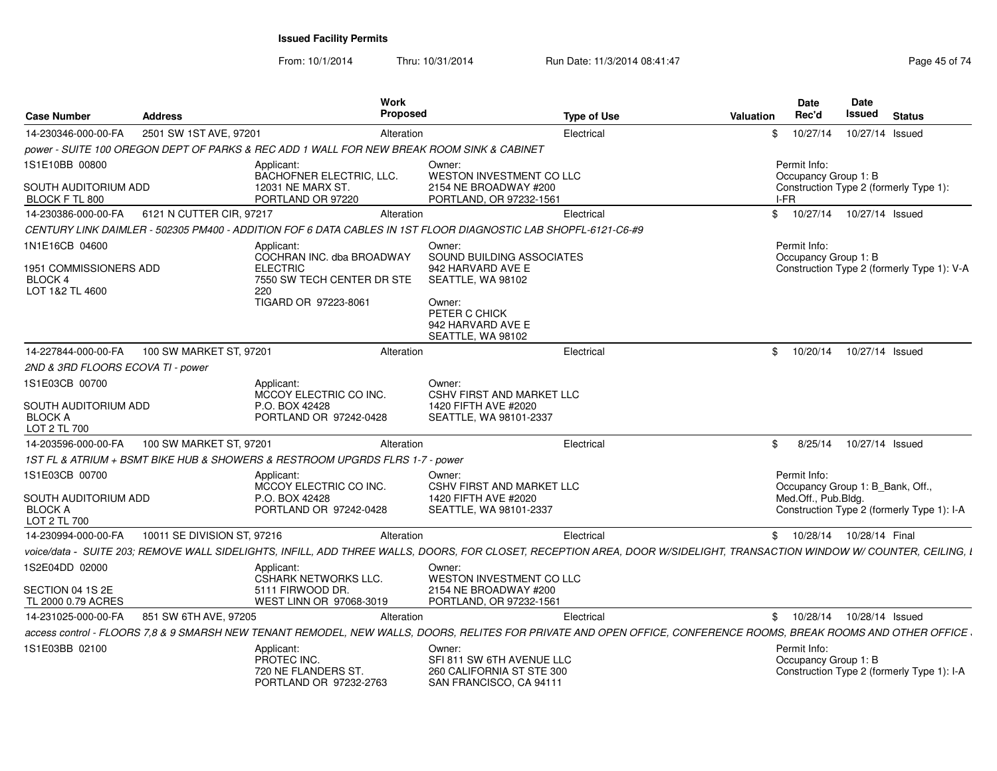| <b>Case Number</b>                                                       | <b>Address</b>              | <b>Work</b><br><b>Proposed</b>                                                                                                                                          |                                                                                                                                                    | <b>Type of Use</b> | Valuation | <b>Date</b><br>Rec'd                                                    | Date<br>Issued  | <b>Status</b>                              |
|--------------------------------------------------------------------------|-----------------------------|-------------------------------------------------------------------------------------------------------------------------------------------------------------------------|----------------------------------------------------------------------------------------------------------------------------------------------------|--------------------|-----------|-------------------------------------------------------------------------|-----------------|--------------------------------------------|
| 14-230346-000-00-FA                                                      | 2501 SW 1ST AVE, 97201      | Alteration                                                                                                                                                              |                                                                                                                                                    | Electrical         | \$        | 10/27/14                                                                | 10/27/14 Issued |                                            |
|                                                                          |                             | power - SUITE 100 OREGON DEPT OF PARKS & REC ADD 1 WALL FOR NEW BREAK ROOM SINK & CABINET                                                                               |                                                                                                                                                    |                    |           |                                                                         |                 |                                            |
| 1S1E10BB 00800                                                           |                             | Applicant:<br>BACHOFNER ELECTRIC, LLC.                                                                                                                                  | Owner:<br>WESTON INVESTMENT CO LLC                                                                                                                 |                    |           | Permit Info:<br>Occupancy Group 1: B                                    |                 |                                            |
| SOUTH AUDITORIUM ADD<br>BLOCK F TL 800                                   |                             | 12031 NE MARX ST.<br>PORTLAND OR 97220                                                                                                                                  | 2154 NE BROADWAY #200<br>PORTLAND, OR 97232-1561                                                                                                   |                    |           | Construction Type 2 (formerly Type 1):<br>I-FR                          |                 |                                            |
| 14-230386-000-00-FA                                                      | 6121 N CUTTER CIR, 97217    | Alteration                                                                                                                                                              |                                                                                                                                                    | Electrical         | \$        | 10/27/14                                                                | 10/27/14 Issued |                                            |
|                                                                          |                             | CENTURY LINK DAIMLER - 502305 PM400 - ADDITION FOF 6 DATA CABLES IN 1ST FLOOR DIAGNOSTIC LAB SHOPFL-6121-C6-#9                                                          |                                                                                                                                                    |                    |           |                                                                         |                 |                                            |
| 1N1E16CB 04600<br>1951 COMMISSIONERS ADD<br>BLOCK 4<br>LOT 1&2 TL 4600   |                             | Applicant:<br>COCHRAN INC. dba BROADWAY<br><b>ELECTRIC</b><br>7550 SW TECH CENTER DR STE<br>220<br>TIGARD OR 97223-8061                                                 | Owner:<br>SOUND BUILDING ASSOCIATES<br>942 HARVARD AVE E<br>SEATTLE, WA 98102<br>Owner:<br>PETER C CHICK<br>942 HARVARD AVE E<br>SEATTLE, WA 98102 |                    |           | Permit Info:<br>Occupancy Group 1: B                                    |                 | Construction Type 2 (formerly Type 1): V-A |
| 14-227844-000-00-FA                                                      | 100 SW MARKET ST, 97201     | Alteration                                                                                                                                                              |                                                                                                                                                    | Electrical         | \$        | 10/20/14                                                                | 10/27/14 Issued |                                            |
| 2ND & 3RD FLOORS ECOVA TI - power                                        |                             |                                                                                                                                                                         |                                                                                                                                                    |                    |           |                                                                         |                 |                                            |
| 1S1E03CB 00700<br>SOUTH AUDITORIUM ADD<br><b>BLOCK A</b><br>LOT 2 TL 700 |                             | Applicant:<br>MCCOY ELECTRIC CO INC.<br>P.O. BOX 42428<br>PORTLAND OR 97242-0428                                                                                        | Owner:<br><b>CSHV FIRST AND MARKET LLC</b><br>1420 FIFTH AVE #2020<br>SEATTLE, WA 98101-2337                                                       |                    |           |                                                                         |                 |                                            |
| 14-203596-000-00-FA                                                      | 100 SW MARKET ST, 97201     | Alteration                                                                                                                                                              |                                                                                                                                                    | Electrical         | \$        | 8/25/14                                                                 | 10/27/14 Issued |                                            |
|                                                                          |                             | 1ST FL & ATRIUM + BSMT BIKE HUB & SHOWERS & RESTROOM UPGRDS FLRS 1-7 - power                                                                                            |                                                                                                                                                    |                    |           |                                                                         |                 |                                            |
| 1S1E03CB 00700<br>SOUTH AUDITORIUM ADD<br><b>BLOCK A</b><br>LOT 2 TL 700 |                             | Applicant:<br>MCCOY ELECTRIC CO INC.<br>P.O. BOX 42428<br>PORTLAND OR 97242-0428                                                                                        | Owner:<br><b>CSHV FIRST AND MARKET LLC</b><br>1420 FIFTH AVE #2020<br>SEATTLE, WA 98101-2337                                                       |                    |           | Permit Info:<br>Occupancy Group 1: B Bank, Off.,<br>Med.Off., Pub.Bldg. |                 | Construction Type 2 (formerly Type 1): I-A |
| 14-230994-000-00-FA                                                      | 10011 SE DIVISION ST, 97216 | Alteration                                                                                                                                                              |                                                                                                                                                    | Electrical         |           | \$10/28/14                                                              | 10/28/14 Final  |                                            |
|                                                                          |                             | voice/data - SUITE 203; REMOVE WALL SIDELIGHTS, INFILL, ADD THREE WALLS, DOORS, FOR CLOSET, RECEPTION AREA, DOOR W/SIDELIGHT, TRANSACTION WINDOW W/ COUNTER, CEILING, I |                                                                                                                                                    |                    |           |                                                                         |                 |                                            |
| 1S2E04DD 02000<br>SECTION 04 1S 2E                                       |                             | Applicant:<br><b>CSHARK NETWORKS LLC.</b><br>5111 FIRWOOD DR.                                                                                                           | Owner:<br>WESTON INVESTMENT CO LLC<br>2154 NE BROADWAY #200                                                                                        |                    |           |                                                                         |                 |                                            |
| TL 2000 0.79 ACRES                                                       |                             | WEST LINN OR 97068-3019                                                                                                                                                 | PORTLAND, OR 97232-1561                                                                                                                            |                    |           |                                                                         |                 |                                            |
| 14-231025-000-00-FA                                                      | 851 SW 6TH AVE, 97205       | Alteration                                                                                                                                                              |                                                                                                                                                    | Electrical         |           | 10/28/14<br>$\mathbb{S}$                                                | 10/28/14 Issued |                                            |
|                                                                          |                             | access control - FLOORS 7,8 & 9 SMARSH NEW TENANT REMODEL, NEW WALLS, DOORS, RELITES FOR PRIVATE AND OPEN OFFICE, CONFERENCE ROOMS, BREAK ROOMS AND OTHER OFFICE        |                                                                                                                                                    |                    |           |                                                                         |                 |                                            |
| 1S1E03BB 02100                                                           |                             | Applicant:<br>PROTEC INC.<br>720 NE FLANDERS ST.<br>PORTLAND OR 97232-2763                                                                                              | Owner:<br>SFI 811 SW 6TH AVENUE LLC<br>260 CALIFORNIA ST STE 300<br>SAN FRANCISCO, CA 94111                                                        |                    |           | Permit Info:<br>Occupancy Group 1: B                                    |                 | Construction Type 2 (formerly Type 1): I-A |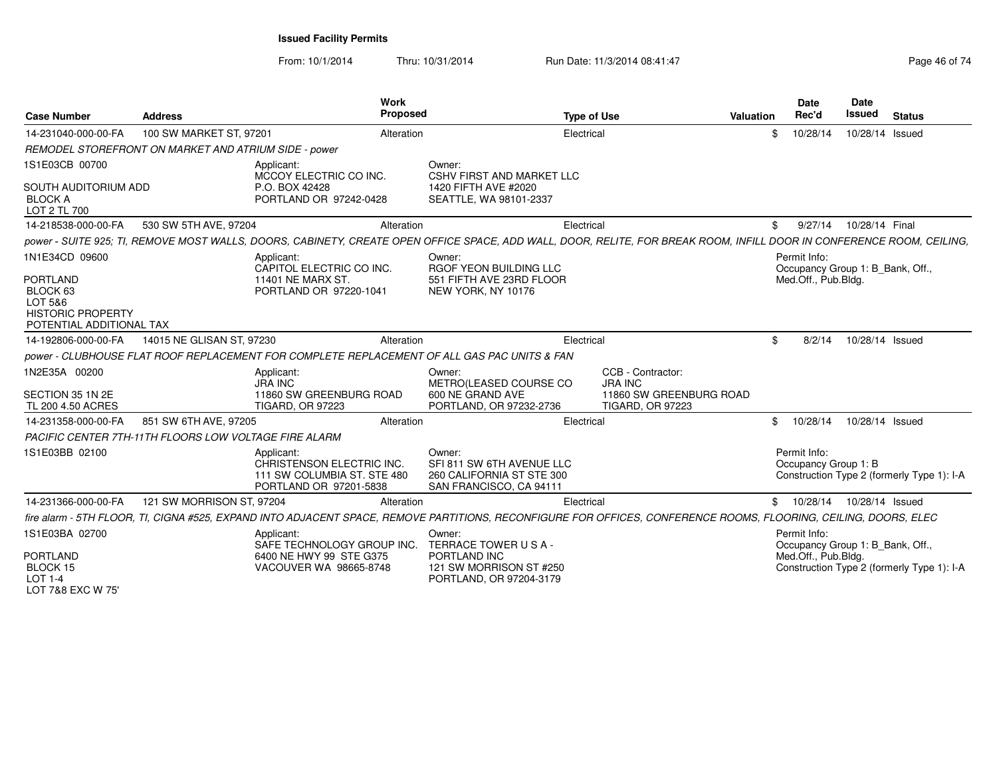From: 10/1/2014Thru: 10/31/2014 Run Date: 11/3/2014 08:41:47 Rege 46 of 74

| <b>Case Number</b>                                                                                               | <b>Address</b>                                               | <b>Work</b><br>Proposed                                                                          |                                                                                                    | <b>Type of Use</b>                                                                                                                                                    | Valuation | <b>Date</b><br>Rec'd                                                    | Date<br><b>Issued</b> | <b>Status</b>                              |
|------------------------------------------------------------------------------------------------------------------|--------------------------------------------------------------|--------------------------------------------------------------------------------------------------|----------------------------------------------------------------------------------------------------|-----------------------------------------------------------------------------------------------------------------------------------------------------------------------|-----------|-------------------------------------------------------------------------|-----------------------|--------------------------------------------|
| 14-231040-000-00-FA                                                                                              | 100 SW MARKET ST, 97201                                      | Alteration                                                                                       |                                                                                                    | Electrical                                                                                                                                                            | \$        | 10/28/14                                                                | 10/28/14 Issued       |                                            |
|                                                                                                                  | REMODEL STOREFRONT ON MARKET AND ATRIUM SIDE - power         |                                                                                                  |                                                                                                    |                                                                                                                                                                       |           |                                                                         |                       |                                            |
| 1S1E03CB 00700<br>SOUTH AUDITORIUM ADD<br><b>BLOCK A</b><br>LOT 2 TL 700                                         |                                                              | Applicant:<br>MCCOY ELECTRIC CO INC.<br>P.O. BOX 42428<br>PORTLAND OR 97242-0428                 | Owner:<br><b>CSHV FIRST AND MARKET LLC</b><br>1420 FIFTH AVE #2020<br>SEATTLE, WA 98101-2337       |                                                                                                                                                                       |           |                                                                         |                       |                                            |
| 14-218538-000-00-FA                                                                                              | 530 SW 5TH AVE, 97204                                        | Alteration                                                                                       |                                                                                                    | Electrical                                                                                                                                                            | \$        | 9/27/14                                                                 | 10/28/14 Final        |                                            |
|                                                                                                                  |                                                              |                                                                                                  |                                                                                                    | power - SUITE 925; TI, REMOVE MOST WALLS, DOORS, CABINETY, CREATE OPEN OFFICE SPACE, ADD WALL, DOOR, RELITE, FOR BREAK ROOM, INFILL DOOR IN CONFERENCE ROOM, CEILING, |           |                                                                         |                       |                                            |
| 1N1E34CD 09600<br><b>PORTLAND</b><br>BLOCK 63<br>LOT 5&6<br><b>HISTORIC PROPERTY</b><br>POTENTIAL ADDITIONAL TAX |                                                              | Applicant:<br>CAPITOL ELECTRIC CO INC.<br>11401 NE MARX ST.<br>PORTLAND OR 97220-1041            | Owner:<br>RGOF YEON BUILDING LLC<br>551 FIFTH AVE 23RD FLOOR<br>NEW YORK, NY 10176                 |                                                                                                                                                                       |           | Permit Info:<br>Occupancy Group 1: B_Bank, Off.,<br>Med.Off., Pub.Bldg. |                       |                                            |
| 14-192806-000-00-FA                                                                                              | 14015 NE GLISAN ST, 97230                                    | Alteration                                                                                       |                                                                                                    | Electrical                                                                                                                                                            | \$        | 8/2/14                                                                  | 10/28/14 Issued       |                                            |
|                                                                                                                  |                                                              | power - CLUBHOUSE FLAT ROOF REPLACEMENT FOR COMPLETE REPLACEMENT OF ALL GAS PAC UNITS & FAN      |                                                                                                    |                                                                                                                                                                       |           |                                                                         |                       |                                            |
| 1N2E35A 00200<br>SECTION 35 1N 2E<br>TL 200 4.50 ACRES                                                           |                                                              | Applicant:<br><b>JRA INC</b><br>11860 SW GREENBURG ROAD<br><b>TIGARD, OR 97223</b>               | Owner:<br>METRO(LEASED COURSE CO<br>600 NE GRAND AVE<br>PORTLAND, OR 97232-2736                    | CCB - Contractor:<br><b>JRA INC</b><br>11860 SW GREENBURG ROAD<br><b>TIGARD, OR 97223</b>                                                                             |           |                                                                         |                       |                                            |
| 14-231358-000-00-FA                                                                                              | 851 SW 6TH AVE, 97205                                        | Alteration                                                                                       |                                                                                                    | Electrical                                                                                                                                                            | \$        | 10/28/14                                                                | 10/28/14 Issued       |                                            |
|                                                                                                                  | <b>PACIFIC CENTER 7TH-11TH FLOORS LOW VOLTAGE FIRE ALARM</b> |                                                                                                  |                                                                                                    |                                                                                                                                                                       |           |                                                                         |                       |                                            |
| 1S1E03BB 02100                                                                                                   |                                                              | Applicant:<br>CHRISTENSON ELECTRIC INC.<br>111 SW COLUMBIA ST. STE 480<br>PORTLAND OR 97201-5838 | Owner:<br>SFI 811 SW 6TH AVENUE LLC<br>260 CALIFORNIA ST STE 300<br>SAN FRANCISCO, CA 94111        |                                                                                                                                                                       |           | Permit Info:<br>Occupancy Group 1: B                                    |                       | Construction Type 2 (formerly Type 1): I-A |
| 14-231366-000-00-FA                                                                                              | 121 SW MORRISON ST, 97204                                    | Alteration                                                                                       |                                                                                                    | Electrical                                                                                                                                                            |           | \$ 10/28/14 10/28/14 Issued                                             |                       |                                            |
|                                                                                                                  |                                                              |                                                                                                  |                                                                                                    | fire alarm - 5TH FLOOR, TI, CIGNA #525, EXPAND INTO ADJACENT SPACE, REMOVE PARTITIONS, RECONFIGURE FOR OFFICES, CONFERENCE ROOMS, FLOORING, CEILING, DOORS, ELEC      |           |                                                                         |                       |                                            |
| 1S1E03BA 02700<br><b>PORTLAND</b><br>BLOCK 15<br><b>LOT 1-4</b><br>LOT 7&8 EXC W 75'                             |                                                              | Applicant:<br>SAFE TECHNOLOGY GROUP INC.<br>6400 NE HWY 99 STE G375<br>VACOUVER WA 98665-8748    | Owner:<br>TERRACE TOWER USA-<br>PORTLAND INC<br>121 SW MORRISON ST #250<br>PORTLAND, OR 97204-3179 |                                                                                                                                                                       |           | Permit Info:<br>Occupancy Group 1: B Bank, Off.,<br>Med.Off., Pub.Bldg. |                       | Construction Type 2 (formerly Type 1): I-A |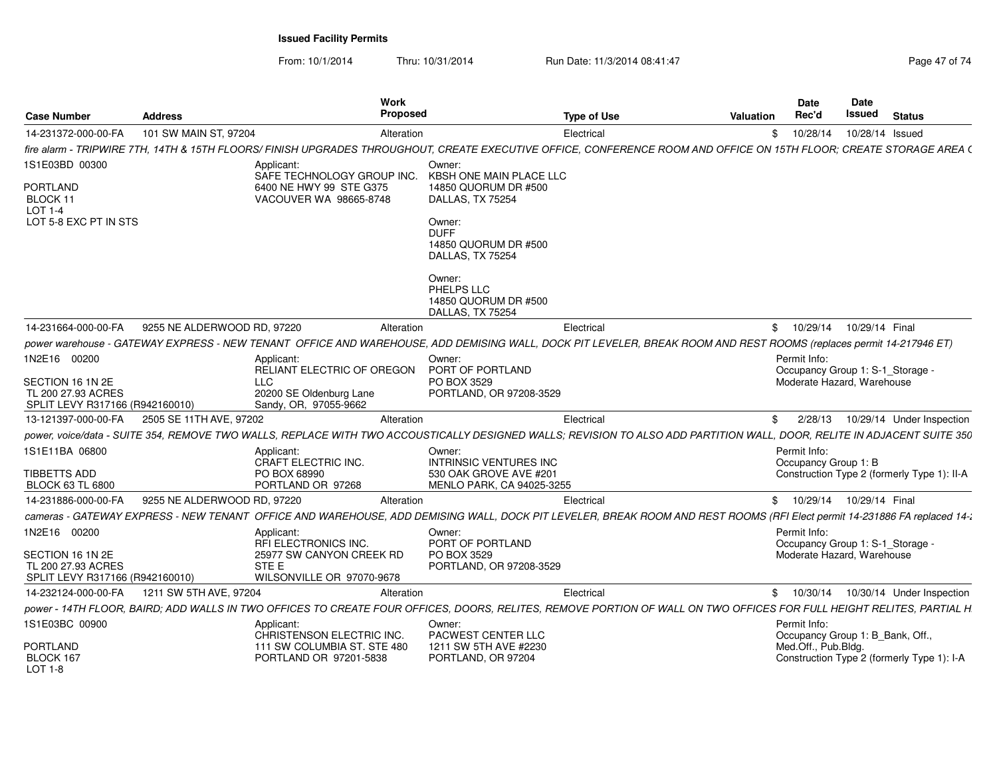From: 10/1/2014Thru: 10/31/2014 Run Date: 11/3/2014 08:41:47 Rege 47 of 74

| <b>Case Number</b>                                                        | <b>Address</b>              | Work<br>Proposed                                                                                                                                                         |                                                                   | <b>Type of Use</b> | <b>Valuation</b> | Date<br>Rec'd                                    | Date<br>Issued  | <b>Status</b>                               |
|---------------------------------------------------------------------------|-----------------------------|--------------------------------------------------------------------------------------------------------------------------------------------------------------------------|-------------------------------------------------------------------|--------------------|------------------|--------------------------------------------------|-----------------|---------------------------------------------|
| 14-231372-000-00-FA                                                       | 101 SW MAIN ST, 97204       | Alteration                                                                                                                                                               |                                                                   | Electrical         | \$               | 10/28/14                                         | 10/28/14 Issued |                                             |
|                                                                           |                             | fire alarm - TRIPWIRE 7TH, 14TH & 15TH FLOORS/ FINISH UPGRADES THROUGHOUT, CREATE EXECUTIVE OFFICE, CONFERENCE ROOM AND OFFICE ON 15TH FLOOR; CREATE STORAGE AREA (      |                                                                   |                    |                  |                                                  |                 |                                             |
| 1S1E03BD 00300                                                            |                             | Applicant:<br>SAFE TECHNOLOGY GROUP INC.                                                                                                                                 | Owner:<br>KBSH ONE MAIN PLACE LLC                                 |                    |                  |                                                  |                 |                                             |
| PORTLAND<br>BLOCK 11<br>$LOT 1-4$                                         |                             | 6400 NE HWY 99 STE G375<br>VACOUVER WA 98665-8748                                                                                                                        | 14850 QUORUM DR #500<br>DALLAS, TX 75254                          |                    |                  |                                                  |                 |                                             |
| LOT 5-8 EXC PT IN STS                                                     |                             |                                                                                                                                                                          | Owner:<br><b>DUFF</b><br>14850 QUORUM DR #500<br>DALLAS, TX 75254 |                    |                  |                                                  |                 |                                             |
|                                                                           |                             |                                                                                                                                                                          | Owner:<br>PHELPS LLC<br>14850 QUORUM DR #500<br>DALLAS, TX 75254  |                    |                  |                                                  |                 |                                             |
| 14-231664-000-00-FA                                                       | 9255 NE ALDERWOOD RD, 97220 | Alteration                                                                                                                                                               |                                                                   | Electrical         | \$               | 10/29/14                                         | 10/29/14 Final  |                                             |
|                                                                           |                             | power warehouse - GATEWAY EXPRESS - NEW TENANT OFFICE AND WAREHOUSE, ADD DEMISING WALL, DOCK PIT LEVELER, BREAK ROOM AND REST ROOMS (replaces permit 14-217946 ET)       |                                                                   |                    |                  |                                                  |                 |                                             |
| 1N2E16 00200                                                              |                             | Applicant:<br>RELIANT ELECTRIC OF OREGON                                                                                                                                 | Owner:<br>PORT OF PORTLAND                                        |                    |                  | Permit Info:<br>Occupancy Group 1: S-1_Storage - |                 |                                             |
| SECTION 16 1N 2E<br>TL 200 27.93 ACRES<br>SPLIT LEVY R317166 (R942160010) |                             | <b>LLC</b><br>20200 SE Oldenburg Lane<br>Sandy, OR, 97055-9662                                                                                                           | PO BOX 3529<br>PORTLAND, OR 97208-3529                            |                    |                  | Moderate Hazard, Warehouse                       |                 |                                             |
| 13-121397-000-00-FA                                                       | 2505 SE 11TH AVE, 97202     | Alteration                                                                                                                                                               |                                                                   | Electrical         | \$               | 2/28/13                                          |                 | 10/29/14 Under Inspection                   |
|                                                                           |                             | power, voice/data - SUITE 354, REMOVE TWO WALLS, REPLACE WITH TWO ACCOUSTICALLY DESIGNED WALLS; REVISION TO ALSO ADD PARTITION WALL, DOOR, RELITE IN ADJACENT SUITE 350  |                                                                   |                    |                  |                                                  |                 |                                             |
| 1S1E11BA 06800                                                            |                             | Applicant:<br>CRAFT ELECTRIC INC.                                                                                                                                        | Owner:<br><b>INTRINSIC VENTURES INC</b>                           |                    |                  | Permit Info:<br>Occupancy Group 1: B             |                 |                                             |
| TIBBETTS ADD<br><b>BLOCK 63 TL 6800</b>                                   |                             | PO BOX 68990<br>PORTLAND OR 97268                                                                                                                                        | 530 OAK GROVE AVE #201<br>MENLO PARK, CA 94025-3255               |                    |                  |                                                  |                 | Construction Type 2 (formerly Type 1): II-A |
| 14-231886-000-00-FA                                                       | 9255 NE ALDERWOOD RD, 97220 | Alteration                                                                                                                                                               |                                                                   | Electrical         |                  | \$10/29/14                                       | 10/29/14 Final  |                                             |
|                                                                           |                             | cameras - GATEWAY EXPRESS - NEW TENANT OFFICE AND WAREHOUSE, ADD DEMISING WALL, DOCK PIT LEVELER, BREAK ROOM AND REST ROOMS (RFI Elect permit 14-231886 FA replaced 14-1 |                                                                   |                    |                  |                                                  |                 |                                             |
| 1N2E16 00200                                                              |                             | Applicant:<br><b>RFI ELECTRONICS INC.</b>                                                                                                                                | Owner:<br>PORT OF PORTLAND                                        |                    |                  | Permit Info:<br>Occupancy Group 1: S-1_Storage - |                 |                                             |
| SECTION 16 1N 2E<br>TL 200 27.93 ACRES<br>SPLIT LEVY R317166 (R942160010) |                             | 25977 SW CANYON CREEK RD<br>STE E<br>WILSONVILLE OR 97070-9678                                                                                                           | PO BOX 3529<br>PORTLAND, OR 97208-3529                            |                    |                  | Moderate Hazard, Warehouse                       |                 |                                             |
| 14-232124-000-00-FA                                                       | 1211 SW 5TH AVE, 97204      | Alteration                                                                                                                                                               |                                                                   | Electrical         | \$               | 10/30/14                                         |                 | 10/30/14 Under Inspection                   |
|                                                                           |                             | power - 14TH FLOOR, BAIRD; ADD WALLS IN TWO OFFICES TO CREATE FOUR OFFICES, DOORS, RELITES, REMOVE PORTION OF WALL ON TWO OFFICES FOR FULL HEIGHT RELITES, PARTIAL H     |                                                                   |                    |                  |                                                  |                 |                                             |
| 1S1E03BC 00900                                                            |                             | Applicant:<br>CHRISTENSON ELECTRIC INC.                                                                                                                                  | Owner:<br>PACWEST CENTER LLC                                      |                    |                  | Permit Info:<br>Occupancy Group 1: B_Bank, Off., |                 |                                             |
| <b>PORTLAND</b><br>BLOCK 167<br>$LOT 1-8$                                 |                             | 111 SW COLUMBIA ST. STE 480<br>PORTLAND OR 97201-5838                                                                                                                    | 1211 SW 5TH AVE #2230<br>PORTLAND, OR 97204                       |                    |                  | Med.Off., Pub.Bldg.                              |                 | Construction Type 2 (formerly Type 1): I-A  |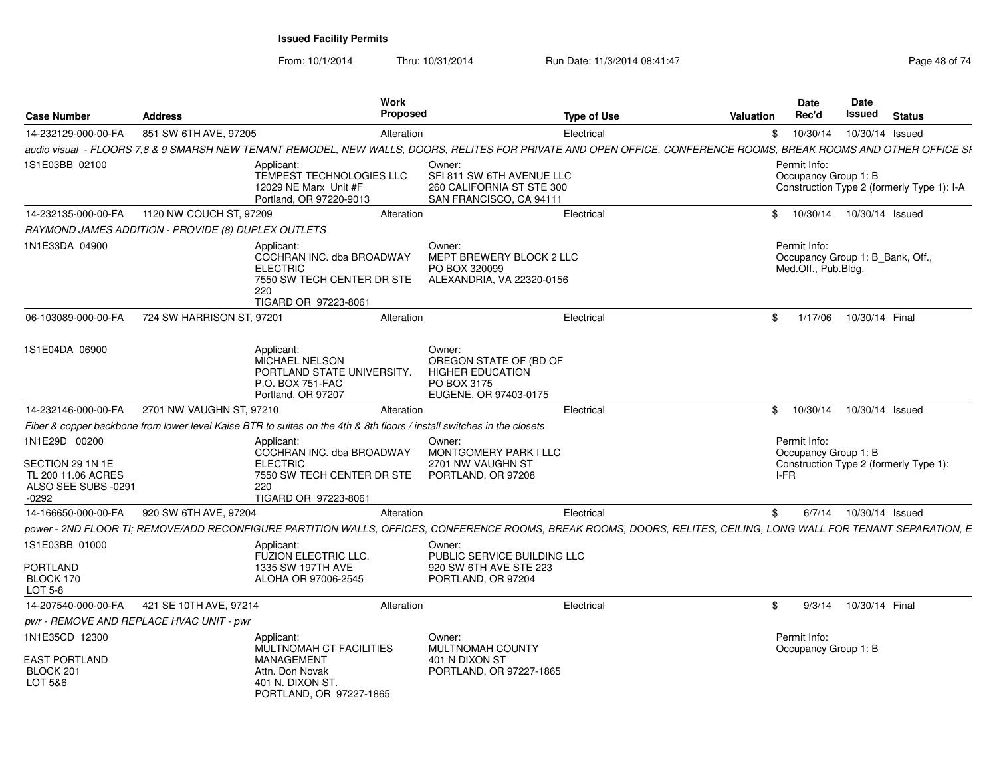From: 10/1/2014

Thru: 10/31/2014 Run Date: 11/3/2014 08:41:47 Rege 48 of 74

| <b>Case Number</b>                                                                        | <b>Address</b>            | <b>Work</b><br><b>Proposed</b>                                                                                                                                    |                                                                                                     | <b>Type of Use</b> | Valuation | Date<br>Rec'd                                                           | <b>Date</b><br>Issued | <b>Status</b>                              |
|-------------------------------------------------------------------------------------------|---------------------------|-------------------------------------------------------------------------------------------------------------------------------------------------------------------|-----------------------------------------------------------------------------------------------------|--------------------|-----------|-------------------------------------------------------------------------|-----------------------|--------------------------------------------|
| 14-232129-000-00-FA                                                                       | 851 SW 6TH AVE, 97205     | Alteration                                                                                                                                                        |                                                                                                     | Electrical         | \$        | 10/30/14                                                                | 10/30/14 Issued       |                                            |
|                                                                                           |                           | audio visual - FLOORS 7,8 & 9 SMARSH NEW TENANT REMODEL, NEW WALLS, DOORS, RELITES FOR PRIVATE AND OPEN OFFICE, CONFERENCE ROOMS, BREAK ROOMS AND OTHER OFFICE SI |                                                                                                     |                    |           |                                                                         |                       |                                            |
| 1S1E03BB 02100                                                                            |                           | Applicant:<br><b>TEMPEST TECHNOLOGIES LLC</b><br>12029 NE Marx Unit #F<br>Portland, OR 97220-9013                                                                 | Owner:<br>SFI 811 SW 6TH AVENUE LLC<br>260 CALIFORNIA ST STE 300<br>SAN FRANCISCO, CA 94111         |                    |           | Permit Info:<br>Occupancy Group 1: B                                    |                       | Construction Type 2 (formerly Type 1): I-A |
| 14-232135-000-00-FA                                                                       | 1120 NW COUCH ST, 97209   | Alteration                                                                                                                                                        |                                                                                                     | Electrical         | \$        | 10/30/14                                                                | 10/30/14 Issued       |                                            |
| RAYMOND JAMES ADDITION - PROVIDE (8) DUPLEX OUTLETS                                       |                           |                                                                                                                                                                   |                                                                                                     |                    |           |                                                                         |                       |                                            |
| 1N1E33DA 04900                                                                            |                           | Applicant:<br>COCHRAN INC. dba BROADWAY<br><b>ELECTRIC</b><br>7550 SW TECH CENTER DR STE<br>220<br>TIGARD OR 97223-8061                                           | Owner:<br>MEPT BREWERY BLOCK 2 LLC<br>PO BOX 320099<br>ALEXANDRIA, VA 22320-0156                    |                    |           | Permit Info:<br>Occupancy Group 1: B_Bank, Off.,<br>Med.Off., Pub.Bldg. |                       |                                            |
| 06-103089-000-00-FA                                                                       | 724 SW HARRISON ST, 97201 | Alteration                                                                                                                                                        |                                                                                                     | Electrical         | \$        | 1/17/06                                                                 | 10/30/14 Final        |                                            |
| 1S1E04DA 06900                                                                            |                           | Applicant:<br><b>MICHAEL NELSON</b><br>PORTLAND STATE UNIVERSITY.<br>P.O. BOX 751-FAC<br>Portland, OR 97207                                                       | Owner:<br>OREGON STATE OF (BD OF<br><b>HIGHER EDUCATION</b><br>PO BOX 3175<br>EUGENE, OR 97403-0175 |                    |           |                                                                         |                       |                                            |
| 14-232146-000-00-FA                                                                       | 2701 NW VAUGHN ST, 97210  | Alteration                                                                                                                                                        |                                                                                                     | Electrical         | \$        | 10/30/14                                                                | 10/30/14 Issued       |                                            |
|                                                                                           |                           | Fiber & copper backbone from lower level Kaise BTR to suites on the 4th & 8th floors / install switches in the closets                                            |                                                                                                     |                    |           |                                                                         |                       |                                            |
| 1N1E29D 00200<br>SECTION 29 1N 1E<br>TL 200 11.06 ACRES<br>ALSO SEE SUBS -0291<br>$-0292$ |                           | Applicant:<br>COCHRAN INC. dba BROADWAY<br><b>ELECTRIC</b><br>7550 SW TECH CENTER DR STE<br>220<br>TIGARD OR 97223-8061                                           | Owner:<br>MONTGOMERY PARK I LLC<br>2701 NW VAUGHN ST<br>PORTLAND, OR 97208                          |                    |           | Permit Info:<br>Occupancy Group 1: B<br>I-FR                            |                       | Construction Type 2 (formerly Type 1):     |
| 14-166650-000-00-FA                                                                       | 920 SW 6TH AVE, 97204     | Alteration                                                                                                                                                        |                                                                                                     | Electrical         | \$        | 6/7/14                                                                  | 10/30/14 Issued       |                                            |
|                                                                                           |                           | power - 2ND FLOOR TI; REMOVE/ADD RECONFIGURE PARTITION WALLS, OFFICES, CONFERENCE ROOMS, BREAK ROOMS, DOORS, RELITES, CEILING, LONG WALL FOR TENANT SEPARATION, E |                                                                                                     |                    |           |                                                                         |                       |                                            |
| 1S1E03BB 01000<br><b>PORTLAND</b><br>BLOCK 170<br>LOT 5-8                                 |                           | Applicant:<br>FUZION ELECTRIC LLC.<br>1335 SW 197TH AVE<br>ALOHA OR 97006-2545                                                                                    | Owner:<br>PUBLIC SERVICE BUILDING LLC<br>920 SW 6TH AVE STE 223<br>PORTLAND, OR 97204               |                    |           |                                                                         |                       |                                            |
| 14-207540-000-00-FA                                                                       | 421 SE 10TH AVE, 97214    | Alteration                                                                                                                                                        |                                                                                                     | Electrical         | \$        | 9/3/14                                                                  | 10/30/14 Final        |                                            |
| pwr - REMOVE AND REPLACE HVAC UNIT - pwr                                                  |                           |                                                                                                                                                                   |                                                                                                     |                    |           |                                                                         |                       |                                            |
| 1N1E35CD 12300<br><b>EAST PORTLAND</b><br>BLOCK 201<br>LOT 5&6                            |                           | Applicant:<br>MULTNOMAH CT FACILITIES<br><b>MANAGEMENT</b><br>Attn. Don Novak<br>401 N. DIXON ST.<br>PORTLAND, OR 97227-1865                                      | Owner:<br>MULTNOMAH COUNTY<br>401 N DIXON ST<br>PORTLAND, OR 97227-1865                             |                    |           | Permit Info:<br>Occupancy Group 1: B                                    |                       |                                            |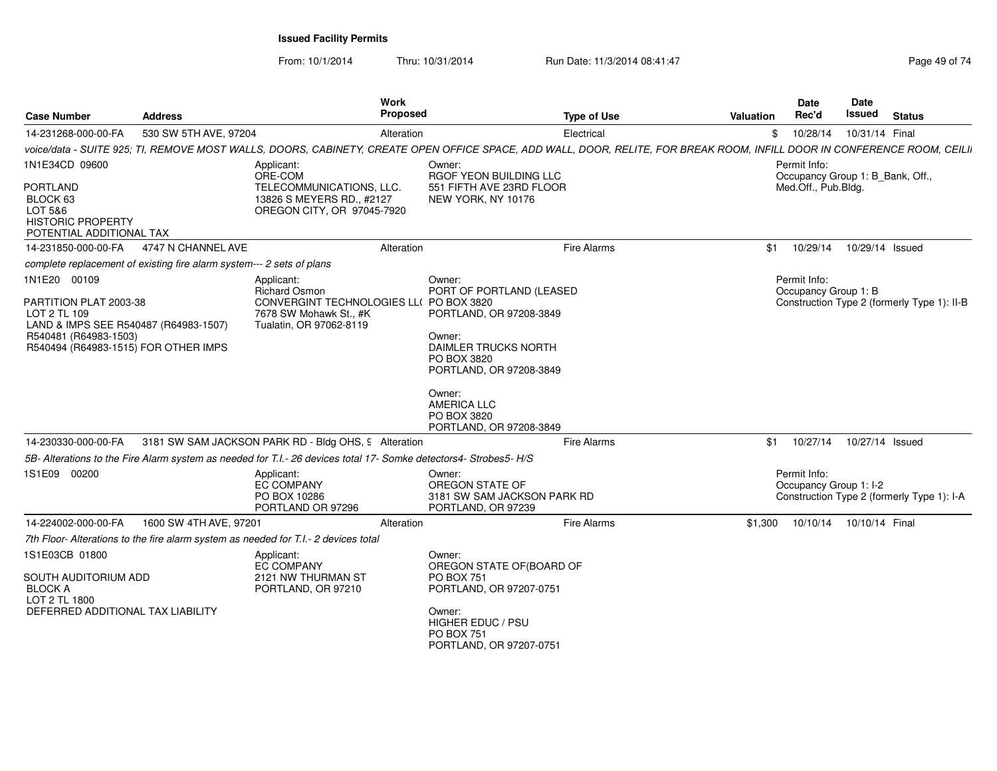From: 10/1/2014

| <b>Case Number</b>                                                                                                                                                                                      | <b>Address</b>                                                        | <b>Work</b><br>Proposed                                                                                                                                                                                                                                                                                                                            |                                                                                                                                                                                                                                                  | <b>Type of Use</b> | <b>Valuation</b> | <b>Date</b><br>Rec'd                                                                       | Date<br>Issued  | <b>Status</b>                               |
|---------------------------------------------------------------------------------------------------------------------------------------------------------------------------------------------------------|-----------------------------------------------------------------------|----------------------------------------------------------------------------------------------------------------------------------------------------------------------------------------------------------------------------------------------------------------------------------------------------------------------------------------------------|--------------------------------------------------------------------------------------------------------------------------------------------------------------------------------------------------------------------------------------------------|--------------------|------------------|--------------------------------------------------------------------------------------------|-----------------|---------------------------------------------|
| 14-231268-000-00-FA                                                                                                                                                                                     | 530 SW 5TH AVE, 97204                                                 | Alteration                                                                                                                                                                                                                                                                                                                                         |                                                                                                                                                                                                                                                  | Electrical         | \$               | 10/28/14                                                                                   | 10/31/14 Final  |                                             |
|                                                                                                                                                                                                         |                                                                       | voice/data - SUITE 925; TI, REMOVE MOST WALLS, DOORS, CABINETY, CREATE OPEN OFFICE SPACE, ADD WALL, DOOR, RELITE, FOR BREAK ROOM, INFILL DOOR IN CONFERENCE ROOM, CEILII                                                                                                                                                                           |                                                                                                                                                                                                                                                  |                    |                  |                                                                                            |                 |                                             |
| 1N1E34CD 09600<br><b>PORTLAND</b><br>BLOCK 63                                                                                                                                                           |                                                                       | Applicant:<br>ORE-COM<br>TELECOMMUNICATIONS, LLC.<br>13826 S MEYERS RD., #2127                                                                                                                                                                                                                                                                     | Owner:<br>RGOF YEON BUILDING LLC<br>551 FIFTH AVE 23RD FLOOR<br>NEW YORK, NY 10176                                                                                                                                                               |                    |                  | Permit Info:<br>Occupancy Group 1: B Bank, Off.,<br>Med.Off., Pub.Bldg.                    |                 |                                             |
| LOT 5&6<br><b>HISTORIC PROPERTY</b><br>POTENTIAL ADDITIONAL TAX                                                                                                                                         |                                                                       | OREGON CITY, OR 97045-7920                                                                                                                                                                                                                                                                                                                         |                                                                                                                                                                                                                                                  |                    |                  |                                                                                            |                 |                                             |
| 14-231850-000-00-FA                                                                                                                                                                                     | 4747 N CHANNEL AVE                                                    | Alteration                                                                                                                                                                                                                                                                                                                                         |                                                                                                                                                                                                                                                  | <b>Fire Alarms</b> | \$1              | 10/29/14                                                                                   | 10/29/14 Issued |                                             |
|                                                                                                                                                                                                         | complete replacement of existing fire alarm system--- 2 sets of plans |                                                                                                                                                                                                                                                                                                                                                    |                                                                                                                                                                                                                                                  |                    |                  |                                                                                            |                 |                                             |
| 1N1E20 00109<br>PARTITION PLAT 2003-38<br>LOT 2 TL 109<br>LAND & IMPS SEE R540487 (R64983-1507)<br>R540481 (R64983-1503)<br>R540494 (R64983-1515) FOR OTHER IMPS<br>14-230330-000-00-FA<br>1S1E09 00200 |                                                                       | Applicant:<br><b>Richard Osmon</b><br>CONVERGINT TECHNOLOGIES LL( PO BOX 3820<br>7678 SW Mohawk St., #K<br>Tualatin, OR 97062-8119<br>3181 SW SAM JACKSON PARK RD - Bldg OHS, 9 Alteration<br>5B- Alterations to the Fire Alarm system as needed for T.I.- 26 devices total 17- Somke detectors4- Strobes5- H/S<br>Applicant:<br><b>EC COMPANY</b> | Owner:<br>PORT OF PORTLAND (LEASED<br>PORTLAND, OR 97208-3849<br>Owner:<br>DAIMLER TRUCKS NORTH<br>PO BOX 3820<br>PORTLAND, OR 97208-3849<br>Owner:<br><b>AMERICA LLC</b><br>PO BOX 3820<br>PORTLAND, OR 97208-3849<br>Owner:<br>OREGON STATE OF | <b>Fire Alarms</b> | \$1              | Permit Info:<br>Occupancy Group 1: B<br>10/27/14<br>Permit Info:<br>Occupancy Group 1: I-2 | 10/27/14 Issued | Construction Type 2 (formerly Type 1): II-B |
|                                                                                                                                                                                                         |                                                                       | PO BOX 10286                                                                                                                                                                                                                                                                                                                                       | 3181 SW SAM JACKSON PARK RD                                                                                                                                                                                                                      |                    |                  |                                                                                            |                 | Construction Type 2 (formerly Type 1): I-A  |
|                                                                                                                                                                                                         |                                                                       | PORTLAND OR 97296                                                                                                                                                                                                                                                                                                                                  | PORTLAND, OR 97239                                                                                                                                                                                                                               |                    |                  |                                                                                            |                 |                                             |
| 14-224002-000-00-FA                                                                                                                                                                                     | 1600 SW 4TH AVE, 97201                                                | Alteration                                                                                                                                                                                                                                                                                                                                         |                                                                                                                                                                                                                                                  | <b>Fire Alarms</b> | \$1,300          | 10/10/14                                                                                   | 10/10/14 Final  |                                             |
|                                                                                                                                                                                                         |                                                                       | 7th Floor- Alterations to the fire alarm system as needed for T.I.- 2 devices total                                                                                                                                                                                                                                                                |                                                                                                                                                                                                                                                  |                    |                  |                                                                                            |                 |                                             |
| 1S1E03CB 01800<br>SOUTH AUDITORIUM ADD<br><b>BLOCK A</b>                                                                                                                                                |                                                                       | Applicant:<br><b>EC COMPANY</b><br>2121 NW THURMAN ST<br>PORTLAND, OR 97210                                                                                                                                                                                                                                                                        | Owner:<br>OREGON STATE OF(BOARD OF<br><b>PO BOX 751</b><br>PORTLAND, OR 97207-0751                                                                                                                                                               |                    |                  |                                                                                            |                 |                                             |
| LOT 2 TL 1800<br>DEFERRED ADDITIONAL TAX LIABILITY                                                                                                                                                      |                                                                       |                                                                                                                                                                                                                                                                                                                                                    | Owner:<br>HIGHER EDUC / PSU<br><b>PO BOX 751</b><br>PORTLAND, OR 97207-0751                                                                                                                                                                      |                    |                  |                                                                                            |                 |                                             |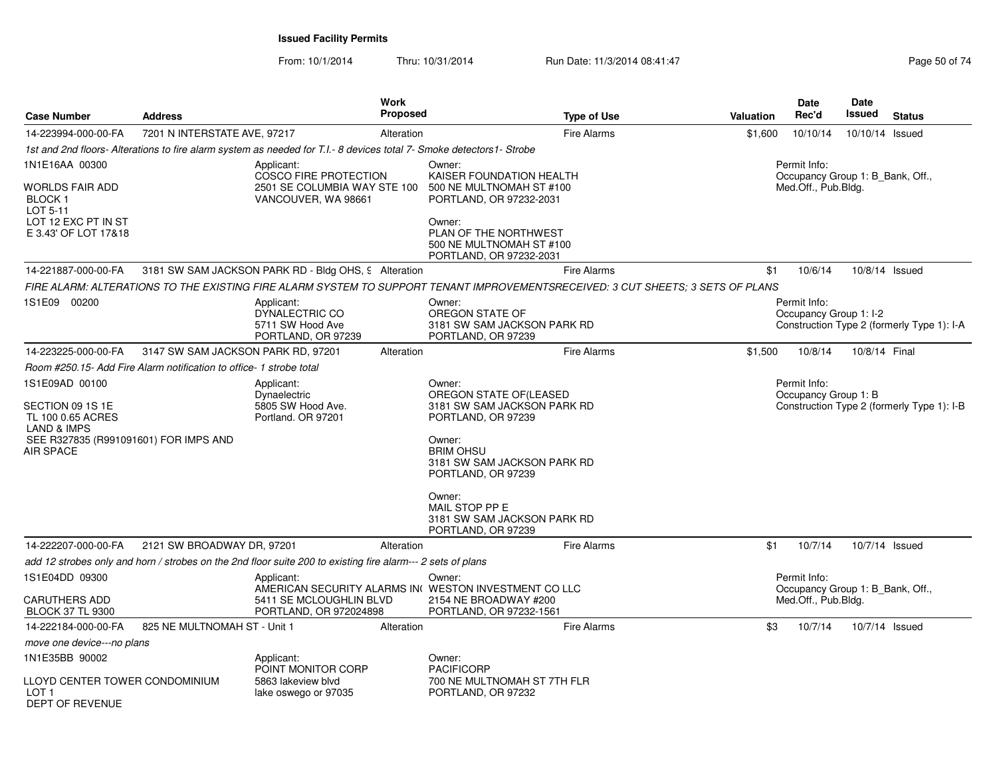From: 10/1/2014Thru: 10/31/2014 Run Date: 11/3/2014 08:41:47 Rege 50 of 74

| <b>Case Number</b>                                                                                                                             | <b>Address</b>                                                      |                                                                                                                                                                                                      | <b>Work</b><br>Proposed | <b>Type of Use</b>                                                                                                                                                                 | <b>Valuation</b> | Date<br>Rec'd                                    | Date<br>Issued      | <b>Status</b>                              |
|------------------------------------------------------------------------------------------------------------------------------------------------|---------------------------------------------------------------------|------------------------------------------------------------------------------------------------------------------------------------------------------------------------------------------------------|-------------------------|------------------------------------------------------------------------------------------------------------------------------------------------------------------------------------|------------------|--------------------------------------------------|---------------------|--------------------------------------------|
| 14-223994-000-00-FA                                                                                                                            | 7201 N INTERSTATE AVE, 97217                                        |                                                                                                                                                                                                      | Alteration              | <b>Fire Alarms</b>                                                                                                                                                                 | \$1,600          | 10/10/14                                         | 10/10/14 Issued     |                                            |
|                                                                                                                                                |                                                                     | 1st and 2nd floors-Alterations to fire alarm system as needed for T.I.- 8 devices total 7- Smoke detectors1- Strobe                                                                                  |                         |                                                                                                                                                                                    |                  |                                                  |                     |                                            |
| 1N1E16AA 00300                                                                                                                                 |                                                                     | Applicant:<br>COSCO FIRE PROTECTION                                                                                                                                                                  |                         | Owner:<br>KAISER FOUNDATION HEALTH                                                                                                                                                 |                  | Permit Info:<br>Occupancy Group 1: B_Bank, Off., |                     |                                            |
| WORLDS FAIR ADD<br><b>BLOCK1</b><br>LOT 5-11<br>LOT 12 EXC PT IN ST<br>E 3.43' OF LOT 17&18                                                    |                                                                     | 2501 SE COLUMBIA WAY STE 100<br>500 NE MULTNOMAH ST #100<br>VANCOUVER, WA 98661<br>PORTLAND, OR 97232-2031<br>Owner:<br>PLAN OF THE NORTHWEST<br>500 NE MULTNOMAH ST #100<br>PORTLAND, OR 97232-2031 |                         |                                                                                                                                                                                    |                  |                                                  | Med.Off., Pub.Bldg. |                                            |
| 14-221887-000-00-FA                                                                                                                            |                                                                     | 3181 SW SAM JACKSON PARK RD - Bldg OHS, 9 Alteration                                                                                                                                                 |                         | <b>Fire Alarms</b>                                                                                                                                                                 | \$1              | 10/6/14                                          | 10/8/14 Issued      |                                            |
|                                                                                                                                                |                                                                     |                                                                                                                                                                                                      |                         | FIRE ALARM: ALTERATIONS TO THE EXISTING FIRE ALARM SYSTEM TO SUPPORT TENANT IMPROVEMENTSRECEIVED: 3 CUT SHEETS: 3 SETS OF PLANS                                                    |                  |                                                  |                     |                                            |
| 1S1E09 00200                                                                                                                                   |                                                                     | Applicant:<br>DYNALECTRIC CO<br>5711 SW Hood Ave<br>PORTLAND, OR 97239                                                                                                                               |                         | Owner:<br>OREGON STATE OF<br>3181 SW SAM JACKSON PARK RD<br>PORTLAND, OR 97239                                                                                                     |                  | Permit Info:<br>Occupancy Group 1: I-2           |                     | Construction Type 2 (formerly Type 1): I-A |
| 14-223225-000-00-FA                                                                                                                            | 3147 SW SAM JACKSON PARK RD, 97201                                  |                                                                                                                                                                                                      | Alteration              | <b>Fire Alarms</b>                                                                                                                                                                 | \$1,500          | 10/8/14                                          | 10/8/14 Final       |                                            |
|                                                                                                                                                | Room #250.15- Add Fire Alarm notification to office- 1 strobe total |                                                                                                                                                                                                      |                         |                                                                                                                                                                                    |                  |                                                  |                     |                                            |
| 1S1E09AD 00100<br>SECTION 09 1S 1E<br>TL 100 0.65 ACRES<br><b>LAND &amp; IMPS</b><br>SEE R327835 (R991091601) FOR IMPS AND<br><b>AIR SPACE</b> |                                                                     | Applicant:<br>Dynaelectric<br>5805 SW Hood Ave.<br>Portland. OR 97201                                                                                                                                |                         | Owner:<br>OREGON STATE OF(LEASED<br>3181 SW SAM JACKSON PARK RD<br>PORTLAND, OR 97239<br>Owner:<br><b>BRIM OHSU</b><br>3181 SW SAM JACKSON PARK RD<br>PORTLAND, OR 97239<br>Owner: |                  | Permit Info:<br>Occupancy Group 1: B             |                     | Construction Type 2 (formerly Type 1): I-B |
|                                                                                                                                                |                                                                     |                                                                                                                                                                                                      |                         | MAIL STOP PP E<br>3181 SW SAM JACKSON PARK RD<br>PORTLAND, OR 97239                                                                                                                |                  |                                                  |                     |                                            |
| 14-222207-000-00-FA                                                                                                                            | 2121 SW BROADWAY DR, 97201                                          |                                                                                                                                                                                                      | Alteration              | <b>Fire Alarms</b>                                                                                                                                                                 | \$1              | 10/7/14                                          | 10/7/14 Issued      |                                            |
|                                                                                                                                                |                                                                     | add 12 strobes only and horn / strobes on the 2nd floor suite 200 to existing fire alarm--- 2 sets of plans                                                                                          |                         |                                                                                                                                                                                    |                  |                                                  |                     |                                            |
| 1S1E04DD 09300                                                                                                                                 |                                                                     | Applicant:                                                                                                                                                                                           |                         | Owner:<br>AMERICAN SECURITY ALARMS IN WESTON INVESTMENT CO LLC                                                                                                                     |                  | Permit Info:<br>Occupancy Group 1: B Bank, Off., |                     |                                            |
| <b>CARUTHERS ADD</b><br><b>BLOCK 37 TL 9300</b>                                                                                                |                                                                     | 5411 SE MCLOUGHLIN BLVD<br>PORTLAND, OR 972024898                                                                                                                                                    |                         | 2154 NE BROADWAY #200<br>PORTLAND, OR 97232-1561                                                                                                                                   |                  | Med.Off., Pub.Bldg.                              |                     |                                            |
| 14-222184-000-00-FA                                                                                                                            | 825 NE MULTNOMAH ST - Unit 1                                        |                                                                                                                                                                                                      | Alteration              | <b>Fire Alarms</b>                                                                                                                                                                 | \$3              | 10/7/14                                          | 10/7/14 Issued      |                                            |
| move one device---no plans                                                                                                                     |                                                                     |                                                                                                                                                                                                      |                         |                                                                                                                                                                                    |                  |                                                  |                     |                                            |
| 1N1E35BB 90002                                                                                                                                 |                                                                     | Applicant:<br>POINT MONITOR CORP                                                                                                                                                                     |                         | Owner:<br><b>PACIFICORP</b>                                                                                                                                                        |                  |                                                  |                     |                                            |
| LLOYD CENTER TOWER CONDOMINIUM<br>LOT 1<br><b>DEPT OF REVENUE</b>                                                                              |                                                                     | 5863 lakeview blyd<br>lake oswego or 97035                                                                                                                                                           |                         | 700 NE MULTNOMAH ST 7TH FLR<br>PORTLAND, OR 97232                                                                                                                                  |                  |                                                  |                     |                                            |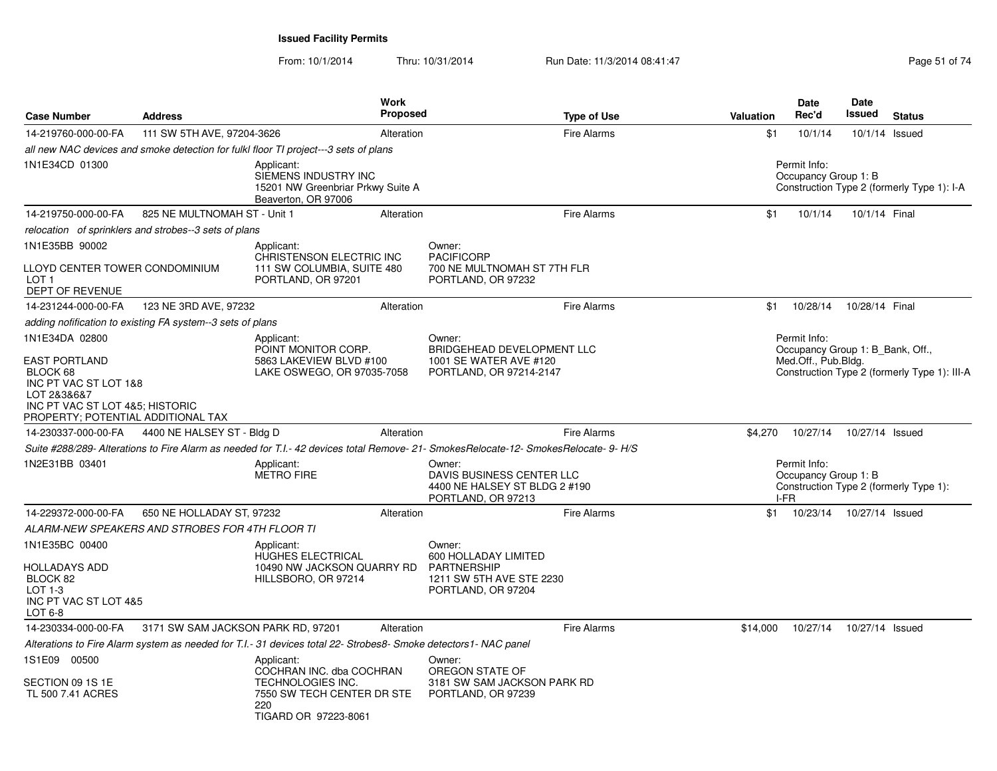From: 10/1/2014Thru: 10/31/2014 Run Date: 11/3/2014 08:41:47 Rege 51 of 74

| <b>Case Number</b>                                                                                                                                | <b>Address</b>                                             |                                                                                                                                 | Work<br><b>Proposed</b> |                                                                                                                                      | <b>Type of Use</b> | <b>Valuation</b> | <b>Date</b><br>Rec'd                                    | Date<br>Issued  | <b>Status</b>                                |
|---------------------------------------------------------------------------------------------------------------------------------------------------|------------------------------------------------------------|---------------------------------------------------------------------------------------------------------------------------------|-------------------------|--------------------------------------------------------------------------------------------------------------------------------------|--------------------|------------------|---------------------------------------------------------|-----------------|----------------------------------------------|
| 14-219760-000-00-FA                                                                                                                               | 111 SW 5TH AVE, 97204-3626                                 |                                                                                                                                 | Alteration              |                                                                                                                                      | <b>Fire Alarms</b> | \$1              | 10/1/14                                                 |                 | 10/1/14 Issued                               |
|                                                                                                                                                   |                                                            | all new NAC devices and smoke detection for fulkl floor TI project---3 sets of plans                                            |                         |                                                                                                                                      |                    |                  |                                                         |                 |                                              |
| 1N1E34CD 01300                                                                                                                                    |                                                            | Applicant:<br>SIEMENS INDUSTRY INC<br>15201 NW Greenbriar Prkwy Suite A<br>Beaverton, OR 97006                                  |                         |                                                                                                                                      |                    |                  | Permit Info:<br>Occupancy Group 1: B                    |                 | Construction Type 2 (formerly Type 1): I-A   |
| 14-219750-000-00-FA                                                                                                                               | 825 NE MULTNOMAH ST - Unit 1                               |                                                                                                                                 | Alteration              |                                                                                                                                      | <b>Fire Alarms</b> | \$1              | 10/1/14                                                 | 10/1/14 Final   |                                              |
|                                                                                                                                                   | relocation of sprinklers and strobes--3 sets of plans      |                                                                                                                                 |                         |                                                                                                                                      |                    |                  |                                                         |                 |                                              |
| 1N1E35BB 90002                                                                                                                                    |                                                            | Applicant:                                                                                                                      |                         | Owner:                                                                                                                               |                    |                  |                                                         |                 |                                              |
| LLOYD CENTER TOWER CONDOMINIUM<br>LOT 1<br>DEPT OF REVENUE                                                                                        |                                                            | CHRISTENSON ELECTRIC INC<br>111 SW COLUMBIA, SUITE 480<br>PORTLAND, OR 97201                                                    |                         | <b>PACIFICORP</b><br>700 NE MULTNOMAH ST 7TH FLR<br>PORTLAND, OR 97232                                                               |                    |                  |                                                         |                 |                                              |
| 14-231244-000-00-FA                                                                                                                               | 123 NE 3RD AVE, 97232                                      |                                                                                                                                 | Alteration              |                                                                                                                                      | <b>Fire Alarms</b> | \$1              | 10/28/14                                                | 10/28/14 Final  |                                              |
|                                                                                                                                                   | adding nofification to existing FA system--3 sets of plans |                                                                                                                                 |                         |                                                                                                                                      |                    |                  |                                                         |                 |                                              |
| 1N1E34DA 02800                                                                                                                                    |                                                            | Applicant:                                                                                                                      |                         | Owner:                                                                                                                               |                    |                  | Permit Info:                                            |                 |                                              |
| <b>EAST PORTLAND</b><br>BLOCK 68<br>INC PT VAC ST LOT 1&8<br>LOT 2&3&6&7<br>INC PT VAC ST LOT 4&5; HISTORIC<br>PROPERTY; POTENTIAL ADDITIONAL TAX |                                                            | POINT MONITOR CORP.<br>5863 LAKEVIEW BLVD #100<br>LAKE OSWEGO, OR 97035-7058                                                    |                         | BRIDGEHEAD DEVELOPMENT LLC<br>1001 SE WATER AVE #120<br>PORTLAND, OR 97214-2147                                                      |                    |                  | Occupancy Group 1: B Bank, Off.,<br>Med.Off., Pub.Bldg. |                 | Construction Type 2 (formerly Type 1): III-A |
| 14-230337-000-00-FA                                                                                                                               | 4400 NE HALSEY ST - Bldg D                                 |                                                                                                                                 | Alteration              |                                                                                                                                      | <b>Fire Alarms</b> | \$4,270          | 10/27/14                                                | 10/27/14 Issued |                                              |
|                                                                                                                                                   |                                                            |                                                                                                                                 |                         | Suite #288/289- Alterations to Fire Alarm as needed for T.I.- 42 devices total Remove- 21- SmokesRelocate-12- SmokesRelocate- 9- H/S |                    |                  |                                                         |                 |                                              |
| 1N2E31BB 03401                                                                                                                                    |                                                            | Applicant:<br><b>METRO FIRE</b>                                                                                                 |                         | Owner:<br>DAVIS BUSINESS CENTER LLC<br>4400 NE HALSEY ST BLDG 2 #190<br>PORTLAND, OR 97213                                           |                    |                  | Permit Info:<br>Occupancy Group 1: B<br>I-FR            |                 | Construction Type 2 (formerly Type 1):       |
| 14-229372-000-00-FA                                                                                                                               | 650 NE HOLLADAY ST, 97232                                  |                                                                                                                                 | Alteration              |                                                                                                                                      | <b>Fire Alarms</b> | \$1              | 10/23/14                                                | 10/27/14 Issued |                                              |
|                                                                                                                                                   | ALARM-NEW SPEAKERS AND STROBES FOR 4TH FLOOR TI            |                                                                                                                                 |                         |                                                                                                                                      |                    |                  |                                                         |                 |                                              |
| 1N1E35BC 00400<br>HOLLADAYS ADD<br>BLOCK 82<br>$LOT 1-3$<br>INC PT VAC ST LOT 4&5<br>LOT 6-8                                                      |                                                            | Applicant:<br>HUGHES ELECTRICAL<br>10490 NW JACKSON QUARRY RD<br>HILLSBORO, OR 97214                                            |                         | Owner:<br>600 HOLLADAY LIMITED<br>PARTNERSHIP<br>1211 SW 5TH AVE STE 2230<br>PORTLAND, OR 97204                                      |                    |                  |                                                         |                 |                                              |
| 14-230334-000-00-FA                                                                                                                               | 3171 SW SAM JACKSON PARK RD, 97201                         |                                                                                                                                 | Alteration              |                                                                                                                                      | <b>Fire Alarms</b> | \$14.000         | 10/27/14                                                | 10/27/14 Issued |                                              |
|                                                                                                                                                   |                                                            | Alterations to Fire Alarm system as needed for T.I.- 31 devices total 22- Strobes8- Smoke detectors1- NAC panel                 |                         |                                                                                                                                      |                    |                  |                                                         |                 |                                              |
| 1S1E09 00500<br>SECTION 09 1S 1E<br>TL 500 7.41 ACRES                                                                                             |                                                            | Applicant:<br>COCHRAN INC. dba COCHRAN<br><b>TECHNOLOGIES INC.</b><br>7550 SW TECH CENTER DR STE<br>220<br>TIGARD OR 97223-8061 |                         | Owner:<br>OREGON STATE OF<br>3181 SW SAM JACKSON PARK RD<br>PORTLAND, OR 97239                                                       |                    |                  |                                                         |                 |                                              |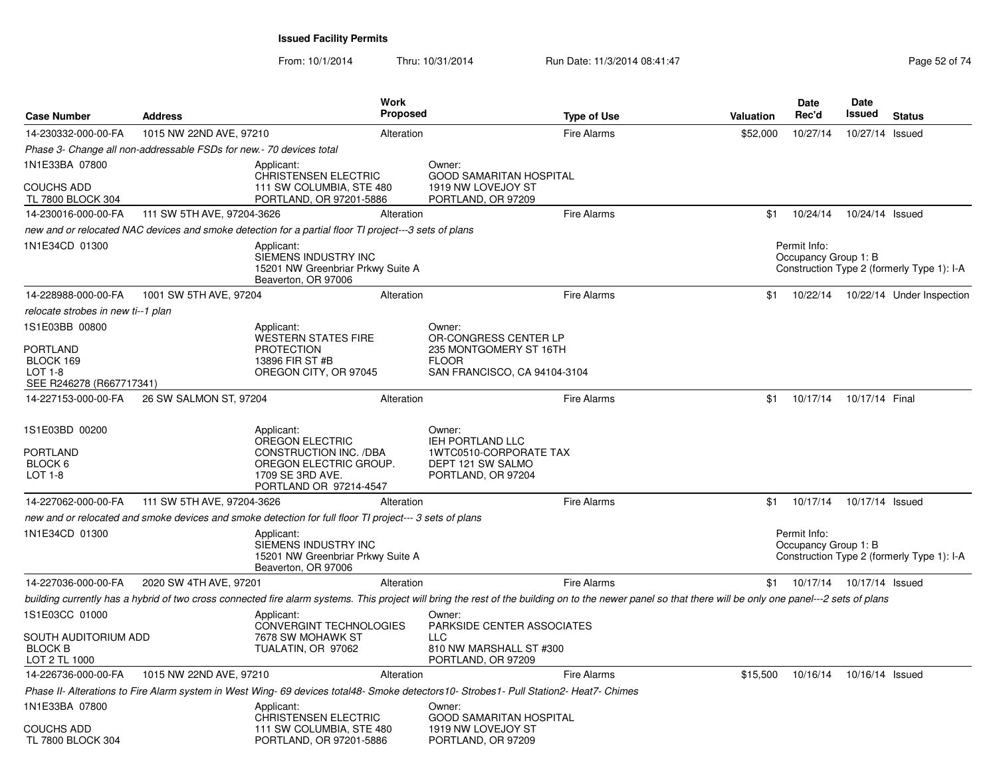From: 10/1/2014Thru: 10/31/2014 Run Date: 11/3/2014 08:41:47 Rege 52 of 74

| <b>Case Number</b>                                      | <b>Address</b>                                                       |                                                                                                                                                                                                          | Work<br><b>Proposed</b> |                                                                            | <b>Type of Use</b> | <b>Valuation</b> | <b>Date</b><br>Rec'd                 | <b>Date</b><br>Issued | <b>Status</b>                              |
|---------------------------------------------------------|----------------------------------------------------------------------|----------------------------------------------------------------------------------------------------------------------------------------------------------------------------------------------------------|-------------------------|----------------------------------------------------------------------------|--------------------|------------------|--------------------------------------|-----------------------|--------------------------------------------|
| 14-230332-000-00-FA                                     | 1015 NW 22ND AVE, 97210                                              |                                                                                                                                                                                                          | Alteration              |                                                                            | <b>Fire Alarms</b> | \$52,000         | 10/27/14                             | 10/27/14 Issued       |                                            |
|                                                         | Phase 3- Change all non-addressable FSDs for new. - 70 devices total |                                                                                                                                                                                                          |                         |                                                                            |                    |                  |                                      |                       |                                            |
| 1N1E33BA 07800                                          |                                                                      | Applicant:                                                                                                                                                                                               |                         | Owner:                                                                     |                    |                  |                                      |                       |                                            |
| <b>COUCHS ADD</b><br>TL 7800 BLOCK 304                  |                                                                      | <b>CHRISTENSEN ELECTRIC</b><br>111 SW COLUMBIA, STE 480<br>PORTLAND, OR 97201-5886                                                                                                                       |                         | <b>GOOD SAMARITAN HOSPITAL</b><br>1919 NW LOVEJOY ST<br>PORTLAND, OR 97209 |                    |                  |                                      |                       |                                            |
| 14-230016-000-00-FA                                     | 111 SW 5TH AVE, 97204-3626                                           |                                                                                                                                                                                                          | Alteration              |                                                                            | <b>Fire Alarms</b> | \$1              | 10/24/14                             | 10/24/14 Issued       |                                            |
|                                                         |                                                                      | new and or relocated NAC devices and smoke detection for a partial floor TI project---3 sets of plans                                                                                                    |                         |                                                                            |                    |                  |                                      |                       |                                            |
| 1N1E34CD 01300                                          |                                                                      | Applicant:<br>SIEMENS INDUSTRY INC<br>15201 NW Greenbriar Prkwy Suite A<br>Beaverton, OR 97006                                                                                                           |                         |                                                                            |                    |                  | Permit Info:<br>Occupancy Group 1: B |                       | Construction Type 2 (formerly Type 1): I-A |
| 14-228988-000-00-FA                                     | 1001 SW 5TH AVE, 97204                                               |                                                                                                                                                                                                          | Alteration              |                                                                            | <b>Fire Alarms</b> | \$1              | 10/22/14                             |                       | 10/22/14 Under Inspection                  |
| relocate strobes in new ti--1 plan                      |                                                                      |                                                                                                                                                                                                          |                         |                                                                            |                    |                  |                                      |                       |                                            |
| 1S1E03BB 00800                                          |                                                                      | Applicant:<br><b>WESTERN STATES FIRE</b>                                                                                                                                                                 |                         | Owner:<br>OR-CONGRESS CENTER LP                                            |                    |                  |                                      |                       |                                            |
| <b>PORTLAND</b>                                         |                                                                      | <b>PROTECTION</b>                                                                                                                                                                                        |                         | 235 MONTGOMERY ST 16TH                                                     |                    |                  |                                      |                       |                                            |
| BLOCK 169<br>$LOT 1-8$                                  |                                                                      | 13896 FIR ST #B<br>OREGON CITY, OR 97045                                                                                                                                                                 |                         | <b>FLOOR</b><br>SAN FRANCISCO, CA 94104-3104                               |                    |                  |                                      |                       |                                            |
| SEE R246278 (R667717341)                                |                                                                      |                                                                                                                                                                                                          |                         |                                                                            |                    |                  |                                      |                       |                                            |
| 14-227153-000-00-FA                                     | 26 SW SALMON ST, 97204                                               |                                                                                                                                                                                                          | Alteration              |                                                                            | <b>Fire Alarms</b> | \$1              | 10/17/14                             | 10/17/14 Final        |                                            |
| 1S1E03BD 00200                                          |                                                                      | Applicant:<br>OREGON ELECTRIC                                                                                                                                                                            |                         | Owner:<br>IEH PORTLAND LLC                                                 |                    |                  |                                      |                       |                                            |
| <b>PORTLAND</b><br>BLOCK 6<br>LOT 1-8                   |                                                                      | CONSTRUCTION INC. /DBA<br>OREGON ELECTRIC GROUP.<br>1709 SE 3RD AVE.<br>PORTLAND OR 97214-4547                                                                                                           |                         | 1WTC0510-CORPORATE TAX<br>DEPT 121 SW SALMO<br>PORTLAND, OR 97204          |                    |                  |                                      |                       |                                            |
| 14-227062-000-00-FA                                     | 111 SW 5TH AVE, 97204-3626                                           |                                                                                                                                                                                                          | Alteration              |                                                                            | <b>Fire Alarms</b> | \$1              | 10/17/14                             | 10/17/14 Issued       |                                            |
|                                                         |                                                                      | new and or relocated and smoke devices and smoke detection for full floor TI project--- 3 sets of plans                                                                                                  |                         |                                                                            |                    |                  |                                      |                       |                                            |
| 1N1E34CD 01300                                          |                                                                      | Applicant:<br>SIEMENS INDUSTRY INC<br>15201 NW Greenbriar Prkwy Suite A<br>Beaverton, OR 97006                                                                                                           |                         |                                                                            |                    |                  | Permit Info:<br>Occupancy Group 1: B |                       | Construction Type 2 (formerly Type 1): I-A |
| 14-227036-000-00-FA                                     | 2020 SW 4TH AVE, 97201                                               |                                                                                                                                                                                                          | Alteration              |                                                                            | <b>Fire Alarms</b> |                  | \$1  10/17/14  10/17/14  Issued      |                       |                                            |
|                                                         |                                                                      | building currently has a hybrid of two cross connected fire alarm systems. This project will bring the rest of the building on to the newer panel so that there will be only one panel---2 sets of plans |                         |                                                                            |                    |                  |                                      |                       |                                            |
| 1S1E03CC 01000                                          |                                                                      | Applicant:<br><b>CONVERGINT TECHNOLOGIES</b>                                                                                                                                                             |                         | Owner:<br>PARKSIDE CENTER ASSOCIATES                                       |                    |                  |                                      |                       |                                            |
| SOUTH AUDITORIUM ADD<br><b>BLOCK B</b><br>LOT 2 TL 1000 |                                                                      | 7678 SW MOHAWK ST<br>TUALATIN, OR 97062                                                                                                                                                                  |                         | <b>LLC</b><br>810 NW MARSHALL ST #300<br>PORTLAND, OR 97209                |                    |                  |                                      |                       |                                            |
| 14-226736-000-00-FA                                     | 1015 NW 22ND AVE, 97210                                              |                                                                                                                                                                                                          | Alteration              |                                                                            | <b>Fire Alarms</b> | \$15,500         | 10/16/14                             | 10/16/14 Issued       |                                            |
|                                                         |                                                                      | Phase II- Alterations to Fire Alarm system in West Wing- 69 devices total48- Smoke detectors10- Strobes1- Pull Station2- Heat7- Chimes                                                                   |                         |                                                                            |                    |                  |                                      |                       |                                            |
| 1N1E33BA 07800                                          |                                                                      | Applicant:<br><b>CHRISTENSEN ELECTRIC</b>                                                                                                                                                                |                         | Owner:<br><b>GOOD SAMARITAN HOSPITAL</b>                                   |                    |                  |                                      |                       |                                            |
| <b>COUCHS ADD</b><br>TL 7800 BLOCK 304                  |                                                                      | 111 SW COLUMBIA, STE 480<br>PORTLAND, OR 97201-5886                                                                                                                                                      |                         | 1919 NW LOVEJOY ST<br>PORTLAND, OR 97209                                   |                    |                  |                                      |                       |                                            |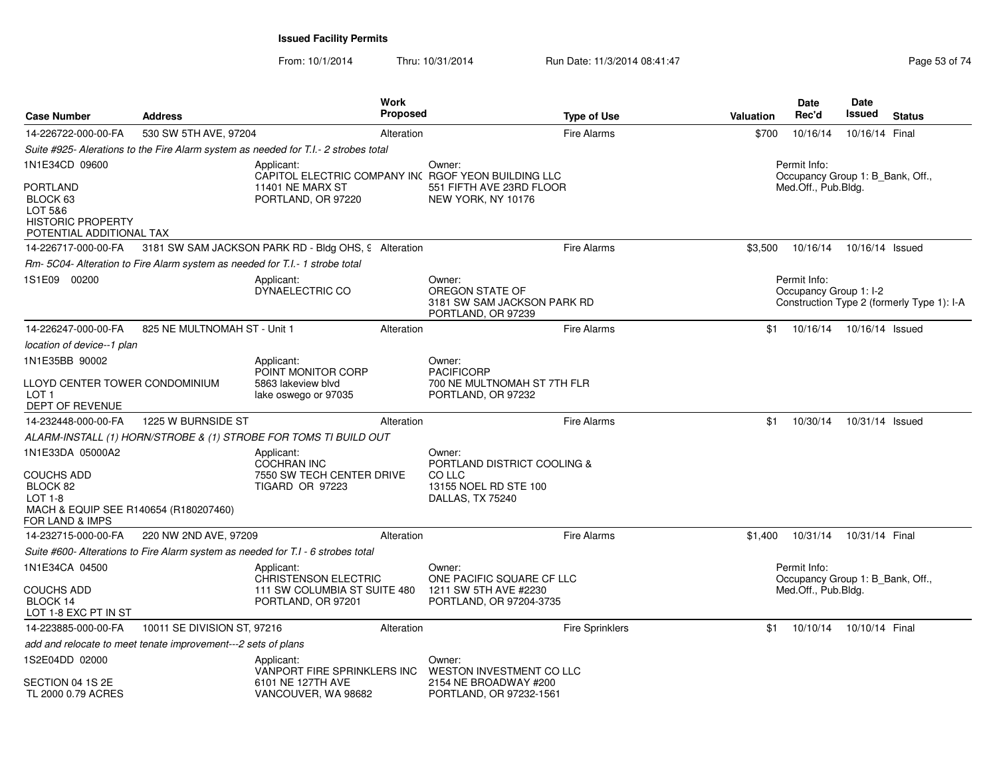|                                                                                                                     |                                                               |                                                                                                 | Work            |                                                                                                                 |                        |                  | <b>Date</b>                                                             | Date            |                                            |
|---------------------------------------------------------------------------------------------------------------------|---------------------------------------------------------------|-------------------------------------------------------------------------------------------------|-----------------|-----------------------------------------------------------------------------------------------------------------|------------------------|------------------|-------------------------------------------------------------------------|-----------------|--------------------------------------------|
| <b>Case Number</b>                                                                                                  | <b>Address</b>                                                |                                                                                                 | <b>Proposed</b> |                                                                                                                 | <b>Type of Use</b>     | <b>Valuation</b> | Rec'd                                                                   | Issued          | <b>Status</b>                              |
| 14-226722-000-00-FA                                                                                                 | 530 SW 5TH AVE, 97204                                         |                                                                                                 | Alteration      |                                                                                                                 | Fire Alarms            | \$700            | 10/16/14                                                                | 10/16/14 Final  |                                            |
|                                                                                                                     |                                                               | Suite #925- Alerations to the Fire Alarm system as needed for T.I.- 2 strobes total             |                 |                                                                                                                 |                        |                  |                                                                         |                 |                                            |
| 1N1E34CD 09600<br>PORTLAND<br>BLOCK 63<br>LOT 5&6<br><b>HISTORIC PROPERTY</b><br>POTENTIAL ADDITIONAL TAX           |                                                               | Applicant:<br>11401 NE MARX ST<br>PORTLAND, OR 97220                                            |                 | Owner:<br>CAPITOL ELECTRIC COMPANY INC RGOF YEON BUILDING LLC<br>551 FIFTH AVE 23RD FLOOR<br>NEW YORK, NY 10176 |                        |                  | Permit Info:<br>Occupancy Group 1: B_Bank, Off.,<br>Med.Off., Pub.Bldg. |                 |                                            |
| 14-226717-000-00-FA                                                                                                 |                                                               | 3181 SW SAM JACKSON PARK RD - Bldg OHS, 9 Alteration                                            |                 |                                                                                                                 | Fire Alarms            | \$3,500          | 10/16/14                                                                | 10/16/14 Issued |                                            |
|                                                                                                                     |                                                               | Rm-5C04- Alteration to Fire Alarm system as needed for T.I.- 1 strobe total                     |                 |                                                                                                                 |                        |                  |                                                                         |                 |                                            |
| 1S1E09 00200                                                                                                        |                                                               | Applicant:<br>DYNAELECTRIC CO                                                                   |                 | Owner:<br>OREGON STATE OF<br>3181 SW SAM JACKSON PARK RD<br>PORTLAND, OR 97239                                  |                        |                  | Permit Info:<br>Occupancy Group 1: I-2                                  |                 | Construction Type 2 (formerly Type 1): I-A |
| 14-226247-000-00-FA                                                                                                 | 825 NE MULTNOMAH ST - Unit 1                                  |                                                                                                 | Alteration      |                                                                                                                 | Fire Alarms            | \$1              | 10/16/14                                                                | 10/16/14 Issued |                                            |
| location of device--1 plan                                                                                          |                                                               |                                                                                                 |                 |                                                                                                                 |                        |                  |                                                                         |                 |                                            |
| 1N1E35BB 90002                                                                                                      |                                                               | Applicant:                                                                                      |                 | Owner:                                                                                                          |                        |                  |                                                                         |                 |                                            |
| LLOYD CENTER TOWER CONDOMINIUM<br>LOT 1<br><b>DEPT OF REVENUE</b>                                                   |                                                               | POINT MONITOR CORP<br>5863 lakeview blyd<br>lake oswego or 97035                                |                 | <b>PACIFICORP</b><br>700 NE MULTNOMAH ST 7TH FLR<br>PORTLAND, OR 97232                                          |                        |                  |                                                                         |                 |                                            |
| 14-232448-000-00-FA                                                                                                 | 1225 W BURNSIDE ST                                            |                                                                                                 | Alteration      |                                                                                                                 | <b>Fire Alarms</b>     | \$1              | 10/30/14                                                                | 10/31/14 Issued |                                            |
|                                                                                                                     |                                                               | ALARM-INSTALL (1) HORN/STROBE & (1) STROBE FOR TOMS TI BUILD OUT                                |                 |                                                                                                                 |                        |                  |                                                                         |                 |                                            |
| 1N1E33DA 05000A2<br>COUCHS ADD<br>BLOCK 82<br>$LOT 1-8$<br>MACH & EQUIP SEE R140654 (R180207460)<br>FOR LAND & IMPS |                                                               | Applicant:<br><b>COCHRAN INC</b><br>7550 SW TECH CENTER DRIVE<br><b>TIGARD OR 97223</b>         |                 | Owner:<br>PORTLAND DISTRICT COOLING &<br>CO LLC<br>13155 NOEL RD STE 100<br>DALLAS, TX 75240                    |                        |                  |                                                                         |                 |                                            |
| 14-232715-000-00-FA                                                                                                 | 220 NW 2ND AVE, 97209                                         |                                                                                                 | Alteration      |                                                                                                                 | Fire Alarms            | \$1.400          | 10/31/14                                                                | 10/31/14 Final  |                                            |
|                                                                                                                     |                                                               | Suite #600- Alterations to Fire Alarm system as needed for T.I - 6 strobes total                |                 |                                                                                                                 |                        |                  |                                                                         |                 |                                            |
| 1N1E34CA 04500<br>COUCHS ADD<br>BLOCK 14                                                                            |                                                               | Applicant:<br><b>CHRISTENSON ELECTRIC</b><br>111 SW COLUMBIA ST SUITE 480<br>PORTLAND, OR 97201 |                 | Owner:<br>ONE PACIFIC SQUARE CF LLC<br>1211 SW 5TH AVE #2230<br>PORTLAND, OR 97204-3735                         |                        |                  | Permit Info:<br>Occupancy Group 1: B_Bank, Off.,<br>Med.Off., Pub.Bldg. |                 |                                            |
| LOT 1-8 EXC PT IN ST                                                                                                |                                                               |                                                                                                 |                 |                                                                                                                 |                        |                  |                                                                         |                 |                                            |
| 14-223885-000-00-FA                                                                                                 | 10011 SE DIVISION ST, 97216                                   |                                                                                                 | Alteration      |                                                                                                                 | <b>Fire Sprinklers</b> | \$1              | 10/10/14                                                                | 10/10/14 Final  |                                            |
|                                                                                                                     | add and relocate to meet tenate improvement---2 sets of plans |                                                                                                 |                 |                                                                                                                 |                        |                  |                                                                         |                 |                                            |
| 1S2E04DD 02000<br>SECTION 04 1S 2E<br>TL 2000 0.79 ACRES                                                            |                                                               | Applicant:<br>VANPORT FIRE SPRINKLERS INC<br>6101 NE 127TH AVE<br>VANCOUVER, WA 98682           |                 | Owner:<br>WESTON INVESTMENT CO LLC<br>2154 NE BROADWAY #200<br>PORTLAND, OR 97232-1561                          |                        |                  |                                                                         |                 |                                            |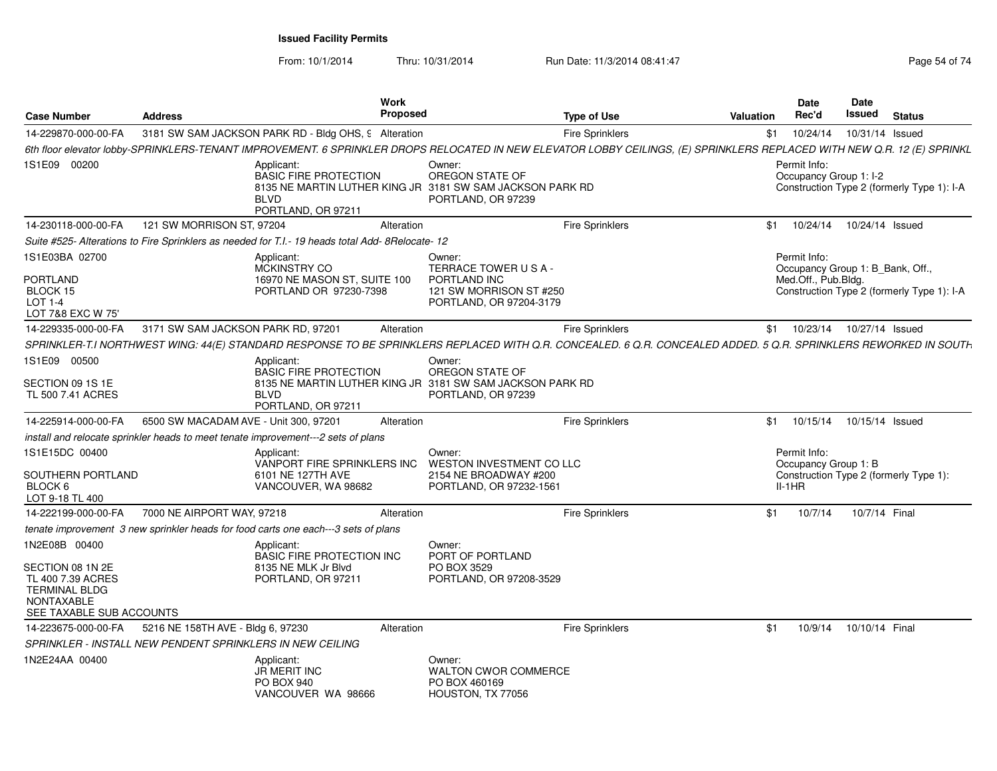From: 10/1/2014Thru: 10/31/2014 Run Date: 11/3/2014 08:41:47 Rege 54 of 74

| <b>Case Number</b>                                                                                                              | <b>Address</b>                                            |                                                                                                                                              | <b>Work</b><br><b>Proposed</b> |                                                                                                    | <b>Type of Use</b>     | <b>Valuation</b>                                                                                                                                                         | <b>Date</b><br>Rec'd                             | Date<br>Issued | <b>Status</b>                                                                  |  |
|---------------------------------------------------------------------------------------------------------------------------------|-----------------------------------------------------------|----------------------------------------------------------------------------------------------------------------------------------------------|--------------------------------|----------------------------------------------------------------------------------------------------|------------------------|--------------------------------------------------------------------------------------------------------------------------------------------------------------------------|--------------------------------------------------|----------------|--------------------------------------------------------------------------------|--|
| 14-229870-000-00-FA                                                                                                             |                                                           | 3181 SW SAM JACKSON PARK RD - Bldg OHS, 9 Alteration                                                                                         |                                |                                                                                                    | <b>Fire Sprinklers</b> | \$1                                                                                                                                                                      | 10/24/14                                         |                | 10/31/14 Issued                                                                |  |
|                                                                                                                                 |                                                           |                                                                                                                                              |                                |                                                                                                    |                        | 6th floor elevator lobby-SPRINKLERS-TENANT IMPROVEMENT. 6 SPRINKLER DROPS RELOCATED IN NEW ELEVATOR LOBBY CEILINGS, (E) SPRINKLERS REPLACED WITH NEW Q.R. 12 (E) SPRINKL |                                                  |                |                                                                                |  |
| 1S1E09 00200                                                                                                                    |                                                           | Applicant:<br><b>BASIC FIRE PROTECTION</b><br>8135 NE MARTIN LUTHER KING JR 3181 SW SAM JACKSON PARK RD<br><b>BLVD</b><br>PORTLAND, OR 97211 |                                | Owner:<br>OREGON STATE OF<br>PORTLAND, OR 97239                                                    |                        |                                                                                                                                                                          | Permit Info:<br>Occupancy Group 1: I-2           |                | Construction Type 2 (formerly Type 1): I-A                                     |  |
| 14-230118-000-00-FA                                                                                                             | 121 SW MORRISON ST, 97204                                 |                                                                                                                                              | Alteration                     |                                                                                                    | <b>Fire Sprinklers</b> | \$1                                                                                                                                                                      | 10/24/14                                         |                | 10/24/14 Issued                                                                |  |
|                                                                                                                                 |                                                           | Suite #525- Alterations to Fire Sprinklers as needed for T.I.- 19 heads total Add- 8Relocate- 12                                             |                                |                                                                                                    |                        |                                                                                                                                                                          |                                                  |                |                                                                                |  |
| 1S1E03BA 02700<br><b>PORTLAND</b><br>BLOCK 15<br><b>LOT 1-4</b><br>LOT 7&8 EXC W 75'                                            |                                                           | Applicant:<br><b>MCKINSTRY CO</b><br>16970 NE MASON ST, SUITE 100<br>PORTLAND OR 97230-7398                                                  |                                | Owner:<br>TERRACE TOWER USA-<br>PORTLAND INC<br>121 SW MORRISON ST #250<br>PORTLAND, OR 97204-3179 |                        |                                                                                                                                                                          | Permit Info:<br>Med.Off., Pub.Bldg.              |                | Occupancy Group 1: B_Bank, Off.,<br>Construction Type 2 (formerly Type 1): I-A |  |
| 14-229335-000-00-FA                                                                                                             | 3171 SW SAM JACKSON PARK RD, 97201                        |                                                                                                                                              | Alteration                     |                                                                                                    | <b>Fire Sprinklers</b> |                                                                                                                                                                          | \$1  10/23/14                                    |                | 10/27/14 Issued                                                                |  |
|                                                                                                                                 |                                                           |                                                                                                                                              |                                |                                                                                                    |                        | SPRINKLER-T.I NORTHWEST WING: 44(E) STANDARD RESPONSE TO BE SPRINKLERS REPLACED WITH Q.R. CONCEALED. 6 Q.R. CONCEALED ADDED. 5 Q.R. SPRINKLERS REWORKED IN SOUTH         |                                                  |                |                                                                                |  |
| 1S1E09 00500                                                                                                                    |                                                           | Applicant:<br><b>BASIC FIRE PROTECTION</b>                                                                                                   |                                | Owner:<br>OREGON STATE OF                                                                          |                        |                                                                                                                                                                          |                                                  |                |                                                                                |  |
| SECTION 09 1S 1E<br>TL 500 7.41 ACRES                                                                                           |                                                           | 8135 NE MARTIN LUTHER KING JR 3181 SW SAM JACKSON PARK RD<br><b>BLVD</b><br>PORTLAND, OR 97211                                               |                                | PORTLAND, OR 97239                                                                                 |                        |                                                                                                                                                                          |                                                  |                |                                                                                |  |
| 14-225914-000-00-FA                                                                                                             | 6500 SW MACADAM AVE - Unit 300, 97201                     |                                                                                                                                              | Alteration                     |                                                                                                    | <b>Fire Sprinklers</b> | \$1                                                                                                                                                                      | 10/15/14                                         |                | 10/15/14 Issued                                                                |  |
|                                                                                                                                 |                                                           | install and relocate sprinkler heads to meet tenate improvement---2 sets of plans                                                            |                                |                                                                                                    |                        |                                                                                                                                                                          |                                                  |                |                                                                                |  |
| 1S1E15DC 00400<br>SOUTHERN PORTLAND<br>BLOCK 6<br>LOT 9-18 TL 400                                                               |                                                           | Applicant:<br>VANPORT FIRE SPRINKLERS INC<br>6101 NE 127TH AVE<br>VANCOUVER, WA 98682                                                        |                                | Owner:<br><b>WESTON INVESTMENT CO LLC</b><br>2154 NE BROADWAY #200<br>PORTLAND, OR 97232-1561      |                        |                                                                                                                                                                          | Permit Info:<br>Occupancy Group 1: B<br>$II-1HR$ |                | Construction Type 2 (formerly Type 1):                                         |  |
| 14-222199-000-00-FA                                                                                                             | 7000 NE AIRPORT WAY, 97218                                |                                                                                                                                              | Alteration                     |                                                                                                    | Fire Sprinklers        | \$1                                                                                                                                                                      | 10/7/14                                          |                | 10/7/14 Final                                                                  |  |
|                                                                                                                                 |                                                           | tenate improvement 3 new sprinkler heads for food carts one each---3 sets of plans                                                           |                                |                                                                                                    |                        |                                                                                                                                                                          |                                                  |                |                                                                                |  |
| 1N2E08B 00400<br>SECTION 08 1N 2E<br>TL 400 7.39 ACRES<br><b>TERMINAL BLDG</b><br><b>NONTAXABLE</b><br>SEE TAXABLE SUB ACCOUNTS |                                                           | Applicant:<br><b>BASIC FIRE PROTECTION INC</b><br>8135 NE MLK Jr Blvd<br>PORTLAND, OR 97211                                                  |                                | Owner:<br>PORT OF PORTLAND<br>PO BOX 3529<br>PORTLAND, OR 97208-3529                               |                        |                                                                                                                                                                          |                                                  |                |                                                                                |  |
| 14-223675-000-00-FA                                                                                                             | 5216 NE 158TH AVE - Bldg 6, 97230                         |                                                                                                                                              | Alteration                     |                                                                                                    | <b>Fire Sprinklers</b> | \$1                                                                                                                                                                      | 10/9/14                                          |                | 10/10/14 Final                                                                 |  |
|                                                                                                                                 | SPRINKLER - INSTALL NEW PENDENT SPRINKLERS IN NEW CEILING |                                                                                                                                              |                                |                                                                                                    |                        |                                                                                                                                                                          |                                                  |                |                                                                                |  |
| 1N2E24AA 00400                                                                                                                  |                                                           | Applicant:<br>JR MERIT INC<br>PO BOX 940<br>VANCOUVER WA 98666                                                                               |                                | Owner:<br><b>WALTON CWOR COMMERCE</b><br>PO BOX 460169<br>HOUSTON, TX 77056                        |                        |                                                                                                                                                                          |                                                  |                |                                                                                |  |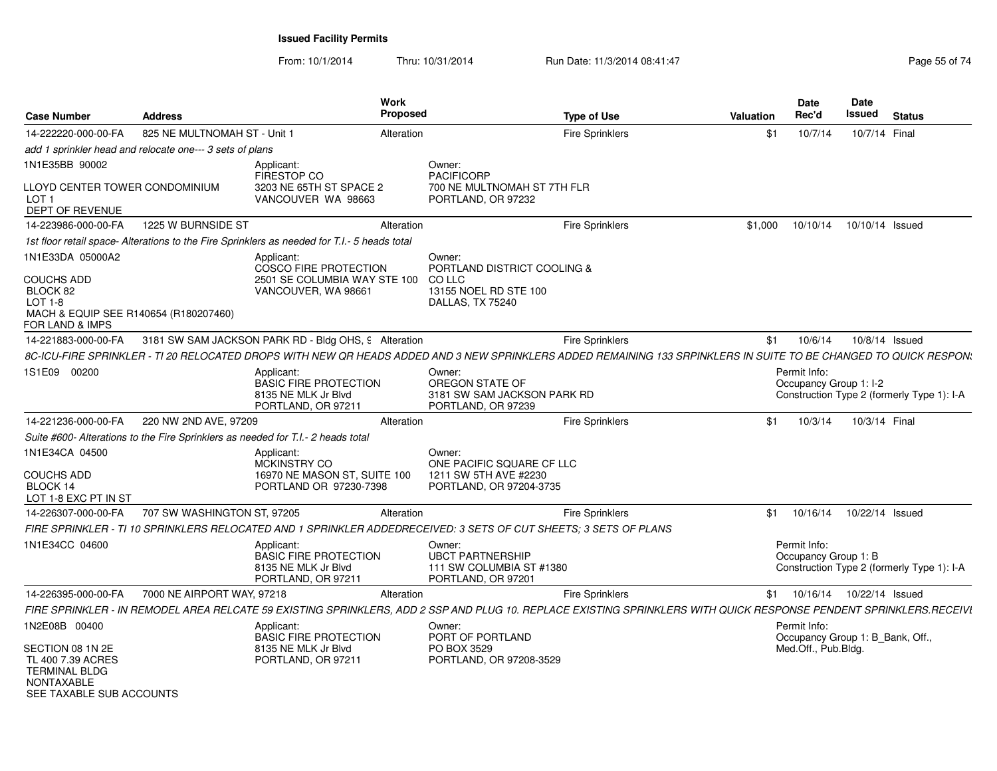From: 10/1/2014Thru: 10/31/2014 Run Date: 11/3/2014 08:41:47 Rege 55 of 74

| <b>Case Number</b>                                                                                      | <b>Address</b>               | Work<br><b>Proposed</b>                                                                                                                                            |                                                                                              | <b>Type of Use</b>     | <b>Valuation</b> | Date<br>Rec'd                                    | <b>Date</b><br>Issued | <b>Status</b>                              |
|---------------------------------------------------------------------------------------------------------|------------------------------|--------------------------------------------------------------------------------------------------------------------------------------------------------------------|----------------------------------------------------------------------------------------------|------------------------|------------------|--------------------------------------------------|-----------------------|--------------------------------------------|
| 14-222220-000-00-FA                                                                                     | 825 NE MULTNOMAH ST - Unit 1 | Alteration                                                                                                                                                         |                                                                                              | <b>Fire Sprinklers</b> | \$1              | 10/7/14                                          | 10/7/14 Final         |                                            |
| add 1 sprinkler head and relocate one--- 3 sets of plans                                                |                              |                                                                                                                                                                    |                                                                                              |                        |                  |                                                  |                       |                                            |
| 1N1E35BB 90002                                                                                          |                              | Applicant:<br>FIRESTOP CO                                                                                                                                          | Owner:<br><b>PACIFICORP</b>                                                                  |                        |                  |                                                  |                       |                                            |
| LLOYD CENTER TOWER CONDOMINIUM<br>LOT <sub>1</sub><br>DEPT OF REVENUE                                   |                              | 3203 NE 65TH ST SPACE 2<br>VANCOUVER WA 98663                                                                                                                      | 700 NE MULTNOMAH ST 7TH FLR<br>PORTLAND, OR 97232                                            |                        |                  |                                                  |                       |                                            |
| 14-223986-000-00-FA                                                                                     | 1225 W BURNSIDE ST           | Alteration                                                                                                                                                         |                                                                                              | Fire Sprinklers        | \$1,000          | 10/10/14                                         | 10/10/14 Issued       |                                            |
|                                                                                                         |                              | 1st floor retail space- Alterations to the Fire Sprinklers as needed for T.I.- 5 heads total                                                                       |                                                                                              |                        |                  |                                                  |                       |                                            |
| 1N1E33DA 05000A2<br><b>COUCHS ADD</b><br>BLOCK 82<br>LOT 1-8                                            |                              | Applicant:<br><b>COSCO FIRE PROTECTION</b><br>2501 SE COLUMBIA WAY STE 100<br>VANCOUVER, WA 98661                                                                  | Owner:<br>PORTLAND DISTRICT COOLING &<br>CO LLC<br>13155 NOEL RD STE 100<br>DALLAS, TX 75240 |                        |                  |                                                  |                       |                                            |
| MACH & EQUIP SEE R140654 (R180207460)<br>FOR LAND & IMPS                                                |                              |                                                                                                                                                                    |                                                                                              |                        |                  |                                                  |                       |                                            |
| 14-221883-000-00-FA                                                                                     |                              | 3181 SW SAM JACKSON PARK RD - Bldg OHS, 9 Alteration                                                                                                               |                                                                                              | <b>Fire Sprinklers</b> | \$1              | 10/6/14                                          |                       | 10/8/14 Issued                             |
|                                                                                                         |                              | 8C-ICU-FIRE SPRINKLER - TI 20 RELOCATED DROPS WITH NEW QR HEADS ADDED AND 3 NEW SPRINKLERS ADDED REMAINING 133 SRPINKLERS IN SUITE TO BE CHANGED TO QUICK RESPON.  |                                                                                              |                        |                  |                                                  |                       |                                            |
| 1S1E09 00200                                                                                            |                              | Applicant:<br><b>BASIC FIRE PROTECTION</b><br>8135 NE MLK Jr Blvd<br>PORTLAND, OR 97211                                                                            | Owner:<br>OREGON STATE OF<br>3181 SW SAM JACKSON PARK RD<br>PORTLAND, OR 97239               |                        |                  | Permit Info:<br>Occupancy Group 1: I-2           |                       | Construction Type 2 (formerly Type 1): I-A |
| 14-221236-000-00-FA                                                                                     | 220 NW 2ND AVE, 97209        | Alteration                                                                                                                                                         |                                                                                              | <b>Fire Sprinklers</b> | \$1              | 10/3/14                                          | 10/3/14 Final         |                                            |
|                                                                                                         |                              | Suite #600- Alterations to the Fire Sprinklers as needed for T.I.- 2 heads total                                                                                   |                                                                                              |                        |                  |                                                  |                       |                                            |
| 1N1E34CA 04500<br><b>COUCHS ADD</b><br>BLOCK 14<br>LOT 1-8 EXC PT IN ST                                 |                              | Applicant:<br><b>MCKINSTRY CO</b><br>16970 NE MASON ST, SUITE 100<br>PORTLAND OR 97230-7398                                                                        | Owner:<br>ONE PACIFIC SQUARE CF LLC<br>1211 SW 5TH AVE #2230<br>PORTLAND, OR 97204-3735      |                        |                  |                                                  |                       |                                            |
| 14-226307-000-00-FA                                                                                     | 707 SW WASHINGTON ST, 97205  | Alteration                                                                                                                                                         |                                                                                              | <b>Fire Sprinklers</b> | \$1              | 10/16/14                                         | 10/22/14 Issued       |                                            |
|                                                                                                         |                              | FIRE SPRINKLER - TI 10 SPRINKLERS RELOCATED AND 1 SPRINKLER ADDEDRECEIVED: 3 SETS OF CUT SHEETS: 3 SETS OF PLANS                                                   |                                                                                              |                        |                  |                                                  |                       |                                            |
| 1N1E34CC 04600                                                                                          |                              | Applicant:<br><b>BASIC FIRE PROTECTION</b><br>8135 NE MLK Jr Blvd<br>PORTLAND, OR 97211                                                                            | Owner:<br><b>UBCT PARTNERSHIP</b><br>111 SW COLUMBIA ST #1380<br>PORTLAND, OR 97201          |                        |                  | Permit Info:<br>Occupancy Group 1: B             |                       | Construction Type 2 (formerly Type 1): I-A |
| 14-226395-000-00-FA                                                                                     | 7000 NE AIRPORT WAY, 97218   | Alteration                                                                                                                                                         |                                                                                              | <b>Fire Sprinklers</b> | \$1              | 10/16/14                                         | 10/22/14 Issued       |                                            |
|                                                                                                         |                              | FIRE SPRINKLER - IN REMODEL AREA RELCATE 59 EXISTING SPRINKLERS, ADD 2 SSP AND PLUG 10. REPLACE EXISTING SPRINKLERS WITH QUICK RESPONSE PENDENT SPRINKLERS.RECEIVI |                                                                                              |                        |                  |                                                  |                       |                                            |
| 1N2E08B 00400                                                                                           |                              | Applicant:<br><b>BASIC FIRE PROTECTION</b>                                                                                                                         | Owner:<br>PORT OF PORTLAND                                                                   |                        |                  | Permit Info:<br>Occupancy Group 1: B_Bank, Off., |                       |                                            |
| SECTION 08 1N 2E<br>TL 400 7.39 ACRES<br><b>TERMINAL BLDG</b><br>NONTAXABLE<br>SEE TAXABLE SUB ACCOUNTS |                              | 8135 NE MLK Jr Blvd<br>PORTLAND, OR 97211                                                                                                                          | PO BOX 3529<br>PORTLAND, OR 97208-3529                                                       |                        |                  | Med.Off., Pub.Bldg.                              |                       |                                            |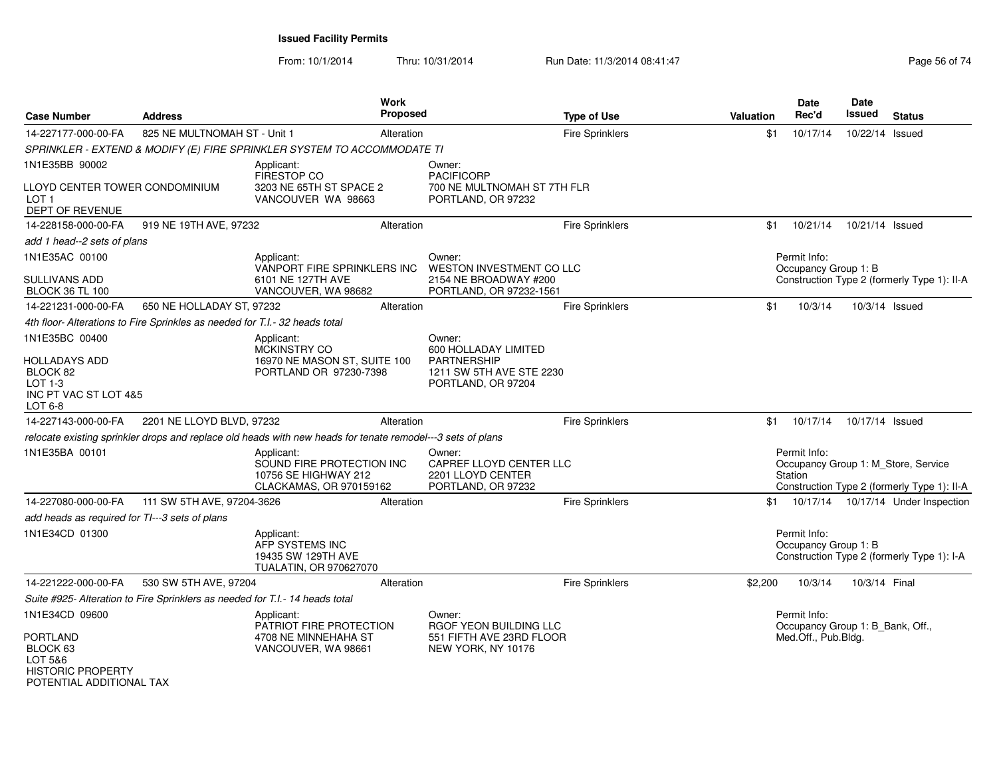From: 10/1/2014Thru: 10/31/2014 Run Date: 11/3/2014 08:41:47 Rege 56 of 74

| <b>Case Number</b>                                                                                 | <b>Address</b>                                                               |                                                                                                             | Work<br><b>Proposed</b> |                                                                              | <b>Type of Use</b>     | Valuation | Date<br>Rec'd                                    | Date<br>Issued  | <b>Status</b>                                                                      |
|----------------------------------------------------------------------------------------------------|------------------------------------------------------------------------------|-------------------------------------------------------------------------------------------------------------|-------------------------|------------------------------------------------------------------------------|------------------------|-----------|--------------------------------------------------|-----------------|------------------------------------------------------------------------------------|
| 14-227177-000-00-FA                                                                                | 825 NE MULTNOMAH ST - Unit 1                                                 |                                                                                                             | Alteration              |                                                                              | <b>Fire Sprinklers</b> | \$1       | 10/17/14                                         | 10/22/14 Issued |                                                                                    |
|                                                                                                    |                                                                              | SPRINKLER - EXTEND & MODIFY (E) FIRE SPRINKLER SYSTEM TO ACCOMMODATE TI                                     |                         |                                                                              |                        |           |                                                  |                 |                                                                                    |
| 1N1E35BB 90002                                                                                     |                                                                              | Applicant:<br>FIRESTOP CO                                                                                   |                         | Owner:<br><b>PACIFICORP</b>                                                  |                        |           |                                                  |                 |                                                                                    |
| LLOYD CENTER TOWER CONDOMINIUM<br>LOT 1<br>DEPT OF REVENUE                                         |                                                                              | 3203 NE 65TH ST SPACE 2<br>VANCOUVER WA 98663                                                               |                         | 700 NE MULTNOMAH ST 7TH FLR<br>PORTLAND, OR 97232                            |                        |           |                                                  |                 |                                                                                    |
| 14-228158-000-00-FA                                                                                | 919 NE 19TH AVE, 97232                                                       |                                                                                                             | Alteration              |                                                                              | <b>Fire Sprinklers</b> | \$1       | 10/21/14                                         | 10/21/14 Issued |                                                                                    |
| add 1 head--2 sets of plans                                                                        |                                                                              |                                                                                                             |                         |                                                                              |                        |           |                                                  |                 |                                                                                    |
| 1N1E35AC 00100                                                                                     |                                                                              | Applicant:<br>VANPORT FIRE SPRINKLERS INC                                                                   |                         | Owner:<br>WESTON INVESTMENT CO LLC                                           |                        |           | Permit Info:<br>Occupancy Group 1: B             |                 |                                                                                    |
| SULLIVANS ADD<br><b>BLOCK 36 TL 100</b>                                                            |                                                                              | 6101 NE 127TH AVE<br>VANCOUVER, WA 98682                                                                    |                         | 2154 NE BROADWAY #200<br>PORTLAND, OR 97232-1561                             |                        |           |                                                  |                 | Construction Type 2 (formerly Type 1): II-A                                        |
| 14-221231-000-00-FA                                                                                | 650 NE HOLLADAY ST, 97232                                                    |                                                                                                             | Alteration              |                                                                              | <b>Fire Sprinklers</b> | \$1       | 10/3/14                                          | 10/3/14 Issued  |                                                                                    |
|                                                                                                    | 4th floor- Alterations to Fire Sprinkles as needed for T.I.- 32 heads total  |                                                                                                             |                         |                                                                              |                        |           |                                                  |                 |                                                                                    |
| 1N1E35BC 00400                                                                                     |                                                                              | Applicant:<br>MCKINSTRY CO                                                                                  |                         | Owner:<br>600 HOLLADAY LIMITED                                               |                        |           |                                                  |                 |                                                                                    |
| HOLLADAYS ADD<br>BLOCK 82<br>LOT 1-3<br>INC PT VAC ST LOT 4&5<br>LOT 6-8                           |                                                                              | 16970 NE MASON ST, SUITE 100<br>PORTLAND OR 97230-7398                                                      |                         | <b>PARTNERSHIP</b><br>1211 SW 5TH AVE STE 2230<br>PORTLAND, OR 97204         |                        |           |                                                  |                 |                                                                                    |
| 14-227143-000-00-FA                                                                                | 2201 NE LLOYD BLVD, 97232                                                    |                                                                                                             | Alteration              |                                                                              | Fire Sprinklers        | \$1       | 10/17/14                                         | 10/17/14 Issued |                                                                                    |
|                                                                                                    |                                                                              | relocate existing sprinkler drops and replace old heads with new heads for tenate remodel---3 sets of plans |                         |                                                                              |                        |           |                                                  |                 |                                                                                    |
| 1N1E35BA 00101                                                                                     |                                                                              | Applicant:<br>SOUND FIRE PROTECTION INC<br>10756 SE HIGHWAY 212<br>CLACKAMAS, OR 970159162                  |                         | Owner:<br>CAPREF LLOYD CENTER LLC<br>2201 LLOYD CENTER<br>PORTLAND, OR 97232 |                        |           | Permit Info:<br>Station                          |                 | Occupancy Group 1: M_Store, Service<br>Construction Type 2 (formerly Type 1): II-A |
| 14-227080-000-00-FA                                                                                | 111 SW 5TH AVE, 97204-3626                                                   |                                                                                                             | Alteration              |                                                                              | <b>Fire Sprinklers</b> |           |                                                  |                 | \$1 10/17/14 10/17/14 Under Inspection                                             |
| add heads as required for TI---3 sets of plans                                                     |                                                                              |                                                                                                             |                         |                                                                              |                        |           |                                                  |                 |                                                                                    |
| 1N1E34CD 01300                                                                                     |                                                                              | Applicant:<br>AFP SYSTEMS INC<br>19435 SW 129TH AVE<br>TUALATIN, OR 970627070                               |                         |                                                                              |                        |           | Permit Info:<br>Occupancy Group 1: B             |                 | Construction Type 2 (formerly Type 1): I-A                                         |
| 14-221222-000-00-FA                                                                                | 530 SW 5TH AVE, 97204                                                        |                                                                                                             | Alteration              |                                                                              | <b>Fire Sprinklers</b> | \$2,200   | 10/3/14                                          | 10/3/14 Final   |                                                                                    |
|                                                                                                    | Suite #925- Alteration to Fire Sprinklers as needed for T.I.- 14 heads total |                                                                                                             |                         |                                                                              |                        |           |                                                  |                 |                                                                                    |
| 1N1E34CD 09600                                                                                     |                                                                              | Applicant:<br>PATRIOT FIRE PROTECTION                                                                       |                         | Owner:<br>RGOF YEON BUILDING LLC                                             |                        |           | Permit Info:<br>Occupancy Group 1: B_Bank, Off., |                 |                                                                                    |
| PORTLAND<br>BLOCK <sub>63</sub><br>LOT 5&6<br><b>HISTORIC PROPERTY</b><br>POTENTIAL ADDITIONAL TAX |                                                                              | 4708 NE MINNEHAHA ST<br>VANCOUVER, WA 98661                                                                 |                         | 551 FIFTH AVE 23RD FLOOR<br>NEW YORK, NY 10176                               |                        |           | Med.Off., Pub.Bldg.                              |                 |                                                                                    |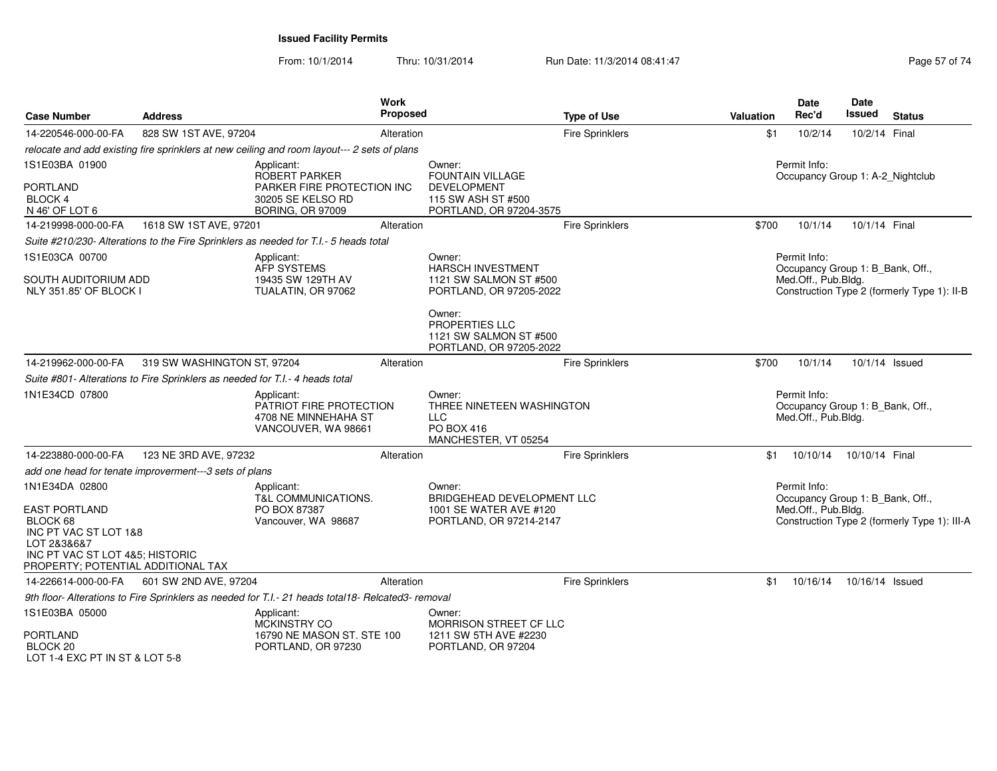From: 10/1/2014Thru: 10/31/2014 Run Date: 11/3/2014 08:41:47 Rege 57 of 74

| <b>Case Number</b>                                                                                                                                                  | <b>Address</b>                                                               |                                                                                                    | Work<br><b>Proposed</b> |                                                                                                  | <b>Type of Use</b>     | <b>Valuation</b>                                 | Date<br>Rec'd                                                           | Date<br>Issued  | <b>Status</b>                                |
|---------------------------------------------------------------------------------------------------------------------------------------------------------------------|------------------------------------------------------------------------------|----------------------------------------------------------------------------------------------------|-------------------------|--------------------------------------------------------------------------------------------------|------------------------|--------------------------------------------------|-------------------------------------------------------------------------|-----------------|----------------------------------------------|
| 14-220546-000-00-FA                                                                                                                                                 | 828 SW 1ST AVE, 97204                                                        |                                                                                                    | Alteration              |                                                                                                  | <b>Fire Sprinklers</b> | \$1                                              | 10/2/14                                                                 | 10/2/14 Final   |                                              |
|                                                                                                                                                                     |                                                                              | relocate and add existing fire sprinklers at new ceiling and room layout--- 2 sets of plans        |                         |                                                                                                  |                        |                                                  |                                                                         |                 |                                              |
| 1S1E03BA 01900<br><b>PORTLAND</b><br><b>BLOCK 4</b>                                                                                                                 |                                                                              | Applicant:<br>ROBERT PARKER<br>PARKER FIRE PROTECTION INC<br>30205 SE KELSO RD                     |                         | Owner:<br><b>FOUNTAIN VILLAGE</b><br><b>DEVELOPMENT</b><br>115 SW ASH ST #500                    |                        | Permit Info:<br>Occupancy Group 1: A-2_Nightclub |                                                                         |                 |                                              |
| N 46' OF LOT 6                                                                                                                                                      | 1618 SW 1ST AVE, 97201                                                       | <b>BORING, OR 97009</b>                                                                            |                         | PORTLAND, OR 97204-3575                                                                          |                        |                                                  | 10/1/14                                                                 | 10/1/14 Final   |                                              |
| 14-219998-000-00-FA                                                                                                                                                 |                                                                              |                                                                                                    | Alteration              |                                                                                                  | <b>Fire Sprinklers</b> | \$700                                            |                                                                         |                 |                                              |
|                                                                                                                                                                     |                                                                              | Suite #210/230- Alterations to the Fire Sprinklers as needed for T.I.- 5 heads total               |                         |                                                                                                  |                        |                                                  |                                                                         |                 |                                              |
| 1S1E03CA 00700<br>SOUTH AUDITORIUM ADD<br>NLY 351.85' OF BLOCK I                                                                                                    |                                                                              | Applicant:<br>AFP SYSTEMS<br>19435 SW 129TH AV<br>TUALATIN, OR 97062                               |                         | Owner:<br><b>HARSCH INVESTMENT</b><br>1121 SW SALMON ST #500<br>PORTLAND, OR 97205-2022          |                        |                                                  | Permit Info:<br>Occupancy Group 1: B_Bank, Off.,<br>Med.Off., Pub.Bldg. |                 | Construction Type 2 (formerly Type 1): II-B  |
|                                                                                                                                                                     |                                                                              |                                                                                                    |                         | Owner:<br>PROPERTIES LLC<br>1121 SW SALMON ST #500<br>PORTLAND, OR 97205-2022                    |                        |                                                  |                                                                         |                 |                                              |
| 14-219962-000-00-FA                                                                                                                                                 | 319 SW WASHINGTON ST, 97204                                                  |                                                                                                    | Alteration              |                                                                                                  | <b>Fire Sprinklers</b> | \$700                                            | 10/1/14                                                                 | 10/1/14 Issued  |                                              |
|                                                                                                                                                                     | Suite #801- Alterations to Fire Sprinklers as needed for T.I.- 4 heads total |                                                                                                    |                         |                                                                                                  |                        |                                                  |                                                                         |                 |                                              |
| 1N1E34CD 07800                                                                                                                                                      |                                                                              | Applicant:<br>PATRIOT FIRE PROTECTION<br>4708 NE MINNEHAHA ST<br>VANCOUVER, WA 98661               |                         | Owner:<br>THREE NINETEEN WASHINGTON<br><b>LLC</b><br><b>PO BOX 416</b><br>MANCHESTER, VT 05254   |                        |                                                  | Permit Info:<br>Occupancy Group 1: B_Bank, Off.,<br>Med.Off., Pub.Bldg. |                 |                                              |
| 14-223880-000-00-FA                                                                                                                                                 | 123 NE 3RD AVE, 97232                                                        |                                                                                                    | Alteration              |                                                                                                  | <b>Fire Sprinklers</b> | \$1                                              | 10/10/14                                                                | 10/10/14 Final  |                                              |
|                                                                                                                                                                     | add one head for tenate improverment---3 sets of plans                       |                                                                                                    |                         |                                                                                                  |                        |                                                  |                                                                         |                 |                                              |
| 1N1E34DA 02800<br><b>EAST PORTLAND</b><br>BLOCK 68<br>INC PT VAC ST LOT 1&8<br>LOT 2&3&6&7<br>INC PT VAC ST LOT 4&5; HISTORIC<br>PROPERTY; POTENTIAL ADDITIONAL TAX |                                                                              | Applicant:<br><b>T&amp;L COMMUNICATIONS.</b><br>PO BOX 87387<br>Vancouver, WA 98687                |                         | Owner:<br><b>BRIDGEHEAD DEVELOPMENT LLC</b><br>1001 SE WATER AVE #120<br>PORTLAND, OR 97214-2147 |                        |                                                  | Permit Info:<br>Occupancy Group 1: B_Bank, Off.,<br>Med.Off., Pub.Bldg. |                 | Construction Type 2 (formerly Type 1): III-A |
| 14-226614-000-00-FA                                                                                                                                                 | 601 SW 2ND AVE, 97204                                                        |                                                                                                    | Alteration              |                                                                                                  | <b>Fire Sprinklers</b> | \$1                                              | 10/16/14                                                                | 10/16/14 Issued |                                              |
|                                                                                                                                                                     |                                                                              | 9th floor- Alterations to Fire Sprinklers as needed for T.I.- 21 heads total18- Relcated3- removal |                         |                                                                                                  |                        |                                                  |                                                                         |                 |                                              |
| 1S1E03BA 05000<br><b>PORTLAND</b><br>BLOCK 20<br>LOT 1-4 EXC PT IN ST & LOT 5-8                                                                                     |                                                                              | Applicant:<br>MCKINSTRY CO<br>16790 NE MASON ST. STE 100<br>PORTLAND, OR 97230                     |                         | Owner:<br><b>MORRISON STREET CF LLC</b><br>1211 SW 5TH AVE #2230<br>PORTLAND, OR 97204           |                        |                                                  |                                                                         |                 |                                              |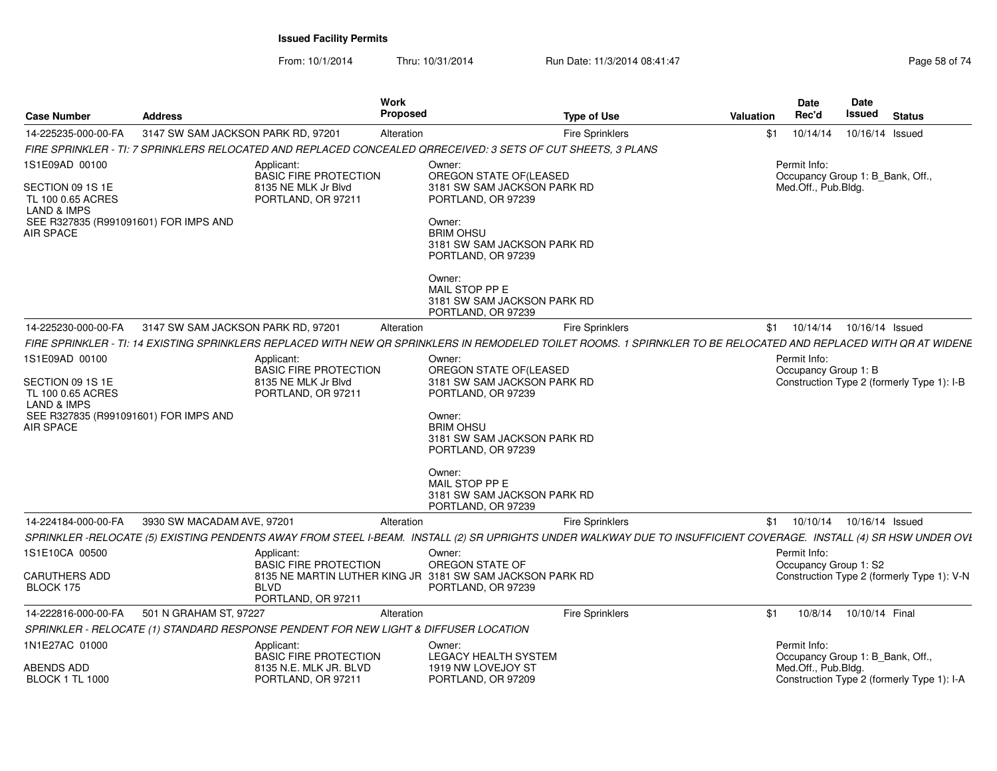From: 10/1/2014Thru: 10/31/2014 Run Date: 11/3/2014 08:41:47 Rege 58 of 74

| <b>Case Number</b>                                                                | <b>Address</b>                     |                                                                                         | Work<br>Proposed | <b>Type of Use</b>                                                                                                                                                 | Valuation | <b>Date</b><br>Rec'd                  | Date<br>Issued                   | <b>Status</b>                              |
|-----------------------------------------------------------------------------------|------------------------------------|-----------------------------------------------------------------------------------------|------------------|--------------------------------------------------------------------------------------------------------------------------------------------------------------------|-----------|---------------------------------------|----------------------------------|--------------------------------------------|
| 14-225235-000-00-FA                                                               | 3147 SW SAM JACKSON PARK RD, 97201 |                                                                                         | Alteration       | <b>Fire Sprinklers</b>                                                                                                                                             | \$1       | 10/14/14                              | 10/16/14 Issued                  |                                            |
|                                                                                   |                                    |                                                                                         |                  | FIRE SPRINKLER - TI: 7 SPRINKLERS RELOCATED AND REPLACED CONCEALED QRRECEIVED: 3 SETS OF CUT SHEETS, 3 PLANS                                                       |           |                                       |                                  |                                            |
| 1S1E09AD 00100<br>SECTION 09 1S 1E<br>TL 100 0.65 ACRES<br><b>LAND &amp; IMPS</b> |                                    | Applicant:<br><b>BASIC FIRE PROTECTION</b><br>8135 NE MLK Jr Blvd<br>PORTLAND, OR 97211 |                  | Owner:<br>OREGON STATE OF(LEASED<br>3181 SW SAM JACKSON PARK RD<br>PORTLAND, OR 97239                                                                              |           | Permit Info:<br>Med.Off., Pub.Bldg.   | Occupancy Group 1: B_Bank, Off., |                                            |
| SEE R327835 (R991091601) FOR IMPS AND<br><b>AIR SPACE</b>                         |                                    |                                                                                         |                  | Owner:<br><b>BRIM OHSU</b><br>3181 SW SAM JACKSON PARK RD<br>PORTLAND, OR 97239                                                                                    |           |                                       |                                  |                                            |
|                                                                                   |                                    |                                                                                         |                  | Owner:<br>MAIL STOP PP E<br>3181 SW SAM JACKSON PARK RD<br>PORTLAND, OR 97239                                                                                      |           |                                       |                                  |                                            |
| 14-225230-000-00-FA                                                               | 3147 SW SAM JACKSON PARK RD, 97201 |                                                                                         | Alteration       | <b>Fire Sprinklers</b>                                                                                                                                             |           | \$1 10/14/14                          | 10/16/14 Issued                  |                                            |
|                                                                                   |                                    |                                                                                         |                  | FIRE SPRINKLER - TI: 14 EXISTING SPRINKLERS REPLACED WITH NEW OR SPRINKLERS IN REMODELED TOILET ROOMS. 1 SPIRNKLER TO BE RELOCATED AND REPLACED WITH OR AT WIDENE  |           |                                       |                                  |                                            |
| 1S1E09AD 00100                                                                    |                                    | Applicant:<br><b>BASIC FIRE PROTECTION</b>                                              |                  | Owner:<br>OREGON STATE OF(LEASED                                                                                                                                   |           | Permit Info:<br>Occupancy Group 1: B  |                                  |                                            |
| SECTION 09 1S 1E<br>TL 100 0.65 ACRES<br><b>LAND &amp; IMPS</b>                   |                                    | 8135 NE MLK Jr Blvd<br>PORTLAND, OR 97211                                               |                  | 3181 SW SAM JACKSON PARK RD<br>PORTLAND, OR 97239                                                                                                                  |           |                                       |                                  | Construction Type 2 (formerly Type 1): I-B |
| SEE R327835 (R991091601) FOR IMPS AND<br><b>AIR SPACE</b>                         |                                    |                                                                                         |                  | Owner:<br><b>BRIM OHSU</b><br>3181 SW SAM JACKSON PARK RD<br>PORTLAND, OR 97239                                                                                    |           |                                       |                                  |                                            |
|                                                                                   |                                    |                                                                                         |                  | Owner:<br>MAIL STOP PP E<br>3181 SW SAM JACKSON PARK RD<br>PORTLAND, OR 97239                                                                                      |           |                                       |                                  |                                            |
| 14-224184-000-00-FA                                                               | 3930 SW MACADAM AVE, 97201         |                                                                                         | Alteration       | Fire Sprinklers                                                                                                                                                    |           | $$1$ 10/10/14                         | 10/16/14 Issued                  |                                            |
|                                                                                   |                                    |                                                                                         |                  | SPRINKLER -RELOCATE (5) EXISTING PENDENTS AWAY FROM STEEL I-BEAM. INSTALL (2) SR UPRIGHTS UNDER WALKWAY DUE TO INSUFFICIENT COVERAGE. INSTALL (4) SR HSW UNDER OVL |           |                                       |                                  |                                            |
| 1S1E10CA 00500                                                                    |                                    | Applicant:<br><b>BASIC FIRE PROTECTION</b>                                              |                  | Owner:<br>OREGON STATE OF                                                                                                                                          |           | Permit Info:<br>Occupancy Group 1: S2 |                                  |                                            |
| <b>CARUTHERS ADD</b><br>BLOCK 175                                                 |                                    | <b>BLVD</b><br>PORTLAND, OR 97211                                                       |                  | 8135 NE MARTIN LUTHER KING JR 3181 SW SAM JACKSON PARK RD<br>PORTLAND, OR 97239                                                                                    |           |                                       |                                  | Construction Type 2 (formerly Type 1): V-N |
| 14-222816-000-00-FA                                                               | 501 N GRAHAM ST, 97227             |                                                                                         | Alteration       | <b>Fire Sprinklers</b>                                                                                                                                             | \$1       | 10/8/14                               | 10/10/14 Final                   |                                            |
|                                                                                   |                                    | SPRINKLER - RELOCATE (1) STANDARD RESPONSE PENDENT FOR NEW LIGHT & DIFFUSER LOCATION    |                  |                                                                                                                                                                    |           |                                       |                                  |                                            |
| 1N1E27AC 01000                                                                    |                                    | Applicant:<br><b>BASIC FIRE PROTECTION</b>                                              |                  | Owner:<br><b>LEGACY HEALTH SYSTEM</b>                                                                                                                              |           | Permit Info:                          | Occupancy Group 1: B_Bank, Off., |                                            |
| ABENDS ADD<br><b>BLOCK 1 TL 1000</b>                                              |                                    | 8135 N.E. MLK JR. BLVD<br>PORTLAND, OR 97211                                            |                  | 1919 NW LOVEJOY ST<br>PORTLAND, OR 97209                                                                                                                           |           | Med.Off., Pub.Bldg.                   |                                  | Construction Type 2 (formerly Type 1): I-A |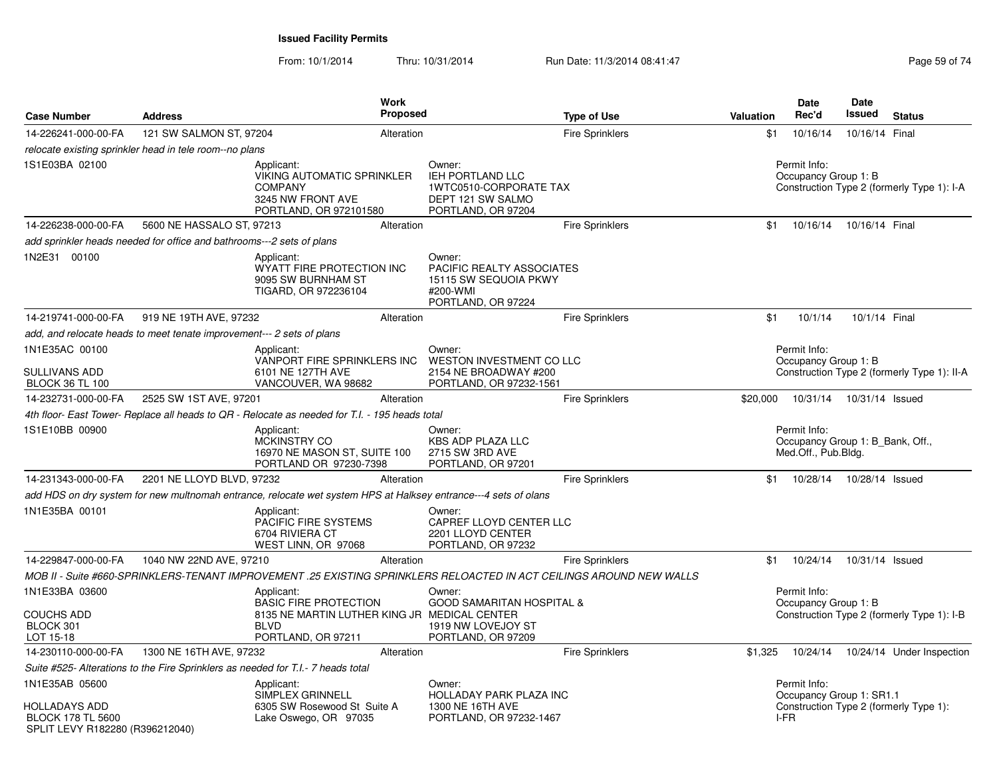| <b>Case Number</b>                                          | <b>Address</b>                                                        | Work<br><b>Proposed</b>                                                                                                         |                                                                                                 | <b>Type of Use</b>     | <b>Valuation</b> | Date<br>Rec'd                                           | Date<br>Issued  | <b>Status</b>                               |
|-------------------------------------------------------------|-----------------------------------------------------------------------|---------------------------------------------------------------------------------------------------------------------------------|-------------------------------------------------------------------------------------------------|------------------------|------------------|---------------------------------------------------------|-----------------|---------------------------------------------|
| 14-226241-000-00-FA                                         | 121 SW SALMON ST, 97204                                               | Alteration                                                                                                                      |                                                                                                 | <b>Fire Sprinklers</b> | \$1              | 10/16/14                                                | 10/16/14 Final  |                                             |
|                                                             | relocate existing sprinkler head in tele room--no plans               |                                                                                                                                 |                                                                                                 |                        |                  |                                                         |                 |                                             |
| 1S1E03BA 02100                                              |                                                                       | Applicant:<br><b>VIKING AUTOMATIC SPRINKLER</b><br><b>COMPANY</b><br>3245 NW FRONT AVE<br>PORTLAND, OR 972101580                | Owner:<br>IEH PORTLAND LLC<br>1WTC0510-CORPORATE TAX<br>DEPT 121 SW SALMO<br>PORTLAND, OR 97204 |                        |                  | Permit Info:<br>Occupancy Group 1: B                    |                 | Construction Type 2 (formerly Type 1): I-A  |
| 14-226238-000-00-FA                                         | 5600 NE HASSALO ST, 97213                                             | Alteration                                                                                                                      |                                                                                                 | <b>Fire Sprinklers</b> | \$1              | 10/16/14                                                | 10/16/14 Final  |                                             |
|                                                             | add sprinkler heads needed for office and bathrooms---2 sets of plans |                                                                                                                                 |                                                                                                 |                        |                  |                                                         |                 |                                             |
| 1N2E31 00100                                                |                                                                       | Applicant:<br>WYATT FIRE PROTECTION INC<br>9095 SW BURNHAM ST<br>TIGARD, OR 972236104                                           | Owner:<br>PACIFIC REALTY ASSOCIATES<br>15115 SW SEQUOIA PKWY<br>#200-WMI<br>PORTLAND, OR 97224  |                        |                  |                                                         |                 |                                             |
| 14-219741-000-00-FA                                         | 919 NE 19TH AVE, 97232                                                | Alteration                                                                                                                      |                                                                                                 | Fire Sprinklers        | \$1              | 10/1/14                                                 | 10/1/14 Final   |                                             |
|                                                             | add, and relocate heads to meet tenate improvement--- 2 sets of plans |                                                                                                                                 |                                                                                                 |                        |                  |                                                         |                 |                                             |
| 1N1E35AC 00100<br>SULLIVANS ADD                             |                                                                       | Applicant:<br>VANPORT FIRE SPRINKLERS INC<br>6101 NE 127TH AVE                                                                  | Owner:<br><b>WESTON INVESTMENT CO LLC</b><br>2154 NE BROADWAY #200                              |                        |                  | Permit Info:<br>Occupancy Group 1: B                    |                 | Construction Type 2 (formerly Type 1): II-A |
| <b>BLOCK 36 TL 100</b>                                      |                                                                       | VANCOUVER, WA 98682                                                                                                             | PORTLAND, OR 97232-1561                                                                         |                        |                  |                                                         |                 |                                             |
| 14-232731-000-00-FA                                         | 2525 SW 1ST AVE, 97201                                                | Alteration                                                                                                                      |                                                                                                 | <b>Fire Sprinklers</b> | \$20,000         | 10/31/14                                                | 10/31/14 Issued |                                             |
|                                                             |                                                                       | 4th floor- East Tower- Replace all heads to QR - Relocate as needed for T.I. - 195 heads total                                  |                                                                                                 |                        |                  | Permit Info:                                            |                 |                                             |
| 1S1E10BB 00900                                              |                                                                       | Applicant:<br>MCKINSTRY CO<br>16970 NE MASON ST, SUITE 100<br>PORTLAND OR 97230-7398                                            | Owner:<br><b>KBS ADP PLAZA LLC</b><br>2715 SW 3RD AVE<br>PORTLAND, OR 97201                     |                        |                  | Occupancy Group 1: B_Bank, Off.,<br>Med.Off., Pub.Bldg. |                 |                                             |
| 14-231343-000-00-FA                                         | 2201 NE LLOYD BLVD, 97232                                             | Alteration                                                                                                                      |                                                                                                 | <b>Fire Sprinklers</b> | \$1              | 10/28/14                                                | 10/28/14 Issued |                                             |
|                                                             |                                                                       | add HDS on dry system for new multnomah entrance, relocate wet system HPS at Halksey entrance---4 sets of olans                 |                                                                                                 |                        |                  |                                                         |                 |                                             |
| 1N1E35BA 00101                                              |                                                                       | Applicant:<br>PACIFIC FIRE SYSTEMS<br>6704 RIVIERA CT<br>WEST LINN, OR 97068                                                    | Owner:<br>CAPREF LLOYD CENTER LLC<br>2201 LLOYD CENTER<br>PORTLAND, OR 97232                    |                        |                  |                                                         |                 |                                             |
| 14-229847-000-00-FA                                         | 1040 NW 22ND AVE, 97210                                               | Alteration                                                                                                                      |                                                                                                 | <b>Fire Sprinklers</b> | \$1              | 10/24/14                                                | 10/31/14 Issued |                                             |
|                                                             |                                                                       | MOB II - Suite #660-SPRINKLERS-TENANT IMPROVEMENT .25 EXISTING SPRINKLERS RELOACTED IN ACT CEILINGS AROUND NEW WALLS            |                                                                                                 |                        |                  |                                                         |                 |                                             |
| 1N1E33BA 03600<br>COUCHS ADD<br>BLOCK 301<br>LOT 15-18      |                                                                       | Applicant:<br><b>BASIC FIRE PROTECTION</b><br>8135 NE MARTIN LUTHER KING JR MEDICAL CENTER<br><b>BLVD</b><br>PORTLAND, OR 97211 | Owner:<br><b>GOOD SAMARITAN HOSPITAL &amp;</b><br>1919 NW LOVEJOY ST<br>PORTLAND, OR 97209      |                        |                  | Permit Info:<br>Occupancy Group 1: B                    |                 | Construction Type 2 (formerly Type 1): I-B  |
| 14-230110-000-00-FA                                         | 1300 NE 16TH AVE, 97232                                               | Alteration                                                                                                                      |                                                                                                 | <b>Fire Sprinklers</b> | \$1,325          | 10/24/14                                                |                 | 10/24/14 Under Inspection                   |
|                                                             |                                                                       | Suite #525- Alterations to the Fire Sprinklers as needed for T.I.- 7 heads total                                                |                                                                                                 |                        |                  |                                                         |                 |                                             |
| 1N1E35AB 05600<br>HOLLADAYS ADD<br><b>BLOCK 178 TL 5600</b> |                                                                       | Applicant:<br>SIMPLEX GRINNELL<br>6305 SW Rosewood St Suite A<br>Lake Oswego, OR 97035                                          | Owner:<br>HOLLADAY PARK PLAZA INC<br>1300 NE 16TH AVE<br>PORTLAND, OR 97232-1467                |                        |                  | Permit Info:<br>Occupancy Group 1: SR1.1<br>I-FR        |                 | Construction Type 2 (formerly Type 1):      |
| SPLIT LEVY R182280 (R396212040)                             |                                                                       |                                                                                                                                 |                                                                                                 |                        |                  |                                                         |                 |                                             |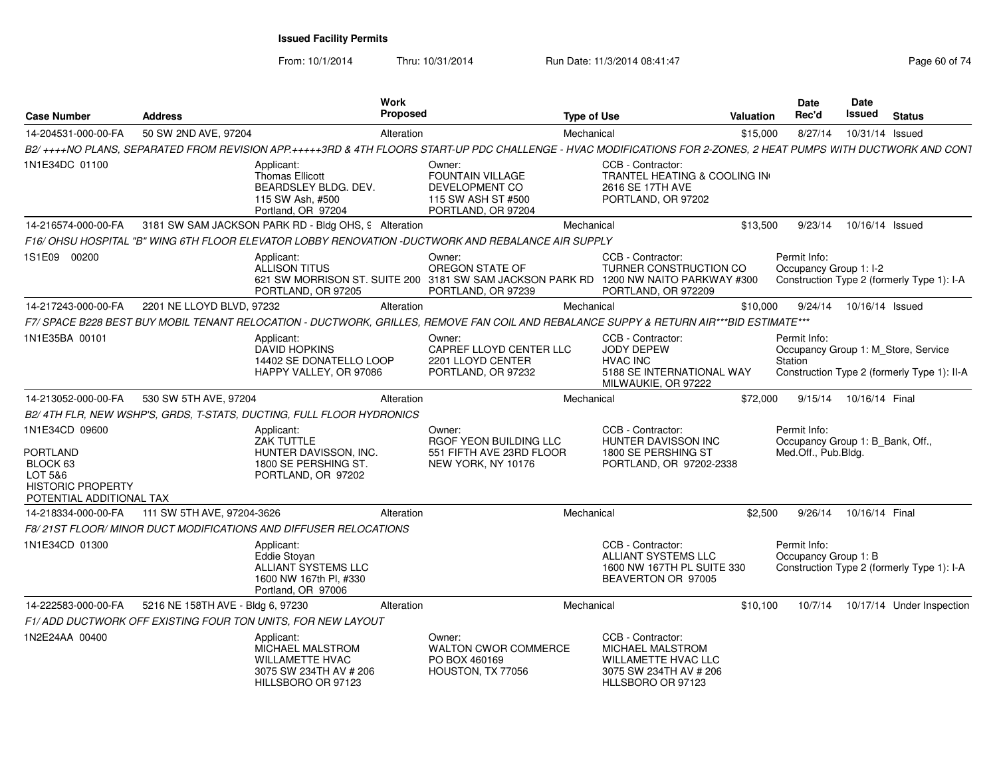From: 10/1/2014

Thru: 10/31/2014 Run Date: 11/3/2014 08:41:47 Rege 60 of 74

| <b>Case Number</b>                                                                                        | <b>Address</b>                    |                                                                                                                 | Work<br>Proposed |                                                                                                                                                                 | <b>Type of Use</b> |                                                                                                                    | <b>Valuation</b> | Date<br>Rec'd                                                           | Date<br>Issued            | <b>Status</b>                                                                      |
|-----------------------------------------------------------------------------------------------------------|-----------------------------------|-----------------------------------------------------------------------------------------------------------------|------------------|-----------------------------------------------------------------------------------------------------------------------------------------------------------------|--------------------|--------------------------------------------------------------------------------------------------------------------|------------------|-------------------------------------------------------------------------|---------------------------|------------------------------------------------------------------------------------|
| 14-204531-000-00-FA                                                                                       | 50 SW 2ND AVE, 97204              |                                                                                                                 | Alteration       |                                                                                                                                                                 | Mechanical         |                                                                                                                    | \$15,000         | 8/27/14                                                                 | 10/31/14 Issued           |                                                                                    |
|                                                                                                           |                                   |                                                                                                                 |                  | B2/++++NO PLANS, SEPARATED FROM REVISION APP.+++++3RD & 4TH FLOORS START-UP PDC CHALLENGE - HVAC MODIFICATIONS FOR 2-ZONES, 2 HEAT PUMPS WITH DUCTWORK AND CONT |                    |                                                                                                                    |                  |                                                                         |                           |                                                                                    |
| 1N1E34DC 01100                                                                                            |                                   | Applicant:<br><b>Thomas Ellicott</b><br>BEARDSLEY BLDG. DEV.<br>115 SW Ash, #500<br>Portland, OR 97204          |                  | Owner:<br><b>FOUNTAIN VILLAGE</b><br>DEVELOPMENT CO<br>115 SW ASH ST #500<br>PORTLAND, OR 97204                                                                 |                    | CCB - Contractor:<br>TRANTEL HEATING & COOLING IN<br>2616 SE 17TH AVE<br>PORTLAND, OR 97202                        |                  |                                                                         |                           |                                                                                    |
| 14-216574-000-00-FA                                                                                       |                                   | 3181 SW SAM JACKSON PARK RD - Bldg OHS, 9 Alteration                                                            |                  |                                                                                                                                                                 | Mechanical         |                                                                                                                    | \$13,500         | 9/23/14                                                                 | 10/16/14 Issued           |                                                                                    |
|                                                                                                           |                                   |                                                                                                                 |                  | F16/ OHSU HOSPITAL "B" WING 6TH FLOOR ELEVATOR LOBBY RENOVATION -DUCTWORK AND REBALANCE AIR SUPPLY                                                              |                    |                                                                                                                    |                  |                                                                         |                           |                                                                                    |
| 1S1E09 00200                                                                                              |                                   | Applicant:<br><b>ALLISON TITUS</b><br>PORTLAND, OR 97205                                                        |                  | Owner:<br>OREGON STATE OF<br>621 SW MORRISON ST, SUITE 200 3181 SW SAM JACKSON PARK RD<br>PORTLAND, OR 97239                                                    |                    | CCB - Contractor:<br><b>TURNER CONSTRUCTION CO</b><br>1200 NW NAITO PARKWAY #300<br>PORTLAND, OR 972209            |                  | Permit Info:<br>Occupancy Group 1: I-2                                  |                           | Construction Type 2 (formerly Type 1): I-A                                         |
| 14-217243-000-00-FA                                                                                       | 2201 NE LLOYD BLVD, 97232         |                                                                                                                 | Alteration       |                                                                                                                                                                 | Mechanical         |                                                                                                                    | \$10,000         |                                                                         | 9/24/14  10/16/14  Issued |                                                                                    |
|                                                                                                           |                                   |                                                                                                                 |                  | F7/ SPACE B228 BEST BUY MOBIL TENANT RELOCATION - DUCTWORK, GRILLES, REMOVE FAN COIL AND REBALANCE SUPPY & RETURN AIR***BID ESTIMATE***                         |                    |                                                                                                                    |                  |                                                                         |                           |                                                                                    |
| 1N1E35BA 00101                                                                                            |                                   | Applicant:<br><b>DAVID HOPKINS</b><br>14402 SE DONATELLO LOOP<br>HAPPY VALLEY, OR 97086                         |                  | Owner:<br>CAPREF LLOYD CENTER LLC<br>2201 LLOYD CENTER<br>PORTLAND, OR 97232                                                                                    |                    | CCB - Contractor:<br><b>JODY DEPEW</b><br><b>HVAC INC</b><br>5188 SE INTERNATIONAL WAY<br>MILWAUKIE, OR 97222      |                  | Permit Info:<br>Station                                                 |                           | Occupancy Group 1: M Store, Service<br>Construction Type 2 (formerly Type 1): II-A |
| 14-213052-000-00-FA                                                                                       | 530 SW 5TH AVE, 97204             |                                                                                                                 | Alteration       |                                                                                                                                                                 | Mechanical         |                                                                                                                    | \$72,000         |                                                                         | 9/15/14 10/16/14 Final    |                                                                                    |
|                                                                                                           |                                   | B2/4TH FLR, NEW WSHP'S, GRDS, T-STATS, DUCTING, FULL FLOOR HYDRONICS                                            |                  |                                                                                                                                                                 |                    |                                                                                                                    |                  |                                                                         |                           |                                                                                    |
| 1N1E34CD 09600<br>PORTLAND<br>BLOCK 63<br>LOT 5&6<br><b>HISTORIC PROPERTY</b><br>POTENTIAL ADDITIONAL TAX |                                   | Applicant:<br>ZAK TUTTLE<br>HUNTER DAVISSON, INC.<br>1800 SE PERSHING ST.<br>PORTLAND, OR 97202                 |                  | Owner:<br>RGOF YEON BUILDING LLC<br>551 FIFTH AVE 23RD FLOOR<br>NEW YORK, NY 10176                                                                              |                    | CCB - Contractor:<br><b>HUNTER DAVISSON INC</b><br>1800 SE PERSHING ST<br>PORTLAND, OR 97202-2338                  |                  | Permit Info:<br>Occupancy Group 1: B_Bank, Off.,<br>Med.Off., Pub.Bldg. |                           |                                                                                    |
| 14-218334-000-00-FA                                                                                       | 111 SW 5TH AVE, 97204-3626        |                                                                                                                 | Alteration       |                                                                                                                                                                 | Mechanical         |                                                                                                                    | \$2,500          | 9/26/14                                                                 | 10/16/14 Final            |                                                                                    |
|                                                                                                           |                                   | F8/21ST FLOOR/MINOR DUCT MODIFICATIONS AND DIFFUSER RELOCATIONS                                                 |                  |                                                                                                                                                                 |                    |                                                                                                                    |                  |                                                                         |                           |                                                                                    |
| 1N1E34CD 01300                                                                                            |                                   | Applicant:<br>Eddie Stovan<br><b>ALLIANT SYSTEMS LLC</b><br>1600 NW 167th Pl. #330<br>Portland, OR 97006        |                  |                                                                                                                                                                 |                    | CCB - Contractor:<br>ALLIANT SYSTEMS LLC<br>1600 NW 167TH PL SUITE 330<br>BEAVERTON OR 97005                       |                  | Permit Info:<br>Occupancy Group 1: B                                    |                           | Construction Type 2 (formerly Type 1): I-A                                         |
| 14-222583-000-00-FA                                                                                       | 5216 NE 158TH AVE - Bldg 6, 97230 |                                                                                                                 | Alteration       |                                                                                                                                                                 | Mechanical         |                                                                                                                    | \$10,100         | 10/7/14                                                                 |                           | 10/17/14 Under Inspection                                                          |
|                                                                                                           |                                   | F1/ADD DUCTWORK OFF EXISTING FOUR TON UNITS, FOR NEW LAYOUT                                                     |                  |                                                                                                                                                                 |                    |                                                                                                                    |                  |                                                                         |                           |                                                                                    |
| 1N2E24AA 00400                                                                                            |                                   | Applicant:<br><b>MICHAEL MALSTROM</b><br><b>WILLAMETTE HVAC</b><br>3075 SW 234TH AV # 206<br>HILLSBORO OR 97123 |                  | Owner:<br><b>WALTON CWOR COMMERCE</b><br>PO BOX 460169<br>HOUSTON, TX 77056                                                                                     |                    | CCB - Contractor:<br>MICHAEL MALSTROM<br><b>WILLAMETTE HVAC LLC</b><br>3075 SW 234TH AV # 206<br>HLLSBORO OR 97123 |                  |                                                                         |                           |                                                                                    |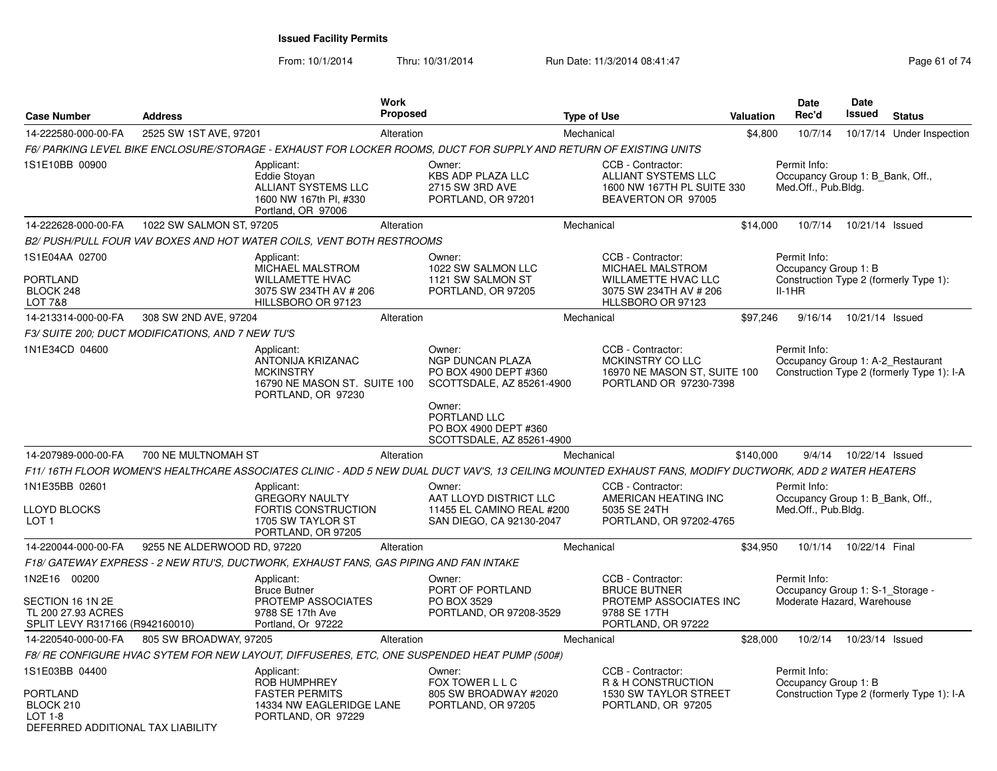From: 10/1/2014

Thru: 10/31/2014 Run Date: 11/3/2014 08:41:47 Rege 61 of 74

| <b>Case Number</b>                                                                        | <b>Address</b>                                    |                                                                                                              | <b>Work</b><br><b>Proposed</b> |                                                                                                                                                        | <b>Type of Use</b> |                                                                                                             | <b>Valuation</b> | Date<br>Rec'd                                                                              | Date<br>Issued  | <b>Status</b>                              |
|-------------------------------------------------------------------------------------------|---------------------------------------------------|--------------------------------------------------------------------------------------------------------------|--------------------------------|--------------------------------------------------------------------------------------------------------------------------------------------------------|--------------------|-------------------------------------------------------------------------------------------------------------|------------------|--------------------------------------------------------------------------------------------|-----------------|--------------------------------------------|
| 14-222580-000-00-FA                                                                       | 2525 SW 1ST AVE, 97201                            |                                                                                                              | Alteration                     |                                                                                                                                                        | Mechanical         |                                                                                                             | \$4,800          | 10/7/14                                                                                    |                 | 10/17/14 Under Inspection                  |
|                                                                                           |                                                   |                                                                                                              |                                | F6/ PARKING LEVEL BIKE ENCLOSURE/STORAGE - EXHAUST FOR LOCKER ROOMS. DUCT FOR SUPPLY AND RETURN OF EXISTING UNITS                                      |                    |                                                                                                             |                  |                                                                                            |                 |                                            |
| 1S1E10BB 00900                                                                            |                                                   | Applicant:<br>Eddie Stoyan<br>ALLIANT SYSTEMS LLC<br>1600 NW 167th Pl. #330<br>Portland, OR 97006            |                                | Owner:<br><b>KBS ADP PLAZA LLC</b><br>2715 SW 3RD AVE<br>PORTLAND, OR 97201                                                                            |                    | CCB - Contractor:<br>ALLIANT SYSTEMS LLC<br>1600 NW 167TH PL SUITE 330<br>BEAVERTON OR 97005                |                  | Permit Info:<br>Occupancy Group 1: B_Bank, Off.,<br>Med.Off., Pub.Bldg.                    |                 |                                            |
| 14-222628-000-00-FA                                                                       | 1022 SW SALMON ST, 97205                          |                                                                                                              | Alteration                     |                                                                                                                                                        | Mechanical         |                                                                                                             | \$14,000         | 10/7/14                                                                                    | 10/21/14 Issued |                                            |
|                                                                                           |                                                   | B2/ PUSH/PULL FOUR VAV BOXES AND HOT WATER COILS, VENT BOTH RESTROOMS                                        |                                |                                                                                                                                                        |                    |                                                                                                             |                  |                                                                                            |                 |                                            |
| 1S1E04AA 02700<br>PORTLAND<br>BLOCK 248<br>LOT 7&8                                        |                                                   | Applicant:<br>MICHAEL MALSTROM<br><b>WILLAMETTE HVAC</b><br>3075 SW 234TH AV # 206<br>HILLSBORO OR 97123     |                                | Owner:<br>1022 SW SALMON LLC<br>1121 SW SALMON ST<br>PORTLAND, OR 97205                                                                                |                    | CCB - Contractor:<br>MICHAEL MALSTROM<br>WILLAMETTE HVAC LLC<br>3075 SW 234TH AV # 206<br>HLLSBORO OR 97123 |                  | Permit Info:<br>Occupancy Group 1: B<br>Construction Type 2 (formerly Type 1):<br>$II-1HR$ |                 |                                            |
| 14-213314-000-00-FA                                                                       | 308 SW 2ND AVE, 97204                             |                                                                                                              | Alteration                     |                                                                                                                                                        | Mechanical         |                                                                                                             | \$97,246         | 9/16/14                                                                                    | 10/21/14 Issued |                                            |
|                                                                                           | F3/ SUITE 200; DUCT MODIFICATIONS, AND 7 NEW TU'S |                                                                                                              |                                |                                                                                                                                                        |                    |                                                                                                             |                  |                                                                                            |                 |                                            |
| 1N1E34CD 04600                                                                            |                                                   | Applicant:<br>ANTONIJA KRIZANAC<br><b>MCKINSTRY</b><br>16790 NE MASON ST. SUITE 100<br>PORTLAND, OR 97230    |                                | Owner:<br>NGP DUNCAN PLAZA<br>PO BOX 4900 DEPT #360<br>SCOTTSDALE, AZ 85261-4900                                                                       |                    | CCB - Contractor:<br>MCKINSTRY CO LLC<br>16970 NE MASON ST, SUITE 100<br>PORTLAND OR 97230-7398             |                  | Permit Info:<br>Occupancy Group 1: A-2_Restaurant                                          |                 | Construction Type 2 (formerly Type 1): I-A |
|                                                                                           |                                                   |                                                                                                              |                                | Owner:<br>PORTLAND LLC<br>PO BOX 4900 DEPT #360<br>SCOTTSDALE, AZ 85261-4900                                                                           |                    |                                                                                                             |                  |                                                                                            |                 |                                            |
| 14-207989-000-00-FA                                                                       | 700 NE MULTNOMAH ST                               |                                                                                                              | Alteration                     |                                                                                                                                                        | Mechanical         |                                                                                                             | \$140,000        | 9/4/14                                                                                     | 10/22/14 Issued |                                            |
|                                                                                           |                                                   |                                                                                                              |                                | F11/16TH FLOOR WOMEN'S HEALTHCARE ASSOCIATES CLINIC - ADD 5 NEW DUAL DUCT VAV'S, 13 CEILING MOUNTED EXHAUST FANS, MODIFY DUCTWORK, ADD 2 WATER HEATERS |                    |                                                                                                             |                  |                                                                                            |                 |                                            |
| 1N1E35BB 02601                                                                            |                                                   | Applicant:                                                                                                   |                                | Owner:                                                                                                                                                 |                    | CCB - Contractor:                                                                                           |                  | Permit Info:                                                                               |                 |                                            |
| <b>LLOYD BLOCKS</b><br>LOT <sub>1</sub>                                                   |                                                   | <b>GREGORY NAULTY</b><br>FORTIS CONSTRUCTION<br>1705 SW TAYLOR ST<br>PORTLAND, OR 97205                      |                                | AAT LLOYD DISTRICT LLC<br>11455 EL CAMINO REAL #200<br>SAN DIEGO, CA 92130-2047                                                                        |                    | AMERICAN HEATING INC<br>5035 SE 24TH<br>PORTLAND, OR 97202-4765                                             |                  | Occupancy Group 1: B Bank, Off.,<br>Med.Off., Pub.Bldg.                                    |                 |                                            |
| 14-220044-000-00-FA                                                                       | 9255 NE ALDERWOOD RD, 97220                       |                                                                                                              | Alteration                     |                                                                                                                                                        | Mechanical         |                                                                                                             | \$34,950         | 10/1/14                                                                                    | 10/22/14 Final  |                                            |
|                                                                                           |                                                   | F18/ GATEWAY EXPRESS - 2 NEW RTU'S, DUCTWORK, EXHAUST FANS, GAS PIPING AND FAN INTAKE                        |                                |                                                                                                                                                        |                    |                                                                                                             |                  |                                                                                            |                 |                                            |
| 1N2E16 00200<br>SECTION 16 1N 2E<br>TL 200 27.93 ACRES<br>SPLIT LEVY R317166 (R942160010) |                                                   | Applicant:<br><b>Bruce Butner</b><br>PROTEMP ASSOCIATES<br>9788 SE 17th Ave<br>Portland, Or 97222            |                                | Owner:<br>PORT OF PORTLAND<br>PO BOX 3529<br>PORTLAND, OR 97208-3529                                                                                   |                    | CCB - Contractor:<br><b>BRUCE BUTNER</b><br>PROTEMP ASSOCIATES INC<br>9788 SE 17TH<br>PORTLAND, OR 97222    |                  | Permit Info:<br>Occupancy Group 1: S-1_Storage -<br>Moderate Hazard, Warehouse             |                 |                                            |
| 14-220540-000-00-FA                                                                       | 805 SW BROADWAY, 97205                            |                                                                                                              | Alteration                     |                                                                                                                                                        | Mechanical         |                                                                                                             | \$28,000         | 10/2/14                                                                                    | 10/23/14 Issued |                                            |
|                                                                                           |                                                   |                                                                                                              |                                | F8/ RE CONFIGURE HVAC SYTEM FOR NEW LAYOUT, DIFFUSERES, ETC, ONE SUSPENDED HEAT PUMP (500#)                                                            |                    |                                                                                                             |                  |                                                                                            |                 |                                            |
| 1S1E03BB 04400<br>PORTLAND<br>BLOCK 210<br>$LOT 1-8$                                      |                                                   | Applicant:<br><b>ROB HUMPHREY</b><br><b>FASTER PERMITS</b><br>14334 NW EAGLERIDGE LANE<br>PORTLAND, OR 97229 |                                | Owner:<br>FOX TOWER L L C<br>805 SW BROADWAY #2020<br>PORTLAND, OR 97205                                                                               |                    | CCB - Contractor:<br>R & H CONSTRUCTION<br>1530 SW TAYLOR STREET<br>PORTLAND, OR 97205                      |                  | Permit Info:<br>Occupancy Group 1: B                                                       |                 | Construction Type 2 (formerly Type 1): I-A |
| DEFERRED ADDITIONAL TAX LIABILITY                                                         |                                                   |                                                                                                              |                                |                                                                                                                                                        |                    |                                                                                                             |                  |                                                                                            |                 |                                            |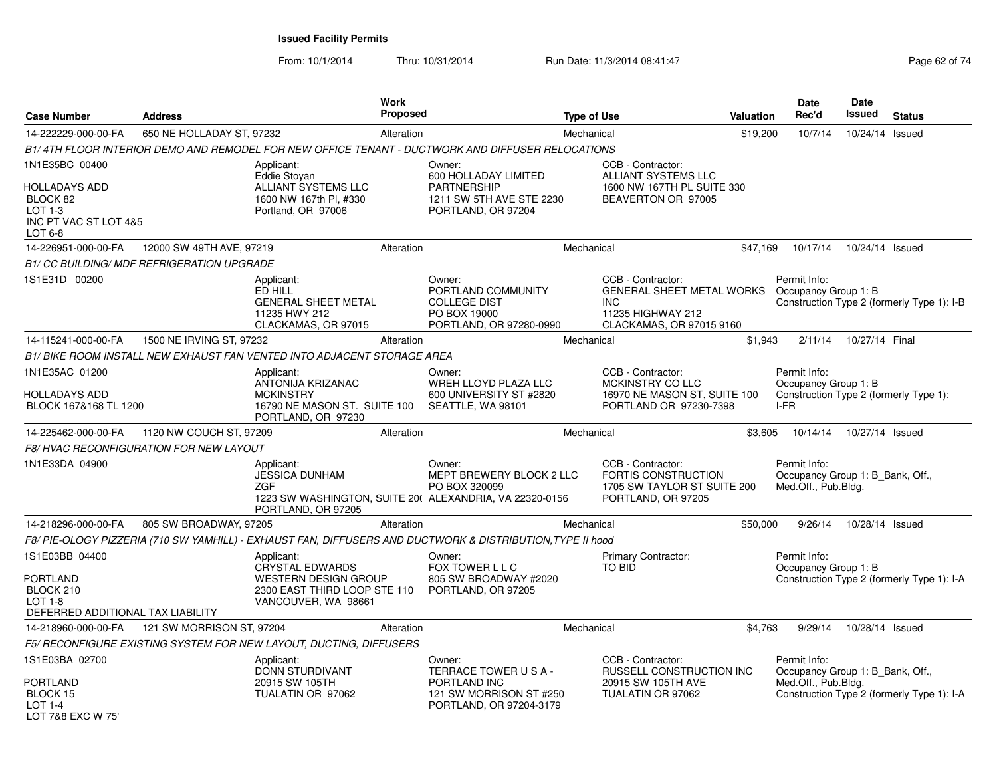From: 10/1/2014Thru: 10/31/2014 Run Date: 11/3/2014 08:41:47 Rege 62 of 74

| <b>Case Number</b>                                                                             | <b>Address</b>                                    |                                                                                                                            | Work<br><b>Proposed</b> |                                                                                                                | <b>Type of Use</b> |                                                                                                                      | Valuation | <b>Date</b><br>Rec'd                                                                   | <b>Date</b><br>Issued | <b>Status</b>                              |
|------------------------------------------------------------------------------------------------|---------------------------------------------------|----------------------------------------------------------------------------------------------------------------------------|-------------------------|----------------------------------------------------------------------------------------------------------------|--------------------|----------------------------------------------------------------------------------------------------------------------|-----------|----------------------------------------------------------------------------------------|-----------------------|--------------------------------------------|
| 14-222229-000-00-FA                                                                            | 650 NE HOLLADAY ST, 97232                         |                                                                                                                            | Alteration              |                                                                                                                | Mechanical         |                                                                                                                      | \$19,200  | 10/7/14                                                                                | 10/24/14              | Issued                                     |
|                                                                                                |                                                   | B1/4TH FLOOR INTERIOR DEMO AND REMODEL FOR NEW OFFICE TENANT - DUCTWORK AND DIFFUSER RELOCATIONS                           |                         |                                                                                                                |                    |                                                                                                                      |           |                                                                                        |                       |                                            |
| 1N1E35BC 00400<br>HOLLADAYS ADD<br>BLOCK 82<br>$LOT 1-3$<br>INC PT VAC ST LOT 4&5<br>LOT 6-8   |                                                   | Applicant:<br>Eddie Stovan<br>ALLIANT SYSTEMS LLC<br>1600 NW 167th PI, #330<br>Portland, OR 97006                          |                         | Owner:<br>600 HOLLADAY LIMITED<br><b>PARTNERSHIP</b><br>1211 SW 5TH AVE STE 2230<br>PORTLAND, OR 97204         |                    | CCB - Contractor:<br>ALLIANT SYSTEMS LLC<br>1600 NW 167TH PL SUITE 330<br>BEAVERTON OR 97005                         |           |                                                                                        |                       |                                            |
| 14-226951-000-00-FA                                                                            | 12000 SW 49TH AVE, 97219                          |                                                                                                                            | Alteration              |                                                                                                                | Mechanical         |                                                                                                                      | \$47,169  | 10/17/14                                                                               | 10/24/14 Issued       |                                            |
|                                                                                                | <b>B1/ CC BUILDING/ MDF REFRIGERATION UPGRADE</b> |                                                                                                                            |                         |                                                                                                                |                    |                                                                                                                      |           |                                                                                        |                       |                                            |
| 1S1E31D 00200                                                                                  |                                                   | Applicant:<br>ED HILL<br><b>GENERAL SHEET METAL</b><br>11235 HWY 212<br>CLACKAMAS, OR 97015                                |                         | Owner:<br>PORTLAND COMMUNITY<br><b>COLLEGE DIST</b><br>PO BOX 19000<br>PORTLAND, OR 97280-0990                 |                    | CCB - Contractor:<br><b>GENERAL SHEET METAL WORKS</b><br><b>INC</b><br>11235 HIGHWAY 212<br>CLACKAMAS, OR 97015 9160 |           | Permit Info:<br>Occupancy Group 1: B                                                   |                       | Construction Type 2 (formerly Type 1): I-B |
| 14-115241-000-00-FA                                                                            | 1500 NE IRVING ST, 97232                          |                                                                                                                            | Alteration              |                                                                                                                | Mechanical         |                                                                                                                      | \$1,943   | 2/11/14                                                                                | 10/27/14 Final        |                                            |
|                                                                                                |                                                   | B1/ BIKE ROOM INSTALL NEW EXHAUST FAN VENTED INTO ADJACENT STORAGE AREA                                                    |                         |                                                                                                                |                    |                                                                                                                      |           |                                                                                        |                       |                                            |
| 1N1E35AC 01200<br>HOLLADAYS ADD<br>BLOCK 167&168 TL 1200                                       |                                                   | Applicant:<br>ANTONIJA KRIZANAC<br><b>MCKINSTRY</b><br>16790 NE MASON ST. SUITE 100<br>PORTLAND, OR 97230                  |                         | Owner:<br>WREH LLOYD PLAZA LLC<br>600 UNIVERSITY ST #2820<br>SEATTLE, WA 98101                                 |                    | CCB - Contractor:<br>MCKINSTRY CO LLC<br>16970 NE MASON ST, SUITE 100<br>PORTLAND OR 97230-7398                      |           | Permit Info:<br>Occupancy Group 1: B<br>Construction Type 2 (formerly Type 1):<br>I-FR |                       |                                            |
| 14-225462-000-00-FA                                                                            | 1120 NW COUCH ST, 97209                           |                                                                                                                            | Alteration              |                                                                                                                | Mechanical         |                                                                                                                      | \$3,605   | 10/14/14                                                                               | 10/27/14 Issued       |                                            |
|                                                                                                | <b>F8/ HVAC RECONFIGURATION FOR NEW LAYOUT</b>    |                                                                                                                            |                         |                                                                                                                |                    |                                                                                                                      |           |                                                                                        |                       |                                            |
| 1N1E33DA 04900                                                                                 |                                                   | Applicant:<br>JESSICA DUNHAM<br><b>ZGF</b><br>PORTLAND, OR 97205                                                           |                         | Owner:<br>MEPT BREWERY BLOCK 2 LLC<br>PO BOX 320099<br>1223 SW WASHINGTON, SUITE 20( ALEXANDRIA, VA 22320-0156 |                    | CCB - Contractor:<br>FORTIS CONSTRUCTION<br>1705 SW TAYLOR ST SUITE 200<br>PORTLAND, OR 97205                        |           | Permit Info:<br>Occupancy Group 1: B_Bank, Off.,<br>Med.Off., Pub.Bldg.                |                       |                                            |
| 14-218296-000-00-FA                                                                            | 805 SW BROADWAY, 97205                            |                                                                                                                            | Alteration              |                                                                                                                | Mechanical         |                                                                                                                      | \$50,000  | 9/26/14                                                                                | 10/28/14 Issued       |                                            |
|                                                                                                |                                                   | F8/ PIE-OLOGY PIZZERIA (710 SW YAMHILL) - EXHAUST FAN, DIFFUSERS AND DUCTWORK & DISTRIBUTION, TYPE II hood                 |                         |                                                                                                                |                    |                                                                                                                      |           |                                                                                        |                       |                                            |
| 1S1E03BB 04400<br>PORTLAND<br>BLOCK 210<br><b>LOT 1-8</b><br>DEFERRED ADDITIONAL TAX LIABILITY |                                                   | Applicant:<br><b>CRYSTAL EDWARDS</b><br><b>WESTERN DESIGN GROUP</b><br>2300 EAST THIRD LOOP STE 110<br>VANCOUVER, WA 98661 |                         | Owner:<br>FOX TOWER L L C<br>805 SW BROADWAY #2020<br>PORTLAND, OR 97205                                       |                    | Primary Contractor:<br><b>TO BID</b>                                                                                 |           | Permit Info:<br>Occupancy Group 1: B                                                   |                       | Construction Type 2 (formerly Type 1): I-A |
| 14-218960-000-00-FA                                                                            | 121 SW MORRISON ST, 97204                         |                                                                                                                            | Alteration              |                                                                                                                | Mechanical         |                                                                                                                      | \$4,763   | 9/29/14                                                                                | 10/28/14 Issued       |                                            |
|                                                                                                |                                                   | F5/ RECONFIGURE EXISTING SYSTEM FOR NEW LAYOUT, DUCTING, DIFFUSERS                                                         |                         |                                                                                                                |                    |                                                                                                                      |           |                                                                                        |                       |                                            |
| 1S1E03BA 02700<br><b>PORTLAND</b><br>BLOCK 15<br>$LOT 1-4$<br>LOT 7&8 EXC W 75'                |                                                   | Applicant:<br>DONN STURDIVANT<br>20915 SW 105TH<br>TUALATIN OR 97062                                                       |                         | Owner:<br>TERRACE TOWER USA-<br>PORTLAND INC<br>121 SW MORRISON ST #250<br>PORTLAND, OR 97204-3179             |                    | CCB - Contractor:<br>RUSSELL CONSTRUCTION INC<br>20915 SW 105TH AVE<br>TUALATIN OR 97062                             |           | Permit Info:<br>Occupancy Group 1: B Bank, Off.,<br>Med.Off., Pub.Bldg.                |                       | Construction Type 2 (formerly Type 1): I-A |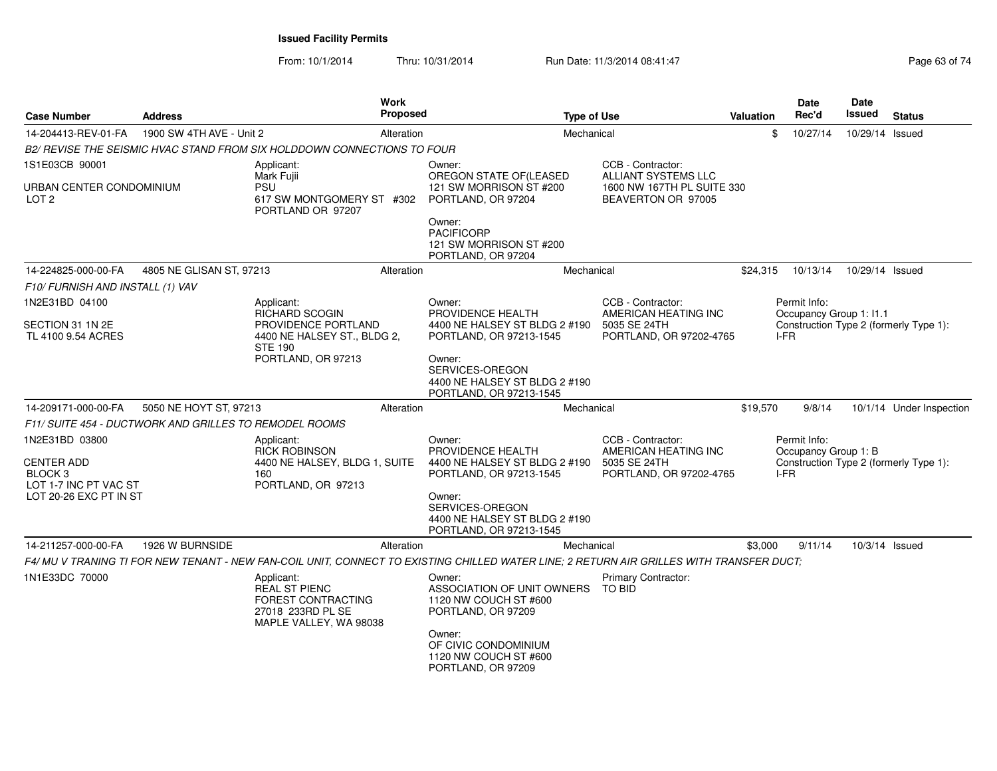From: 10/1/2014Thru: 10/31/2014 Run Date: 11/3/2014 08:41:47 Rege 63 of 74

| <b>Case Number</b>                                                      | <b>Address</b>           | <b>Work</b>                                                                                             | Proposed   | <b>Type of Use</b>                                                                                                                       |                                                                                      | <b>Valuation</b> | <b>Date</b><br>Rec'd                           | Date<br><b>Issued</b> | <b>Status</b>                          |
|-------------------------------------------------------------------------|--------------------------|---------------------------------------------------------------------------------------------------------|------------|------------------------------------------------------------------------------------------------------------------------------------------|--------------------------------------------------------------------------------------|------------------|------------------------------------------------|-----------------------|----------------------------------------|
| 14-204413-REV-01-FA                                                     | 1900 SW 4TH AVE - Unit 2 |                                                                                                         | Alteration | Mechanical                                                                                                                               |                                                                                      | \$               | 10/27/14                                       | 10/29/14 Issued       |                                        |
|                                                                         |                          | B2/ REVISE THE SEISMIC HVAC STAND FROM SIX HOLDDOWN CONNECTIONS TO FOUR                                 |            |                                                                                                                                          |                                                                                      |                  |                                                |                       |                                        |
| 1S1E03CB 90001                                                          |                          | Applicant:<br>Mark Fujii                                                                                |            | Owner:<br>OREGON STATE OF(LEASED                                                                                                         | CCB - Contractor:<br>ALLIANT SYSTEMS LLC                                             |                  |                                                |                       |                                        |
| URBAN CENTER CONDOMINIUM<br>LOT <sub>2</sub>                            |                          | PSU<br>617 SW MONTGOMERY ST #302<br>PORTLAND OR 97207                                                   |            | 121 SW MORRISON ST #200<br>PORTLAND, OR 97204<br>Owner:                                                                                  | 1600 NW 167TH PL SUITE 330<br>BEAVERTON OR 97005                                     |                  |                                                |                       |                                        |
|                                                                         |                          |                                                                                                         |            | <b>PACIFICORP</b><br>121 SW MORRISON ST #200<br>PORTLAND, OR 97204                                                                       |                                                                                      |                  |                                                |                       |                                        |
| 14-224825-000-00-FA                                                     | 4805 NE GLISAN ST, 97213 |                                                                                                         | Alteration | Mechanical                                                                                                                               |                                                                                      | \$24,315         | 10/13/14                                       | 10/29/14 Issued       |                                        |
| F10/ FURNISH AND INSTALL (1) VAV                                        |                          |                                                                                                         |            |                                                                                                                                          |                                                                                      |                  |                                                |                       |                                        |
| 1N2E31BD 04100                                                          |                          | Applicant:<br><b>RICHARD SCOGIN</b>                                                                     |            | Owner:<br>PROVIDENCE HEALTH                                                                                                              | CCB - Contractor:<br>AMERICAN HEATING INC                                            |                  | Permit Info:<br>Occupancy Group 1: I1.1        |                       |                                        |
| SECTION 31 1N 2E<br>TL 4100 9.54 ACRES                                  |                          | PROVIDENCE PORTLAND<br>4400 NE HALSEY ST., BLDG 2,<br><b>STE 190</b>                                    |            | 4400 NE HALSEY ST BLDG 2 #190<br>PORTLAND, OR 97213-1545                                                                                 | 5035 SE 24TH<br>PORTLAND, OR 97202-4765                                              |                  | Construction Type 2 (formerly Type 1):<br>I-FR |                       |                                        |
|                                                                         |                          | PORTLAND, OR 97213                                                                                      |            | Owner:<br>SERVICES-OREGON<br>4400 NE HALSEY ST BLDG 2 #190<br>PORTLAND, OR 97213-1545                                                    |                                                                                      |                  |                                                |                       |                                        |
| 14-209171-000-00-FA                                                     | 5050 NE HOYT ST, 97213   |                                                                                                         | Alteration | Mechanical                                                                                                                               |                                                                                      | \$19,570         | 9/8/14                                         |                       | 10/1/14 Under Inspection               |
| F11/ SUITE 454 - DUCTWORK AND GRILLES TO REMODEL ROOMS                  |                          |                                                                                                         |            |                                                                                                                                          |                                                                                      |                  |                                                |                       |                                        |
| 1N2E31BD 03800<br><b>CENTER ADD</b><br>BLOCK 3<br>LOT 1-7 INC PT VAC ST |                          | Applicant:<br><b>RICK ROBINSON</b><br>4400 NE HALSEY, BLDG 1, SUITE<br>160<br>PORTLAND, OR 97213        |            | Owner:<br>PROVIDENCE HEALTH<br>4400 NE HALSEY ST BLDG 2 #190<br>PORTLAND, OR 97213-1545                                                  | CCB - Contractor:<br>AMERICAN HEATING INC<br>5035 SE 24TH<br>PORTLAND, OR 97202-4765 |                  | Permit Info:<br>Occupancy Group 1: B<br>I-FR   |                       | Construction Type 2 (formerly Type 1): |
| LOT 20-26 EXC PT IN ST                                                  |                          |                                                                                                         |            | Owner:<br>SERVICES-OREGON<br>4400 NE HALSEY ST BLDG 2 #190<br>PORTLAND, OR 97213-1545                                                    |                                                                                      |                  |                                                |                       |                                        |
| 14-211257-000-00-FA                                                     | 1926 W BURNSIDE          |                                                                                                         | Alteration | Mechanical                                                                                                                               |                                                                                      | \$3,000          | 9/11/14                                        | 10/3/14 Issued        |                                        |
|                                                                         |                          |                                                                                                         |            | F4/ MU V TRANING TI FOR NEW TENANT - NEW FAN-COIL UNIT, CONNECT TO EXISTING CHILLED WATER LINE; 2 RETURN AIR GRILLES WITH TRANSFER DUCT; |                                                                                      |                  |                                                |                       |                                        |
| 1N1E33DC 70000                                                          |                          | Applicant:<br><b>REAL ST PIENC</b><br>FOREST CONTRACTING<br>27018 233RD PL SE<br>MAPLE VALLEY, WA 98038 |            | Owner:<br>ASSOCIATION OF UNIT OWNERS<br>1120 NW COUCH ST #600<br>PORTLAND, OR 97209                                                      | <b>Primary Contractor:</b><br><b>TO BID</b>                                          |                  |                                                |                       |                                        |
|                                                                         |                          |                                                                                                         |            | Owner:<br>OF CIVIC CONDOMINIUM<br>1120 NW COUCH ST #600<br>PORTLAND, OR 97209                                                            |                                                                                      |                  |                                                |                       |                                        |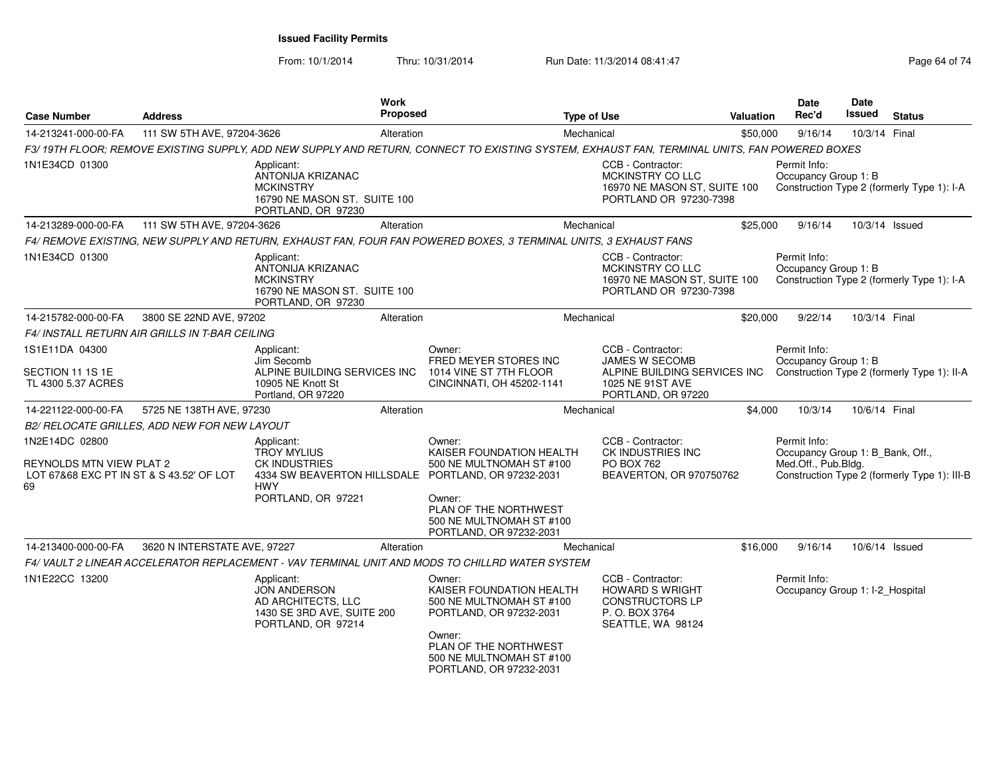From: 10/1/2014

Thru: 10/31/2014 Run Date: 11/3/2014 08:41:47 Rege 64 of 74

| <b>Case Number</b>                                | <b>Address</b>               |                                                                                                                  | Work<br><b>Proposed</b> |                                                                                                                                                                                     | <b>Type of Use</b> |                                                                                                              | <b>Valuation</b> | Date<br>Rec'd                                                           | Date<br>Issued | <b>Status</b>                                |
|---------------------------------------------------|------------------------------|------------------------------------------------------------------------------------------------------------------|-------------------------|-------------------------------------------------------------------------------------------------------------------------------------------------------------------------------------|--------------------|--------------------------------------------------------------------------------------------------------------|------------------|-------------------------------------------------------------------------|----------------|----------------------------------------------|
| 14-213241-000-00-FA                               | 111 SW 5TH AVE, 97204-3626   |                                                                                                                  | Alteration              |                                                                                                                                                                                     | Mechanical         |                                                                                                              | \$50,000         | 9/16/14                                                                 | 10/3/14 Final  |                                              |
|                                                   |                              |                                                                                                                  |                         | F3/19TH FLOOR; REMOVE EXISTING SUPPLY, ADD NEW SUPPLY AND RETURN, CONNECT TO EXISTING SYSTEM, EXHAUST FAN, TERMINAL UNITS, FAN POWERED BOXES                                        |                    |                                                                                                              |                  |                                                                         |                |                                              |
| 1N1E34CD 01300                                    |                              | Applicant:<br>ANTONIJA KRIZANAC<br><b>MCKINSTRY</b><br>16790 NE MASON ST. SUITE 100<br>PORTLAND, OR 97230        |                         |                                                                                                                                                                                     |                    | CCB - Contractor:<br>MCKINSTRY CO LLC<br>16970 NE MASON ST, SUITE 100<br>PORTLAND OR 97230-7398              |                  | Permit Info:<br>Occupancy Group 1: B                                    |                | Construction Type 2 (formerly Type 1): I-A   |
| 14-213289-000-00-FA                               | 111 SW 5TH AVE, 97204-3626   |                                                                                                                  | Alteration              |                                                                                                                                                                                     | Mechanical         |                                                                                                              | \$25,000         | 9/16/14                                                                 |                | 10/3/14 Issued                               |
|                                                   |                              |                                                                                                                  |                         | F4/ REMOVE EXISTING, NEW SUPPLY AND RETURN, EXHAUST FAN, FOUR FAN POWERED BOXES, 3 TERMINAL UNITS, 3 EXHAUST FANS                                                                   |                    |                                                                                                              |                  |                                                                         |                |                                              |
| 1N1E34CD 01300                                    |                              | Applicant:<br><b>ANTONIJA KRIZANAC</b><br><b>MCKINSTRY</b><br>16790 NE MASON ST. SUITE 100<br>PORTLAND, OR 97230 |                         |                                                                                                                                                                                     |                    | CCB - Contractor:<br>MCKINSTRY CO LLC<br>16970 NE MASON ST, SUITE 100<br>PORTLAND OR 97230-7398              |                  | Permit Info:<br>Occupancy Group 1: B                                    |                | Construction Type 2 (formerly Type 1): I-A   |
| 14-215782-000-00-FA                               | 3800 SE 22ND AVE, 97202      |                                                                                                                  | Alteration              |                                                                                                                                                                                     | Mechanical         |                                                                                                              | \$20,000         | 9/22/14                                                                 | 10/3/14 Final  |                                              |
| F4/ INSTALL RETURN AIR GRILLS IN T-BAR CEILING    |                              |                                                                                                                  |                         |                                                                                                                                                                                     |                    |                                                                                                              |                  |                                                                         |                |                                              |
| 1S1E11DA 04300                                    |                              | Applicant:<br>Jim Secomb                                                                                         |                         | Owner:<br>FRED MEYER STORES INC                                                                                                                                                     |                    | CCB - Contractor:<br><b>JAMES W SECOMB</b>                                                                   |                  | Permit Info:<br>Occupancy Group 1: B                                    |                |                                              |
| SECTION 11 1S 1E<br>TL 4300 5.37 ACRES            |                              | ALPINE BUILDING SERVICES INC<br>10905 NE Knott St<br>Portland, OR 97220                                          |                         | 1014 VINE ST 7TH FLOOR<br>CINCINNATI, OH 45202-1141                                                                                                                                 |                    | ALPINE BUILDING SERVICES INC<br>1025 NE 91ST AVE<br>PORTLAND, OR 97220                                       |                  |                                                                         |                | Construction Type 2 (formerly Type 1): II-A  |
| 14-221122-000-00-FA                               | 5725 NE 138TH AVE, 97230     |                                                                                                                  | Alteration              |                                                                                                                                                                                     | Mechanical         |                                                                                                              | \$4,000          | 10/3/14                                                                 | 10/6/14 Final  |                                              |
| B2/ RELOCATE GRILLES, ADD NEW FOR NEW LAYOUT      |                              |                                                                                                                  |                         |                                                                                                                                                                                     |                    |                                                                                                              |                  |                                                                         |                |                                              |
| 1N2E14DC 02800<br><b>REYNOLDS MTN VIEW PLAT 2</b> |                              | Applicant:<br><b>TROY MYLIUS</b><br><b>CK INDUSTRIES</b>                                                         |                         | Owner:<br>KAISER FOUNDATION HEALTH<br>500 NE MULTNOMAH ST #100                                                                                                                      |                    | CCB - Contractor:<br>CK INDUSTRIES INC<br>PO BOX 762                                                         |                  | Permit Info:<br>Occupancy Group 1: B Bank, Off.,<br>Med.Off., Pub.Bldg. |                |                                              |
| LOT 67&68 EXC PT IN ST & S 43.52' OF LOT<br>69    |                              | 4334 SW BEAVERTON HILLSDALE<br><b>HWY</b><br>PORTLAND, OR 97221                                                  |                         | PORTLAND, OR 97232-2031<br>Owner:<br>PLAN OF THE NORTHWEST<br>500 NE MULTNOMAH ST #100<br>PORTLAND, OR 97232-2031                                                                   |                    | BEAVERTON, OR 970750762                                                                                      |                  |                                                                         |                | Construction Type 2 (formerly Type 1): III-B |
| 14-213400-000-00-FA                               | 3620 N INTERSTATE AVE, 97227 |                                                                                                                  | Alteration              |                                                                                                                                                                                     | Mechanical         |                                                                                                              | \$16,000         | 9/16/14                                                                 |                | 10/6/14 Issued                               |
|                                                   |                              |                                                                                                                  |                         | F4/ VAULT 2 LINEAR ACCELERATOR REPLACEMENT - VAV TERMINAL UNIT AND MODS TO CHILLRD WATER SYSTEM                                                                                     |                    |                                                                                                              |                  |                                                                         |                |                                              |
| 1N1E22CC 13200                                    |                              | Applicant:<br><b>JON ANDERSON</b><br>AD ARCHITECTS, LLC<br>1430 SE 3RD AVE, SUITE 200<br>PORTLAND, OR 97214      |                         | Owner:<br>KAISER FOUNDATION HEALTH<br>500 NE MULTNOMAH ST #100<br>PORTLAND, OR 97232-2031<br>Owner:<br>PLAN OF THE NORTHWEST<br>500 NE MULTNOMAH ST #100<br>PORTLAND, OR 97232-2031 |                    | CCB - Contractor:<br><b>HOWARD S WRIGHT</b><br><b>CONSTRUCTORS LP</b><br>P. O. BOX 3764<br>SEATTLE, WA 98124 |                  | Permit Info:<br>Occupancy Group 1: I-2_Hospital                         |                |                                              |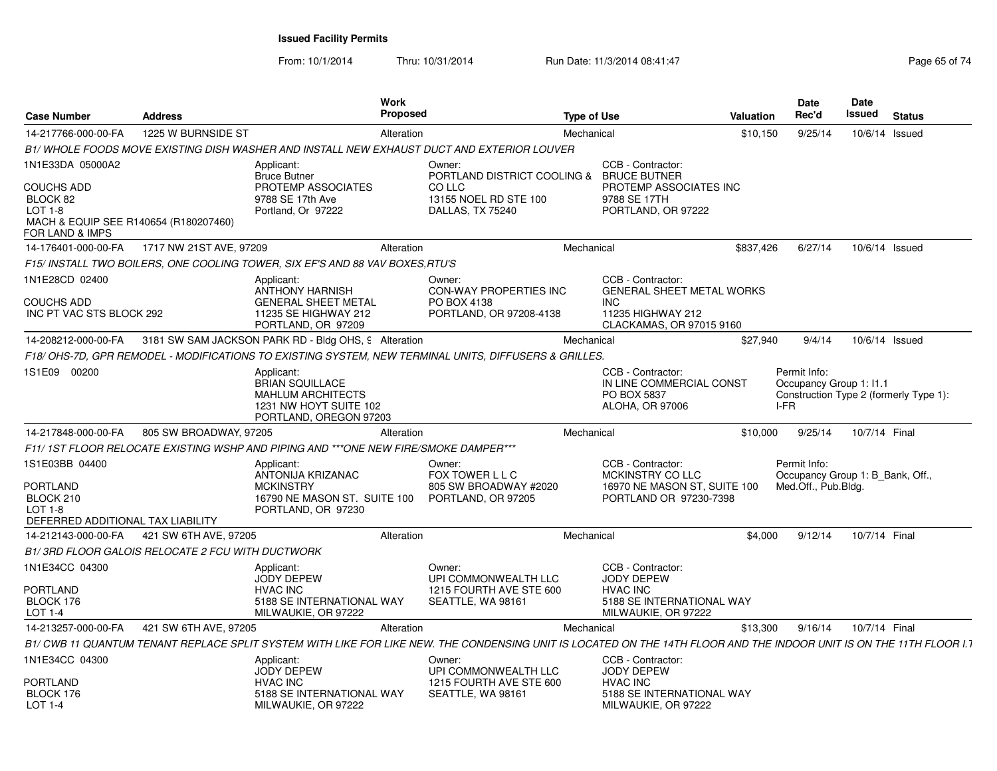From: 10/1/2014Thru: 10/31/2014 Run Date: 11/3/2014 08:41:47 Rege 65 of 74

| <b>Case Number</b>                                                                                         | <b>Address</b>                                   | Work<br><b>Proposed</b>                                                                                                                                              |                                                                      | <b>Type of Use</b> |                                                                                          | <b>Valuation</b> | <b>Date</b><br>Rec'd                                                                      | Date<br>Issued | <b>Status</b> |
|------------------------------------------------------------------------------------------------------------|--------------------------------------------------|----------------------------------------------------------------------------------------------------------------------------------------------------------------------|----------------------------------------------------------------------|--------------------|------------------------------------------------------------------------------------------|------------------|-------------------------------------------------------------------------------------------|----------------|---------------|
| 14-217766-000-00-FA                                                                                        | 1225 W BURNSIDE ST                               | Alteration                                                                                                                                                           |                                                                      | Mechanical         |                                                                                          | \$10,150         | 9/25/14                                                                                   | 10/6/14        | Issued        |
|                                                                                                            |                                                  | B1/ WHOLE FOODS MOVE EXISTING DISH WASHER AND INSTALL NEW EXHAUST DUCT AND EXTERIOR LOUVER                                                                           |                                                                      |                    |                                                                                          |                  |                                                                                           |                |               |
| 1N1E33DA 05000A2                                                                                           |                                                  | Applicant:<br><b>Bruce Butner</b>                                                                                                                                    | Owner:<br>PORTLAND DISTRICT COOLING &                                |                    | CCB - Contractor:<br><b>BRUCE BUTNER</b>                                                 |                  |                                                                                           |                |               |
| COUCHS ADD<br>BLOCK 82<br>$LOT 1-8$<br>MACH & EQUIP SEE R140654 (R180207460)<br><b>FOR LAND &amp; IMPS</b> |                                                  | PROTEMP ASSOCIATES<br>9788 SE 17th Ave<br>Portland, Or 97222                                                                                                         | CO LLC<br>13155 NOEL RD STE 100<br>DALLAS, TX 75240                  |                    | PROTEMP ASSOCIATES INC<br>9788 SE 17TH<br>PORTLAND, OR 97222                             |                  |                                                                                           |                |               |
| 14-176401-000-00-FA                                                                                        | 1717 NW 21ST AVE, 97209                          | Alteration                                                                                                                                                           |                                                                      | Mechanical         |                                                                                          | \$837,426        | 6/27/14                                                                                   | 10/6/14 Issued |               |
|                                                                                                            |                                                  | F15/ INSTALL TWO BOILERS, ONE COOLING TOWER, SIX EF'S AND 88 VAV BOXES, RTU'S                                                                                        |                                                                      |                    |                                                                                          |                  |                                                                                           |                |               |
| 1N1E28CD 02400                                                                                             |                                                  | Applicant:<br><b>ANTHONY HARNISH</b>                                                                                                                                 | Owner:<br><b>CON-WAY PROPERTIES INC</b>                              |                    | CCB - Contractor:<br><b>GENERAL SHEET METAL WORKS</b>                                    |                  |                                                                                           |                |               |
| <b>COUCHS ADD</b><br>INC PT VAC STS BLOCK 292                                                              |                                                  | <b>GENERAL SHEET METAL</b><br>11235 SE HIGHWAY 212<br>PORTLAND, OR 97209                                                                                             | PO BOX 4138<br>PORTLAND, OR 97208-4138                               |                    | <b>INC</b><br>11235 HIGHWAY 212<br>CLACKAMAS, OR 97015 9160                              |                  |                                                                                           |                |               |
| 14-208212-000-00-FA                                                                                        |                                                  | 3181 SW SAM JACKSON PARK RD - Bldg OHS, 9 Alteration                                                                                                                 |                                                                      | Mechanical         |                                                                                          | \$27,940         | 9/4/14                                                                                    | 10/6/14 Issued |               |
|                                                                                                            |                                                  | F18/OHS-7D, GPR REMODEL - MODIFICATIONS TO EXISTING SYSTEM, NEW TERMINAL UNITS, DIFFUSERS & GRILLES.                                                                 |                                                                      |                    |                                                                                          |                  |                                                                                           |                |               |
| 1S1E09 00200                                                                                               |                                                  | Applicant:<br><b>BRIAN SQUILLACE</b><br>MAHLUM ARCHITECTS<br>1231 NW HOYT SUITE 102<br>PORTLAND, OREGON 97203                                                        |                                                                      |                    | CCB - Contractor:<br>IN LINE COMMERCIAL CONST<br>PO BOX 5837<br>ALOHA, OR 97006          |                  | Permit Info:<br>Occupancy Group 1: I1.1<br>Construction Type 2 (formerly Type 1):<br>I-FR |                |               |
| 14-217848-000-00-FA                                                                                        | 805 SW BROADWAY, 97205                           | Alteration                                                                                                                                                           |                                                                      | Mechanical         |                                                                                          | \$10,000         | 9/25/14                                                                                   | 10/7/14 Final  |               |
|                                                                                                            |                                                  | F11/1ST FLOOR RELOCATE EXISTING WSHP AND PIPING AND ***ONE NEW FIRE/SMOKE DAMPER***                                                                                  |                                                                      |                    |                                                                                          |                  |                                                                                           |                |               |
| 1S1E03BB 04400<br><b>PORTLAND</b>                                                                          |                                                  | Applicant:<br>ANTONIJA KRIZANAC<br><b>MCKINSTRY</b>                                                                                                                  | Owner:<br>FOX TOWER L L C<br>805 SW BROADWAY #2020                   |                    | CCB - Contractor:<br><b>MCKINSTRY COLLC</b><br>16970 NE MASON ST, SUITE 100              |                  | Permit Info:<br>Occupancy Group 1: B Bank, Off.,<br>Med.Off., Pub.Bldg.                   |                |               |
| BLOCK 210<br><b>LOT 1-8</b><br>DEFERRED ADDITIONAL TAX LIABILITY                                           |                                                  | 16790 NE MASON ST. SUITE 100<br>PORTLAND, OR 97230                                                                                                                   | PORTLAND, OR 97205                                                   |                    | PORTLAND OR 97230-7398                                                                   |                  |                                                                                           |                |               |
| 14-212143-000-00-FA                                                                                        | 421 SW 6TH AVE, 97205                            | Alteration                                                                                                                                                           |                                                                      | Mechanical         |                                                                                          | \$4,000          | 9/12/14                                                                                   | 10/7/14 Final  |               |
|                                                                                                            | B1/3RD FLOOR GALOIS RELOCATE 2 FCU WITH DUCTWORK |                                                                                                                                                                      |                                                                      |                    |                                                                                          |                  |                                                                                           |                |               |
| 1N1E34CC 04300                                                                                             |                                                  | Applicant:<br><b>JODY DEPEW</b>                                                                                                                                      | Owner:<br>UPI COMMONWEALTH LLC                                       |                    | CCB - Contractor:<br><b>JODY DEPEW</b>                                                   |                  |                                                                                           |                |               |
| <b>PORTLAND</b><br>BLOCK 176<br>LOT 1-4                                                                    |                                                  | <b>HVAC INC</b><br>5188 SE INTERNATIONAL WAY<br>MILWAUKIE, OR 97222                                                                                                  | 1215 FOURTH AVE STE 600<br>SEATTLE, WA 98161                         |                    | <b>HVAC INC</b><br>5188 SE INTERNATIONAL WAY<br>MILWAUKIE, OR 97222                      |                  |                                                                                           |                |               |
| 14-213257-000-00-FA                                                                                        | 421 SW 6TH AVE, 97205                            | Alteration                                                                                                                                                           |                                                                      | Mechanical         |                                                                                          | \$13,300         | 9/16/14                                                                                   | 10/7/14 Final  |               |
|                                                                                                            |                                                  | B1/ CWB 11 QUANTUM TENANT REPLACE SPLIT SYSTEM WITH LIKE FOR LIKE NEW. THE CONDENSING UNIT IS LOCATED ON THE 14TH FLOOR AND THE INDOOR UNIT IS ON THE 11TH FLOOR I.1 |                                                                      |                    |                                                                                          |                  |                                                                                           |                |               |
| 1N1E34CC 04300                                                                                             |                                                  | Applicant:                                                                                                                                                           | Owner:                                                               |                    | CCB - Contractor:                                                                        |                  |                                                                                           |                |               |
| PORTLAND<br>BLOCK 176<br>LOT $1-4$                                                                         |                                                  | JODY DEPEW<br><b>HVAC INC</b><br>5188 SE INTERNATIONAL WAY<br>MILWAUKIE, OR 97222                                                                                    | UPI COMMONWEALTH LLC<br>1215 FOURTH AVE STE 600<br>SEATTLE, WA 98161 |                    | <b>JODY DEPEW</b><br><b>HVAC INC</b><br>5188 SE INTERNATIONAL WAY<br>MILWAUKIE, OR 97222 |                  |                                                                                           |                |               |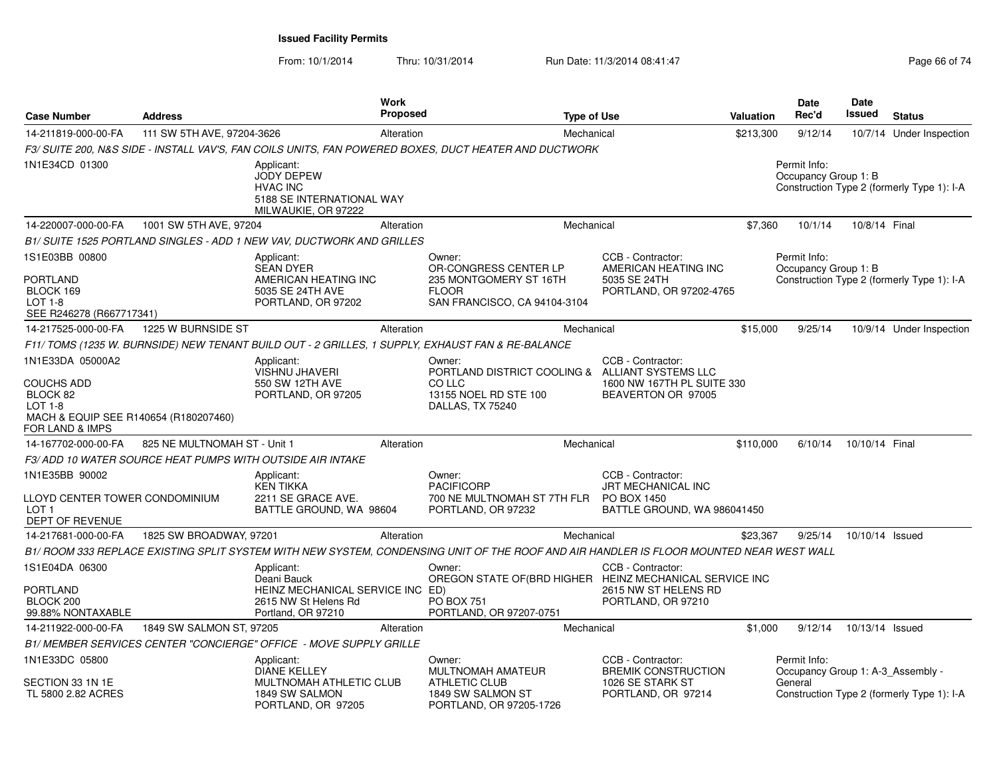From: 10/1/2014Thru: 10/31/2014 Run Date: 11/3/2014 08:41:47 Rege 66 of 74

| <b>Case Number</b>                                                                                                         | <b>Address</b>               |                                                                                                             | <b>Work</b><br><b>Proposed</b> |                                                                                                                                         | <b>Type of Use</b> |                                                                                              | <b>Valuation</b> | <b>Date</b><br>Rec'd                                         | Date<br>Issued  | <b>Status</b>                              |
|----------------------------------------------------------------------------------------------------------------------------|------------------------------|-------------------------------------------------------------------------------------------------------------|--------------------------------|-----------------------------------------------------------------------------------------------------------------------------------------|--------------------|----------------------------------------------------------------------------------------------|------------------|--------------------------------------------------------------|-----------------|--------------------------------------------|
| 14-211819-000-00-FA                                                                                                        | 111 SW 5TH AVE, 97204-3626   |                                                                                                             | Alteration                     |                                                                                                                                         | Mechanical         |                                                                                              | \$213,300        | 9/12/14                                                      |                 | 10/7/14 Under Inspection                   |
|                                                                                                                            |                              |                                                                                                             |                                | F3/ SUITE 200, N&S SIDE - INSTALL VAV'S, FAN COILS UNITS, FAN POWERED BOXES, DUCT HEATER AND DUCTWORK                                   |                    |                                                                                              |                  |                                                              |                 |                                            |
| 1N1E34CD 01300                                                                                                             |                              | Applicant:<br><b>JODY DEPEW</b><br><b>HVAC INC</b><br>5188 SE INTERNATIONAL WAY<br>MILWAUKIE, OR 97222      |                                |                                                                                                                                         |                    |                                                                                              |                  | Permit Info:<br>Occupancy Group 1: B                         |                 | Construction Type 2 (formerly Type 1): I-A |
| 14-220007-000-00-FA                                                                                                        | 1001 SW 5TH AVE, 97204       |                                                                                                             | Alteration                     |                                                                                                                                         | Mechanical         |                                                                                              | \$7,360          | 10/1/14                                                      | 10/8/14 Final   |                                            |
|                                                                                                                            |                              | B1/ SUITE 1525 PORTLAND SINGLES - ADD 1 NEW VAV, DUCTWORK AND GRILLES                                       |                                |                                                                                                                                         |                    |                                                                                              |                  |                                                              |                 |                                            |
| 1S1E03BB 00800<br><b>PORTLAND</b><br>BLOCK 169<br><b>LOT 1-8</b><br>SEE R246278 (R667717341)                               |                              | Applicant:<br><b>SEAN DYER</b><br>AMERICAN HEATING INC<br>5035 SE 24TH AVE<br>PORTLAND, OR 97202            |                                | Owner:<br>OR-CONGRESS CENTER LP<br>235 MONTGOMERY ST 16TH<br><b>FLOOR</b><br>SAN FRANCISCO, CA 94104-3104                               |                    | CCB - Contractor:<br>AMERICAN HEATING INC<br>5035 SE 24TH<br>PORTLAND, OR 97202-4765         |                  | Permit Info:<br>Occupancy Group 1: B                         |                 | Construction Type 2 (formerly Type 1): I-A |
| 14-217525-000-00-FA                                                                                                        | 1225 W BURNSIDE ST           |                                                                                                             | Alteration                     |                                                                                                                                         | Mechanical         |                                                                                              | \$15,000         | 9/25/14                                                      |                 | 10/9/14 Under Inspection                   |
|                                                                                                                            |                              |                                                                                                             |                                | F11/TOMS (1235 W. BURNSIDE) NEW TENANT BUILD OUT - 2 GRILLES, 1 SUPPLY, EXHAUST FAN & RE-BALANCE                                        |                    |                                                                                              |                  |                                                              |                 |                                            |
| 1N1E33DA 05000A2<br><b>COUCHS ADD</b><br>BLOCK 82<br>$LOT 1-8$<br>MACH & EQUIP SEE R140654 (R180207460)<br>FOR LAND & IMPS |                              | Applicant:<br><b>VISHNU JHAVERI</b><br>550 SW 12TH AVE<br>PORTLAND, OR 97205                                |                                | Owner:<br>PORTLAND DISTRICT COOLING & ALLIANT SYSTEMS LLC<br>CO LLC<br>13155 NOEL RD STE 100<br>DALLAS, TX 75240                        |                    | CCB - Contractor:<br>1600 NW 167TH PL SUITE 330<br>BEAVERTON OR 97005                        |                  |                                                              |                 |                                            |
| 14-167702-000-00-FA                                                                                                        | 825 NE MULTNOMAH ST - Unit 1 |                                                                                                             | Alteration                     |                                                                                                                                         | Mechanical         |                                                                                              | \$110,000        | 6/10/14                                                      | 10/10/14 Final  |                                            |
|                                                                                                                            |                              | F3/ADD 10 WATER SOURCE HEAT PUMPS WITH OUTSIDE AIR INTAKE                                                   |                                |                                                                                                                                         |                    |                                                                                              |                  |                                                              |                 |                                            |
| 1N1E35BB 90002<br>LLOYD CENTER TOWER CONDOMINIUM<br>LOT <sub>1</sub><br>DEPT OF REVENUE                                    |                              | Applicant:<br><b>KEN TIKKA</b><br>2211 SE GRACE AVE.<br>BATTLE GROUND, WA 98604                             |                                | Owner:<br><b>PACIFICORP</b><br>700 NE MULTNOMAH ST 7TH FLR<br>PORTLAND, OR 97232                                                        |                    | CCB - Contractor:<br><b>JRT MECHANICAL INC</b><br>PO BOX 1450<br>BATTLE GROUND, WA 986041450 |                  |                                                              |                 |                                            |
| 14-217681-000-00-FA                                                                                                        | 1825 SW BROADWAY, 97201      |                                                                                                             | Alteration                     |                                                                                                                                         | Mechanical         |                                                                                              | \$23,367         | 9/25/14                                                      | 10/10/14 Issued |                                            |
|                                                                                                                            |                              |                                                                                                             |                                | B1/ ROOM 333 REPLACE EXISTING SPLIT SYSTEM WITH NEW SYSTEM, CONDENSING UNIT OF THE ROOF AND AIR HANDLER IS FLOOR MOUNTED NEAR WEST WALL |                    |                                                                                              |                  |                                                              |                 |                                            |
| 1S1E04DA 06300<br><b>PORTLAND</b><br>BLOCK 200<br>99.88% NONTAXABLE                                                        |                              | Applicant:<br>Deani Bauck<br>HEINZ MECHANICAL SERVICE INC ED)<br>2615 NW St Helens Rd<br>Portland, OR 97210 |                                | Owner:<br>OREGON STATE OF (BRD HIGHER HEINZ MECHANICAL SERVICE INC<br>PO BOX 751<br>PORTLAND, OR 97207-0751                             |                    | CCB - Contractor:<br>2615 NW ST HELENS RD<br>PORTLAND, OR 97210                              |                  |                                                              |                 |                                            |
| 14-211922-000-00-FA                                                                                                        | 1849 SW SALMON ST, 97205     |                                                                                                             | Alteration                     |                                                                                                                                         | Mechanical         |                                                                                              | \$1,000          | 9/12/14                                                      | 10/13/14 Issued |                                            |
|                                                                                                                            |                              | B1/ MEMBER SERVICES CENTER "CONCIERGE" OFFICE - MOVE SUPPLY GRILLE                                          |                                |                                                                                                                                         |                    |                                                                                              |                  |                                                              |                 |                                            |
| 1N1E33DC 05800<br>SECTION 33 1N 1E<br>TL 5800 2.82 ACRES                                                                   |                              | Applicant:<br>DIANE KELLEY<br>MULTNOMAH ATHLETIC CLUB<br>1849 SW SALMON<br>PORTLAND, OR 97205               |                                | Owner:<br>MULTNOMAH AMATEUR<br><b>ATHLETIC CLUB</b><br>1849 SW SALMON ST<br>PORTLAND, OR 97205-1726                                     |                    | CCB - Contractor:<br><b>BREMIK CONSTRUCTION</b><br>1026 SE STARK ST<br>PORTLAND, OR 97214    |                  | Permit Info:<br>Occupancy Group 1: A-3_Assembly -<br>General |                 | Construction Type 2 (formerly Type 1): I-A |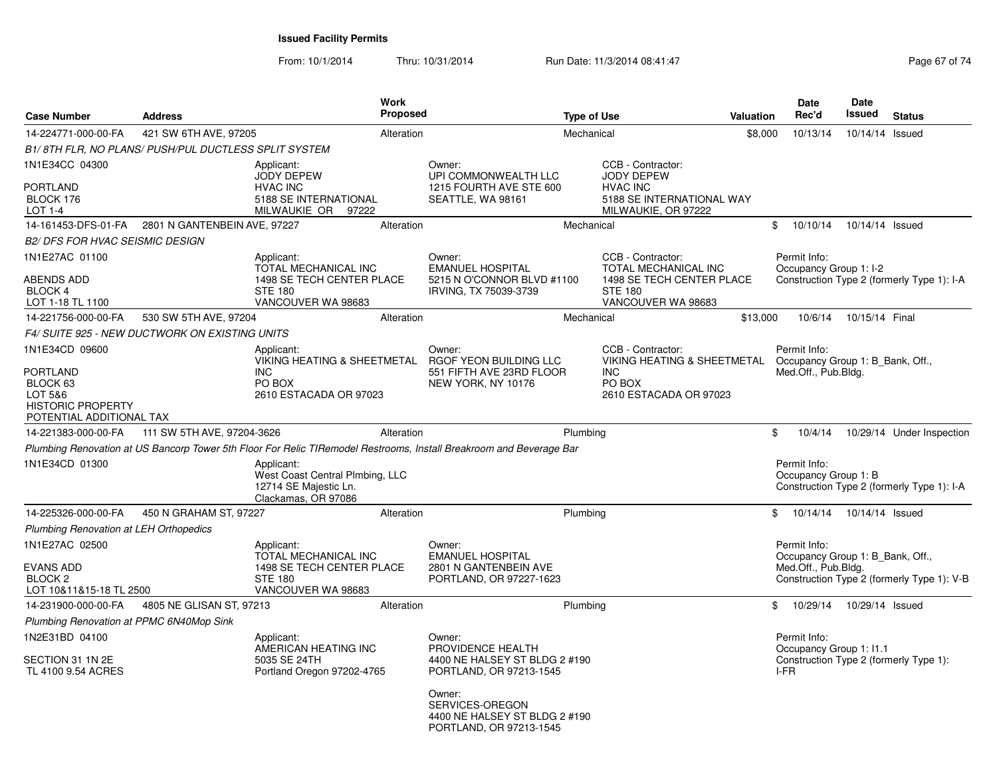From: 10/1/2014Thru: 10/31/2014 Run Date: 11/3/2014 08:41:47 Rege 67 of 74

| <b>Case Number</b>                                                                             | <b>Address</b>                                       |                                                                                               | <b>Work</b><br><b>Proposed</b> |                                                                                                                     | <b>Type of Use</b> |                                                                     | Valuation | <b>Date</b><br>Rec'd                                                                      | <b>Date</b><br><b>Issued</b> | <b>Status</b>                              |
|------------------------------------------------------------------------------------------------|------------------------------------------------------|-----------------------------------------------------------------------------------------------|--------------------------------|---------------------------------------------------------------------------------------------------------------------|--------------------|---------------------------------------------------------------------|-----------|-------------------------------------------------------------------------------------------|------------------------------|--------------------------------------------|
| 14-224771-000-00-FA                                                                            | 421 SW 6TH AVE, 97205                                |                                                                                               | Alteration                     |                                                                                                                     | Mechanical         |                                                                     | \$8,000   | 10/13/14                                                                                  | 10/14/14 Issued              |                                            |
|                                                                                                | B1/8TH FLR, NO PLANS/ PUSH/PUL DUCTLESS SPLIT SYSTEM |                                                                                               |                                |                                                                                                                     |                    |                                                                     |           |                                                                                           |                              |                                            |
| 1N1E34CC 04300                                                                                 |                                                      | Applicant:<br>JODY DEPEW                                                                      |                                | Owner:<br>UPI COMMONWEALTH LLC                                                                                      |                    | CCB - Contractor:<br><b>JODY DEPEW</b>                              |           |                                                                                           |                              |                                            |
| <b>PORTLAND</b><br>BLOCK 176<br>$LOT 1-4$                                                      |                                                      | <b>HVAC INC</b><br>5188 SE INTERNATIONAL<br>MILWAUKIE OR 97222                                |                                | 1215 FOURTH AVE STE 600<br>SEATTLE, WA 98161                                                                        |                    | <b>HVAC INC</b><br>5188 SE INTERNATIONAL WAY<br>MILWAUKIE, OR 97222 |           |                                                                                           |                              |                                            |
|                                                                                                | 14-161453-DFS-01-FA 2801 N GANTENBEIN AVE, 97227     |                                                                                               | Alteration                     |                                                                                                                     | Mechanical         |                                                                     |           | 10/10/14<br>\$                                                                            | 10/14/14 Issued              |                                            |
| <b>B2/ DFS FOR HVAC SEISMIC DESIGN</b>                                                         |                                                      |                                                                                               |                                |                                                                                                                     |                    |                                                                     |           |                                                                                           |                              |                                            |
| 1N1E27AC 01100                                                                                 |                                                      | Applicant:<br>TOTAL MECHANICAL INC                                                            |                                | Owner:<br><b>EMANUEL HOSPITAL</b>                                                                                   |                    | CCB - Contractor:<br>TOTAL MECHANICAL INC                           |           | Permit Info:<br>Occupancy Group 1: I-2                                                    |                              |                                            |
| <b>ABENDS ADD</b><br>BLOCK 4<br>LOT 1-18 TL 1100                                               |                                                      | 1498 SE TECH CENTER PLACE<br><b>STE 180</b><br>VANCOUVER WA 98683                             |                                | 5215 N O'CONNOR BLVD #1100<br>IRVING, TX 75039-3739                                                                 |                    | 1498 SE TECH CENTER PLACE<br><b>STE 180</b><br>VANCOUVER WA 98683   |           |                                                                                           |                              | Construction Type 2 (formerly Type 1): I-A |
| 14-221756-000-00-FA                                                                            | 530 SW 5TH AVE, 97204                                |                                                                                               | Alteration                     |                                                                                                                     | Mechanical         |                                                                     | \$13,000  | 10/6/14                                                                                   | 10/15/14 Final               |                                            |
|                                                                                                | F4/ SUITE 925 - NEW DUCTWORK ON EXISTING UNITS       |                                                                                               |                                |                                                                                                                     |                    |                                                                     |           |                                                                                           |                              |                                            |
| 1N1E34CD 09600                                                                                 |                                                      | Applicant:<br>VIKING HEATING & SHEETMETAL                                                     |                                | Owner:<br>RGOF YEON BUILDING LLC                                                                                    |                    | CCB - Contractor:<br><b>VIKING HEATING &amp; SHEETMETAL</b>         |           | Permit Info:<br>Occupancy Group 1: B_Bank, Off.,                                          |                              |                                            |
| <b>PORTLAND</b><br>BLOCK 63<br>LOT 5&6<br><b>HISTORIC PROPERTY</b><br>POTENTIAL ADDITIONAL TAX |                                                      | <b>INC</b><br>PO BOX<br>2610 ESTACADA OR 97023                                                |                                | 551 FIFTH AVE 23RD FLOOR<br>NEW YORK, NY 10176                                                                      |                    | <b>INC</b><br>PO BOX<br>2610 ESTACADA OR 97023                      |           | Med.Off., Pub.Bldg.                                                                       |                              |                                            |
| 14-221383-000-00-FA                                                                            | 111 SW 5TH AVE, 97204-3626                           |                                                                                               | Alteration                     |                                                                                                                     | Plumbing           |                                                                     |           | \$<br>10/4/14                                                                             |                              | 10/29/14 Under Inspection                  |
|                                                                                                |                                                      |                                                                                               |                                | Plumbing Renovation at US Bancorp Tower 5th Floor For Relic TIRemodel Restrooms, Install Breakroom and Beverage Bar |                    |                                                                     |           |                                                                                           |                              |                                            |
| 1N1E34CD 01300                                                                                 |                                                      | Applicant:<br>West Coast Central Plmbing, LLC<br>12714 SE Majestic Ln.<br>Clackamas, OR 97086 |                                |                                                                                                                     |                    |                                                                     |           | Permit Info:<br>Occupancy Group 1: B                                                      |                              | Construction Type 2 (formerly Type 1): I-A |
| 14-225326-000-00-FA                                                                            | 450 N GRAHAM ST, 97227                               |                                                                                               | Alteration                     |                                                                                                                     | Plumbing           |                                                                     |           | \$<br>10/14/14                                                                            | 10/14/14 Issued              |                                            |
| <b>Plumbing Renovation at LEH Orthopedics</b>                                                  |                                                      |                                                                                               |                                |                                                                                                                     |                    |                                                                     |           |                                                                                           |                              |                                            |
| 1N1E27AC 02500<br><b>EVANS ADD</b><br>BLOCK <sub>2</sub>                                       |                                                      | Applicant:<br>TOTAL MECHANICAL INC<br>1498 SE TECH CENTER PLACE<br><b>STE 180</b>             |                                | Owner:<br><b>EMANUEL HOSPITAL</b><br>2801 N GANTENBEIN AVE<br>PORTLAND, OR 97227-1623                               |                    |                                                                     |           | Permit Info:<br>Occupancy Group 1: B Bank, Off.,<br>Med.Off., Pub.Bldg.                   |                              | Construction Type 2 (formerly Type 1): V-B |
| LOT 10&11&15-18 TL 2500                                                                        |                                                      | VANCOUVER WA 98683                                                                            |                                |                                                                                                                     |                    |                                                                     |           |                                                                                           |                              |                                            |
| 14-231900-000-00-FA                                                                            | 4805 NE GLISAN ST, 97213                             |                                                                                               | Alteration                     |                                                                                                                     | Plumbing           |                                                                     |           | \$<br>10/29/14                                                                            | 10/29/14 Issued              |                                            |
| Plumbing Renovation at PPMC 6N40Mop Sink<br>1N2E31BD 04100                                     |                                                      |                                                                                               |                                |                                                                                                                     |                    |                                                                     |           |                                                                                           |                              |                                            |
| SECTION 31 1N 2E<br>TL 4100 9.54 ACRES                                                         |                                                      | Applicant:<br>AMERICAN HEATING INC<br>5035 SE 24TH<br>Portland Oregon 97202-4765              |                                | Owner:<br>PROVIDENCE HEALTH<br>4400 NE HALSEY ST BLDG 2 #190<br>PORTLAND, OR 97213-1545                             |                    |                                                                     |           | Permit Info:<br>Occupancy Group 1: I1.1<br>Construction Type 2 (formerly Type 1):<br>I-FR |                              |                                            |
|                                                                                                |                                                      |                                                                                               |                                | Owner:<br>SERVICES-OREGON<br>4400 NE HALSEY ST BLDG 2 #190<br>PORTLAND, OR 97213-1545                               |                    |                                                                     |           |                                                                                           |                              |                                            |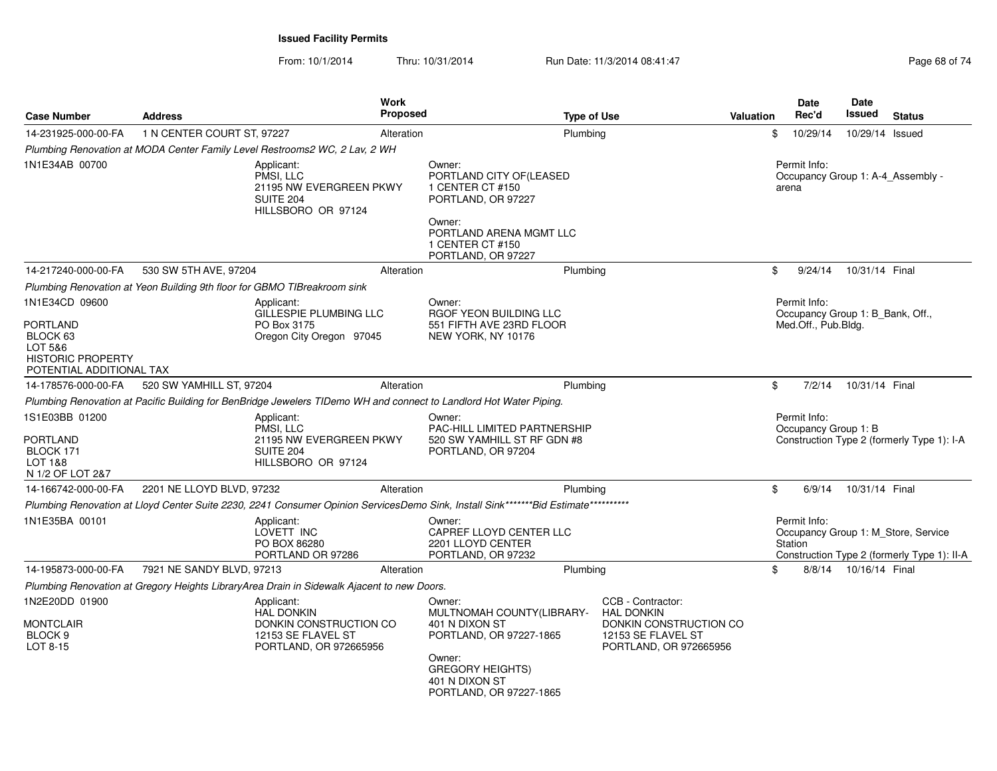| <b>Case Number</b>                                                                                               | <b>Address</b>             | <b>Work</b>                                                                                                                        | Proposed                                                                                             | <b>Type of Use</b>                                                              |                                                                                                                  | <b>Valuation</b> | <b>Date</b><br>Rec'd                                                    | Date<br>Issued          | <b>Status</b>                                                                      |
|------------------------------------------------------------------------------------------------------------------|----------------------------|------------------------------------------------------------------------------------------------------------------------------------|------------------------------------------------------------------------------------------------------|---------------------------------------------------------------------------------|------------------------------------------------------------------------------------------------------------------|------------------|-------------------------------------------------------------------------|-------------------------|------------------------------------------------------------------------------------|
| 14-231925-000-00-FA                                                                                              | 1 N CENTER COURT ST, 97227 | Alteration                                                                                                                         |                                                                                                      | Plumbing                                                                        |                                                                                                                  | \$               | 10/29/14                                                                | 10/29/14 Issued         |                                                                                    |
|                                                                                                                  |                            | Plumbing Renovation at MODA Center Family Level Restrooms2 WC, 2 Lav, 2 WH                                                         |                                                                                                      |                                                                                 |                                                                                                                  |                  |                                                                         |                         |                                                                                    |
| 1N1E34AB 00700                                                                                                   |                            | Applicant:<br>PMSI. LLC<br>21195 NW EVERGREEN PKWY<br><b>SUITE 204</b><br>HILLSBORO OR 97124                                       | Owner:<br>1 CENTER CT #150<br>PORTLAND, OR 97227<br>Owner:<br>1 CENTER CT #150<br>PORTLAND, OR 97227 | PORTLAND CITY OF(LEASED<br>PORTLAND ARENA MGMT LLC                              |                                                                                                                  |                  | Permit Info:<br>arena                                                   |                         | Occupancy Group 1: A-4 Assembly -                                                  |
| 14-217240-000-00-FA                                                                                              | 530 SW 5TH AVE, 97204      | Alteration                                                                                                                         |                                                                                                      | Plumbing                                                                        |                                                                                                                  | \$               | 9/24/14                                                                 | 10/31/14 Final          |                                                                                    |
|                                                                                                                  |                            | Plumbing Renovation at Yeon Building 9th floor for GBMO TIBreakroom sink                                                           |                                                                                                      |                                                                                 |                                                                                                                  |                  |                                                                         |                         |                                                                                    |
| 1N1E34CD 09600<br><b>PORTLAND</b><br>BLOCK 63<br>LOT 5&6<br><b>HISTORIC PROPERTY</b><br>POTENTIAL ADDITIONAL TAX |                            | Applicant:<br>GILLESPIE PLUMBING LLC<br>PO Box 3175<br>Oregon City Oregon 97045                                                    | Owner:<br>NEW YORK, NY 10176                                                                         | RGOF YEON BUILDING LLC<br>551 FIFTH AVE 23RD FLOOR                              |                                                                                                                  |                  | Permit Info:<br>Occupancy Group 1: B_Bank, Off.,<br>Med.Off., Pub.Bldg. |                         |                                                                                    |
| 14-178576-000-00-FA                                                                                              | 520 SW YAMHILL ST, 97204   | Alteration                                                                                                                         |                                                                                                      | Plumbing                                                                        |                                                                                                                  | \$               | 7/2/14                                                                  | 10/31/14 Final          |                                                                                    |
|                                                                                                                  |                            | Plumbing Renovation at Pacific Building for BenBridge Jewelers TIDemo WH and connect to Landlord Hot Water Piping.                 |                                                                                                      |                                                                                 |                                                                                                                  |                  |                                                                         |                         |                                                                                    |
| 1S1E03BB 01200<br><b>PORTLAND</b><br>BLOCK 171<br>LOT 1&8<br>N 1/2 OF LOT 2&7                                    |                            | Applicant:<br>PMSI, LLC<br>21195 NW EVERGREEN PKWY<br><b>SUITE 204</b><br>HILLSBORO OR 97124                                       | Owner:<br>PORTLAND, OR 97204                                                                         | PAC-HILL LIMITED PARTNERSHIP<br>520 SW YAMHILL ST RF GDN #8                     |                                                                                                                  |                  | Permit Info:<br>Occupancy Group 1: B                                    |                         | Construction Type 2 (formerly Type 1): I-A                                         |
| 14-166742-000-00-FA                                                                                              | 2201 NE LLOYD BLVD, 97232  | Alteration                                                                                                                         |                                                                                                      | Plumbing                                                                        |                                                                                                                  | \$               | 6/9/14                                                                  | 10/31/14 Final          |                                                                                    |
|                                                                                                                  |                            | Plumbing Renovation at Lloyd Center Suite 2230, 2241 Consumer Opinion ServicesDemo Sink, Install Sink*******Bid Estimate********** |                                                                                                      |                                                                                 |                                                                                                                  |                  |                                                                         |                         |                                                                                    |
| 1N1E35BA 00101                                                                                                   |                            | Applicant:<br>LOVETT INC<br>PO BOX 86280<br>PORTLAND OR 97286                                                                      | Owner:<br>2201 LLOYD CENTER<br>PORTLAND, OR 97232                                                    | CAPREF LLOYD CENTER LLC                                                         |                                                                                                                  |                  | Permit Info:<br>Station                                                 |                         | Occupancy Group 1: M_Store, Service<br>Construction Type 2 (formerly Type 1): II-A |
| 14-195873-000-00-FA                                                                                              | 7921 NE SANDY BLVD, 97213  | Alteration                                                                                                                         |                                                                                                      | Plumbing                                                                        |                                                                                                                  | \$               |                                                                         | 8/8/14  10/16/14  Final |                                                                                    |
|                                                                                                                  |                            | Plumbing Renovation at Gregory Heights LibraryArea Drain in Sidewalk Ajacent to new Doors.                                         |                                                                                                      |                                                                                 |                                                                                                                  |                  |                                                                         |                         |                                                                                    |
| 1N2E20DD 01900<br><b>MONTCLAIR</b><br>BLOCK <sub>9</sub><br>LOT 8-15                                             |                            | Applicant:<br><b>HAL DONKIN</b><br>DONKIN CONSTRUCTION CO<br>12153 SE FLAVEL ST<br>PORTLAND, OR 972665956                          | Owner:<br>401 N DIXON ST<br>Owner:<br><b>GREGORY HEIGHTS)</b><br>401 N DIXON ST                      | MULTNOMAH COUNTY(LIBRARY-<br>PORTLAND, OR 97227-1865<br>PORTLAND, OR 97227-1865 | CCB - Contractor:<br><b>HAL DONKIN</b><br>DONKIN CONSTRUCTION CO<br>12153 SE FLAVEL ST<br>PORTLAND, OR 972665956 |                  |                                                                         |                         |                                                                                    |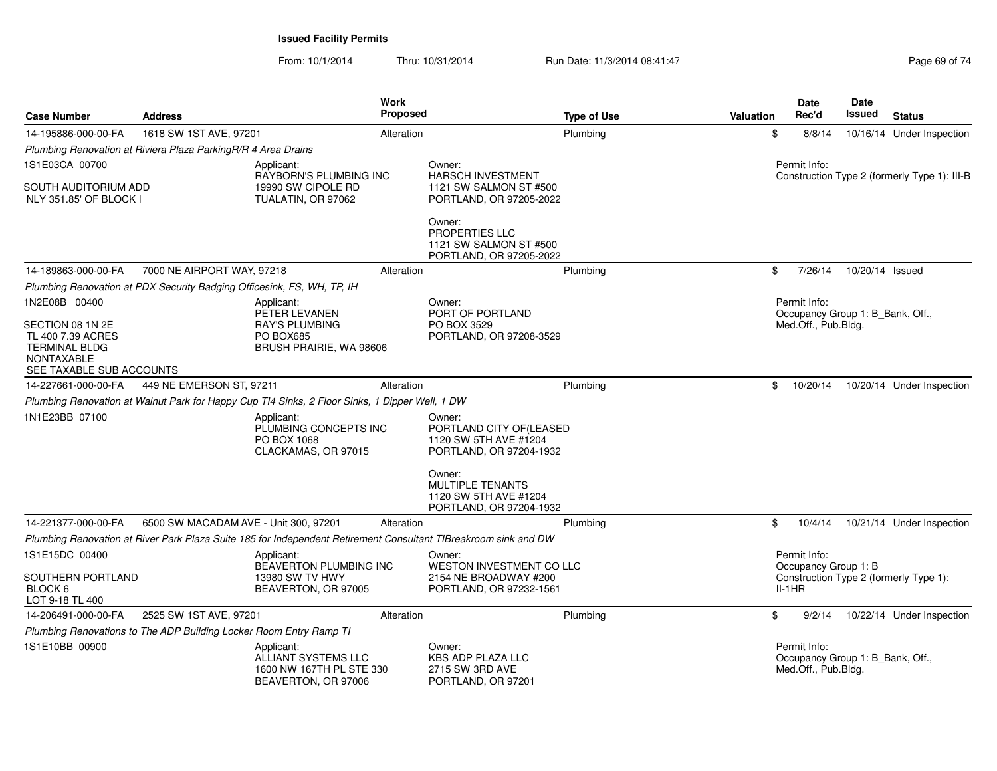From: 10/1/2014Thru: 10/31/2014 Run Date: 11/3/2014 08:41:47 Rege 69 of 74

| <b>Case Number</b>                                                                                  | <b>Address</b>                                                         |                                                                                                     | <b>Work</b><br><b>Proposed</b> |                                                                                                                 | <b>Type of Use</b> | <b>Valuation</b> | Date<br>Rec'd                                                           | Date<br>Issued  | <b>Status</b>                                |
|-----------------------------------------------------------------------------------------------------|------------------------------------------------------------------------|-----------------------------------------------------------------------------------------------------|--------------------------------|-----------------------------------------------------------------------------------------------------------------|--------------------|------------------|-------------------------------------------------------------------------|-----------------|----------------------------------------------|
| 14-195886-000-00-FA                                                                                 | 1618 SW 1ST AVE, 97201                                                 |                                                                                                     | Alteration                     |                                                                                                                 | Plumbing           | \$               | 8/8/14                                                                  |                 | 10/16/14 Under Inspection                    |
|                                                                                                     | Plumbing Renovation at Riviera Plaza ParkingR/R 4 Area Drains          |                                                                                                     |                                |                                                                                                                 |                    |                  |                                                                         |                 |                                              |
| 1S1E03CA 00700                                                                                      |                                                                        | Applicant:                                                                                          |                                | Owner:                                                                                                          |                    |                  | Permit Info:                                                            |                 |                                              |
| SOUTH AUDITORIUM ADD<br>NLY 351.85' OF BLOCK I                                                      |                                                                        | RAYBORN'S PLUMBING INC<br>19990 SW CIPOLE RD<br>TUALATIN, OR 97062                                  |                                | <b>HARSCH INVESTMENT</b><br>1121 SW SALMON ST #500<br>PORTLAND, OR 97205-2022                                   |                    |                  |                                                                         |                 | Construction Type 2 (formerly Type 1): III-B |
|                                                                                                     |                                                                        |                                                                                                     |                                | Owner:<br>PROPERTIES LLC<br>1121 SW SALMON ST #500<br>PORTLAND, OR 97205-2022                                   |                    |                  |                                                                         |                 |                                              |
| 14-189863-000-00-FA                                                                                 | 7000 NE AIRPORT WAY, 97218                                             |                                                                                                     | Alteration                     |                                                                                                                 | Plumbing           | \$               | 7/26/14                                                                 | 10/20/14 Issued |                                              |
|                                                                                                     | Plumbing Renovation at PDX Security Badging Officesink, FS, WH, TP, IH |                                                                                                     |                                |                                                                                                                 |                    |                  |                                                                         |                 |                                              |
| 1N2E08B 00400<br>SECTION 08 1N 2E<br>TL 400 7.39 ACRES<br><b>TERMINAL BLDG</b><br><b>NONTAXABLE</b> |                                                                        | Applicant:<br>PETER LEVANEN<br><b>RAY'S PLUMBING</b><br><b>PO BOX685</b><br>BRUSH PRAIRIE, WA 98606 |                                | Owner:<br>PORT OF PORTLAND<br>PO BOX 3529<br>PORTLAND, OR 97208-3529                                            |                    |                  | Permit Info:<br>Occupancy Group 1: B_Bank, Off.,<br>Med.Off., Pub.Bldg. |                 |                                              |
| SEE TAXABLE SUB ACCOUNTS                                                                            |                                                                        |                                                                                                     |                                |                                                                                                                 |                    |                  |                                                                         |                 |                                              |
| 14-227661-000-00-FA                                                                                 | 449 NE EMERSON ST, 97211                                               |                                                                                                     | Alteration                     |                                                                                                                 | Plumbing           | \$               | 10/20/14                                                                |                 | 10/20/14 Under Inspection                    |
|                                                                                                     |                                                                        | Plumbing Renovation at Walnut Park for Happy Cup TI4 Sinks, 2 Floor Sinks, 1 Dipper Well, 1 DW      |                                |                                                                                                                 |                    |                  |                                                                         |                 |                                              |
| 1N1E23BB 07100                                                                                      |                                                                        | Applicant:<br>PLUMBING CONCEPTS INC<br>PO BOX 1068<br>CLACKAMAS, OR 97015                           |                                | Owner:<br>PORTLAND CITY OF(LEASED<br>1120 SW 5TH AVE #1204<br>PORTLAND, OR 97204-1932                           |                    |                  |                                                                         |                 |                                              |
|                                                                                                     |                                                                        |                                                                                                     |                                | Owner:<br><b>MULTIPLE TENANTS</b><br>1120 SW 5TH AVE #1204<br>PORTLAND, OR 97204-1932                           |                    |                  |                                                                         |                 |                                              |
| 14-221377-000-00-FA                                                                                 | 6500 SW MACADAM AVE - Unit 300, 97201                                  |                                                                                                     | Alteration                     |                                                                                                                 | Plumbing           | \$               | 10/4/14                                                                 |                 | 10/21/14 Under Inspection                    |
|                                                                                                     |                                                                        |                                                                                                     |                                | Plumbing Renovation at River Park Plaza Suite 185 for Independent Retirement Consultant TIBreakroom sink and DW |                    |                  |                                                                         |                 |                                              |
| 1S1E15DC 00400                                                                                      |                                                                        | Applicant:                                                                                          |                                | Owner:                                                                                                          |                    |                  | Permit Info:                                                            |                 |                                              |
| SOUTHERN PORTLAND<br>BLOCK 6<br>LOT 9-18 TL 400                                                     |                                                                        | BEAVERTON PLUMBING INC<br>13980 SW TV HWY<br>BEAVERTON, OR 97005                                    |                                | <b>WESTON INVESTMENT CO LLC</b><br>2154 NE BROADWAY #200<br>PORTLAND, OR 97232-1561                             |                    |                  | Occupancy Group 1: B<br>$II-1HR$                                        |                 | Construction Type 2 (formerly Type 1):       |
| 14-206491-000-00-FA                                                                                 | 2525 SW 1ST AVE, 97201                                                 |                                                                                                     | Alteration                     |                                                                                                                 | Plumbing           | \$               | 9/2/14                                                                  |                 | 10/22/14 Under Inspection                    |
|                                                                                                     | Plumbing Renovations to The ADP Building Locker Room Entry Ramp TI     |                                                                                                     |                                |                                                                                                                 |                    |                  |                                                                         |                 |                                              |
| 1S1E10BB 00900                                                                                      |                                                                        | Applicant:<br>ALLIANT SYSTEMS LLC<br>1600 NW 167TH PL STE 330<br>BEAVERTON, OR 97006                |                                | Owner:<br><b>KBS ADP PLAZA LLC</b><br>2715 SW 3RD AVE<br>PORTLAND, OR 97201                                     |                    |                  | Permit Info:<br>Occupancy Group 1: B_Bank, Off.,<br>Med.Off., Pub.Bldg. |                 |                                              |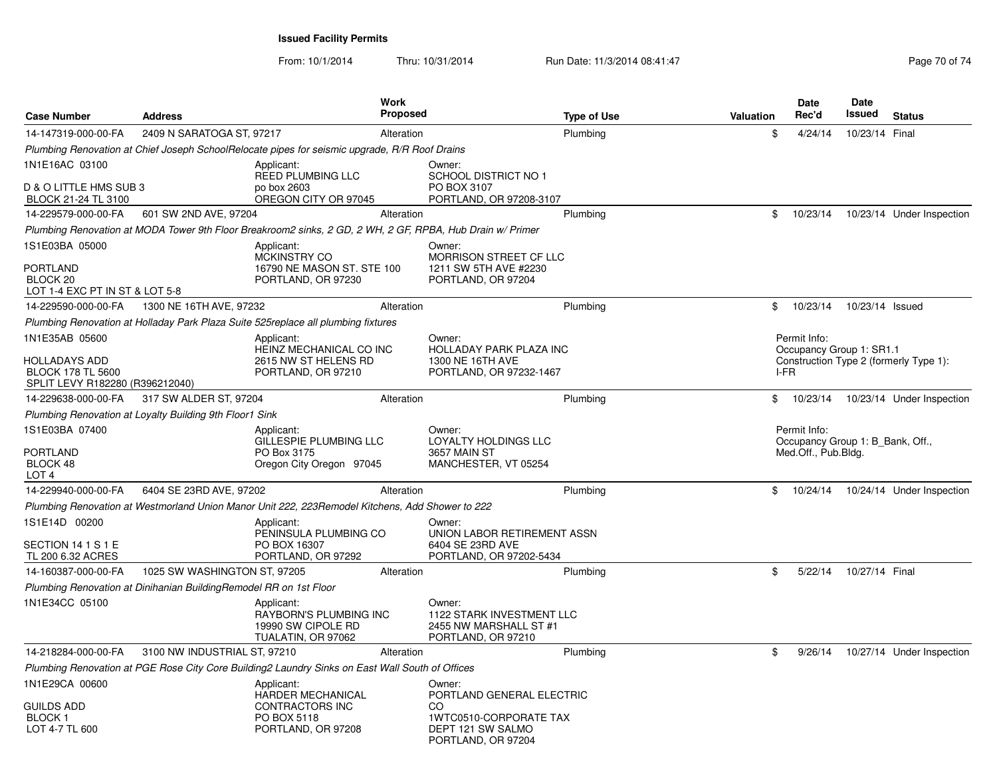| <b>Case Number</b>                                                                         | <b>Address</b>                                                    |                                                                                                           | <b>Work</b><br><b>Proposed</b> |                                                                                      | <b>Type of Use</b> | <b>Valuation</b> |      | Date<br>Rec'd                                                           | <b>Date</b><br>Issued | <b>Status</b>                          |
|--------------------------------------------------------------------------------------------|-------------------------------------------------------------------|-----------------------------------------------------------------------------------------------------------|--------------------------------|--------------------------------------------------------------------------------------|--------------------|------------------|------|-------------------------------------------------------------------------|-----------------------|----------------------------------------|
| 14-147319-000-00-FA                                                                        | 2409 N SARATOGA ST, 97217                                         |                                                                                                           | Alteration                     |                                                                                      | Plumbing           |                  | \$   | 4/24/14                                                                 | 10/23/14 Final        |                                        |
|                                                                                            |                                                                   | Plumbing Renovation at Chief Joseph SchoolRelocate pipes for seismic upgrade, R/R Roof Drains             |                                |                                                                                      |                    |                  |      |                                                                         |                       |                                        |
| 1N1E16AC 03100<br>D & O LITTLE HMS SUB 3                                                   |                                                                   | Applicant:<br>REED PLUMBING LLC<br>po box 2603                                                            |                                | Owner:<br><b>SCHOOL DISTRICT NO 1</b><br>PO BOX 3107                                 |                    |                  |      |                                                                         |                       |                                        |
| BLOCK 21-24 TL 3100                                                                        |                                                                   | OREGON CITY OR 97045                                                                                      |                                | PORTLAND, OR 97208-3107                                                              |                    |                  |      |                                                                         |                       |                                        |
| 14-229579-000-00-FA                                                                        | 601 SW 2ND AVE, 97204                                             |                                                                                                           | Alteration                     |                                                                                      | Plumbing           |                  | \$   | 10/23/14                                                                |                       | 10/23/14 Under Inspection              |
|                                                                                            |                                                                   | Plumbing Renovation at MODA Tower 9th Floor Breakroom2 sinks, 2 GD, 2 WH, 2 GF, RPBA, Hub Drain w/ Primer |                                |                                                                                      |                    |                  |      |                                                                         |                       |                                        |
| 1S1E03BA 05000<br><b>PORTLAND</b><br>BLOCK <sub>20</sub><br>LOT 1-4 EXC PT IN ST & LOT 5-8 |                                                                   | Applicant:<br><b>MCKINSTRY CO</b><br>16790 NE MASON ST. STE 100<br>PORTLAND, OR 97230                     |                                | Owner:<br>MORRISON STREET CF LLC<br>1211 SW 5TH AVE #2230<br>PORTLAND, OR 97204      |                    |                  |      |                                                                         |                       |                                        |
| 14-229590-000-00-FA                                                                        | 1300 NE 16TH AVE, 97232                                           |                                                                                                           | Alteration                     |                                                                                      | Plumbing           |                  | \$   | 10/23/14                                                                | 10/23/14 Issued       |                                        |
|                                                                                            |                                                                   | Plumbing Renovation at Holladay Park Plaza Suite 525replace all plumbing fixtures                         |                                |                                                                                      |                    |                  |      |                                                                         |                       |                                        |
| 1N1E35AB 05600                                                                             |                                                                   | Applicant:<br>HEINZ MECHANICAL CO INC                                                                     |                                | Owner:<br>HOLLADAY PARK PLAZA INC                                                    |                    |                  |      | Permit Info:<br>Occupancy Group 1: SR1.1                                |                       |                                        |
| HOLLADAYS ADD<br><b>BLOCK 178 TL 5600</b><br>SPLIT LEVY R182280 (R396212040)               |                                                                   | 2615 NW ST HELENS RD<br>PORTLAND, OR 97210                                                                |                                | 1300 NE 16TH AVE<br>PORTLAND, OR 97232-1467                                          |                    |                  | I-FR |                                                                         |                       | Construction Type 2 (formerly Type 1): |
| 14-229638-000-00-FA                                                                        | 317 SW ALDER ST, 97204                                            |                                                                                                           | Alteration                     |                                                                                      | Plumbing           |                  | \$   | 10/23/14                                                                |                       | 10/23/14 Under Inspection              |
|                                                                                            | Plumbing Renovation at Loyalty Building 9th Floor1 Sink           |                                                                                                           |                                |                                                                                      |                    |                  |      |                                                                         |                       |                                        |
| 1S1E03BA 07400<br><b>PORTLAND</b><br>BLOCK 48<br>LOT <sub>4</sub>                          |                                                                   | Applicant:<br>GILLESPIE PLUMBING LLC<br>PO Box 3175<br>Oregon City Oregon 97045                           |                                | Owner:<br>LOYALTY HOLDINGS LLC<br>3657 MAIN ST<br>MANCHESTER, VT 05254               |                    |                  |      | Permit Info:<br>Occupancy Group 1: B Bank, Off.,<br>Med.Off., Pub.Bldg. |                       |                                        |
| 14-229940-000-00-FA                                                                        | 6404 SE 23RD AVE, 97202                                           |                                                                                                           | Alteration                     |                                                                                      | Plumbing           |                  | \$   | 10/24/14                                                                |                       | 10/24/14 Under Inspection              |
|                                                                                            |                                                                   | Plumbing Renovation at Westmorland Union Manor Unit 222, 223Remodel Kitchens, Add Shower to 222           |                                |                                                                                      |                    |                  |      |                                                                         |                       |                                        |
| 1S1E14D 00200<br>SECTION 14 1 S 1 E<br>TL 200 6.32 ACRES                                   |                                                                   | Applicant:<br>PENINSULA PLUMBING CO<br>PO BOX 16307<br>PORTLAND, OR 97292                                 |                                | Owner:<br>UNION LABOR RETIREMENT ASSN<br>6404 SE 23RD AVE<br>PORTLAND, OR 97202-5434 |                    |                  |      |                                                                         |                       |                                        |
| 14-160387-000-00-FA                                                                        | 1025 SW WASHINGTON ST, 97205                                      |                                                                                                           | Alteration                     |                                                                                      | Plumbing           |                  | \$   | 5/22/14                                                                 | 10/27/14 Final        |                                        |
|                                                                                            | Plumbing Renovation at Dinihanian BuildingRemodel RR on 1st Floor |                                                                                                           |                                |                                                                                      |                    |                  |      |                                                                         |                       |                                        |
| 1N1E34CC 05100                                                                             |                                                                   | Applicant:<br>RAYBORN'S PLUMBING INC<br>19990 SW CIPOLE RD<br>TUALATIN, OR 97062                          |                                | Owner:<br>1122 STARK INVESTMENT LLC<br>2455 NW MARSHALL ST #1<br>PORTLAND, OR 97210  |                    |                  |      |                                                                         |                       |                                        |
| 14-218284-000-00-FA                                                                        | 3100 NW INDUSTRIAL ST, 97210                                      |                                                                                                           | Alteration                     |                                                                                      | Plumbing           |                  | \$   | 9/26/14                                                                 |                       | 10/27/14 Under Inspection              |
|                                                                                            |                                                                   | Plumbing Renovation at PGE Rose City Core Building2 Laundry Sinks on East Wall South of Offices           |                                |                                                                                      |                    |                  |      |                                                                         |                       |                                        |
| 1N1E29CA 00600                                                                             |                                                                   | Applicant:<br>HARDER MECHANICAL                                                                           |                                | Owner:<br>PORTLAND GENERAL ELECTRIC                                                  |                    |                  |      |                                                                         |                       |                                        |
| GUILDS ADD<br><b>BLOCK1</b><br>LOT 4-7 TL 600                                              |                                                                   | CONTRACTORS INC<br>PO BOX 5118<br>PORTLAND, OR 97208                                                      |                                | CO<br>1WTC0510-CORPORATE TAX<br>DEPT 121 SW SALMO<br>PORTLAND, OR 97204              |                    |                  |      |                                                                         |                       |                                        |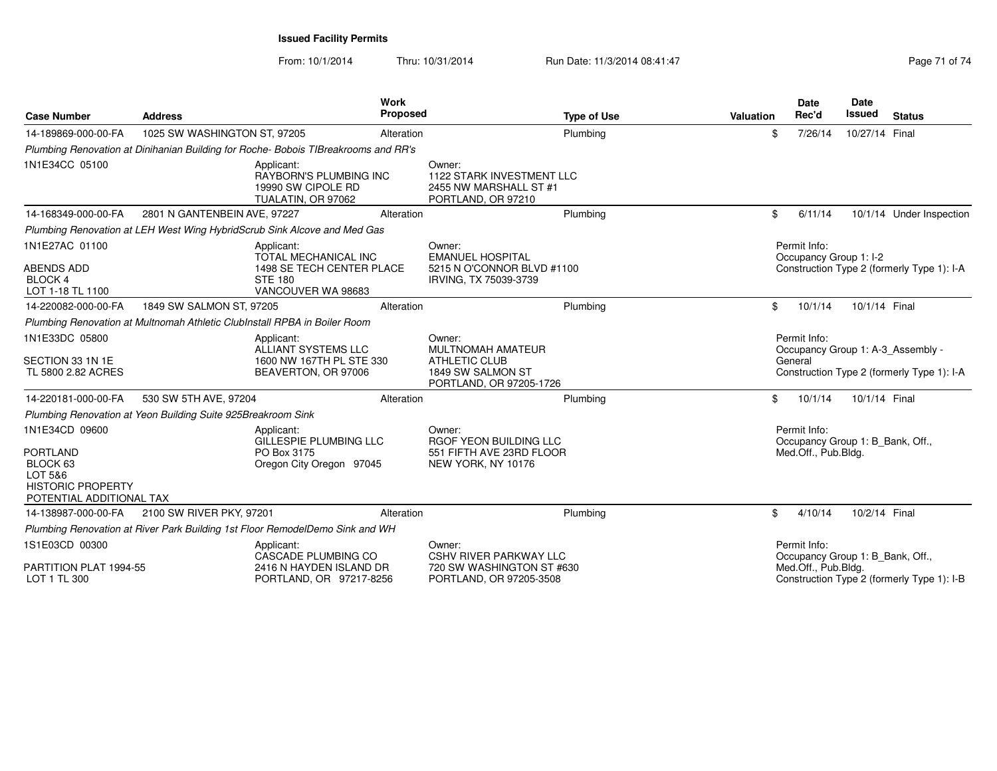From: 10/1/2014Thru: 10/31/2014 Run Date: 11/3/2014 08:41:47 Rege 71 of 74

| <b>Case Number</b>                                                                                               | <b>Address</b>                                                            | Work                                                                                                    | <b>Proposed</b>                                     | <b>Type of Use</b>                                                                    | Valuation | <b>Date</b><br>Rec'd                                                    | <b>Date</b><br><b>Issued</b> | <b>Status</b>                                                                   |
|------------------------------------------------------------------------------------------------------------------|---------------------------------------------------------------------------|---------------------------------------------------------------------------------------------------------|-----------------------------------------------------|---------------------------------------------------------------------------------------|-----------|-------------------------------------------------------------------------|------------------------------|---------------------------------------------------------------------------------|
| 14-189869-000-00-FA                                                                                              | 1025 SW WASHINGTON ST, 97205                                              |                                                                                                         | Alteration                                          | Plumbing                                                                              | \$        | 7/26/14                                                                 | 10/27/14 Final               |                                                                                 |
|                                                                                                                  |                                                                           | Plumbing Renovation at Dinihanian Building for Roche-Bobois TIBreakrooms and RR's                       |                                                     |                                                                                       |           |                                                                         |                              |                                                                                 |
| 1N1E34CC 05100                                                                                                   |                                                                           | Applicant:<br>RAYBORN'S PLUMBING INC<br>19990 SW CIPOLE RD<br>TUALATIN, OR 97062                        | Owner:<br>PORTLAND, OR 97210                        | 1122 STARK INVESTMENT LLC<br>2455 NW MARSHALL ST #1                                   |           |                                                                         |                              |                                                                                 |
| 14-168349-000-00-FA                                                                                              | 2801 N GANTENBEIN AVE, 97227                                              |                                                                                                         | Alteration                                          | Plumbing                                                                              | \$        | 6/11/14                                                                 |                              | 10/1/14 Under Inspection                                                        |
|                                                                                                                  |                                                                           | Plumbing Renovation at LEH West Wing HybridScrub Sink Alcove and Med Gas                                |                                                     |                                                                                       |           |                                                                         |                              |                                                                                 |
| 1N1E27AC 01100<br><b>ABENDS ADD</b><br><b>BLOCK 4</b><br>LOT 1-18 TL 1100                                        |                                                                           | Applicant:<br>TOTAL MECHANICAL INC<br>1498 SE TECH CENTER PLACE<br><b>STE 180</b><br>VANCOUVER WA 98683 | Owner:<br><b>EMANUEL HOSPITAL</b>                   | 5215 N O'CONNOR BLVD #1100<br>IRVING, TX 75039-3739                                   |           | Permit Info:<br>Occupancy Group 1: I-2                                  |                              | Construction Type 2 (formerly Type 1): I-A                                      |
| 14-220082-000-00-FA                                                                                              | 1849 SW SALMON ST, 97205                                                  |                                                                                                         | Alteration                                          | Plumbing                                                                              | \$        | 10/1/14                                                                 | 10/1/14 Final                |                                                                                 |
|                                                                                                                  | Plumbing Renovation at Multnomah Athletic ClubInstall RPBA in Boiler Room |                                                                                                         |                                                     |                                                                                       |           |                                                                         |                              |                                                                                 |
| 1N1E33DC 05800<br>SECTION 33 1N 1E<br>TL 5800 2.82 ACRES                                                         |                                                                           | Applicant:<br>ALLIANT SYSTEMS LLC<br>1600 NW 167TH PL STE 330<br>BEAVERTON, OR 97006                    | Owner:<br><b>ATHLETIC CLUB</b><br>1849 SW SALMON ST | MULTNOMAH AMATEUR<br>PORTLAND, OR 97205-1726                                          |           | Permit Info:<br>General                                                 |                              | Occupancy Group 1: A-3 Assembly -<br>Construction Type 2 (formerly Type 1): I-A |
| 14-220181-000-00-FA                                                                                              | 530 SW 5TH AVE, 97204                                                     |                                                                                                         | Alteration                                          | Plumbing                                                                              | \$        | 10/1/14                                                                 | 10/1/14 Final                |                                                                                 |
|                                                                                                                  | Plumbing Renovation at Yeon Building Suite 925Breakroom Sink              |                                                                                                         |                                                     |                                                                                       |           |                                                                         |                              |                                                                                 |
| 1N1E34CD 09600<br><b>PORTLAND</b><br>BLOCK 63<br>LOT 5&6<br><b>HISTORIC PROPERTY</b><br>POTENTIAL ADDITIONAL TAX |                                                                           | Applicant:<br>GILLESPIE PLUMBING LLC<br>PO Box 3175<br>Oregon City Oregon 97045                         | Owner:<br>NEW YORK, NY 10176                        | <b>RGOF YEON BUILDING LLC</b><br>551 FIFTH AVE 23RD FLOOR                             |           | Permit Info:<br>Occupancy Group 1: B Bank, Off.,<br>Med.Off., Pub.Bldg. |                              |                                                                                 |
| 14-138987-000-00-FA                                                                                              | 2100 SW RIVER PKY, 97201                                                  |                                                                                                         | Alteration                                          | Plumbing                                                                              | \$        | 4/10/14                                                                 | 10/2/14 Final                |                                                                                 |
|                                                                                                                  |                                                                           | Plumbing Renovation at River Park Building 1st Floor RemodelDemo Sink and WH                            |                                                     |                                                                                       |           |                                                                         |                              |                                                                                 |
| 1S1E03CD 00300<br>PARTITION PLAT 1994-55<br>LOT 1 TL 300                                                         |                                                                           | Applicant:<br>CASCADE PLUMBING CO<br>2416 N HAYDEN ISLAND DR<br>PORTLAND, OR 97217-8256                 | Owner:                                              | <b>CSHV RIVER PARKWAY LLC</b><br>720 SW WASHINGTON ST #630<br>PORTLAND, OR 97205-3508 |           | Permit Info:<br>Occupancy Group 1: B Bank, Off.,<br>Med.Off., Pub.Bldg. |                              | Construction Type 2 (formerly Type 1): I-B                                      |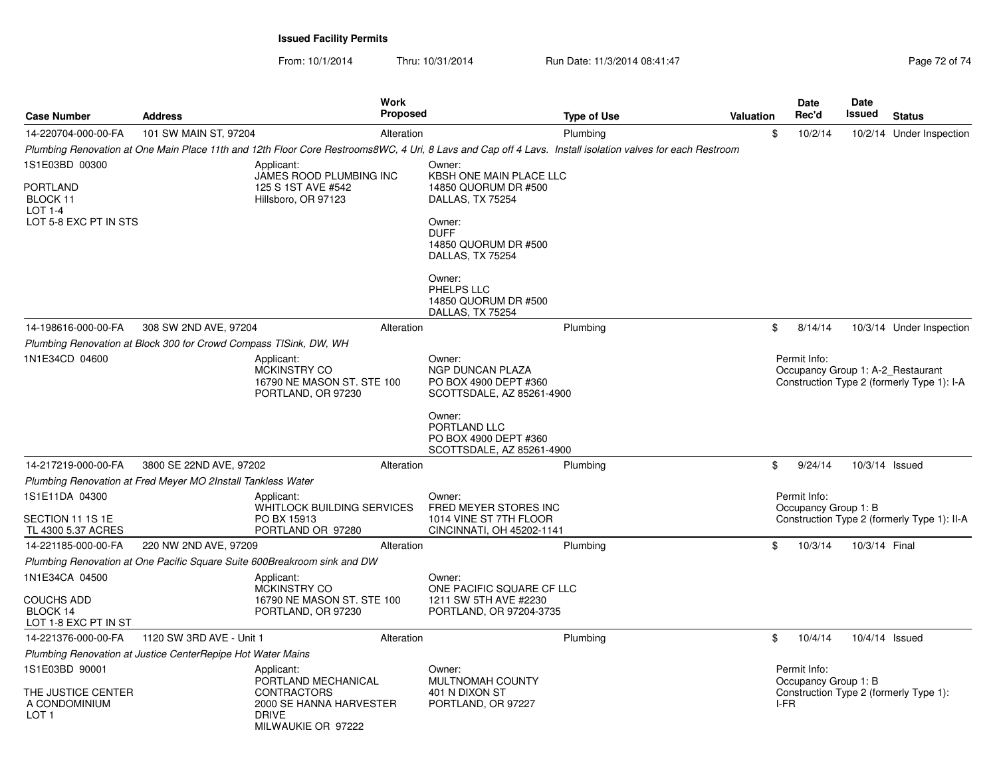From: 10/1/2014

Thru: 10/31/2014 Run Date: 11/3/2014 08:41:47 Rege 72 of 74

| <b>Case Number</b>                                                | <b>Address</b>                                                    | Work<br><b>Proposed</b>                                                                                    |                                                                                  | <b>Type of Use</b>                                                                                                                                        | <b>Valuation</b>                                                    | <b>Date</b><br>Rec'd                                                            | Date<br><b>Issued</b> | <b>Status</b>                          |
|-------------------------------------------------------------------|-------------------------------------------------------------------|------------------------------------------------------------------------------------------------------------|----------------------------------------------------------------------------------|-----------------------------------------------------------------------------------------------------------------------------------------------------------|---------------------------------------------------------------------|---------------------------------------------------------------------------------|-----------------------|----------------------------------------|
| 14-220704-000-00-FA                                               | 101 SW MAIN ST, 97204                                             | Alteration                                                                                                 |                                                                                  | Plumbing                                                                                                                                                  | \$                                                                  | 10/2/14                                                                         |                       | 10/2/14 Under Inspection               |
|                                                                   |                                                                   |                                                                                                            |                                                                                  | Plumbing Renovation at One Main Place 11th and 12th Floor Core Restrooms8WC, 4 Uri, 8 Lavs and Cap off 4 Lavs. Install isolation valves for each Restroom |                                                                     |                                                                                 |                       |                                        |
| 1S1E03BD 00300                                                    |                                                                   | Applicant:                                                                                                 | Owner:                                                                           |                                                                                                                                                           |                                                                     |                                                                                 |                       |                                        |
| <b>PORTLAND</b><br>BLOCK 11<br>$LOT 1-4$<br>LOT 5-8 EXC PT IN STS |                                                                   | <b>JAMES ROOD PLUMBING INC</b><br>125 S 1ST AVE #542<br>Hillsboro, OR 97123                                | KBSH ONE MAIN PLACE LLC<br>14850 QUORUM DR #500<br>DALLAS, TX 75254<br>Owner:    |                                                                                                                                                           |                                                                     |                                                                                 |                       |                                        |
|                                                                   |                                                                   |                                                                                                            | <b>DUFF</b><br>14850 QUORUM DR #500<br>DALLAS, TX 75254                          |                                                                                                                                                           |                                                                     |                                                                                 |                       |                                        |
|                                                                   |                                                                   |                                                                                                            | Owner:<br>PHELPS LLC<br>14850 QUORUM DR #500<br>DALLAS, TX 75254                 |                                                                                                                                                           |                                                                     |                                                                                 |                       |                                        |
| 14-198616-000-00-FA                                               | 308 SW 2ND AVE, 97204                                             | Alteration                                                                                                 |                                                                                  | Plumbing                                                                                                                                                  | \$                                                                  | 8/14/14                                                                         |                       | 10/3/14 Under Inspection               |
|                                                                   | Plumbing Renovation at Block 300 for Crowd Compass TISink, DW, WH |                                                                                                            |                                                                                  |                                                                                                                                                           |                                                                     |                                                                                 |                       |                                        |
| 1N1E34CD 04600                                                    |                                                                   | Applicant:<br><b>MCKINSTRY CO</b><br>16790 NE MASON ST, STE 100<br>PORTLAND, OR 97230                      | Owner:<br>NGP DUNCAN PLAZA<br>PO BOX 4900 DEPT #360<br>SCOTTSDALE, AZ 85261-4900 |                                                                                                                                                           | Permit Info:                                                        | Occupancy Group 1: A-2 Restaurant<br>Construction Type 2 (formerly Type 1): I-A |                       |                                        |
|                                                                   |                                                                   |                                                                                                            | Owner:<br>PORTLAND LLC<br>PO BOX 4900 DEPT #360<br>SCOTTSDALE, AZ 85261-4900     |                                                                                                                                                           |                                                                     |                                                                                 |                       |                                        |
| 14-217219-000-00-FA                                               | 3800 SE 22ND AVE, 97202                                           | Alteration                                                                                                 |                                                                                  | Plumbing                                                                                                                                                  | \$                                                                  | 9/24/14                                                                         | 10/3/14 Issued        |                                        |
|                                                                   | Plumbing Renovation at Fred Meyer MO 2Install Tankless Water      |                                                                                                            |                                                                                  |                                                                                                                                                           |                                                                     |                                                                                 |                       |                                        |
| 1S1E11DA 04300                                                    |                                                                   | Applicant:<br>WHITLOCK BUILDING SERVICES                                                                   | Owner:<br>FRED MEYER STORES INC                                                  |                                                                                                                                                           |                                                                     | Permit Info:                                                                    |                       |                                        |
| SECTION 11 1S 1E<br>TL 4300 5.37 ACRES                            |                                                                   | PO BX 15913<br>PORTLAND OR 97280                                                                           | 1014 VINE ST 7TH FLOOR<br>CINCINNATI, OH 45202-1141                              |                                                                                                                                                           | Occupancy Group 1: B<br>Construction Type 2 (formerly Type 1): II-A |                                                                                 |                       |                                        |
| 14-221185-000-00-FA                                               | 220 NW 2ND AVE, 97209                                             | Alteration                                                                                                 |                                                                                  | Plumbing                                                                                                                                                  | \$                                                                  | 10/3/14                                                                         | 10/3/14 Final         |                                        |
|                                                                   |                                                                   | Plumbing Renovation at One Pacific Square Suite 600Breakroom sink and DW                                   |                                                                                  |                                                                                                                                                           |                                                                     |                                                                                 |                       |                                        |
| 1N1E34CA 04500                                                    |                                                                   | Applicant:<br>MCKINSTRY CO                                                                                 | Owner:<br>ONE PACIFIC SQUARE CF LLC                                              |                                                                                                                                                           |                                                                     |                                                                                 |                       |                                        |
| <b>COUCHS ADD</b><br>BLOCK 14<br>LOT 1-8 EXC PT IN ST             |                                                                   | 16790 NE MASON ST, STE 100<br>PORTLAND, OR 97230                                                           | 1211 SW 5TH AVE #2230<br>PORTLAND, OR 97204-3735                                 |                                                                                                                                                           |                                                                     |                                                                                 |                       |                                        |
| 14-221376-000-00-FA                                               | 1120 SW 3RD AVE - Unit 1                                          | Alteration                                                                                                 |                                                                                  | Plumbing                                                                                                                                                  | \$                                                                  | 10/4/14                                                                         | 10/4/14 Issued        |                                        |
|                                                                   | Plumbing Renovation at Justice CenterRepipe Hot Water Mains       |                                                                                                            |                                                                                  |                                                                                                                                                           |                                                                     |                                                                                 |                       |                                        |
| 1S1E03BD 90001                                                    |                                                                   | Applicant:                                                                                                 | Owner:                                                                           |                                                                                                                                                           |                                                                     | Permit Info:                                                                    |                       |                                        |
| THE JUSTICE CENTER<br>A CONDOMINIUM<br>LOT <sub>1</sub>           |                                                                   | PORTLAND MECHANICAL<br><b>CONTRACTORS</b><br>2000 SE HANNA HARVESTER<br><b>DRIVE</b><br>MILWAUKIE OR 97222 | <b>MULTNOMAH COUNTY</b><br>401 N DIXON ST<br>PORTLAND, OR 97227                  |                                                                                                                                                           |                                                                     | Occupancy Group 1: B<br>I-FR                                                    |                       | Construction Type 2 (formerly Type 1): |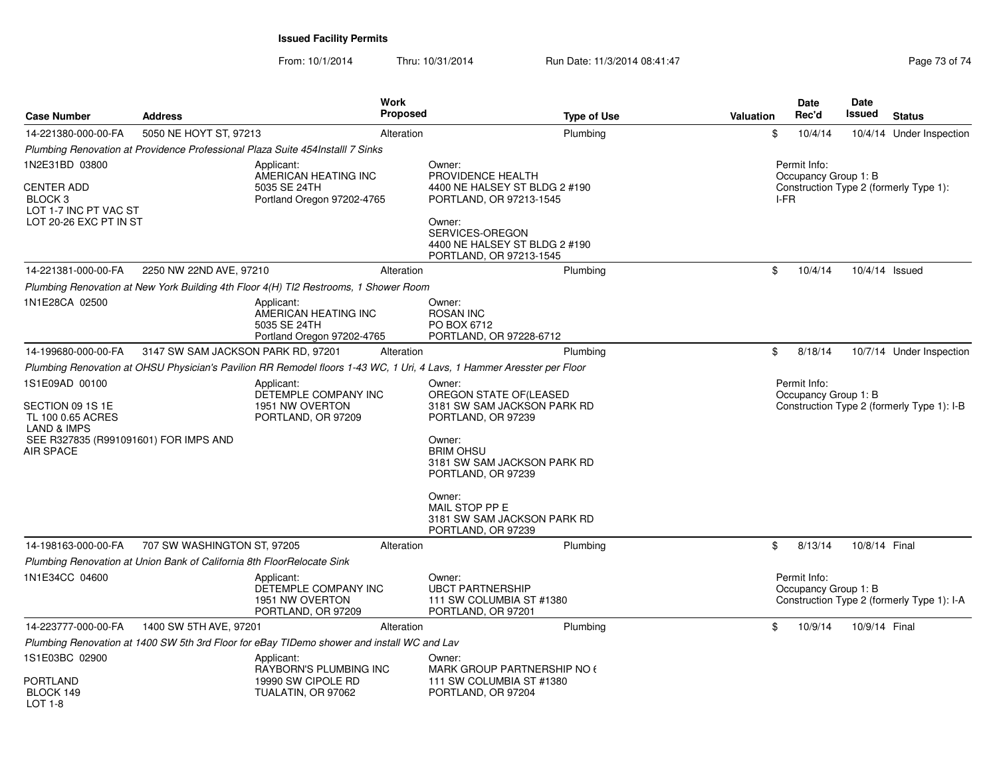**Issued Facility Permits**

From: 10/1/2014Thru: 10/31/2014 Run Date: 11/3/2014 08:41:47 Run Date: 11/3/2014 08:41:47

|                                                                                                              |                                                                        | Work                                                                                                                   |                                                                                                                      |                    |                  | Date                                         | Date          |                                            |
|--------------------------------------------------------------------------------------------------------------|------------------------------------------------------------------------|------------------------------------------------------------------------------------------------------------------------|----------------------------------------------------------------------------------------------------------------------|--------------------|------------------|----------------------------------------------|---------------|--------------------------------------------|
| <b>Case Number</b>                                                                                           | <b>Address</b>                                                         | <b>Proposed</b>                                                                                                        |                                                                                                                      | <b>Type of Use</b> | <b>Valuation</b> | Rec'd                                        | Issued        | <b>Status</b>                              |
| 14-221380-000-00-FA                                                                                          | 5050 NE HOYT ST, 97213                                                 | Alteration                                                                                                             |                                                                                                                      | Plumbing           | \$               | 10/4/14                                      |               | 10/4/14 Under Inspection                   |
|                                                                                                              |                                                                        | Plumbing Renovation at Providence Professional Plaza Suite 454Installl 7 Sinks                                         |                                                                                                                      |                    |                  |                                              |               |                                            |
| 1N2E31BD 03800<br><b>CENTER ADD</b><br>BLOCK <sub>3</sub><br>LOT 1-7 INC PT VAC ST<br>LOT 20-26 EXC PT IN ST |                                                                        | Applicant:<br>AMERICAN HEATING INC<br>5035 SE 24TH<br>Portland Oregon 97202-4765                                       | Owner:<br>PROVIDENCE HEALTH<br>4400 NE HALSEY ST BLDG 2 #190<br>PORTLAND, OR 97213-1545<br>Owner:<br>SERVICES-OREGON |                    |                  | Permit Info:<br>Occupancy Group 1: B<br>I-FR |               | Construction Type 2 (formerly Type 1):     |
|                                                                                                              |                                                                        |                                                                                                                        | 4400 NE HALSEY ST BLDG 2 #190<br>PORTLAND, OR 97213-1545                                                             |                    |                  |                                              |               |                                            |
| 14-221381-000-00-FA                                                                                          | 2250 NW 22ND AVE, 97210                                                | Alteration                                                                                                             |                                                                                                                      | Plumbing           | \$               | 10/4/14                                      |               | 10/4/14 Issued                             |
|                                                                                                              |                                                                        | Plumbing Renovation at New York Building 4th Floor 4(H) TI2 Restrooms, 1 Shower Room                                   |                                                                                                                      |                    |                  |                                              |               |                                            |
| 1N1E28CA 02500                                                                                               |                                                                        | Applicant:<br>AMERICAN HEATING INC<br>5035 SE 24TH<br>Portland Oregon 97202-4765                                       | Owner:<br><b>ROSAN INC</b><br>PO BOX 6712<br>PORTLAND, OR 97228-6712                                                 |                    |                  |                                              |               |                                            |
| 14-199680-000-00-FA                                                                                          | 3147 SW SAM JACKSON PARK RD, 97201                                     | Alteration                                                                                                             |                                                                                                                      | Plumbing           | \$               | 8/18/14                                      |               | 10/7/14 Under Inspection                   |
|                                                                                                              |                                                                        | Plumbing Renovation at OHSU Physician's Pavilion RR Remodel floors 1-43 WC, 1 Uri, 4 Lavs, 1 Hammer Aresster per Floor |                                                                                                                      |                    |                  |                                              |               |                                            |
| 1S1E09AD 00100<br>SECTION 09 1S 1E<br>TL 100 0.65 ACRES                                                      |                                                                        | Applicant:<br>DETEMPLE COMPANY INC<br>1951 NW OVERTON<br>PORTLAND, OR 97209                                            | Owner:<br>OREGON STATE OF(LEASED<br>3181 SW SAM JACKSON PARK RD<br>PORTLAND, OR 97239                                |                    |                  | Permit Info:<br>Occupancy Group 1: B         |               | Construction Type 2 (formerly Type 1): I-B |
| <b>LAND &amp; IMPS</b><br>SEE R327835 (R991091601) FOR IMPS AND<br><b>AIR SPACE</b>                          |                                                                        |                                                                                                                        | Owner:<br><b>BRIM OHSU</b><br>3181 SW SAM JACKSON PARK RD<br>PORTLAND, OR 97239                                      |                    |                  |                                              |               |                                            |
|                                                                                                              |                                                                        |                                                                                                                        | Owner:<br>MAIL STOP PP E<br>3181 SW SAM JACKSON PARK RD<br>PORTLAND, OR 97239                                        |                    |                  |                                              |               |                                            |
| 14-198163-000-00-FA                                                                                          | 707 SW WASHINGTON ST, 97205                                            | Alteration                                                                                                             |                                                                                                                      | Plumbing           | \$               | 8/13/14                                      | 10/8/14 Final |                                            |
|                                                                                                              | Plumbing Renovation at Union Bank of California 8th FloorRelocate Sink |                                                                                                                        |                                                                                                                      |                    |                  |                                              |               |                                            |
| 1N1E34CC 04600                                                                                               |                                                                        | Applicant:<br>DETEMPLE COMPANY INC<br>1951 NW OVERTON<br>PORTLAND, OR 97209                                            | Owner:<br><b>UBCT PARTNERSHIP</b><br>111 SW COLUMBIA ST #1380<br>PORTLAND, OR 97201                                  |                    |                  | Permit Info:<br>Occupancy Group 1: B         |               | Construction Type 2 (formerly Type 1): I-A |
| 14-223777-000-00-FA                                                                                          | 1400 SW 5TH AVE, 97201                                                 | Alteration                                                                                                             |                                                                                                                      | Plumbing           | \$               | 10/9/14                                      | 10/9/14 Final |                                            |
|                                                                                                              |                                                                        | Plumbing Renovation at 1400 SW 5th 3rd Floor for eBay TIDemo shower and install WC and Lav                             |                                                                                                                      |                    |                  |                                              |               |                                            |
| 1S1E03BC 02900                                                                                               |                                                                        | Applicant:<br>RAYBORN'S PLUMBING INC                                                                                   | Owner:<br>MARK GROUP PARTNERSHIP NO 6                                                                                |                    |                  |                                              |               |                                            |
| <b>PORTLAND</b><br>BLOCK 149<br>LOT 1-8                                                                      |                                                                        | 19990 SW CIPOLE RD<br>TUALATIN, OR 97062                                                                               | 111 SW COLUMBIA ST #1380<br>PORTLAND, OR 97204                                                                       |                    |                  |                                              |               |                                            |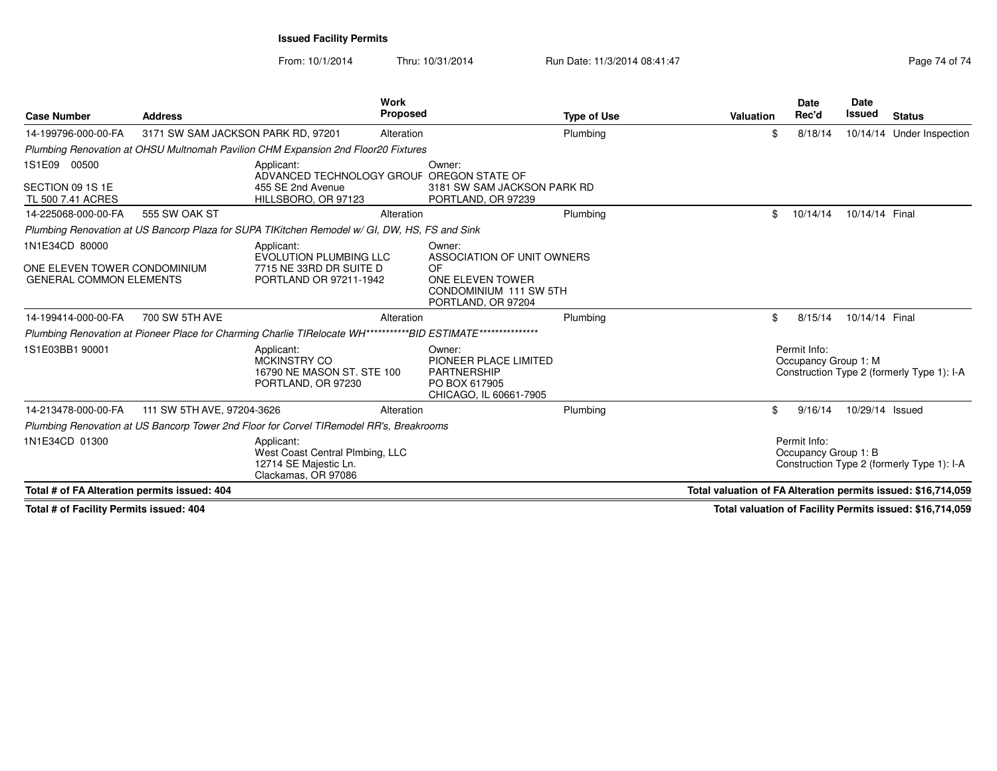**Issued Facility Permits**

From: 10/1/2014Thru: 10/31/2014 Run Date: 11/3/2014 08:41:47 Run Date: 11/3/2014 08:41:47

| Page 74 of 7 |  |  |
|--------------|--|--|
|              |  |  |

| <b>Case Number</b>                                                               | <b>Address</b>                     |                                                                                                               | <b>Work</b><br><b>Proposed</b> |                                                                                                                 | <b>Type of Use</b> | Valuation | <b>Date</b><br>Rec'd                 | <b>Date</b><br>Issued | <b>Status</b>                                                 |
|----------------------------------------------------------------------------------|------------------------------------|---------------------------------------------------------------------------------------------------------------|--------------------------------|-----------------------------------------------------------------------------------------------------------------|--------------------|-----------|--------------------------------------|-----------------------|---------------------------------------------------------------|
| 14-199796-000-00-FA                                                              | 3171 SW SAM JACKSON PARK RD, 97201 |                                                                                                               | Alteration                     |                                                                                                                 | Plumbing           |           | \$<br>8/18/14                        |                       | 10/14/14 Under Inspection                                     |
|                                                                                  |                                    | Plumbing Renovation at OHSU Multnomah Pavilion CHM Expansion 2nd Floor20 Fixtures                             |                                |                                                                                                                 |                    |           |                                      |                       |                                                               |
| 1S1E09 00500<br>SECTION 09 1S 1E<br>TL 500 7.41 ACRES                            |                                    | Applicant:<br>ADVANCED TECHNOLOGY GROUF OREGON STATE OF<br>455 SE 2nd Avenue<br>HILLSBORO, OR 97123           |                                | Owner:<br>3181 SW SAM JACKSON PARK RD<br>PORTLAND, OR 97239                                                     |                    |           |                                      |                       |                                                               |
| 14-225068-000-00-FA                                                              | 555 SW OAK ST                      |                                                                                                               | Alteration                     |                                                                                                                 | Plumbing           |           | \$<br>10/14/14                       | 10/14/14 Final        |                                                               |
|                                                                                  |                                    | Plumbing Renovation at US Bancorp Plaza for SUPA TIKitchen Remodel w/ GI, DW, HS, FS and Sink                 |                                |                                                                                                                 |                    |           |                                      |                       |                                                               |
| 1N1E34CD 80000<br>ONE ELEVEN TOWER CONDOMINIUM<br><b>GENERAL COMMON ELEMENTS</b> |                                    | Applicant:<br><b>EVOLUTION PLUMBING LLC</b><br>7715 NE 33RD DR SUITE D<br>PORTLAND OR 97211-1942              |                                | Owner:<br>ASSOCIATION OF UNIT OWNERS<br>OF.<br>ONE ELEVEN TOWER<br>CONDOMINIUM 111 SW 5TH<br>PORTLAND, OR 97204 |                    |           |                                      |                       |                                                               |
| 14-199414-000-00-FA                                                              | 700 SW 5TH AVE                     |                                                                                                               | Alteration                     |                                                                                                                 | Plumbing           |           | \$<br>8/15/14                        | 10/14/14 Final        |                                                               |
|                                                                                  |                                    | Plumbing Renovation at Pioneer Place for Charming Charlie TIRelocate WH***********BID ESTIMATE*************** |                                |                                                                                                                 |                    |           |                                      |                       |                                                               |
| 1S1E03BB1 90001                                                                  |                                    | Applicant:<br>MCKINSTRY CO<br>16790 NE MASON ST, STE 100<br>PORTLAND, OR 97230                                |                                | Owner:<br>PIONEER PLACE LIMITED<br><b>PARTNERSHIP</b><br>PO BOX 617905<br>CHICAGO, IL 60661-7905                |                    |           | Permit Info:<br>Occupancy Group 1: M |                       | Construction Type 2 (formerly Type 1): I-A                    |
| 14-213478-000-00-FA                                                              | 111 SW 5TH AVE, 97204-3626         |                                                                                                               | Alteration                     |                                                                                                                 | Plumbing           |           | \$<br>9/16/14                        | 10/29/14 Issued       |                                                               |
|                                                                                  |                                    | Plumbing Renovation at US Bancorp Tower 2nd Floor for Corvel TIRemodel RR's, Breakrooms                       |                                |                                                                                                                 |                    |           |                                      |                       |                                                               |
| 1N1E34CD 01300                                                                   |                                    | Applicant:<br>West Coast Central Plmbing, LLC<br>12714 SE Majestic Ln.<br>Clackamas, OR 97086                 |                                |                                                                                                                 |                    |           | Permit Info:<br>Occupancy Group 1: B |                       | Construction Type 2 (formerly Type 1): I-A                    |
| Total # of FA Alteration permits issued: 404                                     |                                    |                                                                                                               |                                |                                                                                                                 |                    |           |                                      |                       | Total valuation of FA Alteration permits issued: \$16,714,059 |

**Total # of Facility Permits issued: 404**

**Total valuation of Facility Permits issued: \$16,714,059**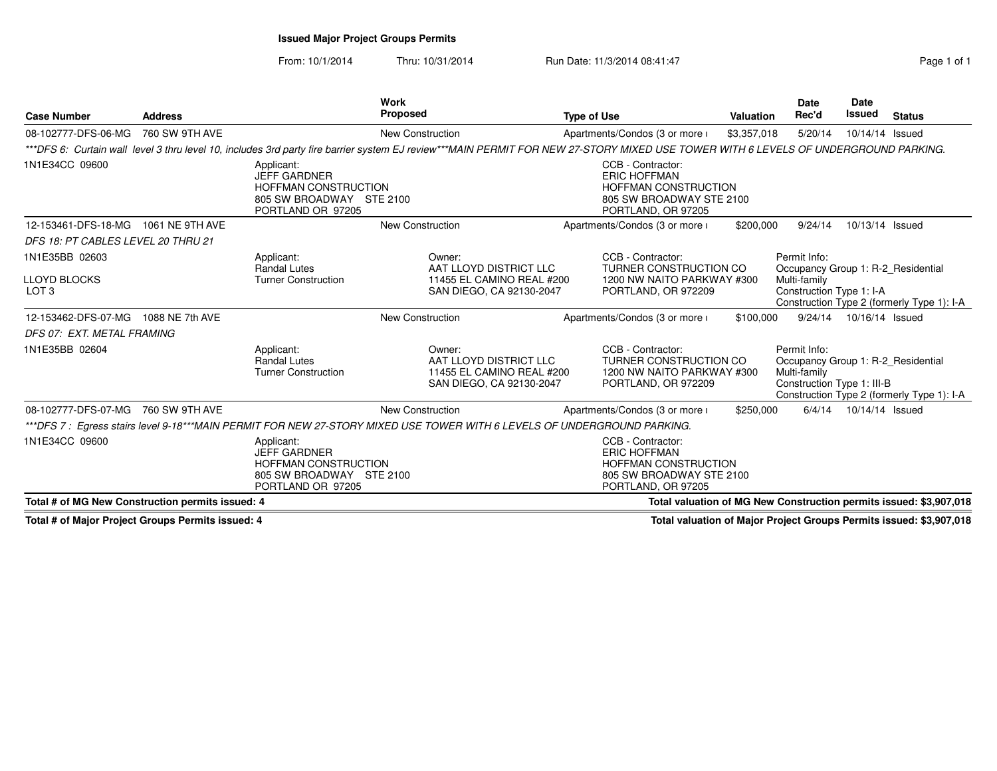# **Issued Major Project Groups Permits**

From: 10/1/2014Thru: 10/31/2014 Run Date: 11/3/2014 08:41:47 Run Date: 11/3/2014 08:41:47

| <b>Case Number</b>                               | <b>Address</b>  |                                                                                                                   | Work<br>Proposed                                                                                                                                                                    | <b>Type of Use</b>                                                                                                        | Valuation   | Date<br>Rec'd                                                                                    | Date<br><b>Issued</b> | <b>Status</b>                                                      |
|--------------------------------------------------|-----------------|-------------------------------------------------------------------------------------------------------------------|-------------------------------------------------------------------------------------------------------------------------------------------------------------------------------------|---------------------------------------------------------------------------------------------------------------------------|-------------|--------------------------------------------------------------------------------------------------|-----------------------|--------------------------------------------------------------------|
| 08-102777-DFS-06-MG                              | 760 SW 9TH AVE  |                                                                                                                   | <b>New Construction</b>                                                                                                                                                             | Apartments/Condos (3 or more i                                                                                            | \$3,357,018 | 5/20/14                                                                                          | 10/14/14 Issued       |                                                                    |
|                                                  |                 |                                                                                                                   | ***DFS 6: Curtain wall level 3 thru level 10, includes 3rd party fire barrier system EJ review***MAIN PERMIT FOR NEW 27-STORY MIXED USE TOWER WITH 6 LEVELS OF UNDERGROUND PARKING. |                                                                                                                           |             |                                                                                                  |                       |                                                                    |
| 1N1E34CC 09600                                   |                 | Applicant:<br><b>JEFF GARDNER</b><br><b>HOFFMAN CONSTRUCTION</b><br>805 SW BROADWAY STE 2100<br>PORTLAND OR 97205 |                                                                                                                                                                                     | CCB - Contractor:<br><b>ERIC HOFFMAN</b><br><b>HOFFMAN CONSTRUCTION</b><br>805 SW BROADWAY STE 2100<br>PORTLAND, OR 97205 |             |                                                                                                  |                       |                                                                    |
| 12-153461-DFS-18-MG                              | 1061 NE 9TH AVE |                                                                                                                   | <b>New Construction</b>                                                                                                                                                             | Apartments/Condos (3 or more i                                                                                            | \$200,000   | 9/24/14                                                                                          | 10/13/14 Issued       |                                                                    |
| DFS 18: PT CABLES LEVEL 20 THRU 21               |                 |                                                                                                                   |                                                                                                                                                                                     |                                                                                                                           |             |                                                                                                  |                       |                                                                    |
| 1N1E35BB 02603                                   |                 | Applicant:<br><b>Randal Lutes</b>                                                                                 | Owner:<br>AAT LLOYD DISTRICT LLC                                                                                                                                                    | CCB - Contractor:<br>TURNER CONSTRUCTION CO                                                                               |             | Permit Info:<br>Occupancy Group 1: R-2 Residential                                               |                       |                                                                    |
| <b>LLOYD BLOCKS</b><br>LOT <sub>3</sub>          |                 | <b>Turner Construction</b>                                                                                        | 11455 EL CAMINO REAL #200<br>SAN DIEGO, CA 92130-2047                                                                                                                               | 1200 NW NAITO PARKWAY #300<br>PORTLAND, OR 972209                                                                         |             | Multi-family<br>Construction Type 1: I-A                                                         |                       | Construction Type 2 (formerly Type 1): I-A                         |
| 12-153462-DFS-07-MG                              | 1088 NE 7th AVE |                                                                                                                   | <b>New Construction</b>                                                                                                                                                             | Apartments/Condos (3 or more i                                                                                            | \$100,000   | 9/24/14                                                                                          | 10/16/14 Issued       |                                                                    |
| DFS 07: EXT. METAL FRAMING                       |                 |                                                                                                                   |                                                                                                                                                                                     |                                                                                                                           |             |                                                                                                  |                       |                                                                    |
| 1N1E35BB 02604                                   |                 | Applicant:<br>Randal Lutes<br><b>Turner Construction</b>                                                          | Owner:<br>AAT LLOYD DISTRICT LLC<br>11455 EL CAMINO REAL #200<br>SAN DIEGO, CA 92130-2047                                                                                           | CCB - Contractor:<br>TURNER CONSTRUCTION CO<br>1200 NW NAITO PARKWAY #300<br>PORTLAND, OR 972209                          |             | Permit Info:<br>Occupancy Group 1: R-2 Residential<br>Multi-family<br>Construction Type 1: III-B |                       | Construction Type 2 (formerly Type 1): I-A                         |
| 08-102777-DFS-07-MG                              | 760 SW 9TH AVE  |                                                                                                                   | <b>New Construction</b>                                                                                                                                                             | Apartments/Condos (3 or more i                                                                                            | \$250,000   | 6/4/14                                                                                           | 10/14/14 Issued       |                                                                    |
|                                                  |                 |                                                                                                                   | ***DFS 7 : Egress stairs level 9-18***MAIN PERMIT FOR NEW 27-STORY MIXED USE TOWER WITH 6 LEVELS OF UNDERGROUND PARKING.                                                            |                                                                                                                           |             |                                                                                                  |                       |                                                                    |
| 1N1E34CC 09600                                   |                 | Applicant:<br><b>JEFF GARDNER</b><br><b>HOFFMAN CONSTRUCTION</b><br>805 SW BROADWAY STE 2100<br>PORTLAND OR 97205 |                                                                                                                                                                                     | CCB - Contractor:<br><b>ERIC HOFFMAN</b><br><b>HOFFMAN CONSTRUCTION</b><br>805 SW BROADWAY STE 2100<br>PORTLAND, OR 97205 |             |                                                                                                  |                       |                                                                    |
| Total # of MG New Construction permits issued: 4 |                 |                                                                                                                   |                                                                                                                                                                                     |                                                                                                                           |             |                                                                                                  |                       | Total valuation of MG New Construction permits issued: \$3,907,018 |

**Total # of Major Project Groups Permits issued: 4**

**Total valuation of Major Project Groups Permits issued: \$3,907,018**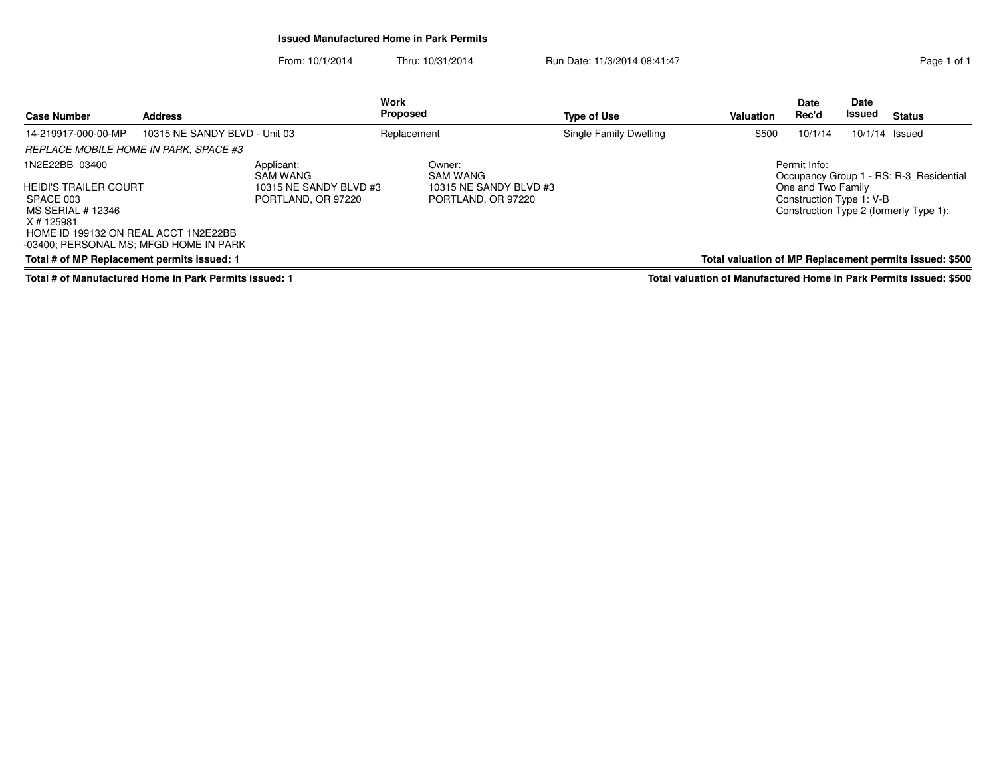#### **Issued Manufactured Home in Park Permits**

From: 10/1/2014Thru: 10/31/2014 Run Date: 11/3/2014 08:41:47 Run Date: 11/3/2014 08:41:47

| <b>Case Number</b>                                                                                                                                             | <b>Address</b>                |                                              | Work<br>Proposed |                                              | <b>Type of Use</b>     | Valuation                                               | <b>Date</b><br>Rec'd                           | <b>Date</b><br>Issued | <b>Status</b>                           |
|----------------------------------------------------------------------------------------------------------------------------------------------------------------|-------------------------------|----------------------------------------------|------------------|----------------------------------------------|------------------------|---------------------------------------------------------|------------------------------------------------|-----------------------|-----------------------------------------|
| 14-219917-000-00-MP                                                                                                                                            | 10315 NE SANDY BLVD - Unit 03 |                                              | Replacement      |                                              | Single Family Dwelling | \$500                                                   | 10/1/14                                        | $10/1/14$ Issued      |                                         |
| REPLACE MOBILE HOME IN PARK, SPACE #3                                                                                                                          |                               |                                              |                  |                                              |                        |                                                         |                                                |                       |                                         |
| 1N2E22BB 03400                                                                                                                                                 |                               | Applicant:<br>SAM WANG                       |                  | Owner:<br><b>SAM WANG</b>                    |                        |                                                         | Permit Info:                                   |                       | Occupancy Group 1 - RS: R-3 Residential |
| <b>HEIDI'S TRAILER COURT</b><br>SPACE 003<br>MS SERIAL # 12346<br>X # 125981<br>HOME ID 199132 ON REAL ACCT 1N2E22BB<br>-03400; PERSONAL MS; MFGD HOME IN PARK |                               | 10315 NE SANDY BLVD #3<br>PORTLAND, OR 97220 |                  | 10315 NE SANDY BLVD #3<br>PORTLAND, OR 97220 |                        |                                                         | One and Two Family<br>Construction Type 1: V-B |                       | Construction Type 2 (formerly Type 1):  |
| Total # of MP Replacement permits issued: 1                                                                                                                    |                               |                                              |                  |                                              |                        | Total valuation of MP Replacement permits issued: \$500 |                                                |                       |                                         |

**Total # of Manufactured Home in Park Permits issued: 1**

**Total valuation of Manufactured Home in Park Permits issued: \$500**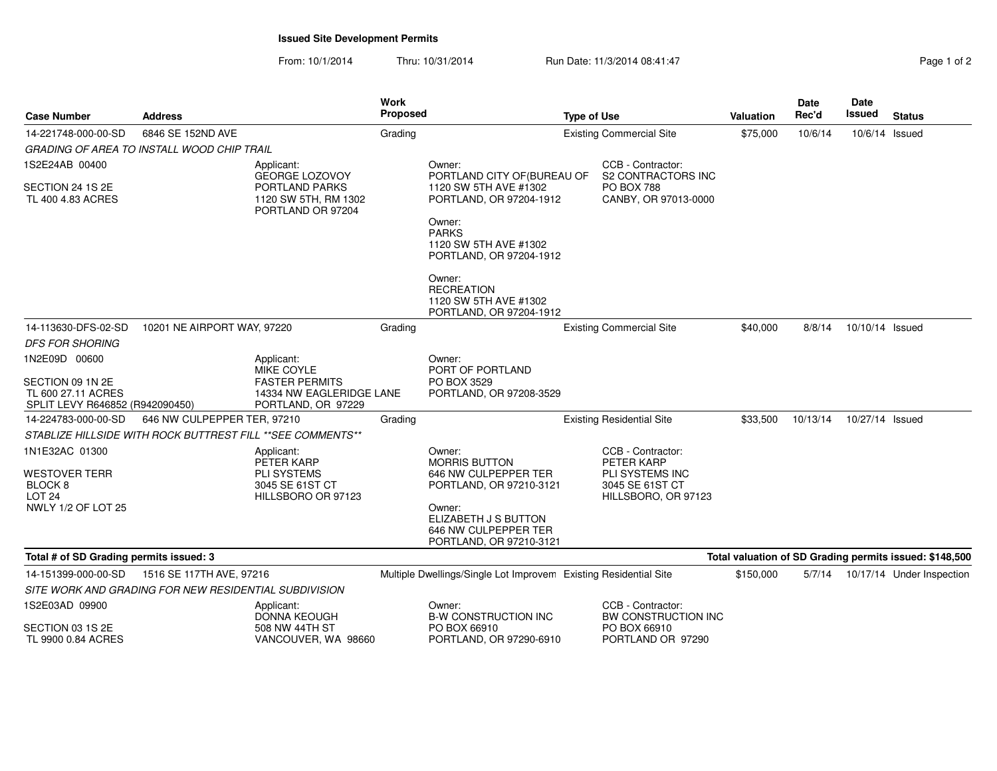### **Issued Site Development Permits**

From: 10/1/2014Thru: 10/31/2014 Run Date: 11/3/2014 08:41:47 Page 1 of 2

| Page 1 of 2 |  |  |
|-------------|--|--|
|             |  |  |

| <b>Case Number</b>                                                        | <b>Address</b>                                        |                                                                         | Work<br>Proposed |                                                                                   | <b>Type of Use</b> |                                                                  | <b>Valuation</b> | <b>Date</b><br>Rec'd | <b>Date</b><br>Issued | <b>Status</b>                                           |
|---------------------------------------------------------------------------|-------------------------------------------------------|-------------------------------------------------------------------------|------------------|-----------------------------------------------------------------------------------|--------------------|------------------------------------------------------------------|------------------|----------------------|-----------------------|---------------------------------------------------------|
| 14-221748-000-00-SD                                                       | 6846 SE 152ND AVE                                     |                                                                         | Grading          |                                                                                   |                    | <b>Existing Commercial Site</b>                                  | \$75,000         | 10/6/14              | 10/6/14 Issued        |                                                         |
|                                                                           | <b>GRADING OF AREA TO INSTALL WOOD CHIP TRAIL</b>     |                                                                         |                  |                                                                                   |                    |                                                                  |                  |                      |                       |                                                         |
| 1S2E24AB 00400                                                            |                                                       | Applicant:<br><b>GEORGE LOZOVOY</b>                                     |                  | Owner:<br>PORTLAND CITY OF (BUREAU OF                                             |                    | CCB - Contractor:<br>S2 CONTRACTORS INC                          |                  |                      |                       |                                                         |
| SECTION 24 1S 2E<br>TL 400 4.83 ACRES                                     |                                                       | PORTLAND PARKS<br>1120 SW 5TH, RM 1302<br>PORTLAND OR 97204             |                  | 1120 SW 5TH AVE #1302<br>PORTLAND, OR 97204-1912                                  |                    | <b>PO BOX 788</b><br>CANBY, OR 97013-0000                        |                  |                      |                       |                                                         |
|                                                                           |                                                       |                                                                         |                  | Owner:<br><b>PARKS</b><br>1120 SW 5TH AVE #1302<br>PORTLAND, OR 97204-1912        |                    |                                                                  |                  |                      |                       |                                                         |
|                                                                           |                                                       |                                                                         |                  | Owner:<br><b>RECREATION</b><br>1120 SW 5TH AVE #1302<br>PORTLAND, OR 97204-1912   |                    |                                                                  |                  |                      |                       |                                                         |
| 14-113630-DFS-02-SD                                                       | 10201 NE AIRPORT WAY, 97220                           |                                                                         | Grading          |                                                                                   |                    | <b>Existing Commercial Site</b>                                  | \$40,000         | 8/8/14               | 10/10/14 Issued       |                                                         |
| <b>DFS FOR SHORING</b>                                                    |                                                       |                                                                         |                  |                                                                                   |                    |                                                                  |                  |                      |                       |                                                         |
| 1N2E09D 00600                                                             |                                                       | Applicant:<br>MIKE COYLE                                                |                  | Owner:<br>PORT OF PORTLAND                                                        |                    |                                                                  |                  |                      |                       |                                                         |
| SECTION 09 1N 2E<br>TL 600 27.11 ACRES<br>SPLIT LEVY R646852 (R942090450) |                                                       | <b>FASTER PERMITS</b><br>14334 NW EAGLERIDGE LANE<br>PORTLAND, OR 97229 |                  | PO BOX 3529<br>PORTLAND, OR 97208-3529                                            |                    |                                                                  |                  |                      |                       |                                                         |
| 14-224783-000-00-SD                                                       | 646 NW CULPEPPER TER, 97210                           |                                                                         | Grading          |                                                                                   |                    | <b>Existing Residential Site</b>                                 | \$33,500         | 10/13/14             | 10/27/14 Issued       |                                                         |
|                                                                           |                                                       | STABLIZE HILLSIDE WITH ROCK BUTTREST FILL ** SEE COMMENTS**             |                  |                                                                                   |                    |                                                                  |                  |                      |                       |                                                         |
| 1N1E32AC 01300                                                            |                                                       | Applicant:<br>PETER KARP                                                |                  | Owner:<br><b>MORRIS BUTTON</b>                                                    |                    | CCB - Contractor:<br>PETER KARP                                  |                  |                      |                       |                                                         |
| WESTOVER TERR<br>BLOCK <sub>8</sub><br><b>LOT 24</b>                      |                                                       | <b>PLI SYSTEMS</b><br>3045 SE 61ST CT<br>HILLSBORO OR 97123             |                  | 646 NW CULPEPPER TER<br>PORTLAND, OR 97210-3121                                   |                    | <b>PLI SYSTEMS INC</b><br>3045 SE 61ST CT<br>HILLSBORO, OR 97123 |                  |                      |                       |                                                         |
| NWLY 1/2 OF LOT 25                                                        |                                                       |                                                                         |                  | Owner:<br>ELIZABETH J S BUTTON<br>646 NW CULPEPPER TER<br>PORTLAND, OR 97210-3121 |                    |                                                                  |                  |                      |                       |                                                         |
| Total # of SD Grading permits issued: 3                                   |                                                       |                                                                         |                  |                                                                                   |                    |                                                                  |                  |                      |                       | Total valuation of SD Grading permits issued: \$148,500 |
| 14-151399-000-00-SD                                                       | 1516 SE 117TH AVE, 97216                              |                                                                         |                  | Multiple Dwellings/Single Lot Improvem Existing Residential Site                  |                    |                                                                  | \$150,000        |                      |                       | 5/7/14  10/17/14  Under Inspection                      |
|                                                                           | SITE WORK AND GRADING FOR NEW RESIDENTIAL SUBDIVISION |                                                                         |                  |                                                                                   |                    |                                                                  |                  |                      |                       |                                                         |
| 1S2E03AD 09900                                                            |                                                       | Applicant:<br><b>DONNA KEOUGH</b>                                       |                  | Owner:<br><b>B-W CONSTRUCTION INC</b>                                             |                    | CCB - Contractor:<br>BW CONSTRUCTION INC                         |                  |                      |                       |                                                         |
| SECTION 03 1S 2E<br>TL 9900 0.84 ACRES                                    |                                                       | 508 NW 44TH ST<br>VANCOUVER, WA 98660                                   |                  | PO BOX 66910<br>PORTLAND, OR 97290-6910                                           |                    | PO BOX 66910<br>PORTLAND OR 97290                                |                  |                      |                       |                                                         |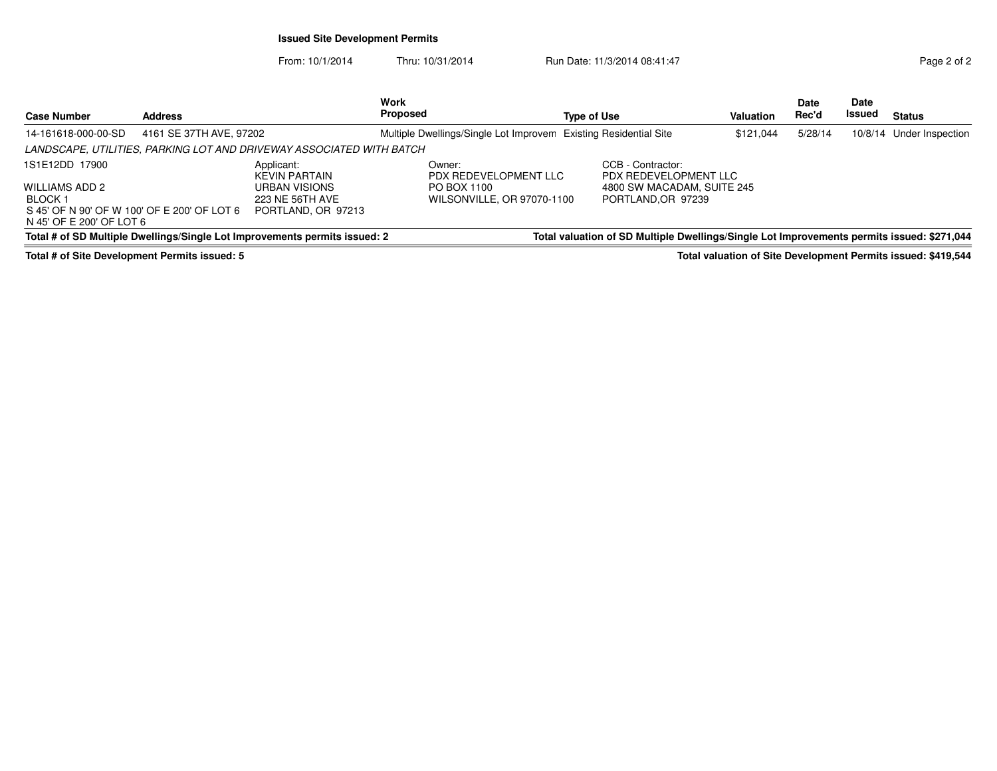### **Issued Site Development Permits**

From: 10/1/2014Thru: 10/31/2014 Run Date: 11/3/2014 08:41:47 Rege 2 of 2

| <b>Case Number</b>                                                                                                     | <b>Address</b>          |                                                                                              | Work<br>Proposed                                                             | <b>Type of Use</b>                                                                            | <b>Valuation</b> | Date<br>Rec'd | Date<br>Issued | <b>Status</b>            |
|------------------------------------------------------------------------------------------------------------------------|-------------------------|----------------------------------------------------------------------------------------------|------------------------------------------------------------------------------|-----------------------------------------------------------------------------------------------|------------------|---------------|----------------|--------------------------|
| 14-161618-000-00-SD                                                                                                    | 4161 SE 37TH AVE, 97202 |                                                                                              | Multiple Dwellings/Single Lot Improvem                                       | <b>Existing Residential Site</b>                                                              | \$121.044        | 5/28/14       |                | 10/8/14 Under Inspection |
|                                                                                                                        |                         | LANDSCAPE, UTILITIES, PARKING LOT AND DRIVEWAY ASSOCIATED WITH BATCH                         |                                                                              |                                                                                               |                  |               |                |                          |
| 1S1E12DD 17900<br>WILLIAMS ADD 2<br>BLOCK 1<br>S 45' OF N 90' OF W 100' OF E 200' OF LOT 6<br>N 45' OF E 200' OF LOT 6 |                         | Applicant:<br><b>KEVIN PARTAIN</b><br>URBAN VISIONS<br>223 NE 56TH AVE<br>PORTLAND, OR 97213 | Owner:<br>PDX REDEVELOPMENT LLC<br>PO BOX 1100<br>WILSONVILLE, OR 97070-1100 | CCB - Contractor:<br>PDX REDEVELOPMENT LLC<br>4800 SW MACADAM, SUITE 245<br>PORTLAND.OR 97239 |                  |               |                |                          |
|                                                                                                                        |                         | Total # of SD Multiple Dwellings/Single Lot Improvements permits issued: 2                   |                                                                              | Total valuation of SD Multiple Dwellings/Single Lot Improvements permits issued: \$271,044    |                  |               |                |                          |

**Total # of Site Development Permits issued: 5**

**Total valuation of Site Development Permits issued: \$419,544**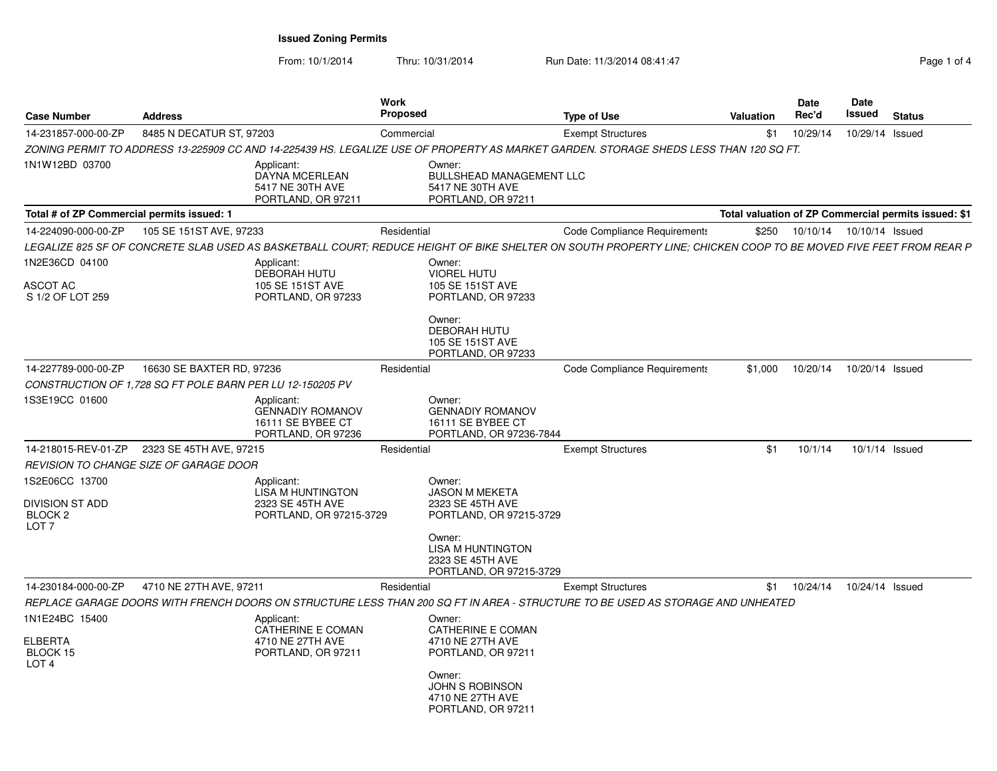From: 10/1/2014

Thru: 10/31/2014 **Run Date: 11/3/2014 08:41:47** Rag 1 of 41 of 47

| Page 1 of 4 |  |  |  |
|-------------|--|--|--|
|-------------|--|--|--|

| <b>Case Number</b>                                                                 | <b>Address</b>            |                                                                                       | <b>Work</b><br><b>Proposed</b> |                                                                                     | <b>Type of Use</b>                                                                                                                                              | <b>Valuation</b> | Date<br>Rec'd | Date<br>Issued             | <b>Status</b>                                        |
|------------------------------------------------------------------------------------|---------------------------|---------------------------------------------------------------------------------------|--------------------------------|-------------------------------------------------------------------------------------|-----------------------------------------------------------------------------------------------------------------------------------------------------------------|------------------|---------------|----------------------------|------------------------------------------------------|
| 14-231857-000-00-ZP                                                                | 8485 N DECATUR ST, 97203  |                                                                                       | Commercial                     |                                                                                     | <b>Exempt Structures</b>                                                                                                                                        | \$1              | 10/29/14      | 10/29/14                   | Issued                                               |
|                                                                                    |                           |                                                                                       |                                |                                                                                     | ZONING PERMIT TO ADDRESS 13-225909 CC AND 14-225439 HS. LEGALIZE USE OF PROPERTY AS MARKET GARDEN. STORAGE SHEDS LESS THAN 120 SQ FT.                           |                  |               |                            |                                                      |
| 1N1W12BD 03700                                                                     |                           | Applicant:<br>DAYNA MCERLEAN<br>5417 NE 30TH AVE<br>PORTLAND, OR 97211                |                                | Owner:<br><b>BULLSHEAD MANAGEMENT LLC</b><br>5417 NE 30TH AVE<br>PORTLAND, OR 97211 |                                                                                                                                                                 |                  |               |                            |                                                      |
| Total # of ZP Commercial permits issued: 1                                         |                           |                                                                                       |                                |                                                                                     |                                                                                                                                                                 |                  |               |                            | Total valuation of ZP Commercial permits issued: \$1 |
| 14-224090-000-00-ZP                                                                | 105 SE 151ST AVE, 97233   |                                                                                       | Residential                    |                                                                                     | Code Compliance Requirements                                                                                                                                    | \$250            |               | 10/10/14  10/10/14  Issued |                                                      |
|                                                                                    |                           |                                                                                       |                                |                                                                                     | LEGALIZE 825 SF OF CONCRETE SLAB USED AS BASKETBALL COURT: REDUCE HEIGHT OF BIKE SHELTER ON SOUTH PROPERTY LINE: CHICKEN COOP TO BE MOVED FIVE FEET FROM REAR P |                  |               |                            |                                                      |
| 1N2E36CD 04100                                                                     |                           | Applicant:<br><b>DEBORAH HUTU</b>                                                     |                                | Owner:<br><b>VIOREL HUTU</b>                                                        |                                                                                                                                                                 |                  |               |                            |                                                      |
| ASCOT AC<br>S 1/2 OF LOT 259                                                       |                           | 105 SE 151ST AVE<br>PORTLAND, OR 97233                                                |                                | 105 SE 151ST AVE<br>PORTLAND, OR 97233                                              |                                                                                                                                                                 |                  |               |                            |                                                      |
|                                                                                    |                           |                                                                                       |                                | Owner:<br><b>DEBORAH HUTU</b><br>105 SE 151ST AVE<br>PORTLAND, OR 97233             |                                                                                                                                                                 |                  |               |                            |                                                      |
| 14-227789-000-00-ZP                                                                | 16630 SE BAXTER RD, 97236 |                                                                                       | Residential                    |                                                                                     | Code Compliance Requirements                                                                                                                                    | \$1,000          | 10/20/14      | 10/20/14 Issued            |                                                      |
| CONSTRUCTION OF 1.728 SQ FT POLE BARN PER LU 12-150205 PV                          |                           |                                                                                       |                                |                                                                                     |                                                                                                                                                                 |                  |               |                            |                                                      |
| 1S3E19CC 01600                                                                     |                           | Applicant:<br><b>GENNADIY ROMANOV</b><br>16111 SE BYBEE CT<br>PORTLAND, OR 97236      |                                | Owner:<br><b>GENNADIY ROMANOV</b><br>16111 SE BYBEE CT<br>PORTLAND, OR 97236-7844   |                                                                                                                                                                 |                  |               |                            |                                                      |
| 14-218015-REV-01-ZP                                                                | 2323 SE 45TH AVE, 97215   |                                                                                       | Residential                    |                                                                                     | <b>Exempt Structures</b>                                                                                                                                        | \$1              | 10/1/14       | 10/1/14 Issued             |                                                      |
| REVISION TO CHANGE SIZE OF GARAGE DOOR                                             |                           |                                                                                       |                                |                                                                                     |                                                                                                                                                                 |                  |               |                            |                                                      |
| 1S2E06CC 13700<br><b>DIVISION ST ADD</b><br>BLOCK <sub>2</sub><br>LOT <sub>7</sub> |                           | Applicant:<br><b>LISA M HUNTINGTON</b><br>2323 SE 45TH AVE<br>PORTLAND, OR 97215-3729 |                                | Owner:<br><b>JASON M MEKETA</b><br>2323 SE 45TH AVE<br>PORTLAND, OR 97215-3729      |                                                                                                                                                                 |                  |               |                            |                                                      |
|                                                                                    |                           |                                                                                       |                                | Owner:<br>LISA M HUNTINGTON<br>2323 SE 45TH AVE<br>PORTLAND, OR 97215-3729          |                                                                                                                                                                 |                  |               |                            |                                                      |
| 14-230184-000-00-ZP                                                                | 4710 NE 27TH AVE, 97211   |                                                                                       | Residential                    |                                                                                     | <b>Exempt Structures</b>                                                                                                                                        | \$1              | 10/24/14      | 10/24/14 Issued            |                                                      |
|                                                                                    |                           |                                                                                       |                                |                                                                                     | REPLACE GARAGE DOORS WITH FRENCH DOORS ON STRUCTURE LESS THAN 200 SQ FT IN AREA - STRUCTURE TO BE USED AS STORAGE AND UNHEATED                                  |                  |               |                            |                                                      |
| 1N1E24BC 15400                                                                     |                           | Applicant:<br>CATHERINE E COMAN                                                       |                                | Owner:<br>CATHERINE E COMAN                                                         |                                                                                                                                                                 |                  |               |                            |                                                      |
| <b>ELBERTA</b><br>BLOCK 15<br>LOT <sub>4</sub>                                     |                           | 4710 NE 27TH AVE<br>PORTLAND, OR 97211                                                |                                | 4710 NE 27TH AVE<br>PORTLAND, OR 97211                                              |                                                                                                                                                                 |                  |               |                            |                                                      |
|                                                                                    |                           |                                                                                       |                                | Owner:<br><b>JOHN S ROBINSON</b><br>4710 NE 27TH AVE<br>PORTLAND, OR 97211          |                                                                                                                                                                 |                  |               |                            |                                                      |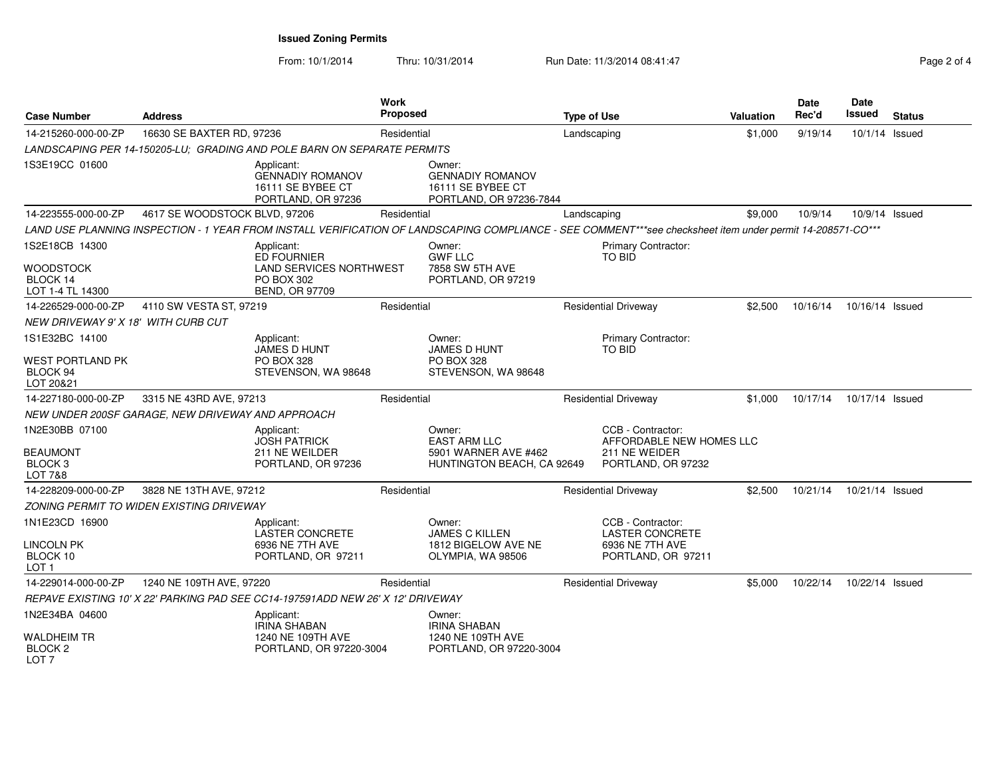From: 10/1/2014Thru: 10/31/2014 Run Date: 11/3/2014 08:41:47 Rege 2 of 4

| <b>Case Number</b>                                                 | <b>Address</b>                                    |                                                                                                           | <b>Work</b><br><b>Proposed</b> |                                                                                                                                                            | <b>Type of Use</b> |                                                                                      | <b>Valuation</b> | <b>Date</b><br>Rec'd | Date<br><b>Issued</b> | <b>Status</b> |
|--------------------------------------------------------------------|---------------------------------------------------|-----------------------------------------------------------------------------------------------------------|--------------------------------|------------------------------------------------------------------------------------------------------------------------------------------------------------|--------------------|--------------------------------------------------------------------------------------|------------------|----------------------|-----------------------|---------------|
| 14-215260-000-00-ZP                                                | 16630 SE BAXTER RD, 97236                         |                                                                                                           | Residential                    |                                                                                                                                                            | Landscaping        |                                                                                      | \$1,000          | 9/19/14              | 10/1/14 Issued        |               |
|                                                                    |                                                   | LANDSCAPING PER 14-150205-LU: GRADING AND POLE BARN ON SEPARATE PERMITS                                   |                                |                                                                                                                                                            |                    |                                                                                      |                  |                      |                       |               |
| 1S3E19CC 01600                                                     |                                                   | Applicant:<br><b>GENNADIY ROMANOV</b><br>16111 SE BYBEE CT<br>PORTLAND, OR 97236                          |                                | Owner:<br><b>GENNADIY ROMANOV</b><br>16111 SE BYBEE CT<br>PORTLAND, OR 97236-7844                                                                          |                    |                                                                                      |                  |                      |                       |               |
| 14-223555-000-00-ZP                                                | 4617 SE WOODSTOCK BLVD, 97206                     |                                                                                                           | Residential                    |                                                                                                                                                            | Landscaping        |                                                                                      | \$9.000          | 10/9/14              | 10/9/14 Issued        |               |
|                                                                    |                                                   |                                                                                                           |                                | LAND USE PLANNING INSPECTION - 1 YEAR FROM INSTALL VERIFICATION OF LANDSCAPING COMPLIANCE - SEE COMMENT***see checksheet item under permit 14-208571-CO*** |                    |                                                                                      |                  |                      |                       |               |
| 1S2E18CB 14300<br><b>WOODSTOCK</b><br>BLOCK 14<br>LOT 1-4 TL 14300 |                                                   | Applicant:<br><b>ED FOURNIER</b><br><b>LAND SERVICES NORTHWEST</b><br>PO BOX 302<br><b>BEND, OR 97709</b> |                                | Owner:<br><b>GWF LLC</b><br>7858 SW 5TH AVE<br>PORTLAND, OR 97219                                                                                          |                    | Primary Contractor:<br>TO BID                                                        |                  |                      |                       |               |
| 14-226529-000-00-ZP                                                | 4110 SW VESTA ST, 97219                           |                                                                                                           | Residential                    |                                                                                                                                                            |                    | <b>Residential Driveway</b>                                                          | \$2,500          | 10/16/14             | 10/16/14 Issued       |               |
| NEW DRIVEWAY 9' X 18' WITH CURB CUT                                |                                                   |                                                                                                           |                                |                                                                                                                                                            |                    |                                                                                      |                  |                      |                       |               |
| 1S1E32BC 14100                                                     |                                                   | Applicant:<br>JAMES D HUNT                                                                                |                                | Owner:<br><b>JAMES D HUNT</b>                                                                                                                              |                    | Primary Contractor:<br>TO BID                                                        |                  |                      |                       |               |
| WEST PORTLAND PK<br>BLOCK 94<br>LOT 20&21                          |                                                   | <b>PO BOX 328</b><br>STEVENSON, WA 98648                                                                  |                                | <b>PO BOX 328</b><br>STEVENSON, WA 98648                                                                                                                   |                    |                                                                                      |                  |                      |                       |               |
| 14-227180-000-00-ZP                                                | 3315 NE 43RD AVE, 97213                           |                                                                                                           | Residential                    |                                                                                                                                                            |                    | <b>Residential Driveway</b>                                                          | \$1,000          | 10/17/14             | 10/17/14 Issued       |               |
|                                                                    | NEW UNDER 200SF GARAGE, NEW DRIVEWAY AND APPROACH |                                                                                                           |                                |                                                                                                                                                            |                    |                                                                                      |                  |                      |                       |               |
| 1N2E30BB 07100<br><b>BEAUMONT</b><br>BLOCK <sub>3</sub><br>LOT 7&8 |                                                   | Applicant:<br><b>JOSH PATRICK</b><br>211 NE WEILDER<br>PORTLAND, OR 97236                                 |                                | Owner:<br><b>EAST ARM LLC</b><br>5901 WARNER AVE #462<br>HUNTINGTON BEACH, CA 92649                                                                        |                    | CCB - Contractor:<br>AFFORDABLE NEW HOMES LLC<br>211 NE WEIDER<br>PORTLAND, OR 97232 |                  |                      |                       |               |
| 14-228209-000-00-ZP                                                | 3828 NE 13TH AVE, 97212                           |                                                                                                           | Residential                    |                                                                                                                                                            |                    | <b>Residential Driveway</b>                                                          | \$2,500          | 10/21/14             | 10/21/14 Issued       |               |
|                                                                    | ZONING PERMIT TO WIDEN EXISTING DRIVEWAY          |                                                                                                           |                                |                                                                                                                                                            |                    |                                                                                      |                  |                      |                       |               |
| 1N1E23CD 16900<br>LINCOLN PK<br>BLOCK 10<br>LOT 1                  |                                                   | Applicant:<br><b>LASTER CONCRETE</b><br>6936 NE 7TH AVE<br>PORTLAND, OR 97211                             |                                | Owner:<br><b>JAMES C KILLEN</b><br>1812 BIGELOW AVE NE<br>OLYMPIA, WA 98506                                                                                |                    | CCB - Contractor:<br><b>LASTER CONCRETE</b><br>6936 NE 7TH AVE<br>PORTLAND, OR 97211 |                  |                      |                       |               |
| 14-229014-000-00-ZP                                                | 1240 NE 109TH AVE, 97220                          |                                                                                                           | Residential                    |                                                                                                                                                            |                    | <b>Residential Driveway</b>                                                          | \$5,000          | 10/22/14             | 10/22/14 Issued       |               |
|                                                                    |                                                   | REPAVE EXISTING 10' X 22' PARKING PAD SEE CC14-197591ADD NEW 26' X 12' DRIVEWAY                           |                                |                                                                                                                                                            |                    |                                                                                      |                  |                      |                       |               |
| 1N2E34BA 04600                                                     |                                                   | Applicant:<br><b>IRINA SHABAN</b>                                                                         |                                | Owner:<br><b>IRINA SHABAN</b>                                                                                                                              |                    |                                                                                      |                  |                      |                       |               |
| <b>WALDHEIM TR</b><br>BLOCK <sub>2</sub><br>LOT <sub>7</sub>       |                                                   | 1240 NE 109TH AVE<br>PORTLAND, OR 97220-3004                                                              |                                | 1240 NE 109TH AVE<br>PORTLAND, OR 97220-3004                                                                                                               |                    |                                                                                      |                  |                      |                       |               |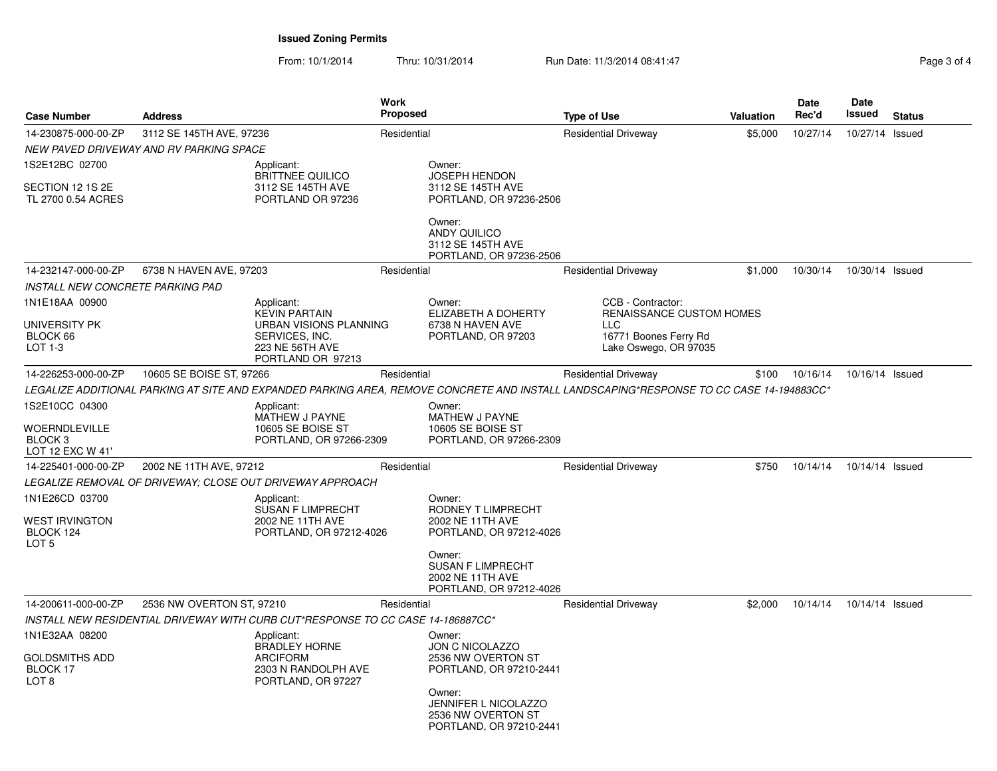From: 10/1/2014Thru: 10/31/2014 Run Date: 11/3/2014 08:41:47 Rege 3 of 4

| <b>Case Number</b>                                                       | <b>Address</b>                          |                                                                                                                        | Work<br><b>Proposed</b> |                                                                                                                                                                             | <b>Type of Use</b>                                                                                                                      | Valuation | <b>Date</b><br>Rec'd | Date<br>Issued  | <b>Status</b> |
|--------------------------------------------------------------------------|-----------------------------------------|------------------------------------------------------------------------------------------------------------------------|-------------------------|-----------------------------------------------------------------------------------------------------------------------------------------------------------------------------|-----------------------------------------------------------------------------------------------------------------------------------------|-----------|----------------------|-----------------|---------------|
| 14-230875-000-00-ZP                                                      | 3112 SE 145TH AVE, 97236                |                                                                                                                        | Residential             |                                                                                                                                                                             | <b>Residential Driveway</b>                                                                                                             | \$5,000   | 10/27/14             | 10/27/14        | Issued        |
|                                                                          | NEW PAVED DRIVEWAY AND RV PARKING SPACE |                                                                                                                        |                         |                                                                                                                                                                             |                                                                                                                                         |           |                      |                 |               |
| 1S2E12BC 02700<br>SECTION 12 1S 2E<br>TL 2700 0.54 ACRES                 |                                         | Applicant:<br><b>BRITTNEE QUILICO</b><br>3112 SE 145TH AVE<br>PORTLAND OR 97236                                        |                         | Owner:<br>JOSEPH HENDON<br>3112 SE 145TH AVE<br>PORTLAND, OR 97236-2506                                                                                                     |                                                                                                                                         |           |                      |                 |               |
|                                                                          |                                         |                                                                                                                        |                         | Owner:<br><b>ANDY QUILICO</b><br>3112 SE 145TH AVE<br>PORTLAND, OR 97236-2506                                                                                               |                                                                                                                                         |           |                      |                 |               |
| 14-232147-000-00-ZP                                                      | 6738 N HAVEN AVE, 97203                 |                                                                                                                        | Residential             |                                                                                                                                                                             | <b>Residential Driveway</b>                                                                                                             | \$1,000   | 10/30/14             | 10/30/14 Issued |               |
| <b>INSTALL NEW CONCRETE PARKING PAD</b>                                  |                                         |                                                                                                                        |                         |                                                                                                                                                                             |                                                                                                                                         |           |                      |                 |               |
| 1N1E18AA 00900<br>UNIVERSITY PK<br>BLOCK 66<br>LOT 1-3                   |                                         | Applicant:<br><b>KEVIN PARTAIN</b><br>URBAN VISIONS PLANNING<br>SERVICES, INC.<br>223 NE 56TH AVE<br>PORTLAND OR 97213 |                         | Owner:<br><b>ELIZABETH A DOHERTY</b><br>6738 N HAVEN AVE<br>PORTLAND, OR 97203                                                                                              | CCB - Contractor:<br>RENAISSANCE CUSTOM HOMES<br><b>LLC</b><br>16771 Boones Ferry Rd<br>Lake Oswego, OR 97035                           |           |                      |                 |               |
| 14-226253-000-00-ZP                                                      | 10605 SE BOISE ST, 97266                |                                                                                                                        | Residential             |                                                                                                                                                                             | <b>Residential Driveway</b>                                                                                                             | \$100     | 10/16/14             | 10/16/14 Issued |               |
|                                                                          |                                         |                                                                                                                        |                         |                                                                                                                                                                             | LEGALIZE ADDITIONAL PARKING AT SITE AND EXPANDED PARKING AREA. REMOVE CONCRETE AND INSTALL LANDSCAPING*RESPONSE TO CC CASE 14-194883CC* |           |                      |                 |               |
| 1S2E10CC 04300<br>WOERNDLEVILLE<br>BLOCK <sub>3</sub><br>LOT 12 EXC W 41 |                                         | Applicant:<br>MATHEW J PAYNE<br>10605 SE BOISE ST<br>PORTLAND, OR 97266-2309                                           |                         | Owner:<br>MATHEW J PAYNE<br>10605 SE BOISE ST<br>PORTLAND, OR 97266-2309                                                                                                    |                                                                                                                                         |           |                      |                 |               |
| 14-225401-000-00-ZP                                                      | 2002 NE 11TH AVE, 97212                 |                                                                                                                        | Residential             |                                                                                                                                                                             | <b>Residential Driveway</b>                                                                                                             | \$750     | 10/14/14             | 10/14/14 Issued |               |
|                                                                          |                                         | LEGALIZE REMOVAL OF DRIVEWAY: CLOSE OUT DRIVEWAY APPROACH                                                              |                         |                                                                                                                                                                             |                                                                                                                                         |           |                      |                 |               |
| 1N1E26CD 03700<br><b>WEST IRVINGTON</b><br>BLOCK 124<br>LOT <sub>5</sub> |                                         | Applicant:<br><b>SUSAN F LIMPRECHT</b><br>2002 NE 11TH AVE<br>PORTLAND, OR 97212-4026                                  |                         | Owner:<br>RODNEY T LIMPRECHT<br>2002 NE 11TH AVE<br>PORTLAND, OR 97212-4026<br>Owner:<br><b>SUSAN F LIMPRECHT</b><br>2002 NE 11TH AVE<br>PORTLAND, OR 97212-4026            |                                                                                                                                         |           |                      |                 |               |
| 14-200611-000-00-ZP                                                      | 2536 NW OVERTON ST, 97210               |                                                                                                                        | Residential             |                                                                                                                                                                             | <b>Residential Driveway</b>                                                                                                             | \$2,000   | 10/14/14             | 10/14/14 Issued |               |
|                                                                          |                                         | INSTALL NEW RESIDENTIAL DRIVEWAY WITH CURB CUT*RESPONSE TO CC CASE 14-186887CC*                                        |                         |                                                                                                                                                                             |                                                                                                                                         |           |                      |                 |               |
| 1N1E32AA 08200<br><b>GOLDSMITHS ADD</b><br>BLOCK 17<br>LOT <sub>8</sub>  |                                         | Applicant:<br><b>BRADLEY HORNE</b><br><b>ARCIFORM</b><br>2303 N RANDOLPH AVE<br>PORTLAND, OR 97227                     |                         | Owner:<br><b>JON C NICOLAZZO</b><br>2536 NW OVERTON ST<br>PORTLAND, OR 97210-2441<br>Owner:<br><b>JENNIFER L NICOLAZZO</b><br>2536 NW OVERTON ST<br>PORTLAND, OR 97210-2441 |                                                                                                                                         |           |                      |                 |               |